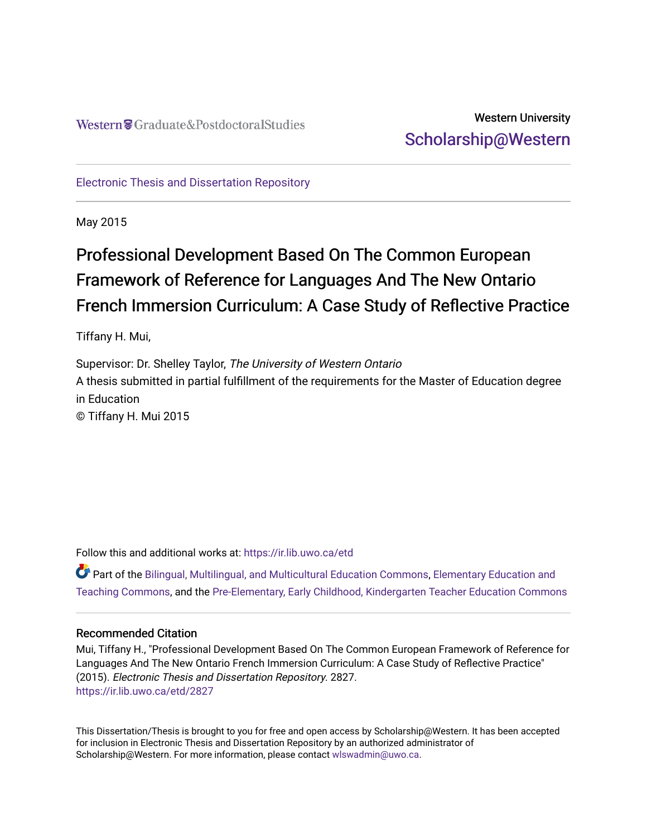# Western University [Scholarship@Western](https://ir.lib.uwo.ca/)

[Electronic Thesis and Dissertation Repository](https://ir.lib.uwo.ca/etd)

May 2015

# Professional Development Based On The Common European Framework of Reference for Languages And The New Ontario French Immersion Curriculum: A Case Study of Reflective Practice

Tiffany H. Mui,

Supervisor: Dr. Shelley Taylor, The University of Western Ontario A thesis submitted in partial fulfillment of the requirements for the Master of Education degree in Education © Tiffany H. Mui 2015

Follow this and additional works at: [https://ir.lib.uwo.ca/etd](https://ir.lib.uwo.ca/etd?utm_source=ir.lib.uwo.ca%2Fetd%2F2827&utm_medium=PDF&utm_campaign=PDFCoverPages) 

Part of the [Bilingual, Multilingual, and Multicultural Education Commons,](http://network.bepress.com/hgg/discipline/785?utm_source=ir.lib.uwo.ca%2Fetd%2F2827&utm_medium=PDF&utm_campaign=PDFCoverPages) [Elementary Education and](http://network.bepress.com/hgg/discipline/805?utm_source=ir.lib.uwo.ca%2Fetd%2F2827&utm_medium=PDF&utm_campaign=PDFCoverPages)  [Teaching Commons](http://network.bepress.com/hgg/discipline/805?utm_source=ir.lib.uwo.ca%2Fetd%2F2827&utm_medium=PDF&utm_campaign=PDFCoverPages), and the [Pre-Elementary, Early Childhood, Kindergarten Teacher Education Commons](http://network.bepress.com/hgg/discipline/808?utm_source=ir.lib.uwo.ca%2Fetd%2F2827&utm_medium=PDF&utm_campaign=PDFCoverPages) 

#### Recommended Citation

Mui, Tiffany H., "Professional Development Based On The Common European Framework of Reference for Languages And The New Ontario French Immersion Curriculum: A Case Study of Reflective Practice" (2015). Electronic Thesis and Dissertation Repository. 2827. [https://ir.lib.uwo.ca/etd/2827](https://ir.lib.uwo.ca/etd/2827?utm_source=ir.lib.uwo.ca%2Fetd%2F2827&utm_medium=PDF&utm_campaign=PDFCoverPages)

This Dissertation/Thesis is brought to you for free and open access by Scholarship@Western. It has been accepted for inclusion in Electronic Thesis and Dissertation Repository by an authorized administrator of Scholarship@Western. For more information, please contact [wlswadmin@uwo.ca.](mailto:wlswadmin@uwo.ca)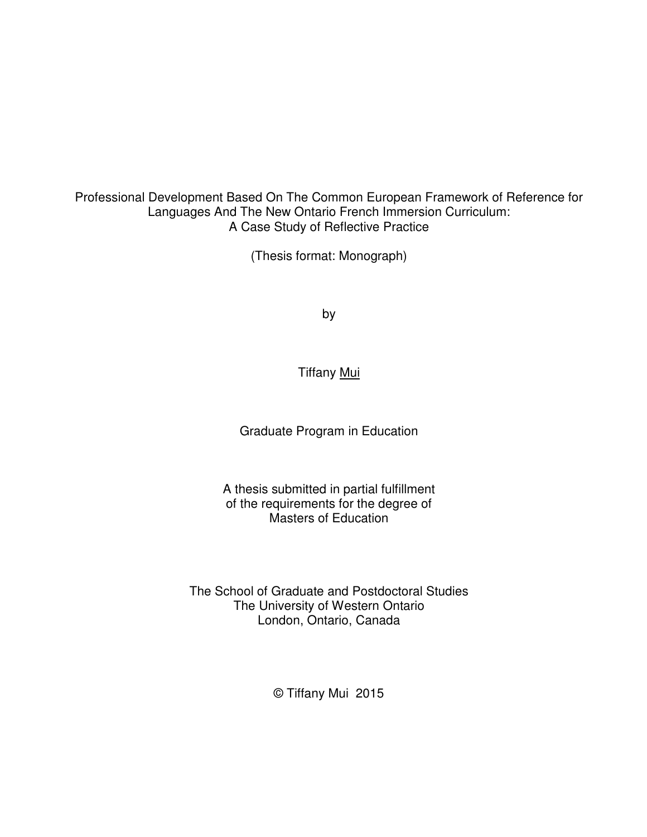Professional Development Based On The Common European Framework of Reference for Languages And The New Ontario French Immersion Curriculum: A Case Study of Reflective Practice

(Thesis format: Monograph)

by

Tiffany Mui

Graduate Program in Education

A thesis submitted in partial fulfillment of the requirements for the degree of Masters of Education

The School of Graduate and Postdoctoral Studies The University of Western Ontario London, Ontario, Canada

© Tiffany Mui 2015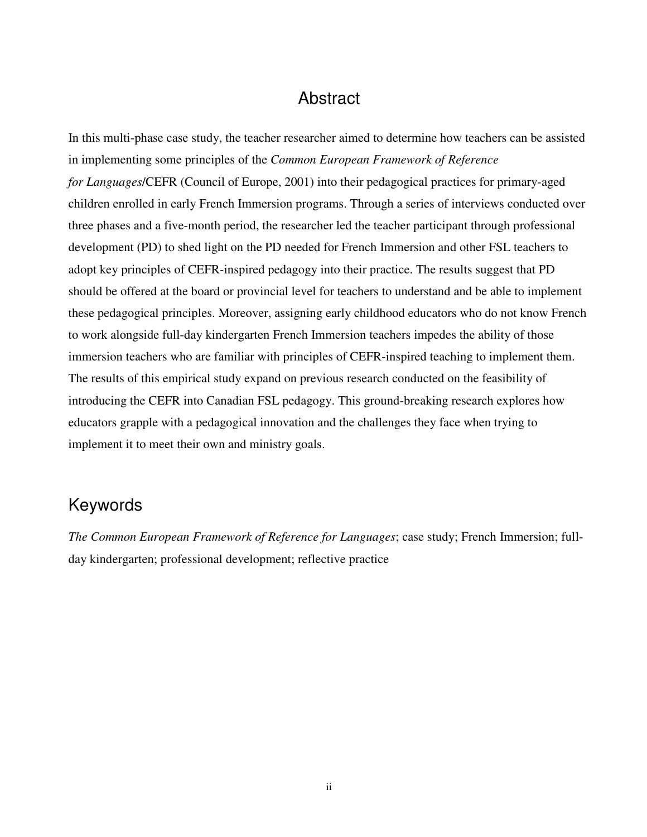#### Abstract

In this multi-phase case study, the teacher researcher aimed to determine how teachers can be assisted in implementing some principles of the *Common European Framework of Reference for Languages*/CEFR (Council of Europe, 2001) into their pedagogical practices for primary-aged children enrolled in early French Immersion programs. Through a series of interviews conducted over three phases and a five-month period, the researcher led the teacher participant through professional development (PD) to shed light on the PD needed for French Immersion and other FSL teachers to adopt key principles of CEFR-inspired pedagogy into their practice. The results suggest that PD should be offered at the board or provincial level for teachers to understand and be able to implement these pedagogical principles. Moreover, assigning early childhood educators who do not know French to work alongside full-day kindergarten French Immersion teachers impedes the ability of those immersion teachers who are familiar with principles of CEFR-inspired teaching to implement them. The results of this empirical study expand on previous research conducted on the feasibility of introducing the CEFR into Canadian FSL pedagogy. This ground-breaking research explores how educators grapple with a pedagogical innovation and the challenges they face when trying to implement it to meet their own and ministry goals.

### Keywords

*The Common European Framework of Reference for Languages*; case study; French Immersion; fullday kindergarten; professional development; reflective practice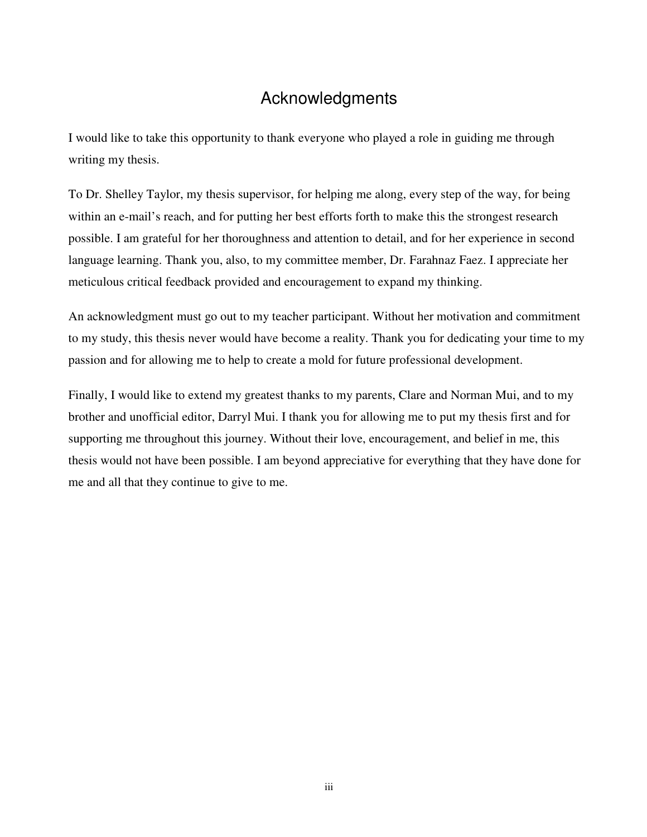# Acknowledgments

I would like to take this opportunity to thank everyone who played a role in guiding me through writing my thesis.

To Dr. Shelley Taylor, my thesis supervisor, for helping me along, every step of the way, for being within an e-mail's reach, and for putting her best efforts forth to make this the strongest research possible. I am grateful for her thoroughness and attention to detail, and for her experience in second language learning. Thank you, also, to my committee member, Dr. Farahnaz Faez. I appreciate her meticulous critical feedback provided and encouragement to expand my thinking.

An acknowledgment must go out to my teacher participant. Without her motivation and commitment to my study, this thesis never would have become a reality. Thank you for dedicating your time to my passion and for allowing me to help to create a mold for future professional development.

Finally, I would like to extend my greatest thanks to my parents, Clare and Norman Mui, and to my brother and unofficial editor, Darryl Mui. I thank you for allowing me to put my thesis first and for supporting me throughout this journey. Without their love, encouragement, and belief in me, this thesis would not have been possible. I am beyond appreciative for everything that they have done for me and all that they continue to give to me.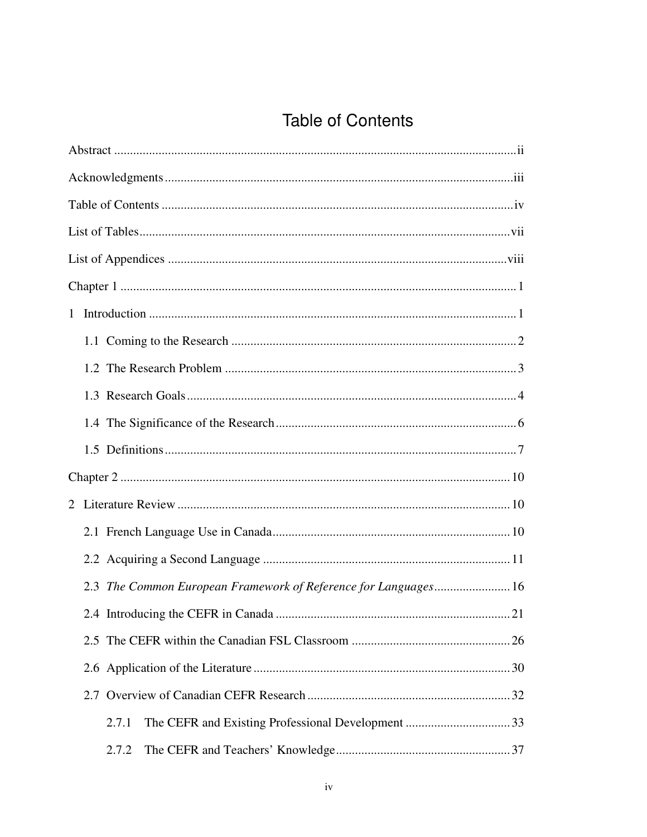# **Table of Contents**

| 2.3 The Common European Framework of Reference for Languages 16 |  |  |  |  |
|-----------------------------------------------------------------|--|--|--|--|
|                                                                 |  |  |  |  |
|                                                                 |  |  |  |  |
|                                                                 |  |  |  |  |
|                                                                 |  |  |  |  |
| 2.7.1                                                           |  |  |  |  |
| 2.7.2                                                           |  |  |  |  |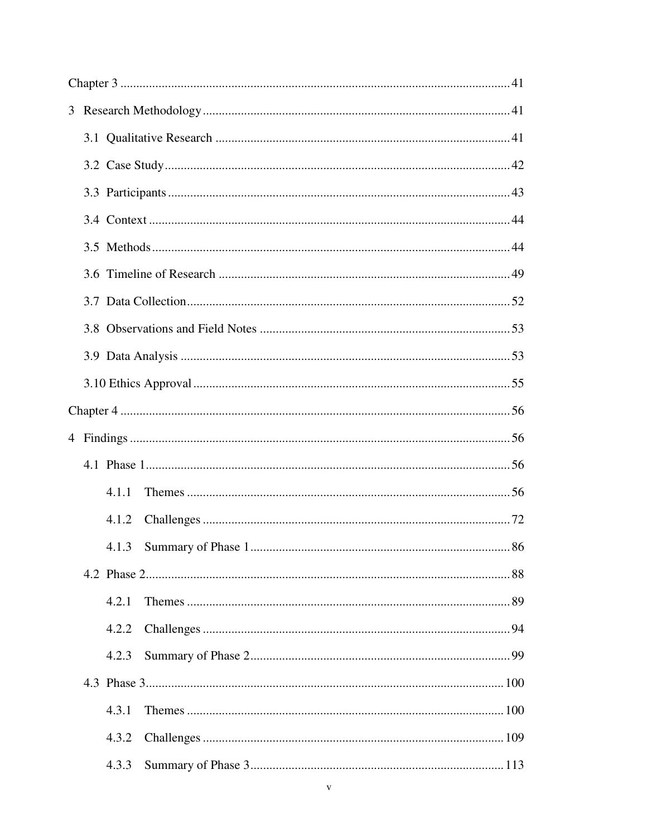|  | 4.1.1 |            |  |  |  |
|--|-------|------------|--|--|--|
|  | 4.1.2 |            |  |  |  |
|  |       | $\dots 86$ |  |  |  |
|  |       |            |  |  |  |
|  | 4.2.1 |            |  |  |  |
|  | 4.2.2 |            |  |  |  |
|  | 4.2.3 |            |  |  |  |
|  |       |            |  |  |  |
|  | 4.3.1 |            |  |  |  |
|  | 4.3.2 |            |  |  |  |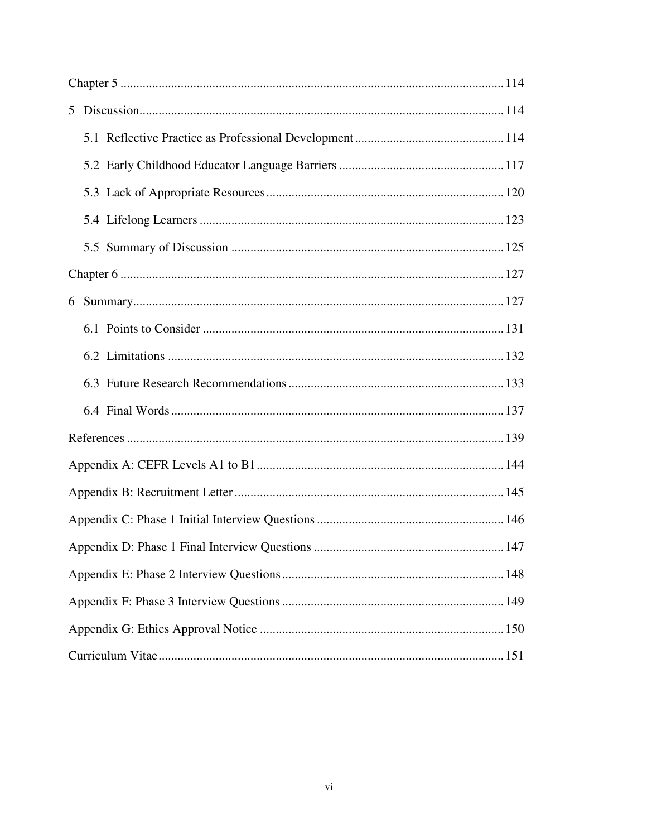| 6 |  |  |  |  |  |
|---|--|--|--|--|--|
|   |  |  |  |  |  |
|   |  |  |  |  |  |
|   |  |  |  |  |  |
|   |  |  |  |  |  |
|   |  |  |  |  |  |
|   |  |  |  |  |  |
|   |  |  |  |  |  |
|   |  |  |  |  |  |
|   |  |  |  |  |  |
|   |  |  |  |  |  |
|   |  |  |  |  |  |
|   |  |  |  |  |  |
|   |  |  |  |  |  |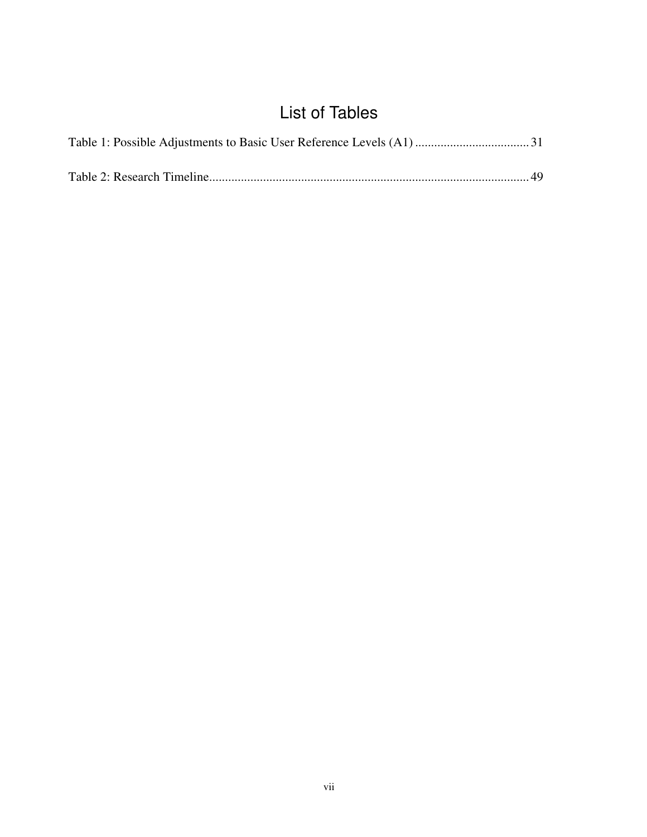# List of Tables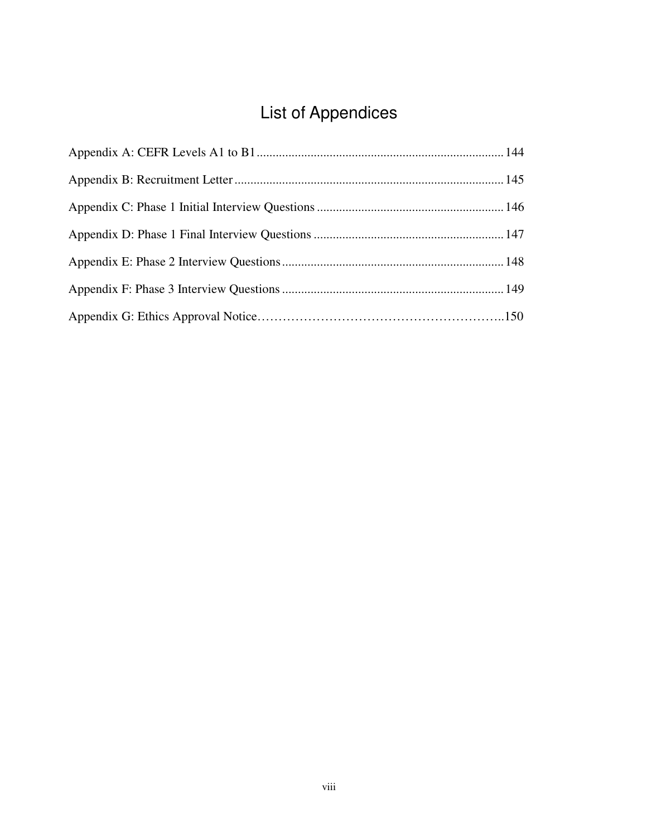# List of Appendices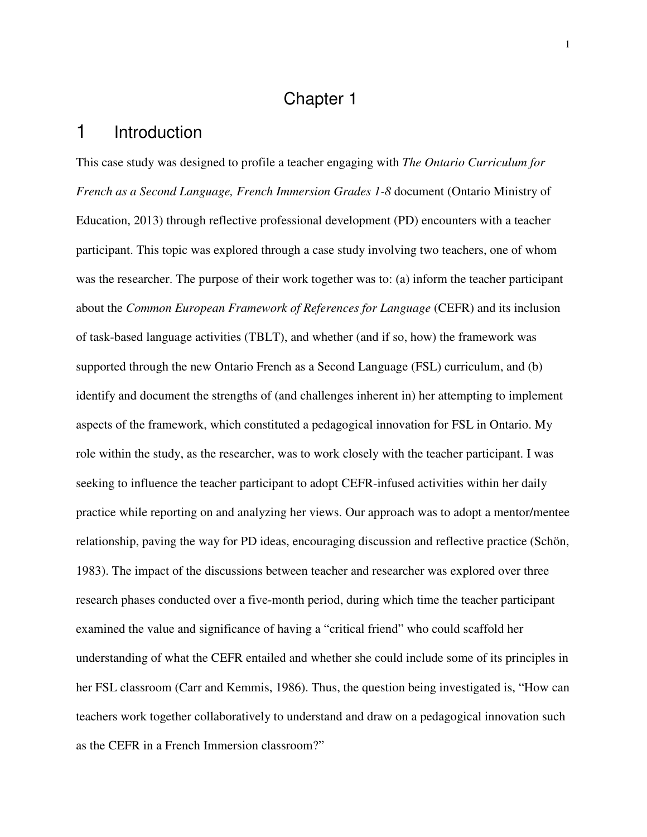# Chapter 1

#### 1 Introduction

This case study was designed to profile a teacher engaging with *The Ontario Curriculum for French as a Second Language, French Immersion Grades 1-8* document (Ontario Ministry of Education, 2013) through reflective professional development (PD) encounters with a teacher participant. This topic was explored through a case study involving two teachers, one of whom was the researcher. The purpose of their work together was to: (a) inform the teacher participant about the *Common European Framework of References for Language* (CEFR) and its inclusion of task-based language activities (TBLT), and whether (and if so, how) the framework was supported through the new Ontario French as a Second Language (FSL) curriculum, and (b) identify and document the strengths of (and challenges inherent in) her attempting to implement aspects of the framework, which constituted a pedagogical innovation for FSL in Ontario. My role within the study, as the researcher, was to work closely with the teacher participant. I was seeking to influence the teacher participant to adopt CEFR-infused activities within her daily practice while reporting on and analyzing her views. Our approach was to adopt a mentor/mentee relationship, paving the way for PD ideas, encouraging discussion and reflective practice (Schön, 1983). The impact of the discussions between teacher and researcher was explored over three research phases conducted over a five-month period, during which time the teacher participant examined the value and significance of having a "critical friend" who could scaffold her understanding of what the CEFR entailed and whether she could include some of its principles in her FSL classroom (Carr and Kemmis, 1986). Thus, the question being investigated is, "How can teachers work together collaboratively to understand and draw on a pedagogical innovation such as the CEFR in a French Immersion classroom?"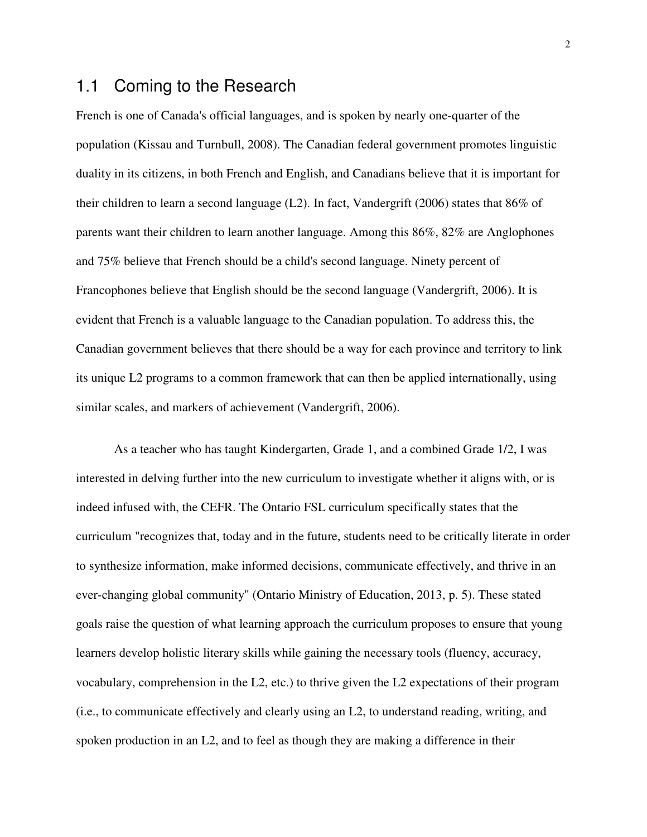#### 1.1 Coming to the Research

French is one of Canada's official languages, and is spoken by nearly one-quarter of the population (Kissau and Turnbull, 2008). The Canadian federal government promotes linguistic duality in its citizens, in both French and English, and Canadians believe that it is important for their children to learn a second language (L2). In fact, Vandergrift (2006) states that 86% of parents want their children to learn another language. Among this 86%, 82% are Anglophones and 75% believe that French should be a child's second language. Ninety percent of Francophones believe that English should be the second language (Vandergrift, 2006). It is evident that French is a valuable language to the Canadian population. To address this, the Canadian government believes that there should be a way for each province and territory to link its unique L2 programs to a common framework that can then be applied internationally, using similar scales, and markers of achievement (Vandergrift, 2006).

As a teacher who has taught Kindergarten, Grade 1, and a combined Grade 1/2, I was interested in delving further into the new curriculum to investigate whether it aligns with, or is indeed infused with, the CEFR. The Ontario FSL curriculum specifically states that the curriculum "recognizes that, today and in the future, students need to be critically literate in order to synthesize information, make informed decisions, communicate effectively, and thrive in an ever-changing global community" (Ontario Ministry of Education, 2013, p. 5). These stated goals raise the question of what learning approach the curriculum proposes to ensure that young learners develop holistic literary skills while gaining the necessary tools (fluency, accuracy, vocabulary, comprehension in the L2, etc.) to thrive given the L2 expectations of their program (i.e., to communicate effectively and clearly using an L2, to understand reading, writing, and spoken production in an L2, and to feel as though they are making a difference in their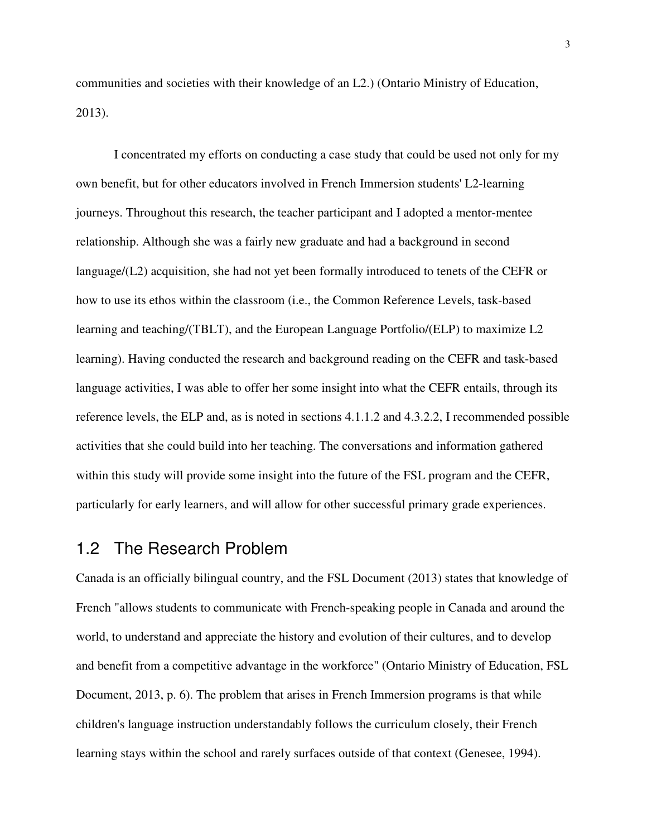communities and societies with their knowledge of an L2.) (Ontario Ministry of Education, 2013).

I concentrated my efforts on conducting a case study that could be used not only for my own benefit, but for other educators involved in French Immersion students' L2-learning journeys. Throughout this research, the teacher participant and I adopted a mentor-mentee relationship. Although she was a fairly new graduate and had a background in second language/(L2) acquisition, she had not yet been formally introduced to tenets of the CEFR or how to use its ethos within the classroom (i.e., the Common Reference Levels, task-based learning and teaching/(TBLT), and the European Language Portfolio/(ELP) to maximize L2 learning). Having conducted the research and background reading on the CEFR and task-based language activities, I was able to offer her some insight into what the CEFR entails, through its reference levels, the ELP and, as is noted in sections 4.1.1.2 and 4.3.2.2, I recommended possible activities that she could build into her teaching. The conversations and information gathered within this study will provide some insight into the future of the FSL program and the CEFR, particularly for early learners, and will allow for other successful primary grade experiences.

### 1.2 The Research Problem

Canada is an officially bilingual country, and the FSL Document (2013) states that knowledge of French "allows students to communicate with French-speaking people in Canada and around the world, to understand and appreciate the history and evolution of their cultures, and to develop and benefit from a competitive advantage in the workforce" (Ontario Ministry of Education, FSL Document, 2013, p. 6). The problem that arises in French Immersion programs is that while children's language instruction understandably follows the curriculum closely, their French learning stays within the school and rarely surfaces outside of that context (Genesee, 1994).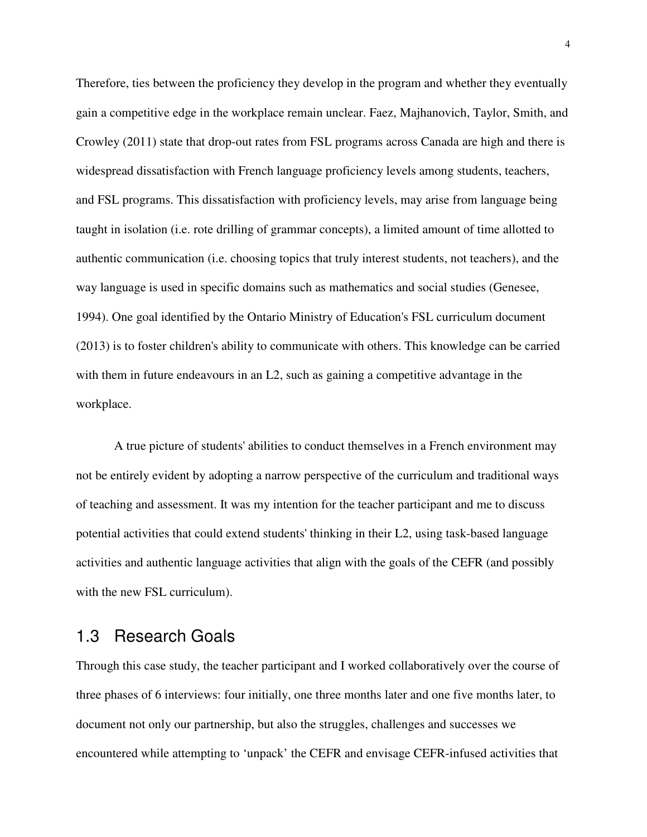Therefore, ties between the proficiency they develop in the program and whether they eventually gain a competitive edge in the workplace remain unclear. Faez, Majhanovich, Taylor, Smith, and Crowley (2011) state that drop-out rates from FSL programs across Canada are high and there is widespread dissatisfaction with French language proficiency levels among students, teachers, and FSL programs. This dissatisfaction with proficiency levels, may arise from language being taught in isolation (i.e. rote drilling of grammar concepts), a limited amount of time allotted to authentic communication (i.e. choosing topics that truly interest students, not teachers), and the way language is used in specific domains such as mathematics and social studies (Genesee, 1994). One goal identified by the Ontario Ministry of Education's FSL curriculum document (2013) is to foster children's ability to communicate with others. This knowledge can be carried with them in future endeavours in an L2, such as gaining a competitive advantage in the workplace.

A true picture of students' abilities to conduct themselves in a French environment may not be entirely evident by adopting a narrow perspective of the curriculum and traditional ways of teaching and assessment. It was my intention for the teacher participant and me to discuss potential activities that could extend students' thinking in their L2, using task-based language activities and authentic language activities that align with the goals of the CEFR (and possibly with the new FSL curriculum).

#### 1.3 Research Goals

Through this case study, the teacher participant and I worked collaboratively over the course of three phases of 6 interviews: four initially, one three months later and one five months later, to document not only our partnership, but also the struggles, challenges and successes we encountered while attempting to 'unpack' the CEFR and envisage CEFR-infused activities that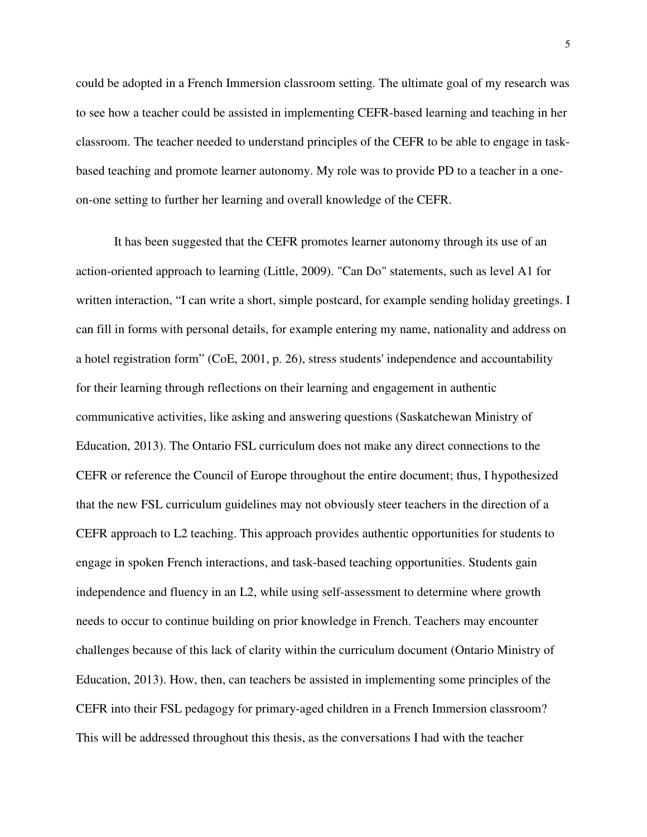could be adopted in a French Immersion classroom setting. The ultimate goal of my research was to see how a teacher could be assisted in implementing CEFR-based learning and teaching in her classroom. The teacher needed to understand principles of the CEFR to be able to engage in taskbased teaching and promote learner autonomy. My role was to provide PD to a teacher in a oneon-one setting to further her learning and overall knowledge of the CEFR.

It has been suggested that the CEFR promotes learner autonomy through its use of an action-oriented approach to learning (Little, 2009). "Can Do" statements, such as level A1 for written interaction, "I can write a short, simple postcard, for example sending holiday greetings. I can fill in forms with personal details, for example entering my name, nationality and address on a hotel registration form" (CoE, 2001, p. 26), stress students' independence and accountability for their learning through reflections on their learning and engagement in authentic communicative activities, like asking and answering questions (Saskatchewan Ministry of Education, 2013). The Ontario FSL curriculum does not make any direct connections to the CEFR or reference the Council of Europe throughout the entire document; thus, I hypothesized that the new FSL curriculum guidelines may not obviously steer teachers in the direction of a CEFR approach to L2 teaching. This approach provides authentic opportunities for students to engage in spoken French interactions, and task-based teaching opportunities. Students gain independence and fluency in an L2, while using self-assessment to determine where growth needs to occur to continue building on prior knowledge in French. Teachers may encounter challenges because of this lack of clarity within the curriculum document (Ontario Ministry of Education, 2013). How, then, can teachers be assisted in implementing some principles of the CEFR into their FSL pedagogy for primary-aged children in a French Immersion classroom? This will be addressed throughout this thesis, as the conversations I had with the teacher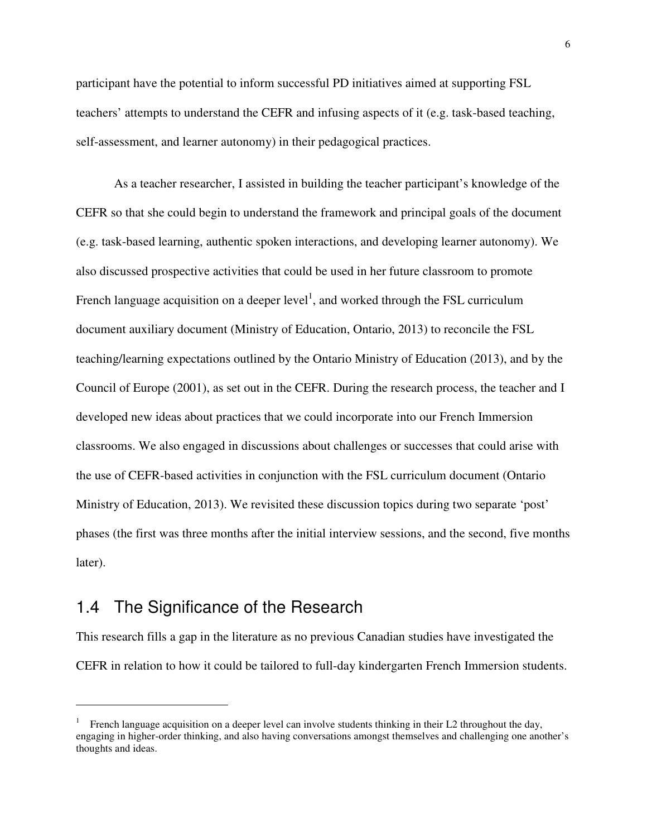participant have the potential to inform successful PD initiatives aimed at supporting FSL teachers' attempts to understand the CEFR and infusing aspects of it (e.g. task-based teaching, self-assessment, and learner autonomy) in their pedagogical practices.

As a teacher researcher, I assisted in building the teacher participant's knowledge of the CEFR so that she could begin to understand the framework and principal goals of the document (e.g. task-based learning, authentic spoken interactions, and developing learner autonomy). We also discussed prospective activities that could be used in her future classroom to promote French language acquisition on a deeper level<sup>1</sup>, and worked through the FSL curriculum document auxiliary document (Ministry of Education, Ontario, 2013) to reconcile the FSL teaching/learning expectations outlined by the Ontario Ministry of Education (2013), and by the Council of Europe (2001), as set out in the CEFR. During the research process, the teacher and I developed new ideas about practices that we could incorporate into our French Immersion classrooms. We also engaged in discussions about challenges or successes that could arise with the use of CEFR-based activities in conjunction with the FSL curriculum document (Ontario Ministry of Education, 2013). We revisited these discussion topics during two separate 'post' phases (the first was three months after the initial interview sessions, and the second, five months later).

### 1.4 The Significance of the Research

 $\overline{a}$ 

This research fills a gap in the literature as no previous Canadian studies have investigated the CEFR in relation to how it could be tailored to full-day kindergarten French Immersion students.

<sup>1</sup> French language acquisition on a deeper level can involve students thinking in their L2 throughout the day, engaging in higher-order thinking, and also having conversations amongst themselves and challenging one another's thoughts and ideas.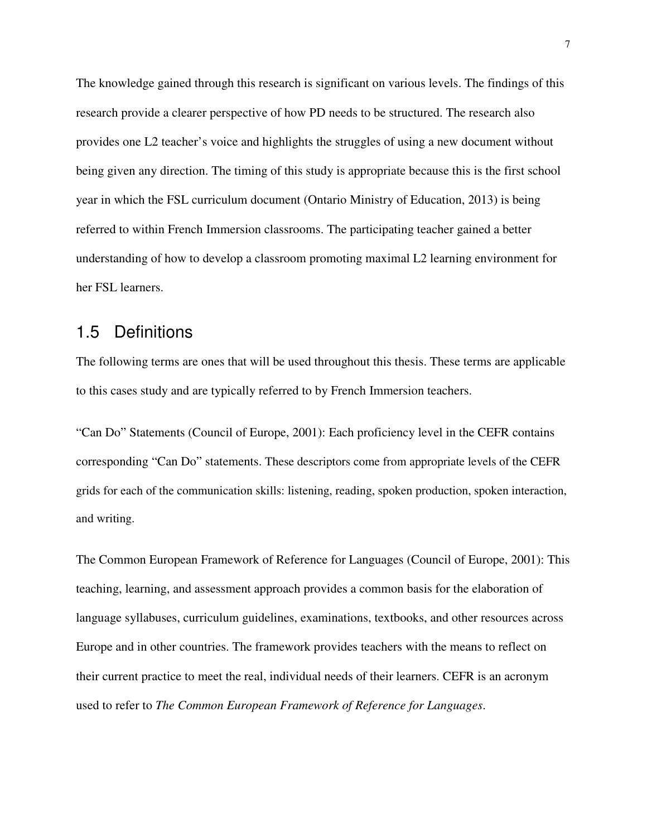The knowledge gained through this research is significant on various levels. The findings of this research provide a clearer perspective of how PD needs to be structured. The research also provides one L2 teacher's voice and highlights the struggles of using a new document without being given any direction. The timing of this study is appropriate because this is the first school year in which the FSL curriculum document (Ontario Ministry of Education, 2013) is being referred to within French Immersion classrooms. The participating teacher gained a better understanding of how to develop a classroom promoting maximal L2 learning environment for her FSL learners.

#### 1.5 Definitions

The following terms are ones that will be used throughout this thesis. These terms are applicable to this cases study and are typically referred to by French Immersion teachers.

"Can Do" Statements (Council of Europe, 2001): Each proficiency level in the CEFR contains corresponding "Can Do" statements. These descriptors come from appropriate levels of the CEFR grids for each of the communication skills: listening, reading, spoken production, spoken interaction, and writing.

The Common European Framework of Reference for Languages (Council of Europe, 2001): This teaching, learning, and assessment approach provides a common basis for the elaboration of language syllabuses, curriculum guidelines, examinations, textbooks, and other resources across Europe and in other countries. The framework provides teachers with the means to reflect on their current practice to meet the real, individual needs of their learners. CEFR is an acronym used to refer to *The Common European Framework of Reference for Languages*.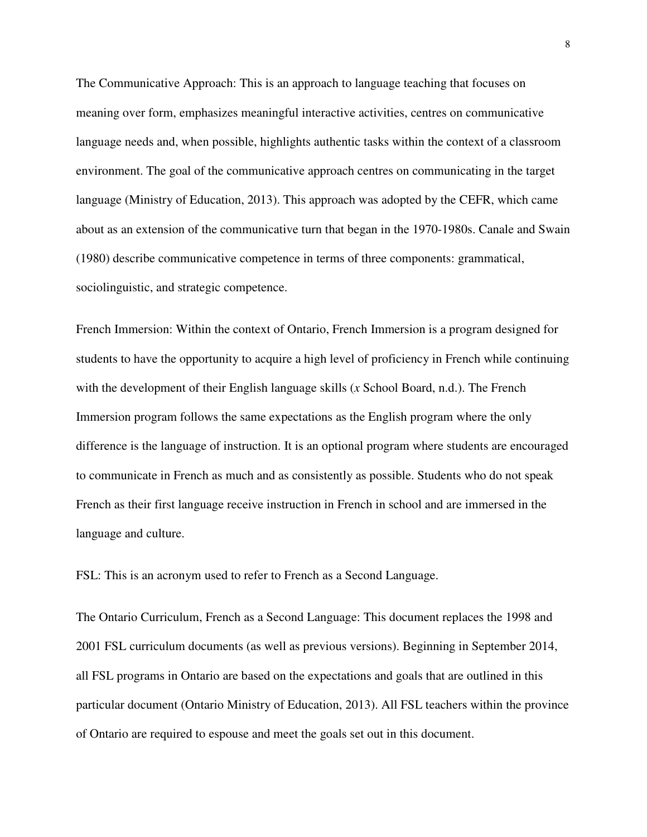The Communicative Approach: This is an approach to language teaching that focuses on meaning over form, emphasizes meaningful interactive activities, centres on communicative language needs and, when possible, highlights authentic tasks within the context of a classroom environment. The goal of the communicative approach centres on communicating in the target language (Ministry of Education, 2013). This approach was adopted by the CEFR, which came about as an extension of the communicative turn that began in the 1970-1980s. Canale and Swain (1980) describe communicative competence in terms of three components: grammatical, sociolinguistic, and strategic competence.

French Immersion: Within the context of Ontario, French Immersion is a program designed for students to have the opportunity to acquire a high level of proficiency in French while continuing with the development of their English language skills (*x* School Board, n.d.). The French Immersion program follows the same expectations as the English program where the only difference is the language of instruction. It is an optional program where students are encouraged to communicate in French as much and as consistently as possible. Students who do not speak French as their first language receive instruction in French in school and are immersed in the language and culture.

FSL: This is an acronym used to refer to French as a Second Language.

The Ontario Curriculum, French as a Second Language: This document replaces the 1998 and 2001 FSL curriculum documents (as well as previous versions). Beginning in September 2014, all FSL programs in Ontario are based on the expectations and goals that are outlined in this particular document (Ontario Ministry of Education, 2013). All FSL teachers within the province of Ontario are required to espouse and meet the goals set out in this document.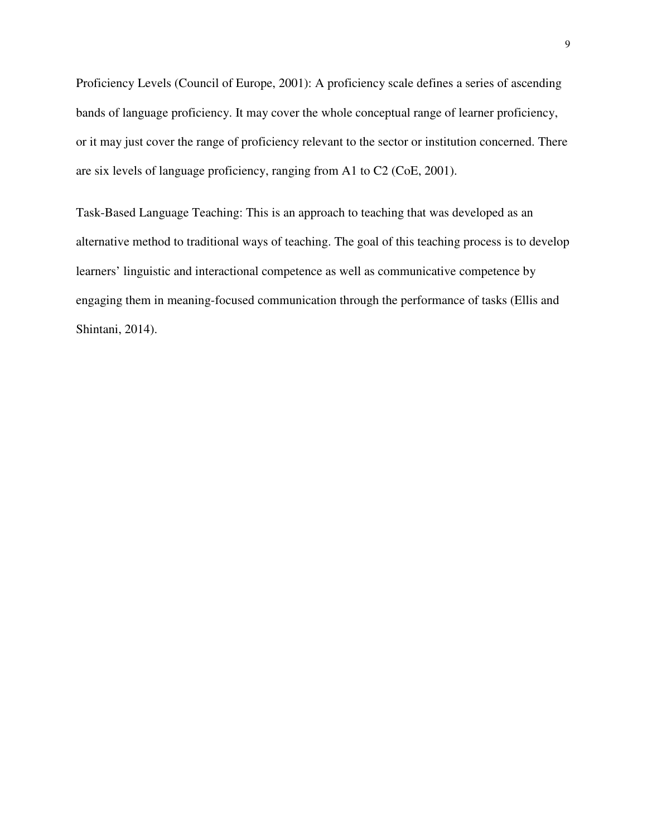Proficiency Levels (Council of Europe, 2001): A proficiency scale defines a series of ascending bands of language proficiency. It may cover the whole conceptual range of learner proficiency, or it may just cover the range of proficiency relevant to the sector or institution concerned. There are six levels of language proficiency, ranging from A1 to C2 (CoE, 2001).

Task-Based Language Teaching: This is an approach to teaching that was developed as an alternative method to traditional ways of teaching. The goal of this teaching process is to develop learners' linguistic and interactional competence as well as communicative competence by engaging them in meaning-focused communication through the performance of tasks (Ellis and Shintani, 2014).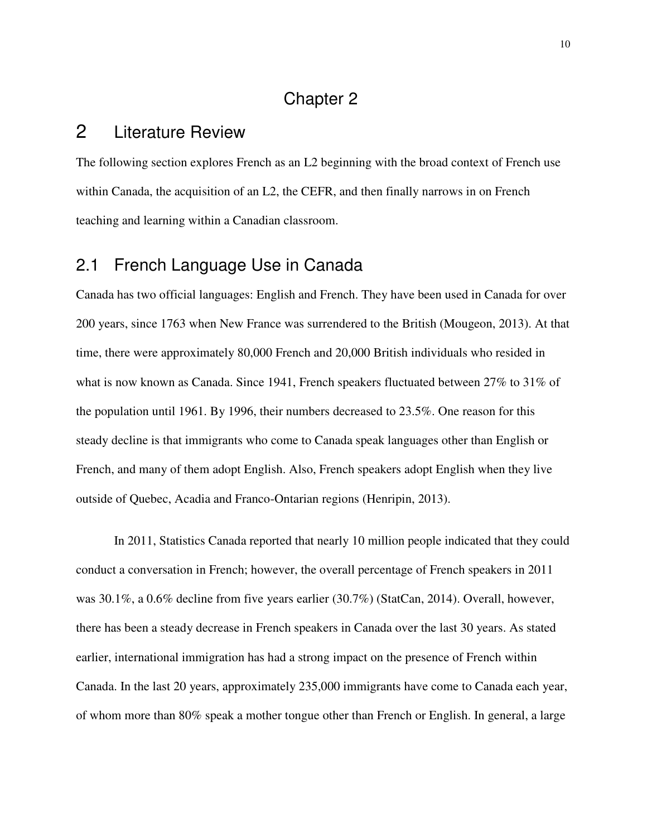#### Chapter 2

## 2 Literature Review

The following section explores French as an L2 beginning with the broad context of French use within Canada, the acquisition of an L2, the CEFR, and then finally narrows in on French teaching and learning within a Canadian classroom.

### 2.1 French Language Use in Canada

Canada has two official languages: English and French. They have been used in Canada for over 200 years, since 1763 when New France was surrendered to the British (Mougeon, 2013). At that time, there were approximately 80,000 French and 20,000 British individuals who resided in what is now known as Canada. Since 1941, French speakers fluctuated between 27% to 31% of the population until 1961. By 1996, their numbers decreased to 23.5%. One reason for this steady decline is that immigrants who come to Canada speak languages other than English or French, and many of them adopt English. Also, French speakers adopt English when they live outside of Quebec, Acadia and Franco-Ontarian regions (Henripin, 2013).

In 2011, Statistics Canada reported that nearly 10 million people indicated that they could conduct a conversation in French; however, the overall percentage of French speakers in 2011 was 30.1%, a 0.6% decline from five years earlier (30.7%) (StatCan, 2014). Overall, however, there has been a steady decrease in French speakers in Canada over the last 30 years. As stated earlier, international immigration has had a strong impact on the presence of French within Canada. In the last 20 years, approximately 235,000 immigrants have come to Canada each year, of whom more than 80% speak a mother tongue other than French or English. In general, a large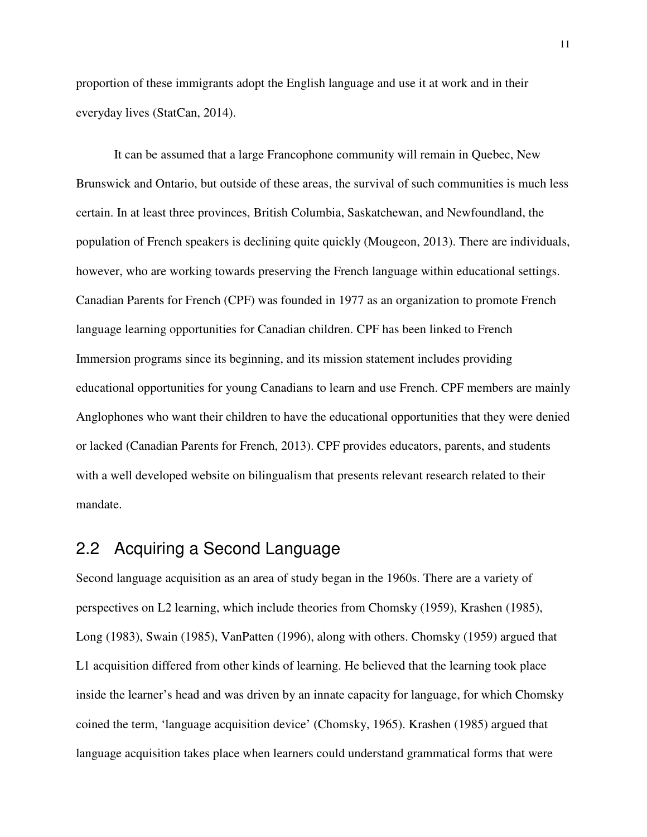proportion of these immigrants adopt the English language and use it at work and in their everyday lives (StatCan, 2014).

It can be assumed that a large Francophone community will remain in Quebec, New Brunswick and Ontario, but outside of these areas, the survival of such communities is much less certain. In at least three provinces, British Columbia, Saskatchewan, and Newfoundland, the population of French speakers is declining quite quickly (Mougeon, 2013). There are individuals, however, who are working towards preserving the French language within educational settings. Canadian Parents for French (CPF) was founded in 1977 as an organization to promote French language learning opportunities for Canadian children. CPF has been linked to French Immersion programs since its beginning, and its mission statement includes providing educational opportunities for young Canadians to learn and use French. CPF members are mainly Anglophones who want their children to have the educational opportunities that they were denied or lacked (Canadian Parents for French, 2013). CPF provides educators, parents, and students with a well developed website on bilingualism that presents relevant research related to their mandate.

### 2.2 Acquiring a Second Language

Second language acquisition as an area of study began in the 1960s. There are a variety of perspectives on L2 learning, which include theories from Chomsky (1959), Krashen (1985), Long (1983), Swain (1985), VanPatten (1996), along with others. Chomsky (1959) argued that L1 acquisition differed from other kinds of learning. He believed that the learning took place inside the learner's head and was driven by an innate capacity for language, for which Chomsky coined the term, 'language acquisition device' (Chomsky, 1965). Krashen (1985) argued that language acquisition takes place when learners could understand grammatical forms that were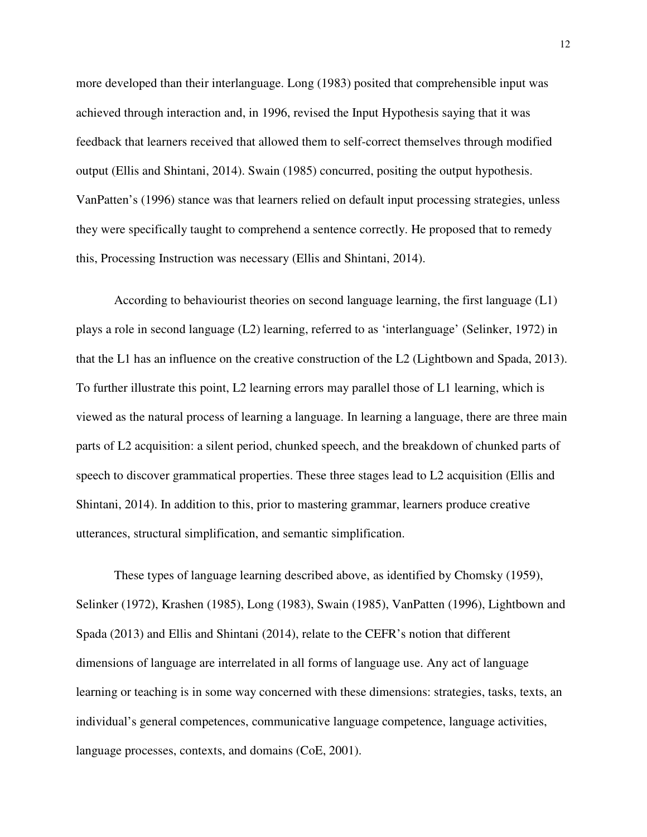more developed than their interlanguage. Long (1983) posited that comprehensible input was achieved through interaction and, in 1996, revised the Input Hypothesis saying that it was feedback that learners received that allowed them to self-correct themselves through modified output (Ellis and Shintani, 2014). Swain (1985) concurred, positing the output hypothesis. VanPatten's (1996) stance was that learners relied on default input processing strategies, unless they were specifically taught to comprehend a sentence correctly. He proposed that to remedy this, Processing Instruction was necessary (Ellis and Shintani, 2014).

According to behaviourist theories on second language learning, the first language (L1) plays a role in second language (L2) learning, referred to as 'interlanguage' (Selinker, 1972) in that the L1 has an influence on the creative construction of the L2 (Lightbown and Spada, 2013). To further illustrate this point, L2 learning errors may parallel those of L1 learning, which is viewed as the natural process of learning a language. In learning a language, there are three main parts of L2 acquisition: a silent period, chunked speech, and the breakdown of chunked parts of speech to discover grammatical properties. These three stages lead to L2 acquisition (Ellis and Shintani, 2014). In addition to this, prior to mastering grammar, learners produce creative utterances, structural simplification, and semantic simplification.

These types of language learning described above, as identified by Chomsky (1959), Selinker (1972), Krashen (1985), Long (1983), Swain (1985), VanPatten (1996), Lightbown and Spada (2013) and Ellis and Shintani (2014), relate to the CEFR's notion that different dimensions of language are interrelated in all forms of language use. Any act of language learning or teaching is in some way concerned with these dimensions: strategies, tasks, texts, an individual's general competences, communicative language competence, language activities, language processes, contexts, and domains (CoE, 2001).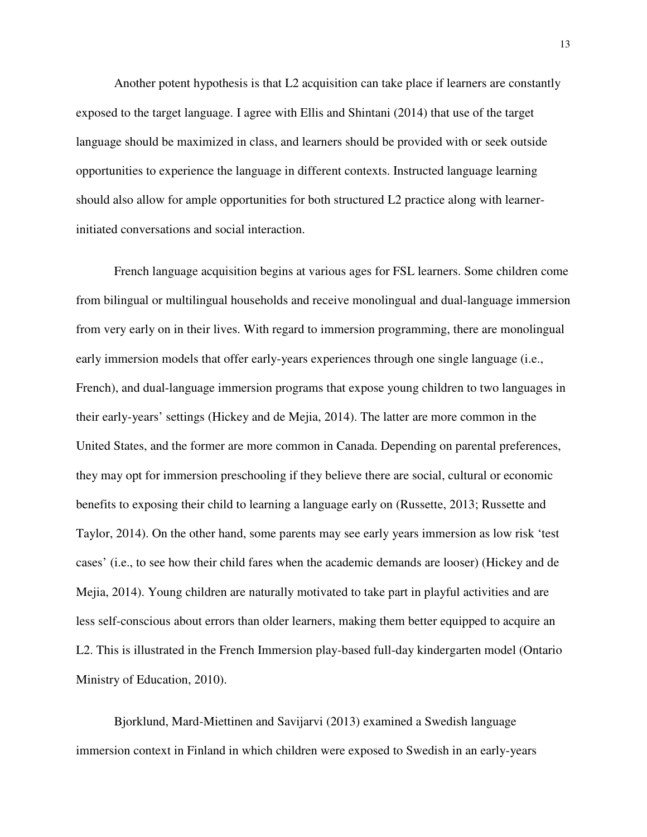Another potent hypothesis is that L2 acquisition can take place if learners are constantly exposed to the target language. I agree with Ellis and Shintani (2014) that use of the target language should be maximized in class, and learners should be provided with or seek outside opportunities to experience the language in different contexts. Instructed language learning should also allow for ample opportunities for both structured L2 practice along with learnerinitiated conversations and social interaction.

French language acquisition begins at various ages for FSL learners. Some children come from bilingual or multilingual households and receive monolingual and dual-language immersion from very early on in their lives. With regard to immersion programming, there are monolingual early immersion models that offer early-years experiences through one single language (i.e., French), and dual-language immersion programs that expose young children to two languages in their early-years' settings (Hickey and de Mejia, 2014). The latter are more common in the United States, and the former are more common in Canada. Depending on parental preferences, they may opt for immersion preschooling if they believe there are social, cultural or economic benefits to exposing their child to learning a language early on (Russette, 2013; Russette and Taylor, 2014). On the other hand, some parents may see early years immersion as low risk 'test cases' (i.e., to see how their child fares when the academic demands are looser) (Hickey and de Mejia, 2014). Young children are naturally motivated to take part in playful activities and are less self-conscious about errors than older learners, making them better equipped to acquire an L2. This is illustrated in the French Immersion play-based full-day kindergarten model (Ontario Ministry of Education, 2010).

Bjorklund, Mard-Miettinen and Savijarvi (2013) examined a Swedish language immersion context in Finland in which children were exposed to Swedish in an early-years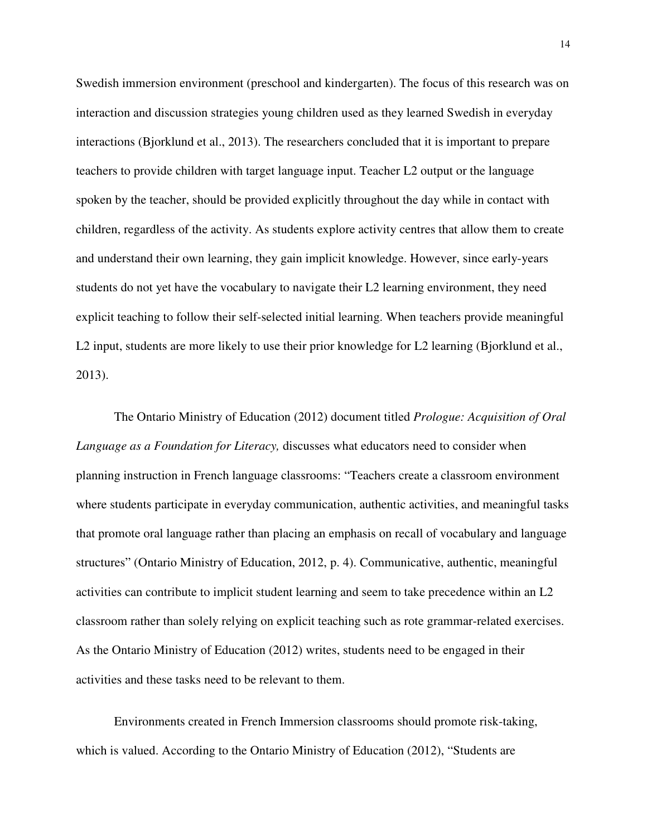Swedish immersion environment (preschool and kindergarten). The focus of this research was on interaction and discussion strategies young children used as they learned Swedish in everyday interactions (Bjorklund et al., 2013). The researchers concluded that it is important to prepare teachers to provide children with target language input. Teacher L2 output or the language spoken by the teacher, should be provided explicitly throughout the day while in contact with children, regardless of the activity. As students explore activity centres that allow them to create and understand their own learning, they gain implicit knowledge. However, since early-years students do not yet have the vocabulary to navigate their L2 learning environment, they need explicit teaching to follow their self-selected initial learning. When teachers provide meaningful L2 input, students are more likely to use their prior knowledge for L2 learning (Bjorklund et al., 2013).

The Ontario Ministry of Education (2012) document titled *Prologue: Acquisition of Oral Language as a Foundation for Literacy,* discusses what educators need to consider when planning instruction in French language classrooms: "Teachers create a classroom environment where students participate in everyday communication, authentic activities, and meaningful tasks that promote oral language rather than placing an emphasis on recall of vocabulary and language structures" (Ontario Ministry of Education, 2012, p. 4). Communicative, authentic, meaningful activities can contribute to implicit student learning and seem to take precedence within an L2 classroom rather than solely relying on explicit teaching such as rote grammar-related exercises. As the Ontario Ministry of Education (2012) writes, students need to be engaged in their activities and these tasks need to be relevant to them.

Environments created in French Immersion classrooms should promote risk-taking, which is valued. According to the Ontario Ministry of Education (2012), "Students are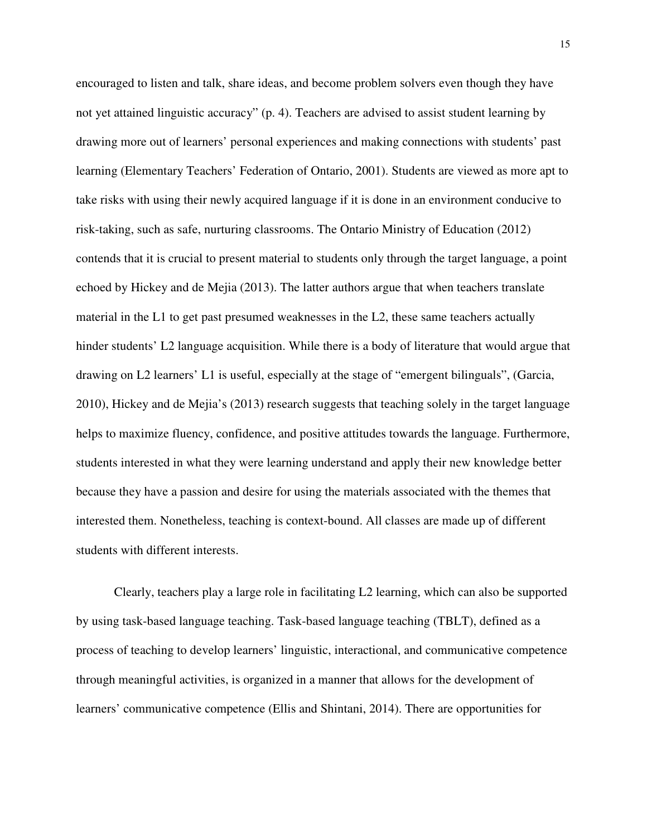encouraged to listen and talk, share ideas, and become problem solvers even though they have not yet attained linguistic accuracy" (p. 4). Teachers are advised to assist student learning by drawing more out of learners' personal experiences and making connections with students' past learning (Elementary Teachers' Federation of Ontario, 2001). Students are viewed as more apt to take risks with using their newly acquired language if it is done in an environment conducive to risk-taking, such as safe, nurturing classrooms. The Ontario Ministry of Education (2012) contends that it is crucial to present material to students only through the target language, a point echoed by Hickey and de Mejia (2013). The latter authors argue that when teachers translate material in the L1 to get past presumed weaknesses in the L2, these same teachers actually hinder students' L2 language acquisition. While there is a body of literature that would argue that drawing on L2 learners' L1 is useful, especially at the stage of "emergent bilinguals", (Garcia, 2010), Hickey and de Mejia's (2013) research suggests that teaching solely in the target language helps to maximize fluency, confidence, and positive attitudes towards the language. Furthermore, students interested in what they were learning understand and apply their new knowledge better because they have a passion and desire for using the materials associated with the themes that interested them. Nonetheless, teaching is context-bound. All classes are made up of different students with different interests.

Clearly, teachers play a large role in facilitating L2 learning, which can also be supported by using task-based language teaching. Task-based language teaching (TBLT), defined as a process of teaching to develop learners' linguistic, interactional, and communicative competence through meaningful activities, is organized in a manner that allows for the development of learners' communicative competence (Ellis and Shintani, 2014). There are opportunities for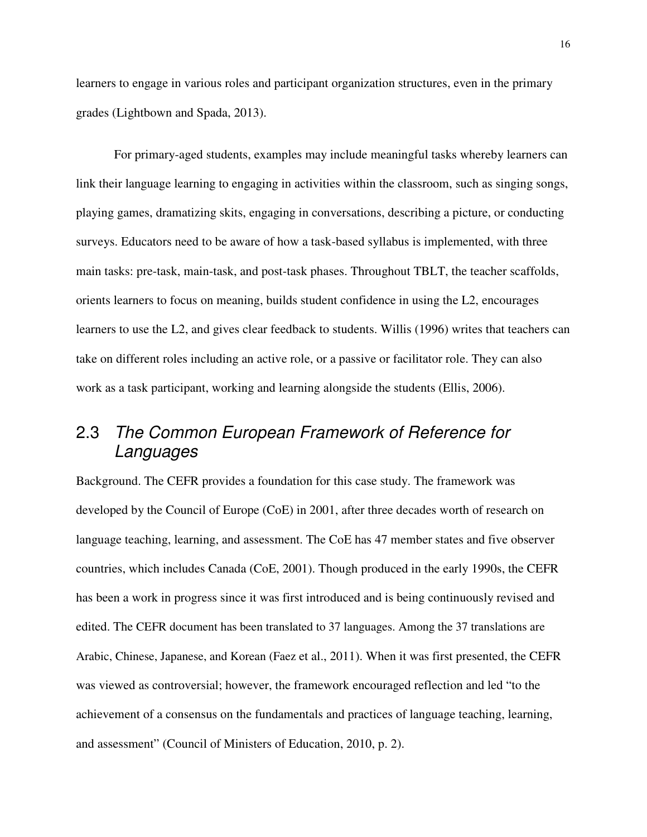learners to engage in various roles and participant organization structures, even in the primary grades (Lightbown and Spada, 2013).

For primary-aged students, examples may include meaningful tasks whereby learners can link their language learning to engaging in activities within the classroom, such as singing songs, playing games, dramatizing skits, engaging in conversations, describing a picture, or conducting surveys. Educators need to be aware of how a task-based syllabus is implemented, with three main tasks: pre-task, main-task, and post-task phases. Throughout TBLT, the teacher scaffolds, orients learners to focus on meaning, builds student confidence in using the L2, encourages learners to use the L2, and gives clear feedback to students. Willis (1996) writes that teachers can take on different roles including an active role, or a passive or facilitator role. They can also work as a task participant, working and learning alongside the students (Ellis, 2006).

# 2.3 The Common European Framework of Reference for Languages

Background. The CEFR provides a foundation for this case study. The framework was developed by the Council of Europe (CoE) in 2001, after three decades worth of research on language teaching, learning, and assessment. The CoE has 47 member states and five observer countries, which includes Canada (CoE, 2001). Though produced in the early 1990s, the CEFR has been a work in progress since it was first introduced and is being continuously revised and edited. The CEFR document has been translated to 37 languages. Among the 37 translations are Arabic, Chinese, Japanese, and Korean (Faez et al., 2011). When it was first presented, the CEFR was viewed as controversial; however, the framework encouraged reflection and led "to the achievement of a consensus on the fundamentals and practices of language teaching, learning, and assessment" (Council of Ministers of Education, 2010, p. 2).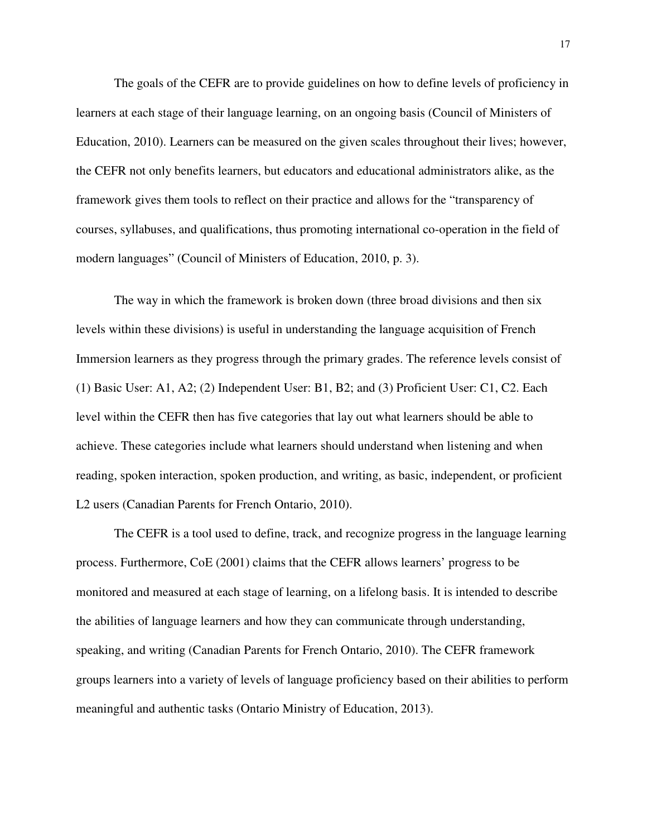The goals of the CEFR are to provide guidelines on how to define levels of proficiency in learners at each stage of their language learning, on an ongoing basis (Council of Ministers of Education, 2010). Learners can be measured on the given scales throughout their lives; however, the CEFR not only benefits learners, but educators and educational administrators alike, as the framework gives them tools to reflect on their practice and allows for the "transparency of courses, syllabuses, and qualifications, thus promoting international co-operation in the field of modern languages" (Council of Ministers of Education, 2010, p. 3).

The way in which the framework is broken down (three broad divisions and then six levels within these divisions) is useful in understanding the language acquisition of French Immersion learners as they progress through the primary grades. The reference levels consist of (1) Basic User: A1, A2; (2) Independent User: B1, B2; and (3) Proficient User: C1, C2. Each level within the CEFR then has five categories that lay out what learners should be able to achieve. These categories include what learners should understand when listening and when reading, spoken interaction, spoken production, and writing, as basic, independent, or proficient L2 users (Canadian Parents for French Ontario, 2010).

The CEFR is a tool used to define, track, and recognize progress in the language learning process. Furthermore, CoE (2001) claims that the CEFR allows learners' progress to be monitored and measured at each stage of learning, on a lifelong basis. It is intended to describe the abilities of language learners and how they can communicate through understanding, speaking, and writing (Canadian Parents for French Ontario, 2010). The CEFR framework groups learners into a variety of levels of language proficiency based on their abilities to perform meaningful and authentic tasks (Ontario Ministry of Education, 2013).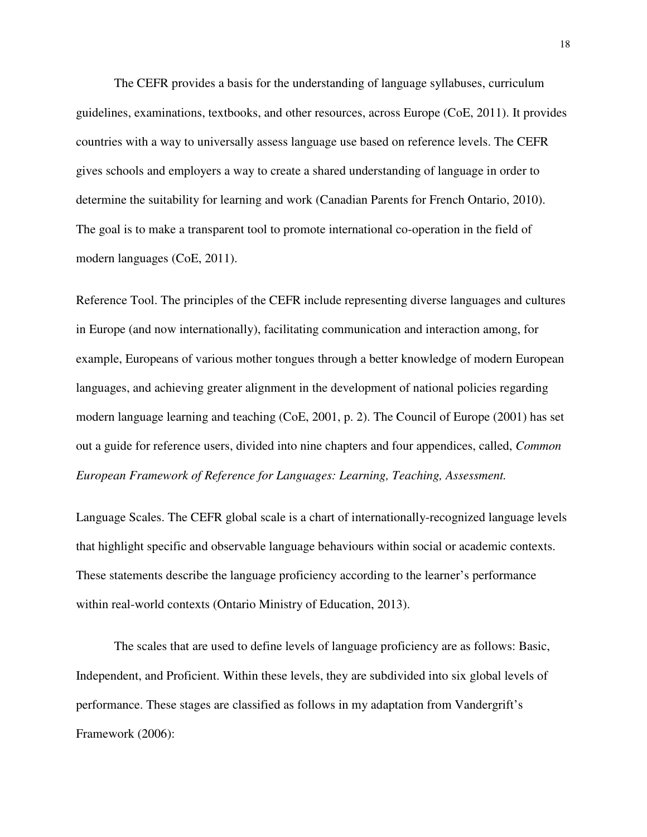The CEFR provides a basis for the understanding of language syllabuses, curriculum guidelines, examinations, textbooks, and other resources, across Europe (CoE, 2011). It provides countries with a way to universally assess language use based on reference levels. The CEFR gives schools and employers a way to create a shared understanding of language in order to determine the suitability for learning and work (Canadian Parents for French Ontario, 2010). The goal is to make a transparent tool to promote international co-operation in the field of modern languages (CoE, 2011).

Reference Tool. The principles of the CEFR include representing diverse languages and cultures in Europe (and now internationally), facilitating communication and interaction among, for example, Europeans of various mother tongues through a better knowledge of modern European languages, and achieving greater alignment in the development of national policies regarding modern language learning and teaching (CoE, 2001, p. 2). The Council of Europe (2001) has set out a guide for reference users, divided into nine chapters and four appendices, called, *Common European Framework of Reference for Languages: Learning, Teaching, Assessment.*

Language Scales. The CEFR global scale is a chart of internationally-recognized language levels that highlight specific and observable language behaviours within social or academic contexts. These statements describe the language proficiency according to the learner's performance within real-world contexts (Ontario Ministry of Education, 2013).

The scales that are used to define levels of language proficiency are as follows: Basic, Independent, and Proficient. Within these levels, they are subdivided into six global levels of performance. These stages are classified as follows in my adaptation from Vandergrift's Framework (2006):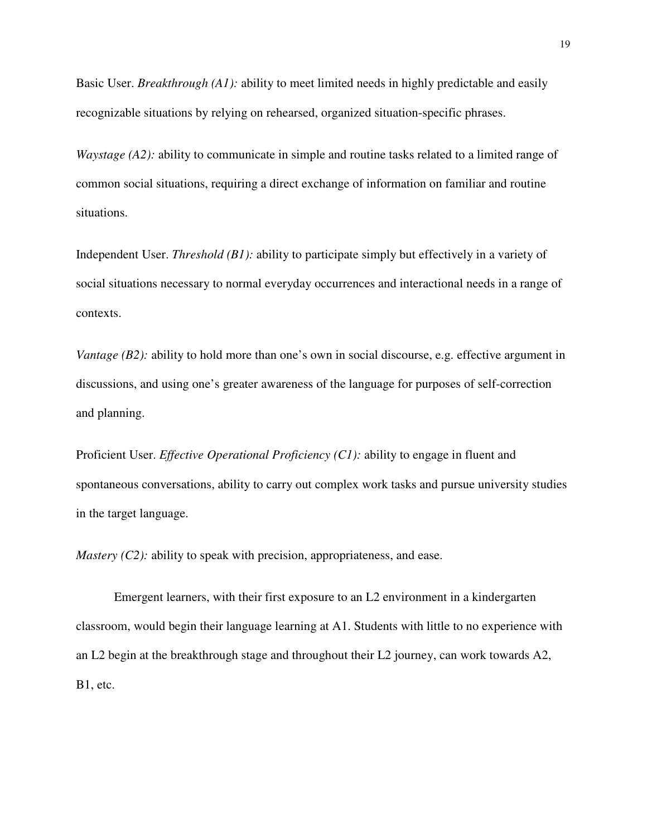Basic User. *Breakthrough (A1):* ability to meet limited needs in highly predictable and easily recognizable situations by relying on rehearsed, organized situation-specific phrases.

*Waystage (A2):* ability to communicate in simple and routine tasks related to a limited range of common social situations, requiring a direct exchange of information on familiar and routine situations.

Independent User. *Threshold (B1):* ability to participate simply but effectively in a variety of social situations necessary to normal everyday occurrences and interactional needs in a range of contexts.

*Vantage (B2):* ability to hold more than one's own in social discourse, e.g. effective argument in discussions, and using one's greater awareness of the language for purposes of self-correction and planning.

Proficient User. *Effective Operational Proficiency (C1):* ability to engage in fluent and spontaneous conversations, ability to carry out complex work tasks and pursue university studies in the target language.

*Mastery (C2):* ability to speak with precision, appropriateness, and ease.

Emergent learners, with their first exposure to an L2 environment in a kindergarten classroom, would begin their language learning at A1. Students with little to no experience with an L2 begin at the breakthrough stage and throughout their L2 journey, can work towards A2, B1, etc.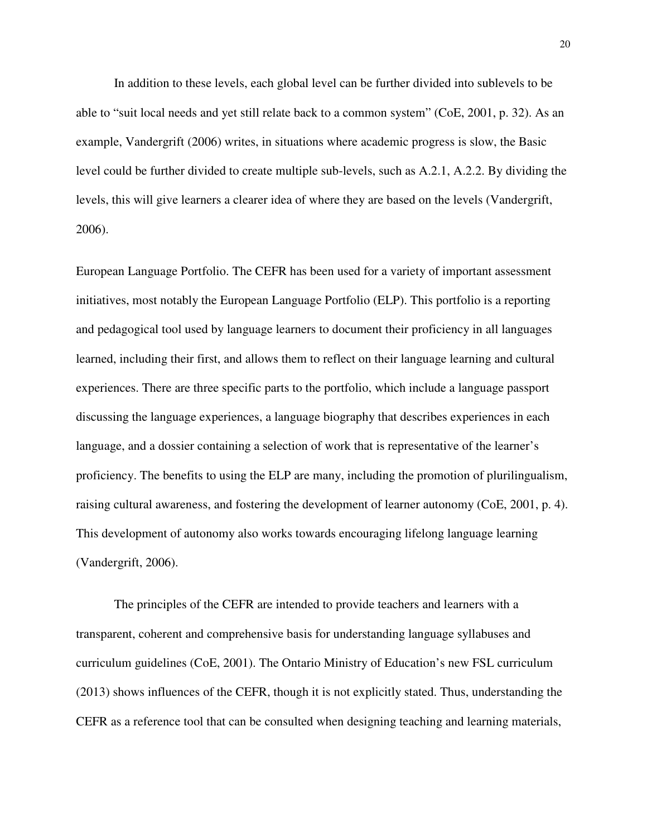In addition to these levels, each global level can be further divided into sublevels to be able to "suit local needs and yet still relate back to a common system" (CoE, 2001, p. 32). As an example, Vandergrift (2006) writes, in situations where academic progress is slow, the Basic level could be further divided to create multiple sub-levels, such as A.2.1, A.2.2. By dividing the levels, this will give learners a clearer idea of where they are based on the levels (Vandergrift, 2006).

European Language Portfolio. The CEFR has been used for a variety of important assessment initiatives, most notably the European Language Portfolio (ELP). This portfolio is a reporting and pedagogical tool used by language learners to document their proficiency in all languages learned, including their first, and allows them to reflect on their language learning and cultural experiences. There are three specific parts to the portfolio, which include a language passport discussing the language experiences, a language biography that describes experiences in each language, and a dossier containing a selection of work that is representative of the learner's proficiency. The benefits to using the ELP are many, including the promotion of plurilingualism, raising cultural awareness, and fostering the development of learner autonomy (CoE, 2001, p. 4). This development of autonomy also works towards encouraging lifelong language learning (Vandergrift, 2006).

The principles of the CEFR are intended to provide teachers and learners with a transparent, coherent and comprehensive basis for understanding language syllabuses and curriculum guidelines (CoE, 2001). The Ontario Ministry of Education's new FSL curriculum (2013) shows influences of the CEFR, though it is not explicitly stated. Thus, understanding the CEFR as a reference tool that can be consulted when designing teaching and learning materials,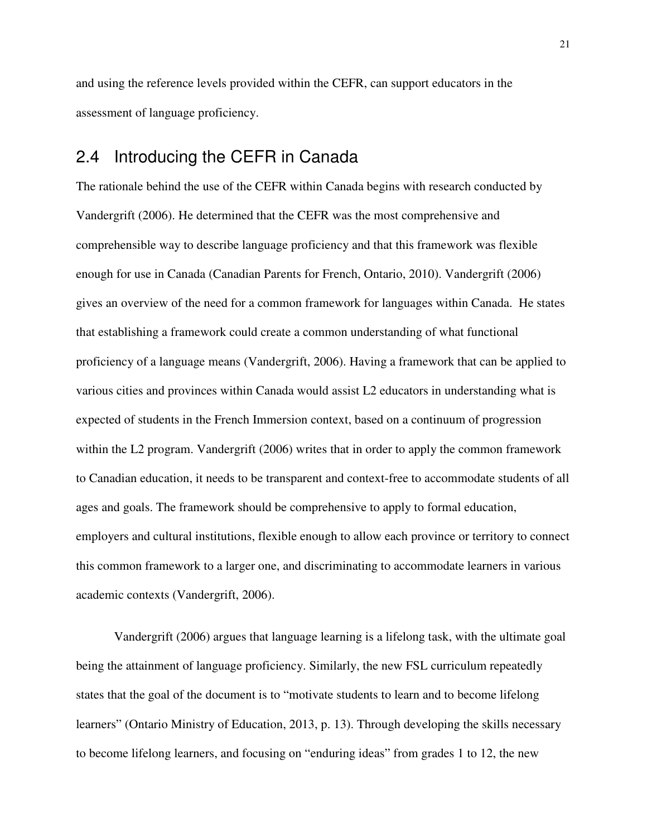and using the reference levels provided within the CEFR, can support educators in the assessment of language proficiency.

#### 2.4 Introducing the CEFR in Canada

The rationale behind the use of the CEFR within Canada begins with research conducted by Vandergrift (2006). He determined that the CEFR was the most comprehensive and comprehensible way to describe language proficiency and that this framework was flexible enough for use in Canada (Canadian Parents for French, Ontario, 2010). Vandergrift (2006) gives an overview of the need for a common framework for languages within Canada. He states that establishing a framework could create a common understanding of what functional proficiency of a language means (Vandergrift, 2006). Having a framework that can be applied to various cities and provinces within Canada would assist L2 educators in understanding what is expected of students in the French Immersion context, based on a continuum of progression within the L2 program. Vandergrift (2006) writes that in order to apply the common framework to Canadian education, it needs to be transparent and context-free to accommodate students of all ages and goals. The framework should be comprehensive to apply to formal education, employers and cultural institutions, flexible enough to allow each province or territory to connect this common framework to a larger one, and discriminating to accommodate learners in various academic contexts (Vandergrift, 2006).

Vandergrift (2006) argues that language learning is a lifelong task, with the ultimate goal being the attainment of language proficiency. Similarly, the new FSL curriculum repeatedly states that the goal of the document is to "motivate students to learn and to become lifelong learners" (Ontario Ministry of Education, 2013, p. 13). Through developing the skills necessary to become lifelong learners, and focusing on "enduring ideas" from grades 1 to 12, the new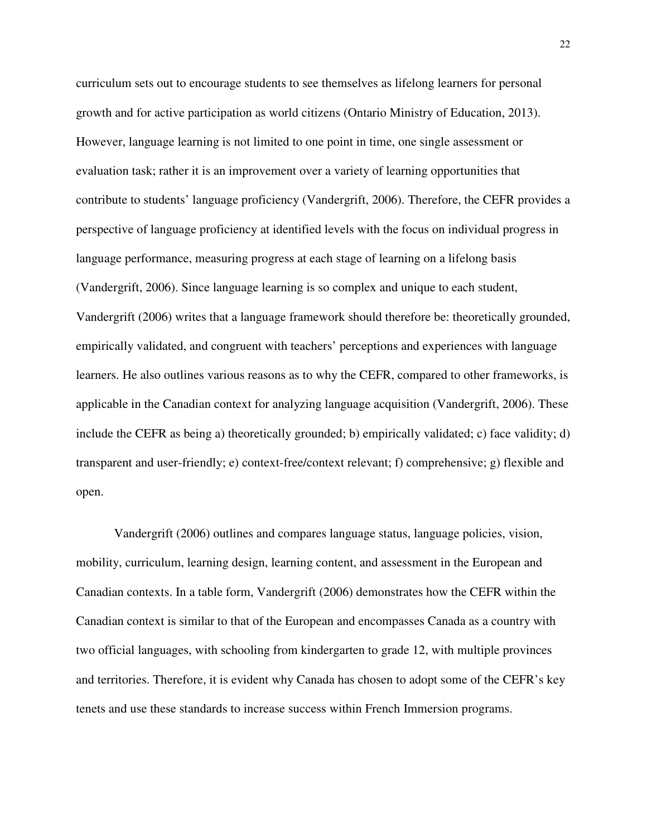curriculum sets out to encourage students to see themselves as lifelong learners for personal growth and for active participation as world citizens (Ontario Ministry of Education, 2013). However, language learning is not limited to one point in time, one single assessment or evaluation task; rather it is an improvement over a variety of learning opportunities that contribute to students' language proficiency (Vandergrift, 2006). Therefore, the CEFR provides a perspective of language proficiency at identified levels with the focus on individual progress in language performance, measuring progress at each stage of learning on a lifelong basis (Vandergrift, 2006). Since language learning is so complex and unique to each student, Vandergrift (2006) writes that a language framework should therefore be: theoretically grounded, empirically validated, and congruent with teachers' perceptions and experiences with language learners. He also outlines various reasons as to why the CEFR, compared to other frameworks, is applicable in the Canadian context for analyzing language acquisition (Vandergrift, 2006). These include the CEFR as being a) theoretically grounded; b) empirically validated; c) face validity; d) transparent and user-friendly; e) context-free/context relevant; f) comprehensive; g) flexible and open.

Vandergrift (2006) outlines and compares language status, language policies, vision, mobility, curriculum, learning design, learning content, and assessment in the European and Canadian contexts. In a table form, Vandergrift (2006) demonstrates how the CEFR within the Canadian context is similar to that of the European and encompasses Canada as a country with two official languages, with schooling from kindergarten to grade 12, with multiple provinces and territories. Therefore, it is evident why Canada has chosen to adopt some of the CEFR's key tenets and use these standards to increase success within French Immersion programs.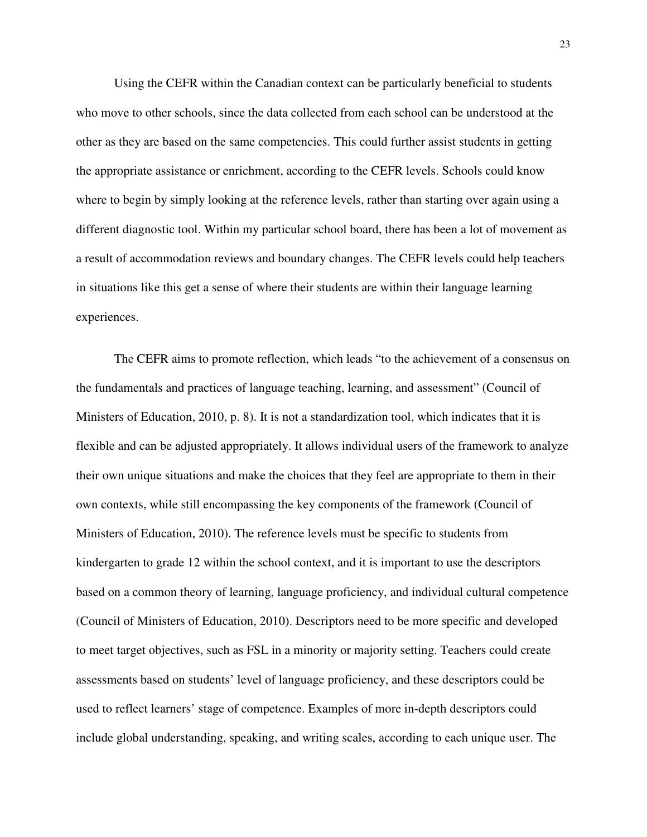Using the CEFR within the Canadian context can be particularly beneficial to students who move to other schools, since the data collected from each school can be understood at the other as they are based on the same competencies. This could further assist students in getting the appropriate assistance or enrichment, according to the CEFR levels. Schools could know where to begin by simply looking at the reference levels, rather than starting over again using a different diagnostic tool. Within my particular school board, there has been a lot of movement as a result of accommodation reviews and boundary changes. The CEFR levels could help teachers in situations like this get a sense of where their students are within their language learning experiences.

The CEFR aims to promote reflection, which leads "to the achievement of a consensus on the fundamentals and practices of language teaching, learning, and assessment" (Council of Ministers of Education, 2010, p. 8). It is not a standardization tool, which indicates that it is flexible and can be adjusted appropriately. It allows individual users of the framework to analyze their own unique situations and make the choices that they feel are appropriate to them in their own contexts, while still encompassing the key components of the framework (Council of Ministers of Education, 2010). The reference levels must be specific to students from kindergarten to grade 12 within the school context, and it is important to use the descriptors based on a common theory of learning, language proficiency, and individual cultural competence (Council of Ministers of Education, 2010). Descriptors need to be more specific and developed to meet target objectives, such as FSL in a minority or majority setting. Teachers could create assessments based on students' level of language proficiency, and these descriptors could be used to reflect learners' stage of competence. Examples of more in-depth descriptors could include global understanding, speaking, and writing scales, according to each unique user. The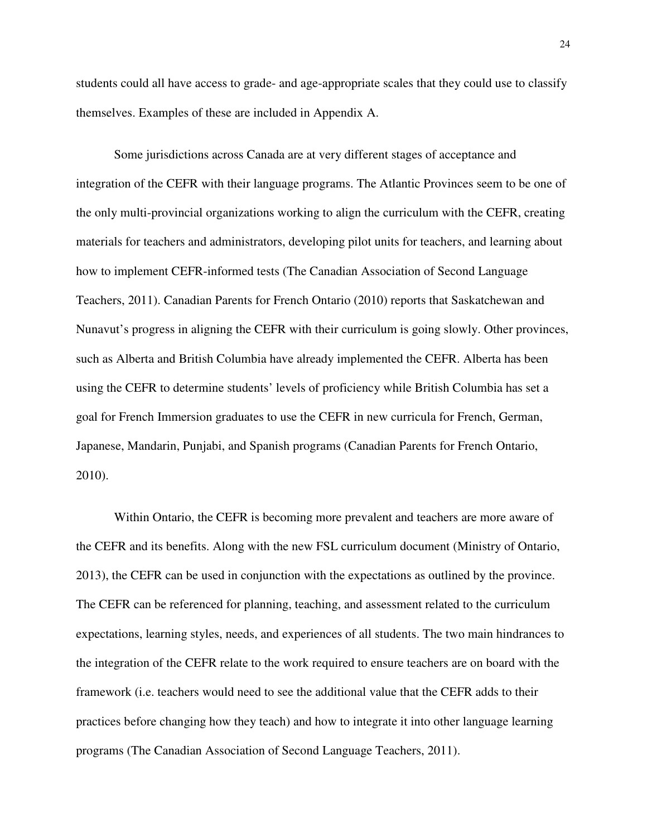students could all have access to grade- and age-appropriate scales that they could use to classify themselves. Examples of these are included in Appendix A.

Some jurisdictions across Canada are at very different stages of acceptance and integration of the CEFR with their language programs. The Atlantic Provinces seem to be one of the only multi-provincial organizations working to align the curriculum with the CEFR, creating materials for teachers and administrators, developing pilot units for teachers, and learning about how to implement CEFR-informed tests (The Canadian Association of Second Language Teachers, 2011). Canadian Parents for French Ontario (2010) reports that Saskatchewan and Nunavut's progress in aligning the CEFR with their curriculum is going slowly. Other provinces, such as Alberta and British Columbia have already implemented the CEFR. Alberta has been using the CEFR to determine students' levels of proficiency while British Columbia has set a goal for French Immersion graduates to use the CEFR in new curricula for French, German, Japanese, Mandarin, Punjabi, and Spanish programs (Canadian Parents for French Ontario, 2010).

Within Ontario, the CEFR is becoming more prevalent and teachers are more aware of the CEFR and its benefits. Along with the new FSL curriculum document (Ministry of Ontario, 2013), the CEFR can be used in conjunction with the expectations as outlined by the province. The CEFR can be referenced for planning, teaching, and assessment related to the curriculum expectations, learning styles, needs, and experiences of all students. The two main hindrances to the integration of the CEFR relate to the work required to ensure teachers are on board with the framework (i.e. teachers would need to see the additional value that the CEFR adds to their practices before changing how they teach) and how to integrate it into other language learning programs (The Canadian Association of Second Language Teachers, 2011).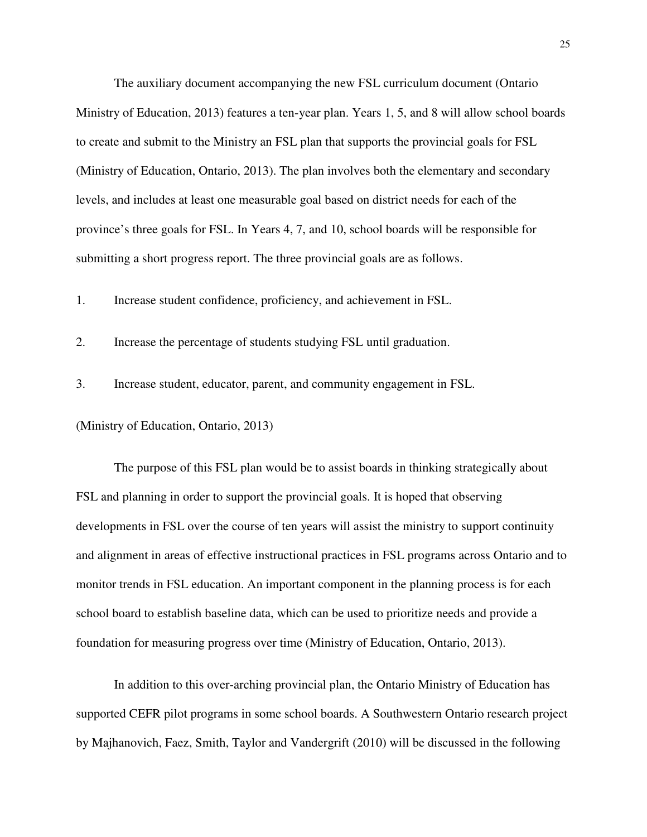The auxiliary document accompanying the new FSL curriculum document (Ontario Ministry of Education, 2013) features a ten-year plan. Years 1, 5, and 8 will allow school boards to create and submit to the Ministry an FSL plan that supports the provincial goals for FSL (Ministry of Education, Ontario, 2013). The plan involves both the elementary and secondary levels, and includes at least one measurable goal based on district needs for each of the province's three goals for FSL. In Years 4, 7, and 10, school boards will be responsible for submitting a short progress report. The three provincial goals are as follows.

1. Increase student confidence, proficiency, and achievement in FSL.

2. Increase the percentage of students studying FSL until graduation.

3. Increase student, educator, parent, and community engagement in FSL.

(Ministry of Education, Ontario, 2013)

The purpose of this FSL plan would be to assist boards in thinking strategically about FSL and planning in order to support the provincial goals. It is hoped that observing developments in FSL over the course of ten years will assist the ministry to support continuity and alignment in areas of effective instructional practices in FSL programs across Ontario and to monitor trends in FSL education. An important component in the planning process is for each school board to establish baseline data, which can be used to prioritize needs and provide a foundation for measuring progress over time (Ministry of Education, Ontario, 2013).

In addition to this over-arching provincial plan, the Ontario Ministry of Education has supported CEFR pilot programs in some school boards. A Southwestern Ontario research project by Majhanovich, Faez, Smith, Taylor and Vandergrift (2010) will be discussed in the following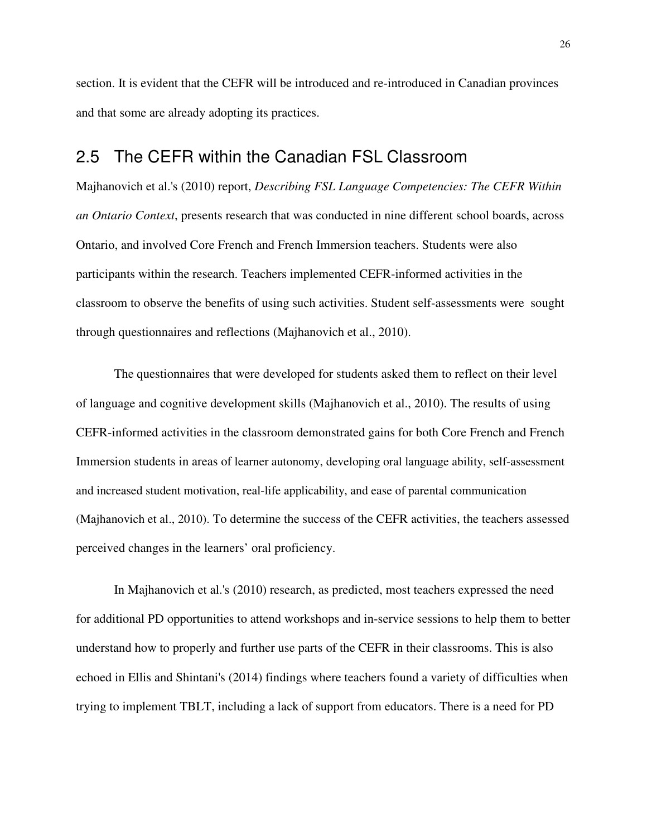section. It is evident that the CEFR will be introduced and re-introduced in Canadian provinces and that some are already adopting its practices.

#### 2.5 The CEFR within the Canadian FSL Classroom

Majhanovich et al.'s (2010) report, *Describing FSL Language Competencies: The CEFR Within an Ontario Context*, presents research that was conducted in nine different school boards, across Ontario, and involved Core French and French Immersion teachers. Students were also participants within the research. Teachers implemented CEFR-informed activities in the classroom to observe the benefits of using such activities. Student self-assessments were sought through questionnaires and reflections (Majhanovich et al., 2010).

The questionnaires that were developed for students asked them to reflect on their level of language and cognitive development skills (Majhanovich et al., 2010). The results of using CEFR-informed activities in the classroom demonstrated gains for both Core French and French Immersion students in areas of learner autonomy, developing oral language ability, self-assessment and increased student motivation, real-life applicability, and ease of parental communication (Majhanovich et al., 2010). To determine the success of the CEFR activities, the teachers assessed perceived changes in the learners' oral proficiency.

In Majhanovich et al.'s (2010) research, as predicted, most teachers expressed the need for additional PD opportunities to attend workshops and in-service sessions to help them to better understand how to properly and further use parts of the CEFR in their classrooms. This is also echoed in Ellis and Shintani's (2014) findings where teachers found a variety of difficulties when trying to implement TBLT, including a lack of support from educators. There is a need for PD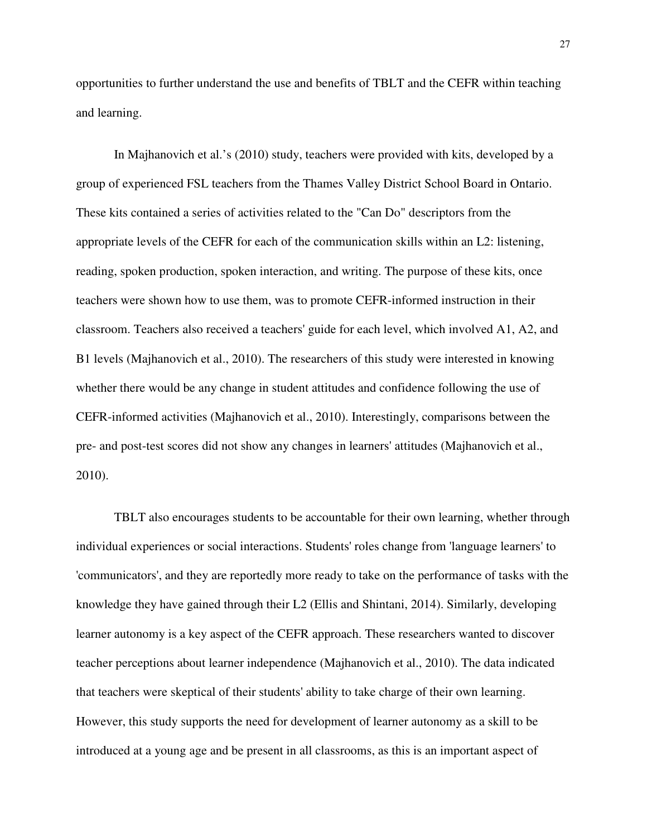opportunities to further understand the use and benefits of TBLT and the CEFR within teaching and learning.

In Majhanovich et al.'s (2010) study, teachers were provided with kits, developed by a group of experienced FSL teachers from the Thames Valley District School Board in Ontario. These kits contained a series of activities related to the "Can Do" descriptors from the appropriate levels of the CEFR for each of the communication skills within an L2: listening, reading, spoken production, spoken interaction, and writing. The purpose of these kits, once teachers were shown how to use them, was to promote CEFR-informed instruction in their classroom. Teachers also received a teachers' guide for each level, which involved A1, A2, and B1 levels (Majhanovich et al., 2010). The researchers of this study were interested in knowing whether there would be any change in student attitudes and confidence following the use of CEFR-informed activities (Majhanovich et al., 2010). Interestingly, comparisons between the pre- and post-test scores did not show any changes in learners' attitudes (Majhanovich et al., 2010).

TBLT also encourages students to be accountable for their own learning, whether through individual experiences or social interactions. Students' roles change from 'language learners' to 'communicators', and they are reportedly more ready to take on the performance of tasks with the knowledge they have gained through their L2 (Ellis and Shintani, 2014). Similarly, developing learner autonomy is a key aspect of the CEFR approach. These researchers wanted to discover teacher perceptions about learner independence (Majhanovich et al., 2010). The data indicated that teachers were skeptical of their students' ability to take charge of their own learning. However, this study supports the need for development of learner autonomy as a skill to be introduced at a young age and be present in all classrooms, as this is an important aspect of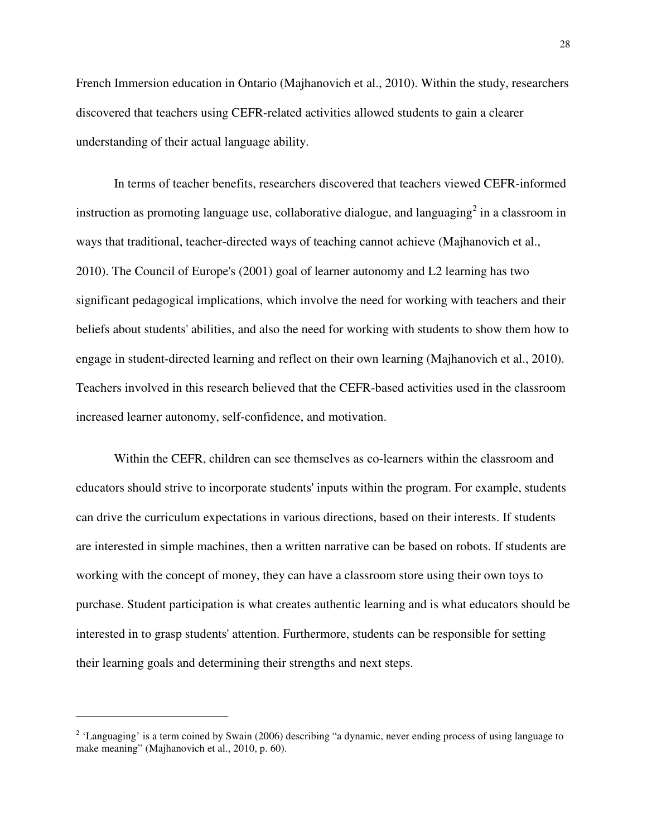French Immersion education in Ontario (Majhanovich et al., 2010). Within the study, researchers discovered that teachers using CEFR-related activities allowed students to gain a clearer understanding of their actual language ability.

In terms of teacher benefits, researchers discovered that teachers viewed CEFR-informed instruction as promoting language use, collaborative dialogue, and languaging<sup>2</sup> in a classroom in ways that traditional, teacher-directed ways of teaching cannot achieve (Majhanovich et al., 2010). The Council of Europe's (2001) goal of learner autonomy and L2 learning has two significant pedagogical implications, which involve the need for working with teachers and their beliefs about students' abilities, and also the need for working with students to show them how to engage in student-directed learning and reflect on their own learning (Majhanovich et al., 2010). Teachers involved in this research believed that the CEFR-based activities used in the classroom increased learner autonomy, self-confidence, and motivation.

Within the CEFR, children can see themselves as co-learners within the classroom and educators should strive to incorporate students' inputs within the program. For example, students can drive the curriculum expectations in various directions, based on their interests. If students are interested in simple machines, then a written narrative can be based on robots. If students are working with the concept of money, they can have a classroom store using their own toys to purchase. Student participation is what creates authentic learning and is what educators should be interested in to grasp students' attention. Furthermore, students can be responsible for setting their learning goals and determining their strengths and next steps.

 $\overline{a}$ 

 $2$  'Languaging' is a term coined by Swain (2006) describing "a dynamic, never ending process of using language to make meaning" (Majhanovich et al., 2010, p. 60).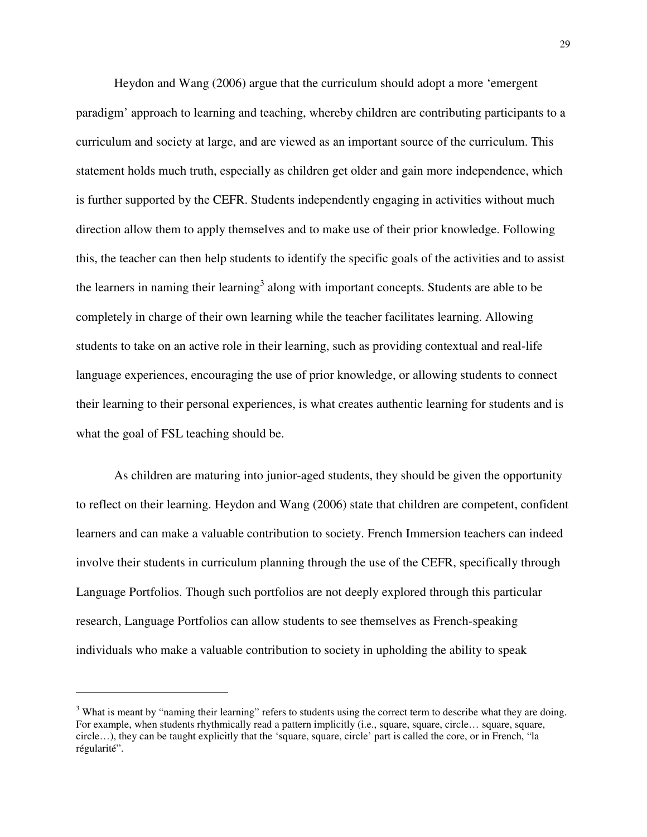Heydon and Wang (2006) argue that the curriculum should adopt a more 'emergent paradigm' approach to learning and teaching, whereby children are contributing participants to a curriculum and society at large, and are viewed as an important source of the curriculum. This statement holds much truth, especially as children get older and gain more independence, which is further supported by the CEFR. Students independently engaging in activities without much direction allow them to apply themselves and to make use of their prior knowledge. Following this, the teacher can then help students to identify the specific goals of the activities and to assist the learners in naming their learning<sup>3</sup> along with important concepts. Students are able to be completely in charge of their own learning while the teacher facilitates learning. Allowing students to take on an active role in their learning, such as providing contextual and real-life language experiences, encouraging the use of prior knowledge, or allowing students to connect their learning to their personal experiences, is what creates authentic learning for students and is what the goal of FSL teaching should be.

As children are maturing into junior-aged students, they should be given the opportunity to reflect on their learning. Heydon and Wang (2006) state that children are competent, confident learners and can make a valuable contribution to society. French Immersion teachers can indeed involve their students in curriculum planning through the use of the CEFR, specifically through Language Portfolios. Though such portfolios are not deeply explored through this particular research, Language Portfolios can allow students to see themselves as French-speaking individuals who make a valuable contribution to society in upholding the ability to speak

 $\overline{a}$ 

<sup>&</sup>lt;sup>3</sup> What is meant by "naming their learning" refers to students using the correct term to describe what they are doing. For example, when students rhythmically read a pattern implicitly (i.e., square, square, circle… square, square, circle…), they can be taught explicitly that the 'square, square, circle' part is called the core, or in French, "la régularité".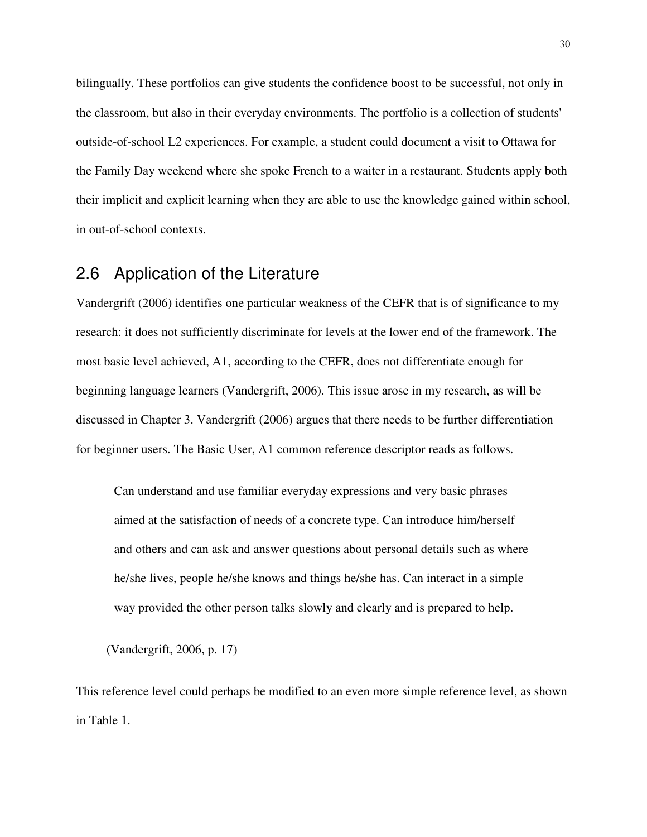bilingually. These portfolios can give students the confidence boost to be successful, not only in the classroom, but also in their everyday environments. The portfolio is a collection of students' outside-of-school L2 experiences. For example, a student could document a visit to Ottawa for the Family Day weekend where she spoke French to a waiter in a restaurant. Students apply both their implicit and explicit learning when they are able to use the knowledge gained within school, in out-of-school contexts.

### 2.6 Application of the Literature

Vandergrift (2006) identifies one particular weakness of the CEFR that is of significance to my research: it does not sufficiently discriminate for levels at the lower end of the framework. The most basic level achieved, A1, according to the CEFR, does not differentiate enough for beginning language learners (Vandergrift, 2006). This issue arose in my research, as will be discussed in Chapter 3. Vandergrift (2006) argues that there needs to be further differentiation for beginner users. The Basic User, A1 common reference descriptor reads as follows.

Can understand and use familiar everyday expressions and very basic phrases aimed at the satisfaction of needs of a concrete type. Can introduce him/herself and others and can ask and answer questions about personal details such as where he/she lives, people he/she knows and things he/she has. Can interact in a simple way provided the other person talks slowly and clearly and is prepared to help.

(Vandergrift, 2006, p. 17)

This reference level could perhaps be modified to an even more simple reference level, as shown in Table 1.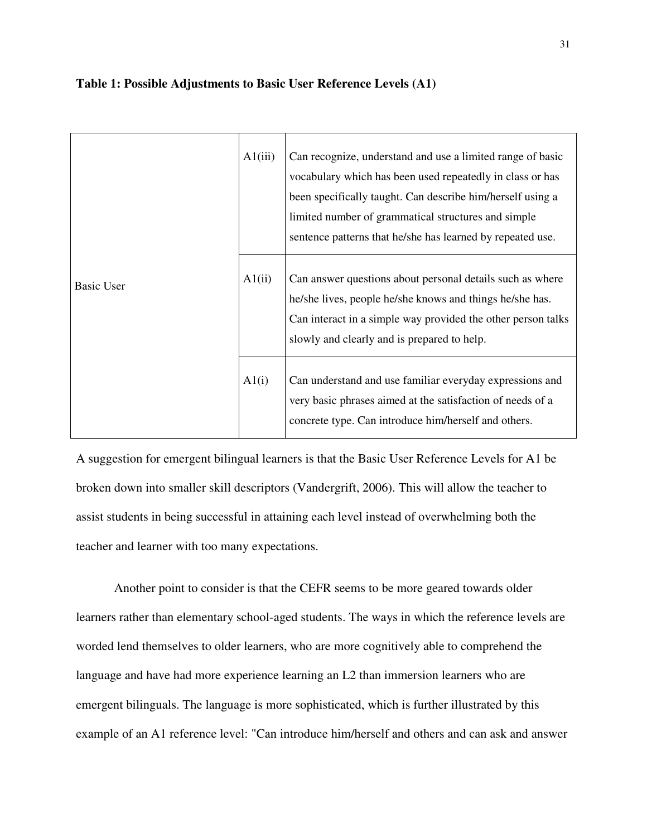#### **Table 1: Possible Adjustments to Basic User Reference Levels (A1)**

| Basic User | A1(iii) | Can recognize, understand and use a limited range of basic<br>vocabulary which has been used repeatedly in class or has<br>been specifically taught. Can describe him/herself using a<br>limited number of grammatical structures and simple<br>sentence patterns that he/she has learned by repeated use. |
|------------|---------|------------------------------------------------------------------------------------------------------------------------------------------------------------------------------------------------------------------------------------------------------------------------------------------------------------|
|            | A1(ii)  | Can answer questions about personal details such as where<br>he/she lives, people he/she knows and things he/she has.<br>Can interact in a simple way provided the other person talks<br>slowly and clearly and is prepared to help.                                                                       |
|            | A1(i)   | Can understand and use familiar everyday expressions and<br>very basic phrases aimed at the satisfaction of needs of a<br>concrete type. Can introduce him/herself and others.                                                                                                                             |

A suggestion for emergent bilingual learners is that the Basic User Reference Levels for A1 be broken down into smaller skill descriptors (Vandergrift, 2006). This will allow the teacher to assist students in being successful in attaining each level instead of overwhelming both the teacher and learner with too many expectations.

Another point to consider is that the CEFR seems to be more geared towards older learners rather than elementary school-aged students. The ways in which the reference levels are worded lend themselves to older learners, who are more cognitively able to comprehend the language and have had more experience learning an L2 than immersion learners who are emergent bilinguals. The language is more sophisticated, which is further illustrated by this example of an A1 reference level: "Can introduce him/herself and others and can ask and answer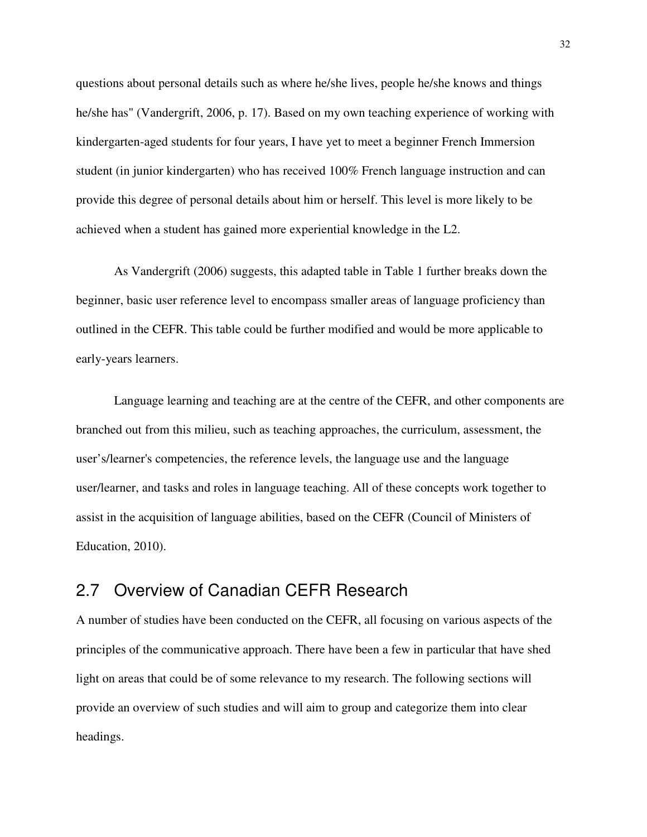questions about personal details such as where he/she lives, people he/she knows and things he/she has" (Vandergrift, 2006, p. 17). Based on my own teaching experience of working with kindergarten-aged students for four years, I have yet to meet a beginner French Immersion student (in junior kindergarten) who has received 100% French language instruction and can provide this degree of personal details about him or herself. This level is more likely to be achieved when a student has gained more experiential knowledge in the L2.

As Vandergrift (2006) suggests, this adapted table in Table 1 further breaks down the beginner, basic user reference level to encompass smaller areas of language proficiency than outlined in the CEFR. This table could be further modified and would be more applicable to early-years learners.

Language learning and teaching are at the centre of the CEFR, and other components are branched out from this milieu, such as teaching approaches, the curriculum, assessment, the user's/learner's competencies, the reference levels, the language use and the language user/learner, and tasks and roles in language teaching. All of these concepts work together to assist in the acquisition of language abilities, based on the CEFR (Council of Ministers of Education, 2010).

## 2.7 Overview of Canadian CEFR Research

A number of studies have been conducted on the CEFR, all focusing on various aspects of the principles of the communicative approach. There have been a few in particular that have shed light on areas that could be of some relevance to my research. The following sections will provide an overview of such studies and will aim to group and categorize them into clear headings.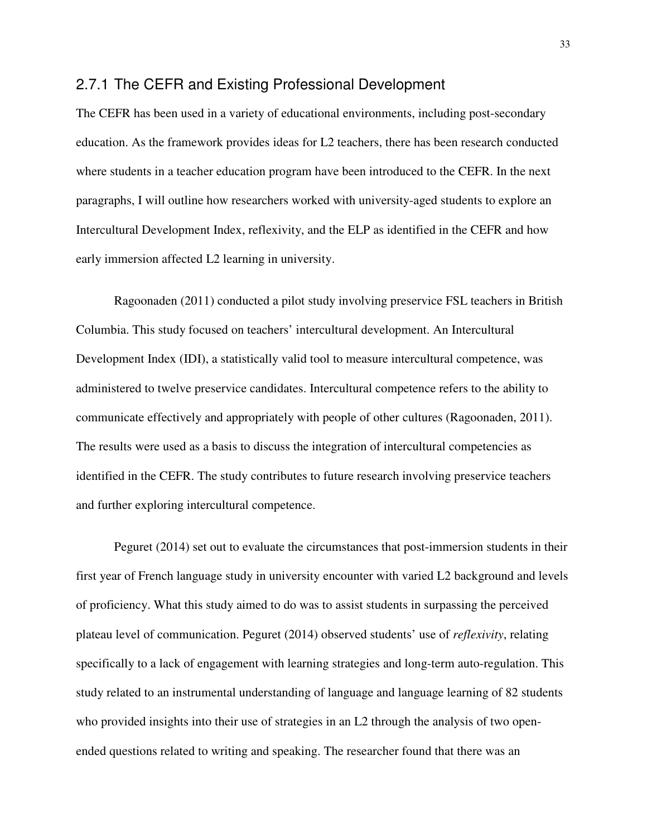#### 2.7.1 The CEFR and Existing Professional Development

The CEFR has been used in a variety of educational environments, including post-secondary education. As the framework provides ideas for L2 teachers, there has been research conducted where students in a teacher education program have been introduced to the CEFR. In the next paragraphs, I will outline how researchers worked with university-aged students to explore an Intercultural Development Index, reflexivity, and the ELP as identified in the CEFR and how early immersion affected L2 learning in university.

Ragoonaden (2011) conducted a pilot study involving preservice FSL teachers in British Columbia. This study focused on teachers' intercultural development. An Intercultural Development Index (IDI), a statistically valid tool to measure intercultural competence, was administered to twelve preservice candidates. Intercultural competence refers to the ability to communicate effectively and appropriately with people of other cultures (Ragoonaden, 2011). The results were used as a basis to discuss the integration of intercultural competencies as identified in the CEFR. The study contributes to future research involving preservice teachers and further exploring intercultural competence.

Peguret (2014) set out to evaluate the circumstances that post-immersion students in their first year of French language study in university encounter with varied L2 background and levels of proficiency. What this study aimed to do was to assist students in surpassing the perceived plateau level of communication. Peguret (2014) observed students' use of *reflexivity*, relating specifically to a lack of engagement with learning strategies and long-term auto-regulation. This study related to an instrumental understanding of language and language learning of 82 students who provided insights into their use of strategies in an L2 through the analysis of two openended questions related to writing and speaking. The researcher found that there was an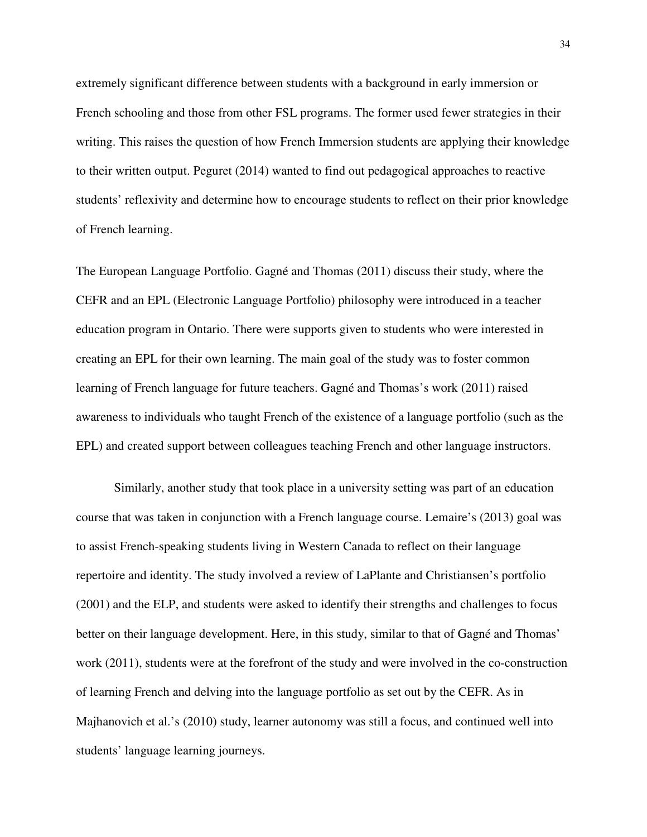extremely significant difference between students with a background in early immersion or French schooling and those from other FSL programs. The former used fewer strategies in their writing. This raises the question of how French Immersion students are applying their knowledge to their written output. Peguret (2014) wanted to find out pedagogical approaches to reactive students' reflexivity and determine how to encourage students to reflect on their prior knowledge of French learning.

The European Language Portfolio. Gagné and Thomas (2011) discuss their study, where the CEFR and an EPL (Electronic Language Portfolio) philosophy were introduced in a teacher education program in Ontario. There were supports given to students who were interested in creating an EPL for their own learning. The main goal of the study was to foster common learning of French language for future teachers. Gagné and Thomas's work (2011) raised awareness to individuals who taught French of the existence of a language portfolio (such as the EPL) and created support between colleagues teaching French and other language instructors.

Similarly, another study that took place in a university setting was part of an education course that was taken in conjunction with a French language course. Lemaire's (2013) goal was to assist French-speaking students living in Western Canada to reflect on their language repertoire and identity. The study involved a review of LaPlante and Christiansen's portfolio (2001) and the ELP, and students were asked to identify their strengths and challenges to focus better on their language development. Here, in this study, similar to that of Gagné and Thomas' work (2011), students were at the forefront of the study and were involved in the co-construction of learning French and delving into the language portfolio as set out by the CEFR. As in Majhanovich et al.'s (2010) study, learner autonomy was still a focus, and continued well into students' language learning journeys.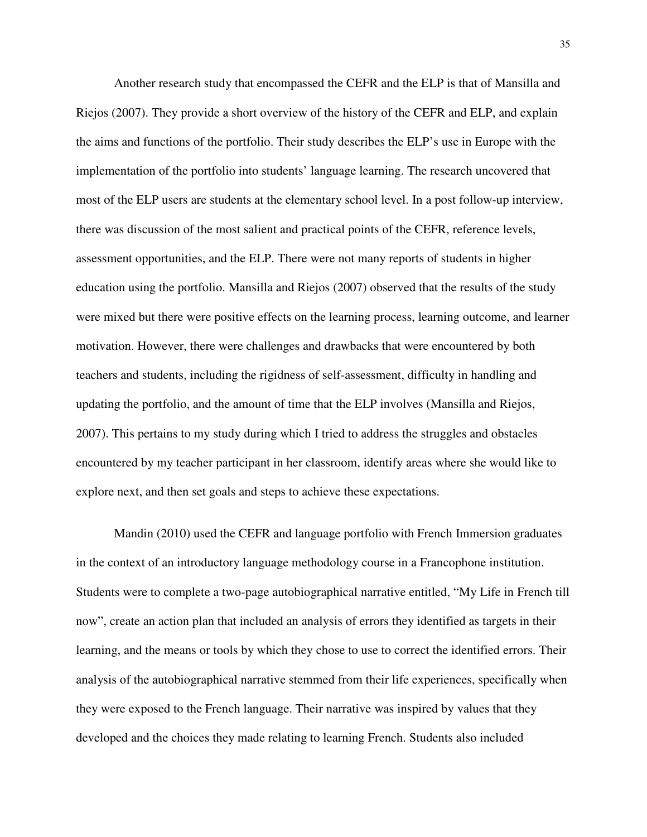Another research study that encompassed the CEFR and the ELP is that of Mansilla and Riejos (2007). They provide a short overview of the history of the CEFR and ELP, and explain the aims and functions of the portfolio. Their study describes the ELP's use in Europe with the implementation of the portfolio into students' language learning. The research uncovered that most of the ELP users are students at the elementary school level. In a post follow-up interview, there was discussion of the most salient and practical points of the CEFR, reference levels, assessment opportunities, and the ELP. There were not many reports of students in higher education using the portfolio. Mansilla and Riejos (2007) observed that the results of the study were mixed but there were positive effects on the learning process, learning outcome, and learner motivation. However, there were challenges and drawbacks that were encountered by both teachers and students, including the rigidness of self-assessment, difficulty in handling and updating the portfolio, and the amount of time that the ELP involves (Mansilla and Riejos, 2007). This pertains to my study during which I tried to address the struggles and obstacles encountered by my teacher participant in her classroom, identify areas where she would like to explore next, and then set goals and steps to achieve these expectations.

Mandin (2010) used the CEFR and language portfolio with French Immersion graduates in the context of an introductory language methodology course in a Francophone institution. Students were to complete a two-page autobiographical narrative entitled, "My Life in French till now", create an action plan that included an analysis of errors they identified as targets in their learning, and the means or tools by which they chose to use to correct the identified errors. Their analysis of the autobiographical narrative stemmed from their life experiences, specifically when they were exposed to the French language. Their narrative was inspired by values that they developed and the choices they made relating to learning French. Students also included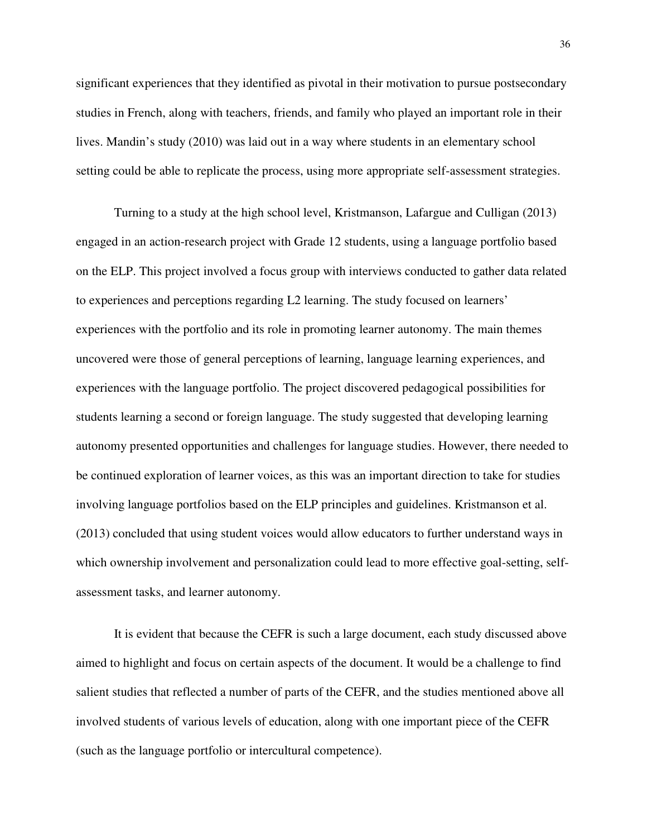significant experiences that they identified as pivotal in their motivation to pursue postsecondary studies in French, along with teachers, friends, and family who played an important role in their lives. Mandin's study (2010) was laid out in a way where students in an elementary school setting could be able to replicate the process, using more appropriate self-assessment strategies.

Turning to a study at the high school level, Kristmanson, Lafargue and Culligan (2013) engaged in an action-research project with Grade 12 students, using a language portfolio based on the ELP. This project involved a focus group with interviews conducted to gather data related to experiences and perceptions regarding L2 learning. The study focused on learners' experiences with the portfolio and its role in promoting learner autonomy. The main themes uncovered were those of general perceptions of learning, language learning experiences, and experiences with the language portfolio. The project discovered pedagogical possibilities for students learning a second or foreign language. The study suggested that developing learning autonomy presented opportunities and challenges for language studies. However, there needed to be continued exploration of learner voices, as this was an important direction to take for studies involving language portfolios based on the ELP principles and guidelines. Kristmanson et al. (2013) concluded that using student voices would allow educators to further understand ways in which ownership involvement and personalization could lead to more effective goal-setting, selfassessment tasks, and learner autonomy.

It is evident that because the CEFR is such a large document, each study discussed above aimed to highlight and focus on certain aspects of the document. It would be a challenge to find salient studies that reflected a number of parts of the CEFR, and the studies mentioned above all involved students of various levels of education, along with one important piece of the CEFR (such as the language portfolio or intercultural competence).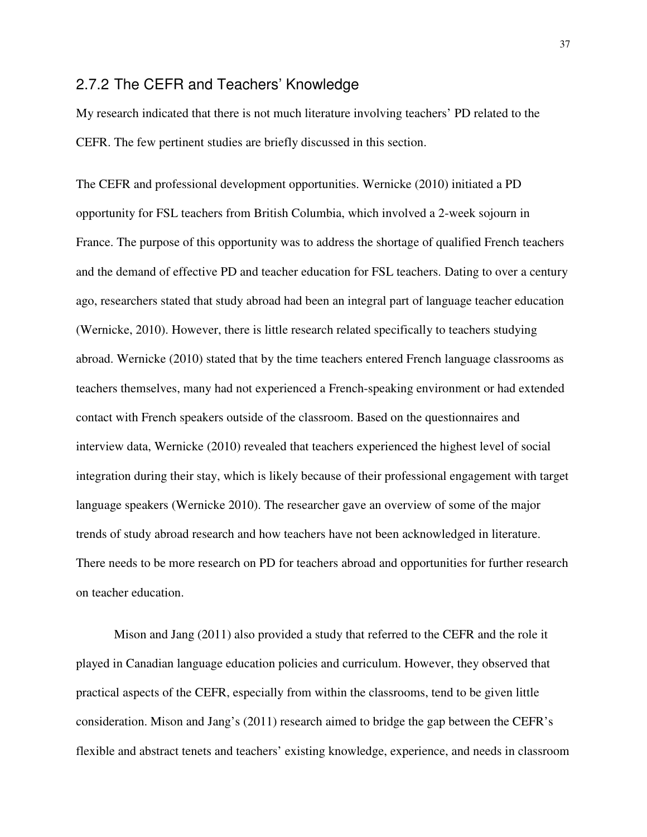#### 2.7.2 The CEFR and Teachers' Knowledge

My research indicated that there is not much literature involving teachers' PD related to the CEFR. The few pertinent studies are briefly discussed in this section.

The CEFR and professional development opportunities. Wernicke (2010) initiated a PD opportunity for FSL teachers from British Columbia, which involved a 2-week sojourn in France. The purpose of this opportunity was to address the shortage of qualified French teachers and the demand of effective PD and teacher education for FSL teachers. Dating to over a century ago, researchers stated that study abroad had been an integral part of language teacher education (Wernicke, 2010). However, there is little research related specifically to teachers studying abroad. Wernicke (2010) stated that by the time teachers entered French language classrooms as teachers themselves, many had not experienced a French-speaking environment or had extended contact with French speakers outside of the classroom. Based on the questionnaires and interview data, Wernicke (2010) revealed that teachers experienced the highest level of social integration during their stay, which is likely because of their professional engagement with target language speakers (Wernicke 2010). The researcher gave an overview of some of the major trends of study abroad research and how teachers have not been acknowledged in literature. There needs to be more research on PD for teachers abroad and opportunities for further research on teacher education.

Mison and Jang (2011) also provided a study that referred to the CEFR and the role it played in Canadian language education policies and curriculum. However, they observed that practical aspects of the CEFR, especially from within the classrooms, tend to be given little consideration. Mison and Jang's (2011) research aimed to bridge the gap between the CEFR's flexible and abstract tenets and teachers' existing knowledge, experience, and needs in classroom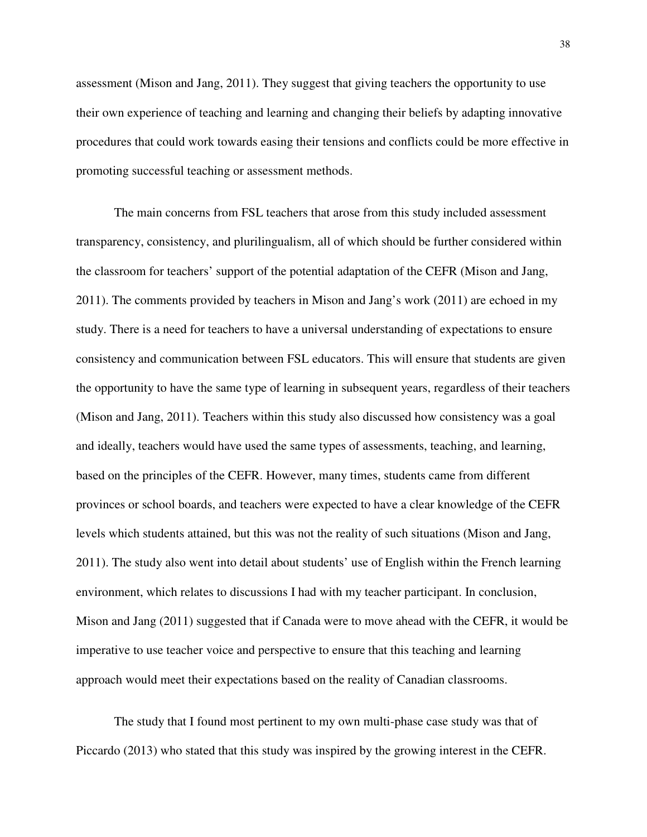assessment (Mison and Jang, 2011). They suggest that giving teachers the opportunity to use their own experience of teaching and learning and changing their beliefs by adapting innovative procedures that could work towards easing their tensions and conflicts could be more effective in promoting successful teaching or assessment methods.

The main concerns from FSL teachers that arose from this study included assessment transparency, consistency, and plurilingualism, all of which should be further considered within the classroom for teachers' support of the potential adaptation of the CEFR (Mison and Jang, 2011). The comments provided by teachers in Mison and Jang's work (2011) are echoed in my study. There is a need for teachers to have a universal understanding of expectations to ensure consistency and communication between FSL educators. This will ensure that students are given the opportunity to have the same type of learning in subsequent years, regardless of their teachers (Mison and Jang, 2011). Teachers within this study also discussed how consistency was a goal and ideally, teachers would have used the same types of assessments, teaching, and learning, based on the principles of the CEFR. However, many times, students came from different provinces or school boards, and teachers were expected to have a clear knowledge of the CEFR levels which students attained, but this was not the reality of such situations (Mison and Jang, 2011). The study also went into detail about students' use of English within the French learning environment, which relates to discussions I had with my teacher participant. In conclusion, Mison and Jang (2011) suggested that if Canada were to move ahead with the CEFR, it would be imperative to use teacher voice and perspective to ensure that this teaching and learning approach would meet their expectations based on the reality of Canadian classrooms.

The study that I found most pertinent to my own multi-phase case study was that of Piccardo (2013) who stated that this study was inspired by the growing interest in the CEFR.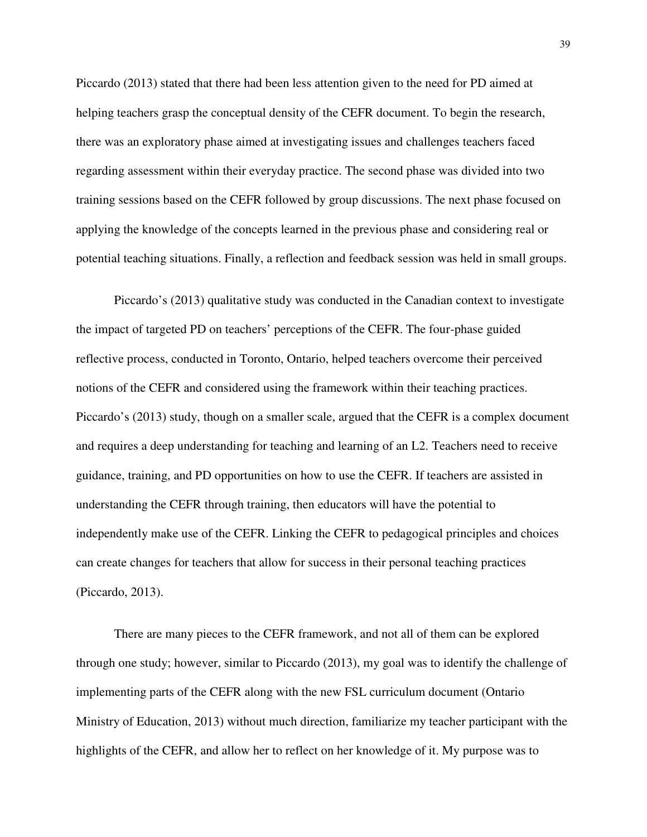Piccardo (2013) stated that there had been less attention given to the need for PD aimed at helping teachers grasp the conceptual density of the CEFR document. To begin the research, there was an exploratory phase aimed at investigating issues and challenges teachers faced regarding assessment within their everyday practice. The second phase was divided into two training sessions based on the CEFR followed by group discussions. The next phase focused on applying the knowledge of the concepts learned in the previous phase and considering real or potential teaching situations. Finally, a reflection and feedback session was held in small groups.

Piccardo's (2013) qualitative study was conducted in the Canadian context to investigate the impact of targeted PD on teachers' perceptions of the CEFR. The four-phase guided reflective process, conducted in Toronto, Ontario, helped teachers overcome their perceived notions of the CEFR and considered using the framework within their teaching practices. Piccardo's (2013) study, though on a smaller scale, argued that the CEFR is a complex document and requires a deep understanding for teaching and learning of an L2. Teachers need to receive guidance, training, and PD opportunities on how to use the CEFR. If teachers are assisted in understanding the CEFR through training, then educators will have the potential to independently make use of the CEFR. Linking the CEFR to pedagogical principles and choices can create changes for teachers that allow for success in their personal teaching practices (Piccardo, 2013).

There are many pieces to the CEFR framework, and not all of them can be explored through one study; however, similar to Piccardo (2013), my goal was to identify the challenge of implementing parts of the CEFR along with the new FSL curriculum document (Ontario Ministry of Education, 2013) without much direction, familiarize my teacher participant with the highlights of the CEFR, and allow her to reflect on her knowledge of it. My purpose was to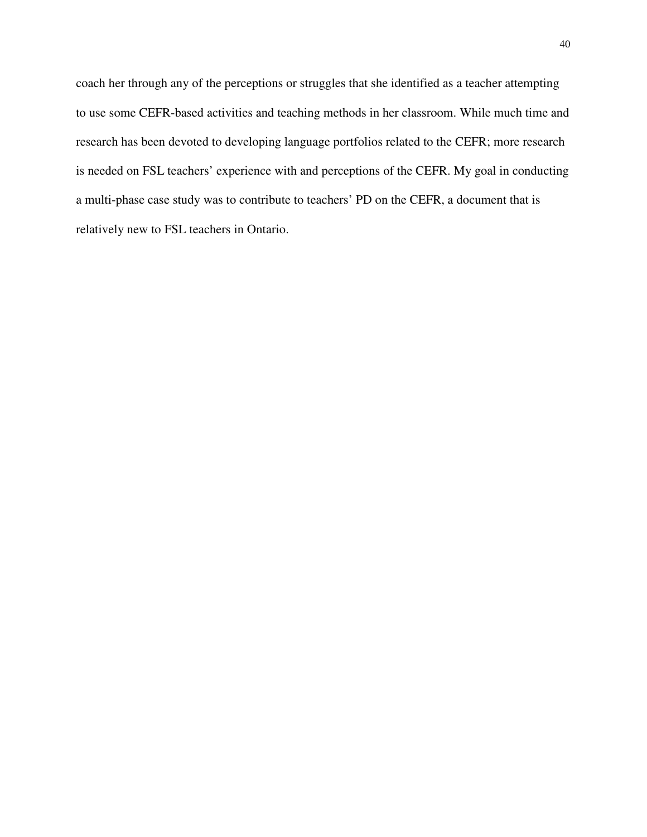coach her through any of the perceptions or struggles that she identified as a teacher attempting to use some CEFR-based activities and teaching methods in her classroom. While much time and research has been devoted to developing language portfolios related to the CEFR; more research is needed on FSL teachers' experience with and perceptions of the CEFR. My goal in conducting a multi-phase case study was to contribute to teachers' PD on the CEFR, a document that is relatively new to FSL teachers in Ontario.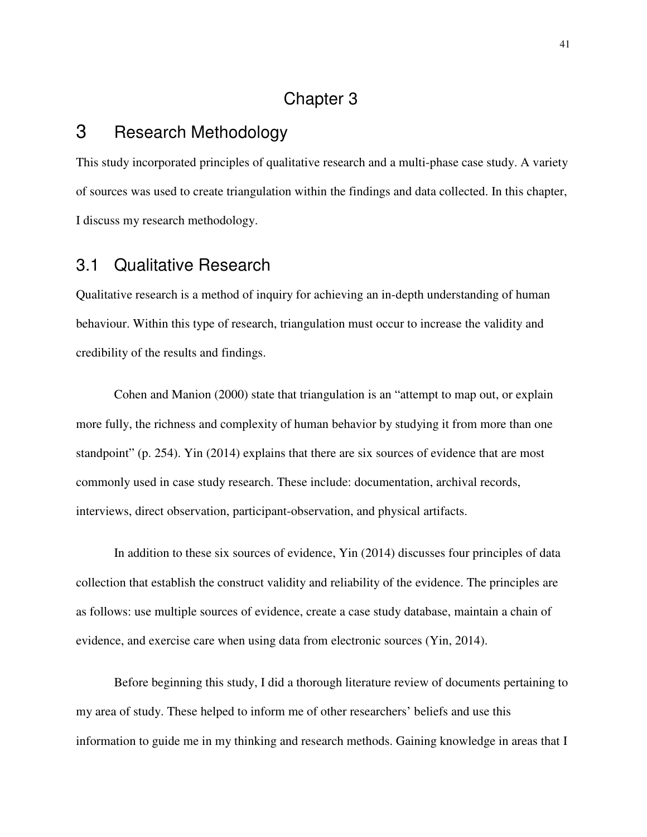## Chapter 3

# 3 Research Methodology

This study incorporated principles of qualitative research and a multi-phase case study. A variety of sources was used to create triangulation within the findings and data collected. In this chapter, I discuss my research methodology.

# 3.1 Qualitative Research

Qualitative research is a method of inquiry for achieving an in-depth understanding of human behaviour. Within this type of research, triangulation must occur to increase the validity and credibility of the results and findings.

Cohen and Manion (2000) state that triangulation is an "attempt to map out, or explain more fully, the richness and complexity of human behavior by studying it from more than one standpoint" (p. 254). Yin (2014) explains that there are six sources of evidence that are most commonly used in case study research. These include: documentation, archival records, interviews, direct observation, participant-observation, and physical artifacts.

In addition to these six sources of evidence, Yin (2014) discusses four principles of data collection that establish the construct validity and reliability of the evidence. The principles are as follows: use multiple sources of evidence, create a case study database, maintain a chain of evidence, and exercise care when using data from electronic sources (Yin, 2014).

Before beginning this study, I did a thorough literature review of documents pertaining to my area of study. These helped to inform me of other researchers' beliefs and use this information to guide me in my thinking and research methods. Gaining knowledge in areas that I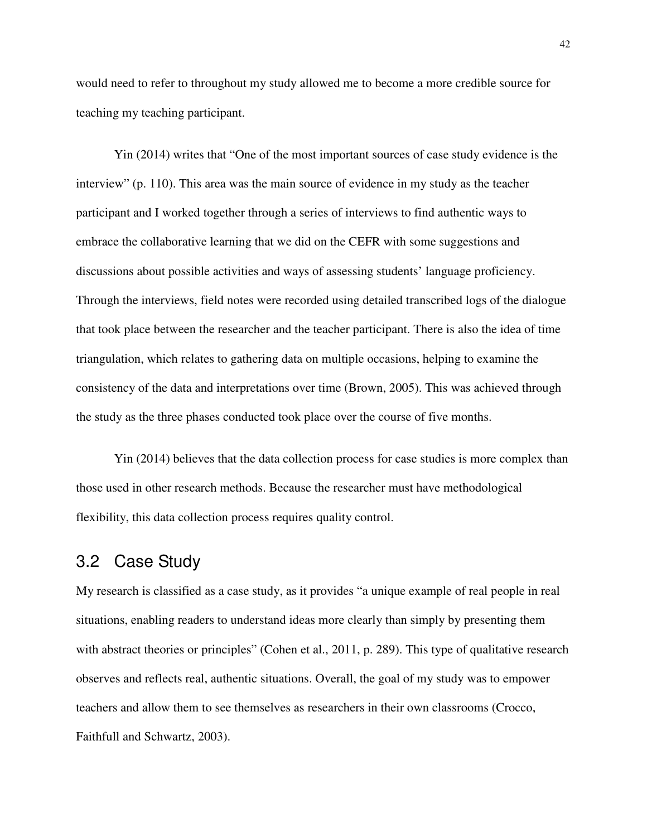would need to refer to throughout my study allowed me to become a more credible source for teaching my teaching participant.

Yin (2014) writes that "One of the most important sources of case study evidence is the interview" (p. 110). This area was the main source of evidence in my study as the teacher participant and I worked together through a series of interviews to find authentic ways to embrace the collaborative learning that we did on the CEFR with some suggestions and discussions about possible activities and ways of assessing students' language proficiency. Through the interviews, field notes were recorded using detailed transcribed logs of the dialogue that took place between the researcher and the teacher participant. There is also the idea of time triangulation, which relates to gathering data on multiple occasions, helping to examine the consistency of the data and interpretations over time (Brown, 2005). This was achieved through the study as the three phases conducted took place over the course of five months.

Yin (2014) believes that the data collection process for case studies is more complex than those used in other research methods. Because the researcher must have methodological flexibility, this data collection process requires quality control.

# 3.2 Case Study

My research is classified as a case study, as it provides "a unique example of real people in real situations, enabling readers to understand ideas more clearly than simply by presenting them with abstract theories or principles" (Cohen et al., 2011, p. 289). This type of qualitative research observes and reflects real, authentic situations. Overall, the goal of my study was to empower teachers and allow them to see themselves as researchers in their own classrooms (Crocco, Faithfull and Schwartz, 2003).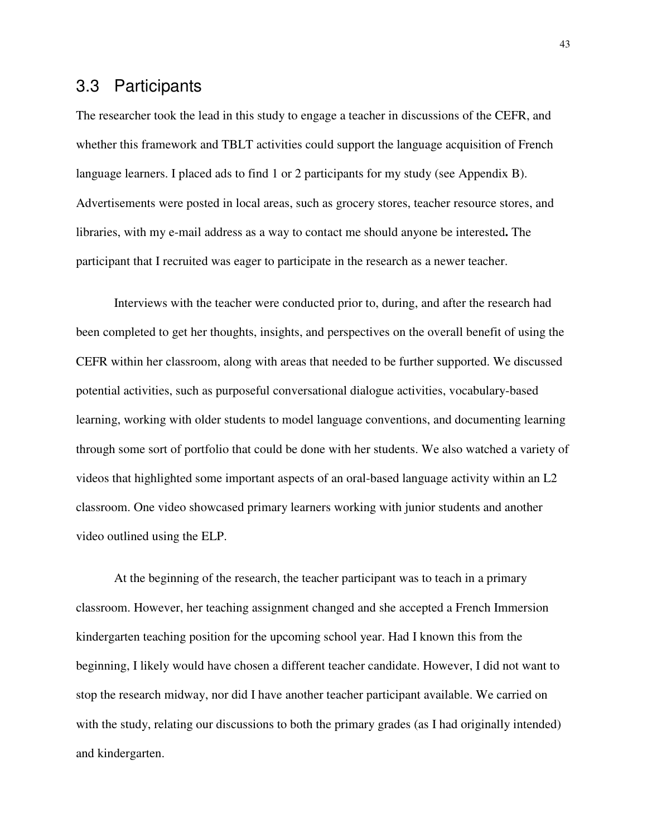### 3.3 Participants

The researcher took the lead in this study to engage a teacher in discussions of the CEFR, and whether this framework and TBLT activities could support the language acquisition of French language learners. I placed ads to find 1 or 2 participants for my study (see Appendix B). Advertisements were posted in local areas, such as grocery stores, teacher resource stores, and libraries, with my e-mail address as a way to contact me should anyone be interested**.** The participant that I recruited was eager to participate in the research as a newer teacher.

Interviews with the teacher were conducted prior to, during, and after the research had been completed to get her thoughts, insights, and perspectives on the overall benefit of using the CEFR within her classroom, along with areas that needed to be further supported. We discussed potential activities, such as purposeful conversational dialogue activities, vocabulary-based learning, working with older students to model language conventions, and documenting learning through some sort of portfolio that could be done with her students. We also watched a variety of videos that highlighted some important aspects of an oral-based language activity within an L2 classroom. One video showcased primary learners working with junior students and another video outlined using the ELP.

At the beginning of the research, the teacher participant was to teach in a primary classroom. However, her teaching assignment changed and she accepted a French Immersion kindergarten teaching position for the upcoming school year. Had I known this from the beginning, I likely would have chosen a different teacher candidate. However, I did not want to stop the research midway, nor did I have another teacher participant available. We carried on with the study, relating our discussions to both the primary grades (as I had originally intended) and kindergarten.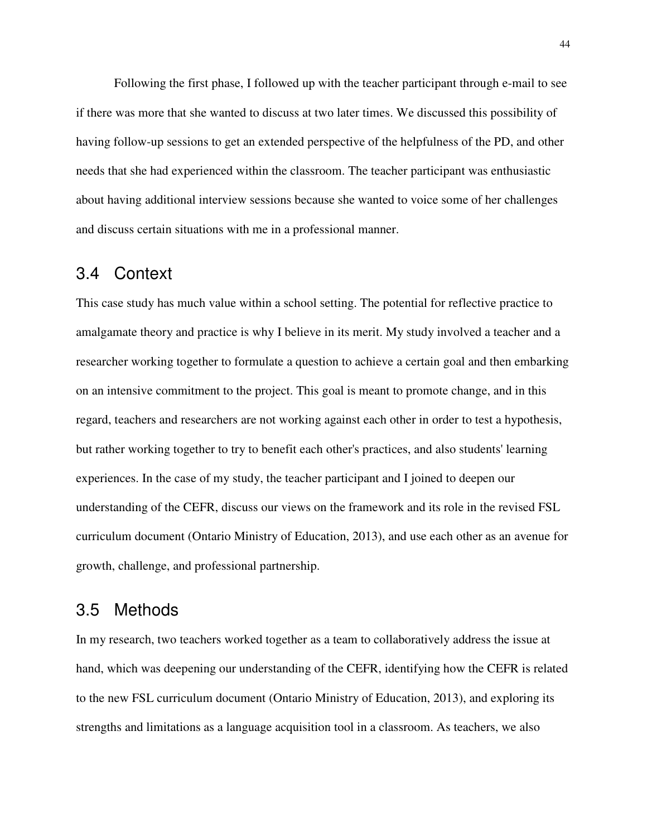Following the first phase, I followed up with the teacher participant through e-mail to see if there was more that she wanted to discuss at two later times. We discussed this possibility of having follow-up sessions to get an extended perspective of the helpfulness of the PD, and other needs that she had experienced within the classroom. The teacher participant was enthusiastic about having additional interview sessions because she wanted to voice some of her challenges and discuss certain situations with me in a professional manner.

### 3.4 Context

This case study has much value within a school setting. The potential for reflective practice to amalgamate theory and practice is why I believe in its merit. My study involved a teacher and a researcher working together to formulate a question to achieve a certain goal and then embarking on an intensive commitment to the project. This goal is meant to promote change, and in this regard, teachers and researchers are not working against each other in order to test a hypothesis, but rather working together to try to benefit each other's practices, and also students' learning experiences. In the case of my study, the teacher participant and I joined to deepen our understanding of the CEFR, discuss our views on the framework and its role in the revised FSL curriculum document (Ontario Ministry of Education, 2013), and use each other as an avenue for growth, challenge, and professional partnership.

## 3.5 Methods

In my research, two teachers worked together as a team to collaboratively address the issue at hand, which was deepening our understanding of the CEFR, identifying how the CEFR is related to the new FSL curriculum document (Ontario Ministry of Education, 2013), and exploring its strengths and limitations as a language acquisition tool in a classroom. As teachers, we also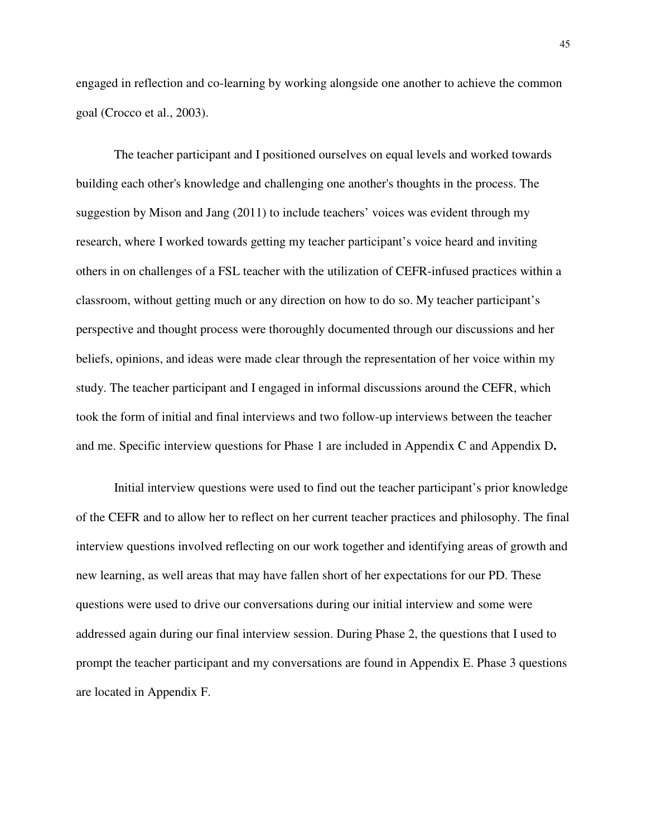engaged in reflection and co-learning by working alongside one another to achieve the common goal (Crocco et al., 2003).

The teacher participant and I positioned ourselves on equal levels and worked towards building each other's knowledge and challenging one another's thoughts in the process. The suggestion by Mison and Jang (2011) to include teachers' voices was evident through my research, where I worked towards getting my teacher participant's voice heard and inviting others in on challenges of a FSL teacher with the utilization of CEFR-infused practices within a classroom, without getting much or any direction on how to do so. My teacher participant's perspective and thought process were thoroughly documented through our discussions and her beliefs, opinions, and ideas were made clear through the representation of her voice within my study. The teacher participant and I engaged in informal discussions around the CEFR, which took the form of initial and final interviews and two follow-up interviews between the teacher and me. Specific interview questions for Phase 1 are included in Appendix C and Appendix D**.**

Initial interview questions were used to find out the teacher participant's prior knowledge of the CEFR and to allow her to reflect on her current teacher practices and philosophy. The final interview questions involved reflecting on our work together and identifying areas of growth and new learning, as well areas that may have fallen short of her expectations for our PD. These questions were used to drive our conversations during our initial interview and some were addressed again during our final interview session. During Phase 2, the questions that I used to prompt the teacher participant and my conversations are found in Appendix E. Phase 3 questions are located in Appendix F.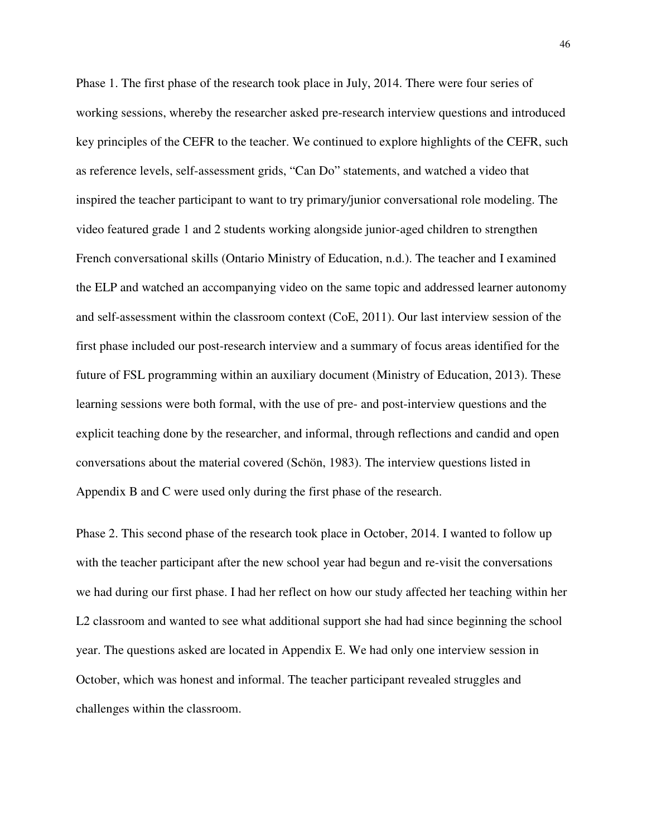Phase 1. The first phase of the research took place in July, 2014. There were four series of working sessions, whereby the researcher asked pre-research interview questions and introduced key principles of the CEFR to the teacher. We continued to explore highlights of the CEFR, such as reference levels, self-assessment grids, "Can Do" statements, and watched a video that inspired the teacher participant to want to try primary/junior conversational role modeling. The video featured grade 1 and 2 students working alongside junior-aged children to strengthen French conversational skills (Ontario Ministry of Education, n.d.). The teacher and I examined the ELP and watched an accompanying video on the same topic and addressed learner autonomy and self-assessment within the classroom context (CoE, 2011). Our last interview session of the first phase included our post-research interview and a summary of focus areas identified for the future of FSL programming within an auxiliary document (Ministry of Education, 2013). These learning sessions were both formal, with the use of pre- and post-interview questions and the explicit teaching done by the researcher, and informal, through reflections and candid and open conversations about the material covered (Schön, 1983). The interview questions listed in Appendix B and C were used only during the first phase of the research.

Phase 2. This second phase of the research took place in October, 2014. I wanted to follow up with the teacher participant after the new school year had begun and re-visit the conversations we had during our first phase. I had her reflect on how our study affected her teaching within her L2 classroom and wanted to see what additional support she had had since beginning the school year. The questions asked are located in Appendix E. We had only one interview session in October, which was honest and informal. The teacher participant revealed struggles and challenges within the classroom.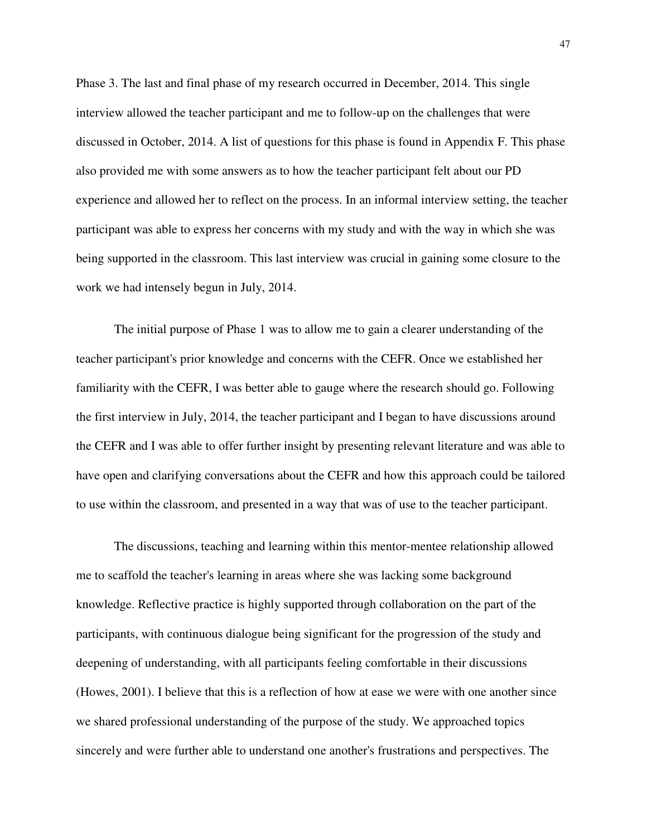Phase 3. The last and final phase of my research occurred in December, 2014. This single interview allowed the teacher participant and me to follow-up on the challenges that were discussed in October, 2014. A list of questions for this phase is found in Appendix F. This phase also provided me with some answers as to how the teacher participant felt about our PD experience and allowed her to reflect on the process. In an informal interview setting, the teacher participant was able to express her concerns with my study and with the way in which she was being supported in the classroom. This last interview was crucial in gaining some closure to the work we had intensely begun in July, 2014.

The initial purpose of Phase 1 was to allow me to gain a clearer understanding of the teacher participant's prior knowledge and concerns with the CEFR. Once we established her familiarity with the CEFR, I was better able to gauge where the research should go. Following the first interview in July, 2014, the teacher participant and I began to have discussions around the CEFR and I was able to offer further insight by presenting relevant literature and was able to have open and clarifying conversations about the CEFR and how this approach could be tailored to use within the classroom, and presented in a way that was of use to the teacher participant.

The discussions, teaching and learning within this mentor-mentee relationship allowed me to scaffold the teacher's learning in areas where she was lacking some background knowledge. Reflective practice is highly supported through collaboration on the part of the participants, with continuous dialogue being significant for the progression of the study and deepening of understanding, with all participants feeling comfortable in their discussions (Howes, 2001). I believe that this is a reflection of how at ease we were with one another since we shared professional understanding of the purpose of the study. We approached topics sincerely and were further able to understand one another's frustrations and perspectives. The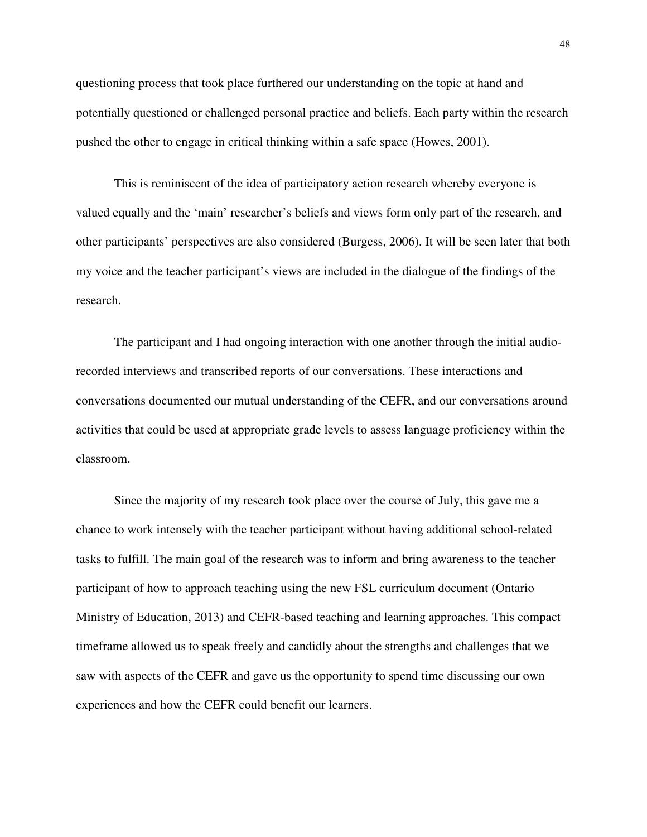questioning process that took place furthered our understanding on the topic at hand and potentially questioned or challenged personal practice and beliefs. Each party within the research pushed the other to engage in critical thinking within a safe space (Howes, 2001).

This is reminiscent of the idea of participatory action research whereby everyone is valued equally and the 'main' researcher's beliefs and views form only part of the research, and other participants' perspectives are also considered (Burgess, 2006). It will be seen later that both my voice and the teacher participant's views are included in the dialogue of the findings of the research.

The participant and I had ongoing interaction with one another through the initial audiorecorded interviews and transcribed reports of our conversations. These interactions and conversations documented our mutual understanding of the CEFR, and our conversations around activities that could be used at appropriate grade levels to assess language proficiency within the classroom.

Since the majority of my research took place over the course of July, this gave me a chance to work intensely with the teacher participant without having additional school-related tasks to fulfill. The main goal of the research was to inform and bring awareness to the teacher participant of how to approach teaching using the new FSL curriculum document (Ontario Ministry of Education, 2013) and CEFR-based teaching and learning approaches. This compact timeframe allowed us to speak freely and candidly about the strengths and challenges that we saw with aspects of the CEFR and gave us the opportunity to spend time discussing our own experiences and how the CEFR could benefit our learners.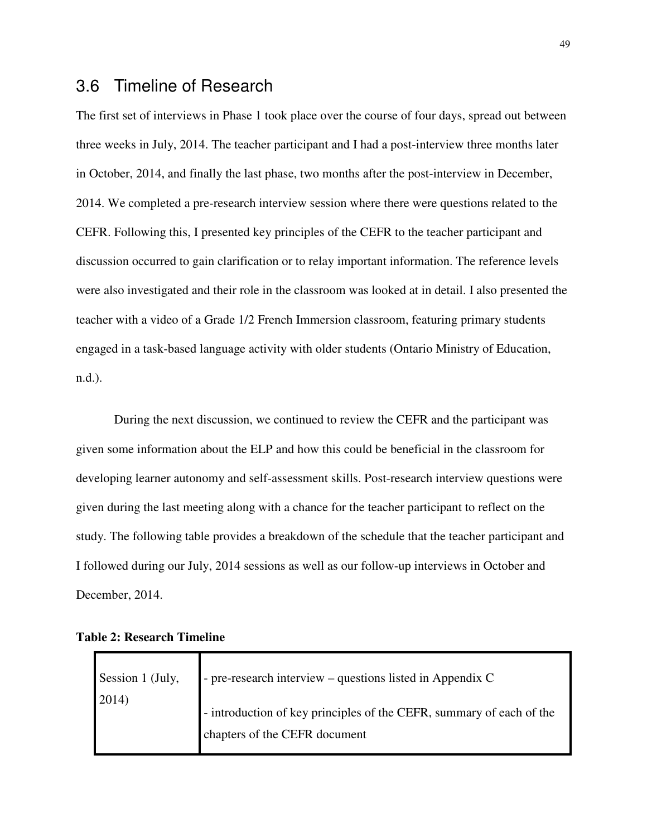## 3.6 Timeline of Research

The first set of interviews in Phase 1 took place over the course of four days, spread out between three weeks in July, 2014. The teacher participant and I had a post-interview three months later in October, 2014, and finally the last phase, two months after the post-interview in December, 2014. We completed a pre-research interview session where there were questions related to the CEFR. Following this, I presented key principles of the CEFR to the teacher participant and discussion occurred to gain clarification or to relay important information. The reference levels were also investigated and their role in the classroom was looked at in detail. I also presented the teacher with a video of a Grade 1/2 French Immersion classroom, featuring primary students engaged in a task-based language activity with older students (Ontario Ministry of Education, n.d.).

During the next discussion, we continued to review the CEFR and the participant was given some information about the ELP and how this could be beneficial in the classroom for developing learner autonomy and self-assessment skills. Post-research interview questions were given during the last meeting along with a chance for the teacher participant to reflect on the study. The following table provides a breakdown of the schedule that the teacher participant and I followed during our July, 2014 sessions as well as our follow-up interviews in October and December, 2014.

| Session 1 (July,<br>2014) | - pre-research interview – questions listed in Appendix C                                             |
|---------------------------|-------------------------------------------------------------------------------------------------------|
|                           | - introduction of key principles of the CEFR, summary of each of the<br>chapters of the CEFR document |

**Table 2: Research Timeline**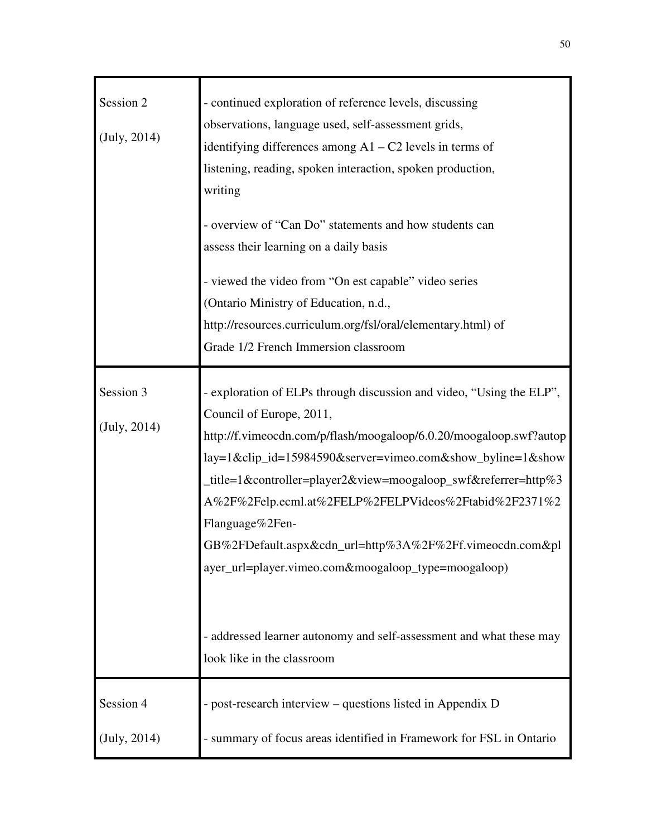| Session 2    | - continued exploration of reference levels, discussing              |
|--------------|----------------------------------------------------------------------|
| (July, 2014) | observations, language used, self-assessment grids,                  |
|              | identifying differences among $A1 - C2$ levels in terms of           |
|              | listening, reading, spoken interaction, spoken production,           |
|              | writing                                                              |
|              | - overview of "Can Do" statements and how students can               |
|              | assess their learning on a daily basis                               |
|              | - viewed the video from "On est capable" video series                |
|              | (Ontario Ministry of Education, n.d.,                                |
|              | http://resources.curriculum.org/fsl/oral/elementary.html) of         |
|              | Grade 1/2 French Immersion classroom                                 |
|              |                                                                      |
| Session 3    | - exploration of ELPs through discussion and video, "Using the ELP", |
| (July, 2014) | Council of Europe, 2011,                                             |
|              | http://f.vimeocdn.com/p/flash/moogaloop/6.0.20/moogaloop.swf?autop   |
|              | lay=1&clip_id=15984590&server=vimeo.com&show_byline=1&show           |
|              | _title=1&controller=player2&view=moogaloop_swf&referrer=http%3       |
|              | A%2F%2Felp.ecml.at%2FELP%2FELPVideos%2Ftabid%2F2371%2                |
|              | Flanguage%2Fen-                                                      |
|              | GB%2FDefault.aspx&cdn_url=http%3A%2F%2Ff.vimeocdn.com&pl             |
|              | ayer_url=player.vimeo.com&moogaloop_type=moogaloop)                  |
|              |                                                                      |
|              | - addressed learner autonomy and self-assessment and what these may  |
|              | look like in the classroom                                           |
| Session 4    | - post-research interview – questions listed in Appendix D           |
| (July, 2014) | - summary of focus areas identified in Framework for FSL in Ontario  |
|              |                                                                      |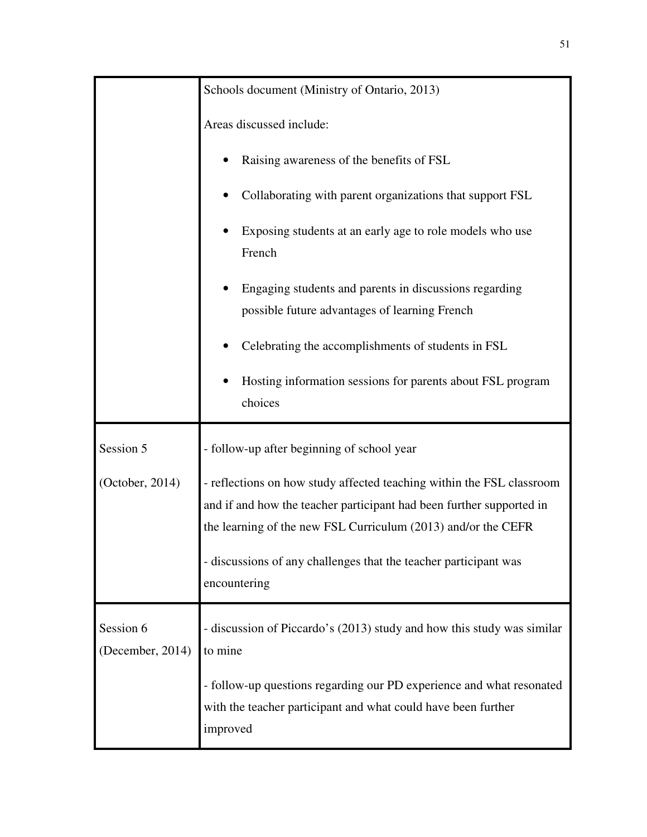|                               | Schools document (Ministry of Ontario, 2013)<br>Areas discussed include:                                                                                                                                                                                                           |  |  |
|-------------------------------|------------------------------------------------------------------------------------------------------------------------------------------------------------------------------------------------------------------------------------------------------------------------------------|--|--|
|                               |                                                                                                                                                                                                                                                                                    |  |  |
|                               | Raising awareness of the benefits of FSL                                                                                                                                                                                                                                           |  |  |
|                               | Collaborating with parent organizations that support FSL                                                                                                                                                                                                                           |  |  |
|                               | Exposing students at an early age to role models who use<br>French                                                                                                                                                                                                                 |  |  |
|                               | Engaging students and parents in discussions regarding<br>possible future advantages of learning French                                                                                                                                                                            |  |  |
|                               | Celebrating the accomplishments of students in FSL                                                                                                                                                                                                                                 |  |  |
|                               | Hosting information sessions for parents about FSL program<br>choices                                                                                                                                                                                                              |  |  |
| Session 5                     | - follow-up after beginning of school year                                                                                                                                                                                                                                         |  |  |
| (October, 2014)               | - reflections on how study affected teaching within the FSL classroom<br>and if and how the teacher participant had been further supported in<br>the learning of the new FSL Curriculum (2013) and/or the CEFR<br>- discussions of any challenges that the teacher participant was |  |  |
|                               | encountering                                                                                                                                                                                                                                                                       |  |  |
| Session 6<br>(December, 2014) | - discussion of Piccardo's (2013) study and how this study was similar<br>to mine                                                                                                                                                                                                  |  |  |
|                               | - follow-up questions regarding our PD experience and what resonated<br>with the teacher participant and what could have been further<br>improved                                                                                                                                  |  |  |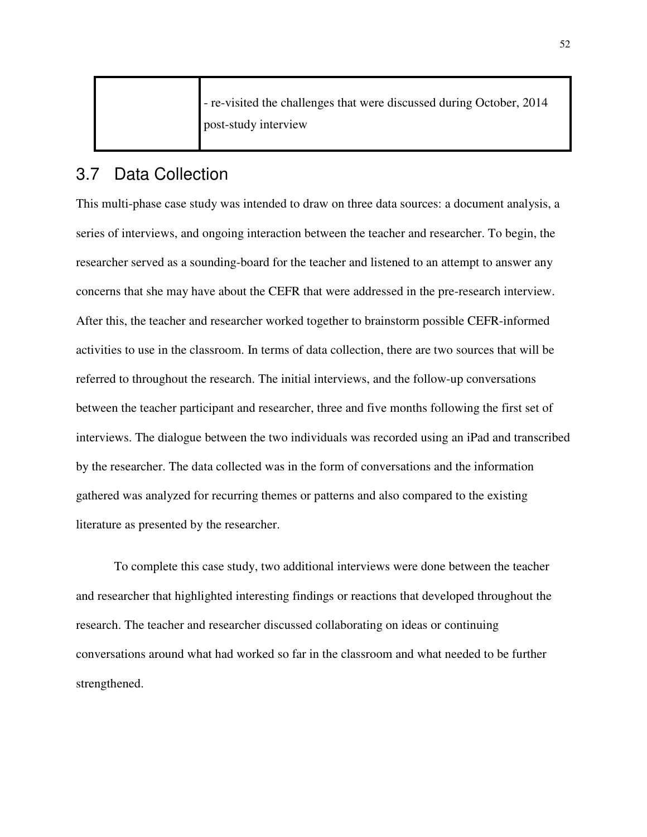| - re-visited the challenges that were discussed during October, 2014 |
|----------------------------------------------------------------------|
| post-study interview                                                 |
|                                                                      |

# 3.7 Data Collection

This multi-phase case study was intended to draw on three data sources: a document analysis, a series of interviews, and ongoing interaction between the teacher and researcher. To begin, the researcher served as a sounding-board for the teacher and listened to an attempt to answer any concerns that she may have about the CEFR that were addressed in the pre-research interview. After this, the teacher and researcher worked together to brainstorm possible CEFR-informed activities to use in the classroom. In terms of data collection, there are two sources that will be referred to throughout the research. The initial interviews, and the follow-up conversations between the teacher participant and researcher, three and five months following the first set of interviews. The dialogue between the two individuals was recorded using an iPad and transcribed by the researcher. The data collected was in the form of conversations and the information gathered was analyzed for recurring themes or patterns and also compared to the existing literature as presented by the researcher.

To complete this case study, two additional interviews were done between the teacher and researcher that highlighted interesting findings or reactions that developed throughout the research. The teacher and researcher discussed collaborating on ideas or continuing conversations around what had worked so far in the classroom and what needed to be further strengthened.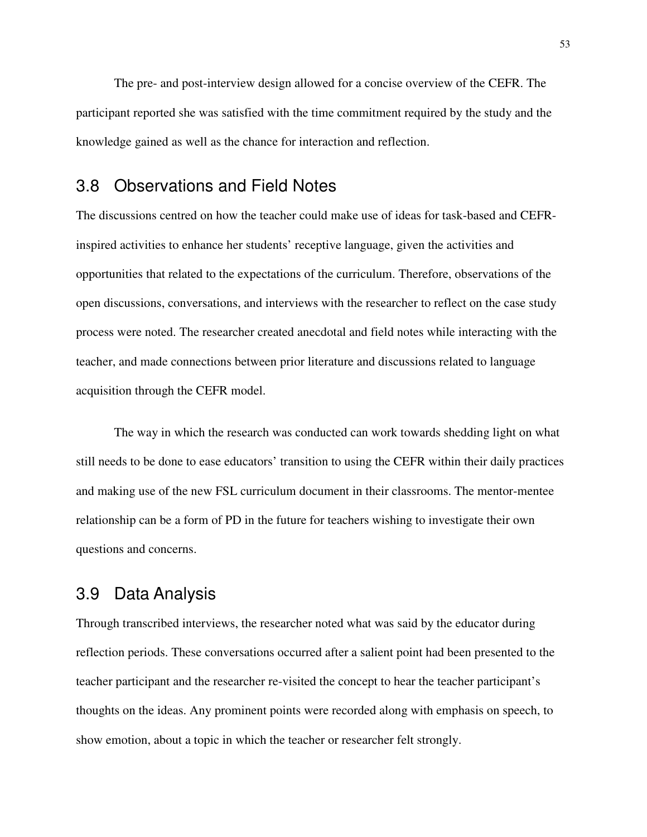The pre- and post-interview design allowed for a concise overview of the CEFR. The participant reported she was satisfied with the time commitment required by the study and the knowledge gained as well as the chance for interaction and reflection.

#### 3.8 Observations and Field Notes

The discussions centred on how the teacher could make use of ideas for task-based and CEFRinspired activities to enhance her students' receptive language, given the activities and opportunities that related to the expectations of the curriculum. Therefore, observations of the open discussions, conversations, and interviews with the researcher to reflect on the case study process were noted. The researcher created anecdotal and field notes while interacting with the teacher, and made connections between prior literature and discussions related to language acquisition through the CEFR model.

The way in which the research was conducted can work towards shedding light on what still needs to be done to ease educators' transition to using the CEFR within their daily practices and making use of the new FSL curriculum document in their classrooms. The mentor-mentee relationship can be a form of PD in the future for teachers wishing to investigate their own questions and concerns.

### 3.9 Data Analysis

Through transcribed interviews, the researcher noted what was said by the educator during reflection periods. These conversations occurred after a salient point had been presented to the teacher participant and the researcher re-visited the concept to hear the teacher participant's thoughts on the ideas. Any prominent points were recorded along with emphasis on speech, to show emotion, about a topic in which the teacher or researcher felt strongly.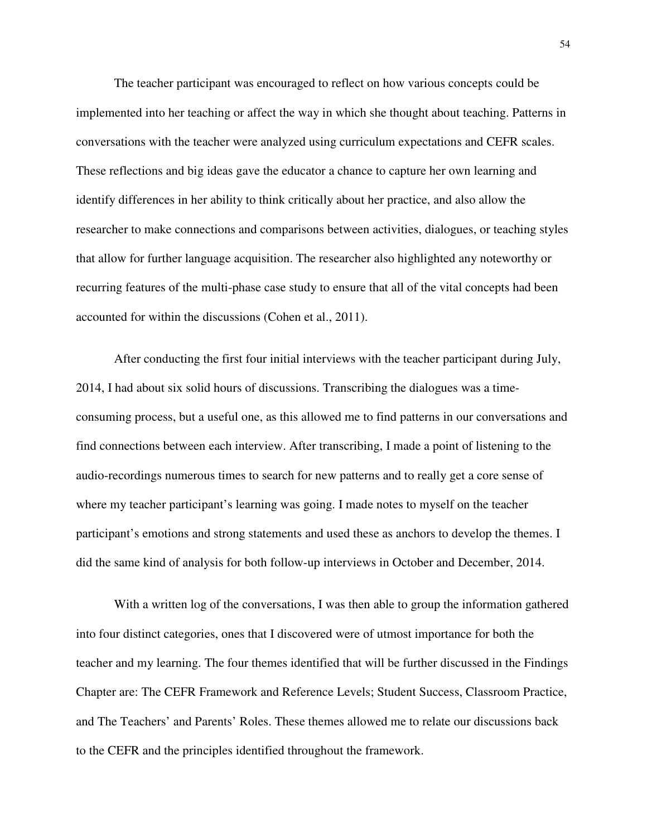The teacher participant was encouraged to reflect on how various concepts could be implemented into her teaching or affect the way in which she thought about teaching. Patterns in conversations with the teacher were analyzed using curriculum expectations and CEFR scales. These reflections and big ideas gave the educator a chance to capture her own learning and identify differences in her ability to think critically about her practice, and also allow the researcher to make connections and comparisons between activities, dialogues, or teaching styles that allow for further language acquisition. The researcher also highlighted any noteworthy or recurring features of the multi-phase case study to ensure that all of the vital concepts had been accounted for within the discussions (Cohen et al., 2011).

After conducting the first four initial interviews with the teacher participant during July, 2014, I had about six solid hours of discussions. Transcribing the dialogues was a timeconsuming process, but a useful one, as this allowed me to find patterns in our conversations and find connections between each interview. After transcribing, I made a point of listening to the audio-recordings numerous times to search for new patterns and to really get a core sense of where my teacher participant's learning was going. I made notes to myself on the teacher participant's emotions and strong statements and used these as anchors to develop the themes. I did the same kind of analysis for both follow-up interviews in October and December, 2014.

With a written log of the conversations, I was then able to group the information gathered into four distinct categories, ones that I discovered were of utmost importance for both the teacher and my learning. The four themes identified that will be further discussed in the Findings Chapter are: The CEFR Framework and Reference Levels; Student Success, Classroom Practice, and The Teachers' and Parents' Roles. These themes allowed me to relate our discussions back to the CEFR and the principles identified throughout the framework.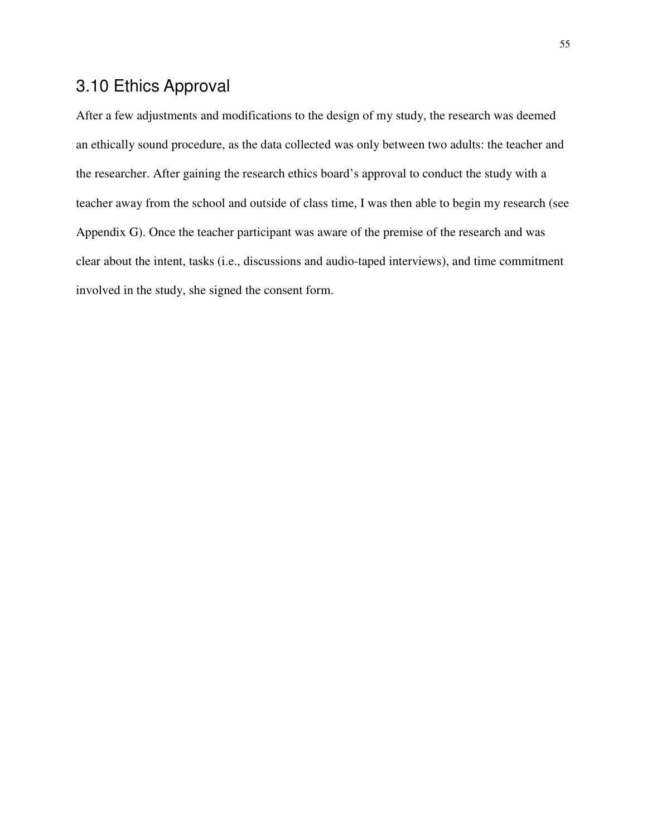# 3.10 Ethics Approval

After a few adjustments and modifications to the design of my study, the research was deemed an ethically sound procedure, as the data collected was only between two adults: the teacher and the researcher. After gaining the research ethics board's approval to conduct the study with a teacher away from the school and outside of class time, I was then able to begin my research (see Appendix G). Once the teacher participant was aware of the premise of the research and was clear about the intent, tasks (i.e., discussions and audio-taped interviews), and time commitment involved in the study, she signed the consent form.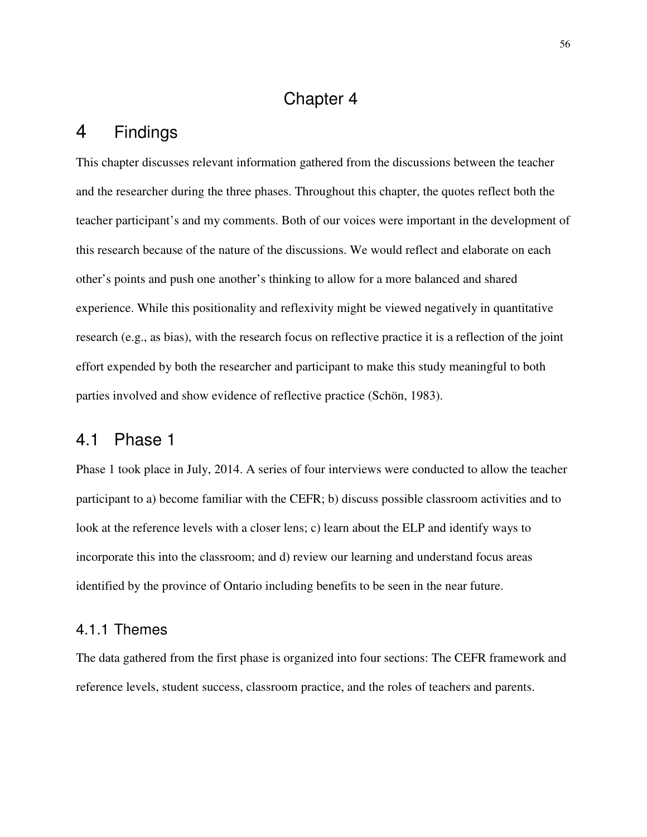# Chapter 4

# 4 Findings

This chapter discusses relevant information gathered from the discussions between the teacher and the researcher during the three phases. Throughout this chapter, the quotes reflect both the teacher participant's and my comments. Both of our voices were important in the development of this research because of the nature of the discussions. We would reflect and elaborate on each other's points and push one another's thinking to allow for a more balanced and shared experience. While this positionality and reflexivity might be viewed negatively in quantitative research (e.g., as bias), with the research focus on reflective practice it is a reflection of the joint effort expended by both the researcher and participant to make this study meaningful to both parties involved and show evidence of reflective practice (Schön, 1983).

### 4.1 Phase 1

Phase 1 took place in July, 2014. A series of four interviews were conducted to allow the teacher participant to a) become familiar with the CEFR; b) discuss possible classroom activities and to look at the reference levels with a closer lens; c) learn about the ELP and identify ways to incorporate this into the classroom; and d) review our learning and understand focus areas identified by the province of Ontario including benefits to be seen in the near future.

#### 4.1.1 Themes

The data gathered from the first phase is organized into four sections: The CEFR framework and reference levels, student success, classroom practice, and the roles of teachers and parents.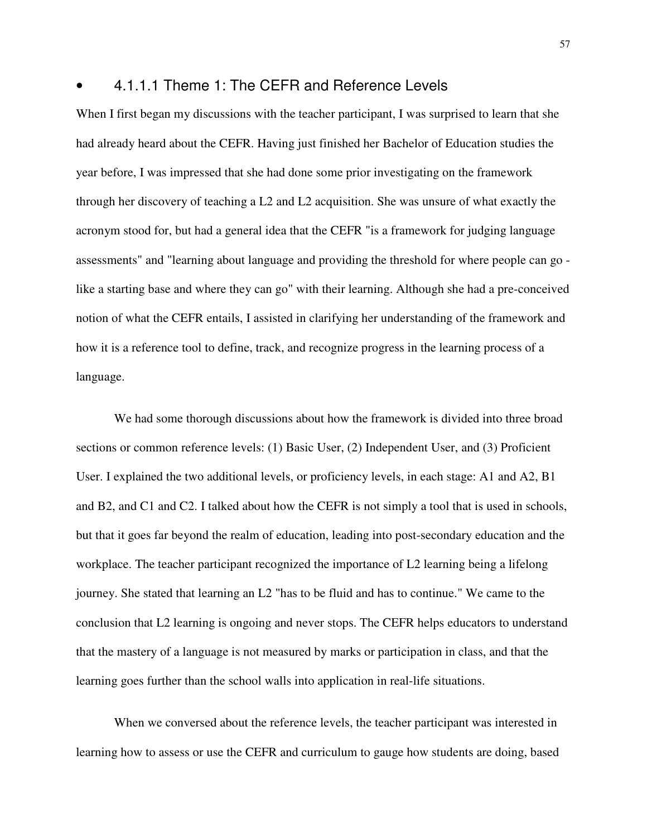#### • 4.1.1.1 Theme 1: The CEFR and Reference Levels

When I first began my discussions with the teacher participant, I was surprised to learn that she had already heard about the CEFR. Having just finished her Bachelor of Education studies the year before, I was impressed that she had done some prior investigating on the framework through her discovery of teaching a L2 and L2 acquisition. She was unsure of what exactly the acronym stood for, but had a general idea that the CEFR "is a framework for judging language assessments" and "learning about language and providing the threshold for where people can go like a starting base and where they can go" with their learning. Although she had a pre-conceived notion of what the CEFR entails, I assisted in clarifying her understanding of the framework and how it is a reference tool to define, track, and recognize progress in the learning process of a language.

We had some thorough discussions about how the framework is divided into three broad sections or common reference levels: (1) Basic User, (2) Independent User, and (3) Proficient User. I explained the two additional levels, or proficiency levels, in each stage: A1 and A2, B1 and B2, and C1 and C2. I talked about how the CEFR is not simply a tool that is used in schools, but that it goes far beyond the realm of education, leading into post-secondary education and the workplace. The teacher participant recognized the importance of L2 learning being a lifelong journey. She stated that learning an L2 "has to be fluid and has to continue." We came to the conclusion that L2 learning is ongoing and never stops. The CEFR helps educators to understand that the mastery of a language is not measured by marks or participation in class, and that the learning goes further than the school walls into application in real-life situations.

When we conversed about the reference levels, the teacher participant was interested in learning how to assess or use the CEFR and curriculum to gauge how students are doing, based

57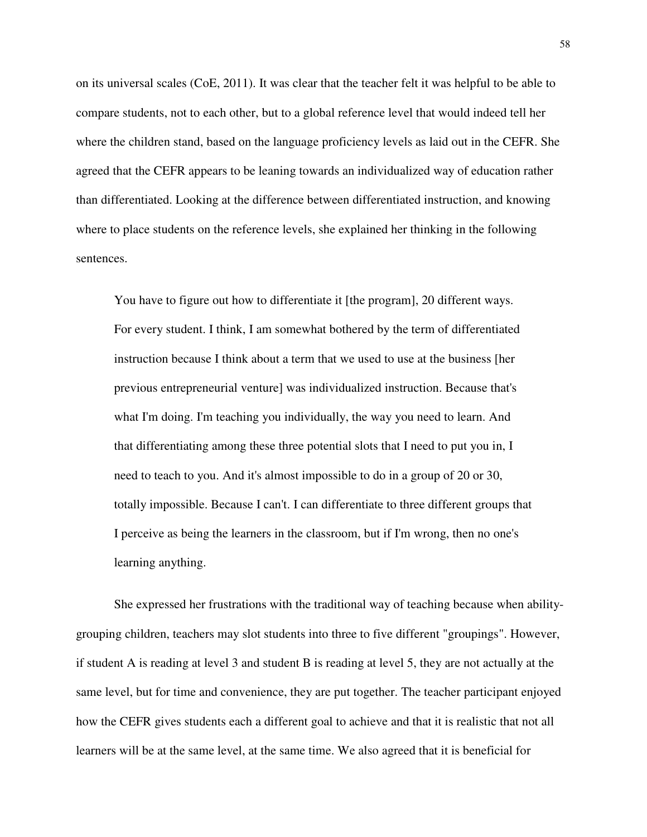on its universal scales (CoE, 2011). It was clear that the teacher felt it was helpful to be able to compare students, not to each other, but to a global reference level that would indeed tell her where the children stand, based on the language proficiency levels as laid out in the CEFR. She agreed that the CEFR appears to be leaning towards an individualized way of education rather than differentiated. Looking at the difference between differentiated instruction, and knowing where to place students on the reference levels, she explained her thinking in the following sentences.

You have to figure out how to differentiate it [the program], 20 different ways. For every student. I think, I am somewhat bothered by the term of differentiated instruction because I think about a term that we used to use at the business [her previous entrepreneurial venture] was individualized instruction. Because that's what I'm doing. I'm teaching you individually, the way you need to learn. And that differentiating among these three potential slots that I need to put you in, I need to teach to you. And it's almost impossible to do in a group of 20 or 30, totally impossible. Because I can't. I can differentiate to three different groups that I perceive as being the learners in the classroom, but if I'm wrong, then no one's learning anything.

She expressed her frustrations with the traditional way of teaching because when abilitygrouping children, teachers may slot students into three to five different "groupings". However, if student A is reading at level 3 and student B is reading at level 5, they are not actually at the same level, but for time and convenience, they are put together. The teacher participant enjoyed how the CEFR gives students each a different goal to achieve and that it is realistic that not all learners will be at the same level, at the same time. We also agreed that it is beneficial for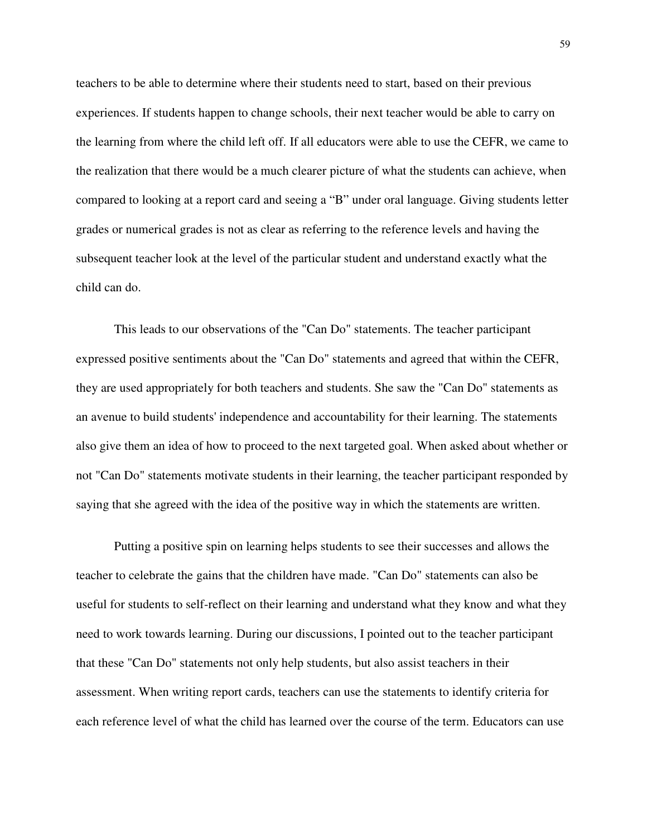teachers to be able to determine where their students need to start, based on their previous experiences. If students happen to change schools, their next teacher would be able to carry on the learning from where the child left off. If all educators were able to use the CEFR, we came to the realization that there would be a much clearer picture of what the students can achieve, when compared to looking at a report card and seeing a "B" under oral language. Giving students letter grades or numerical grades is not as clear as referring to the reference levels and having the subsequent teacher look at the level of the particular student and understand exactly what the child can do.

This leads to our observations of the "Can Do" statements. The teacher participant expressed positive sentiments about the "Can Do" statements and agreed that within the CEFR, they are used appropriately for both teachers and students. She saw the "Can Do" statements as an avenue to build students' independence and accountability for their learning. The statements also give them an idea of how to proceed to the next targeted goal. When asked about whether or not "Can Do" statements motivate students in their learning, the teacher participant responded by saying that she agreed with the idea of the positive way in which the statements are written.

Putting a positive spin on learning helps students to see their successes and allows the teacher to celebrate the gains that the children have made. "Can Do" statements can also be useful for students to self-reflect on their learning and understand what they know and what they need to work towards learning. During our discussions, I pointed out to the teacher participant that these "Can Do" statements not only help students, but also assist teachers in their assessment. When writing report cards, teachers can use the statements to identify criteria for each reference level of what the child has learned over the course of the term. Educators can use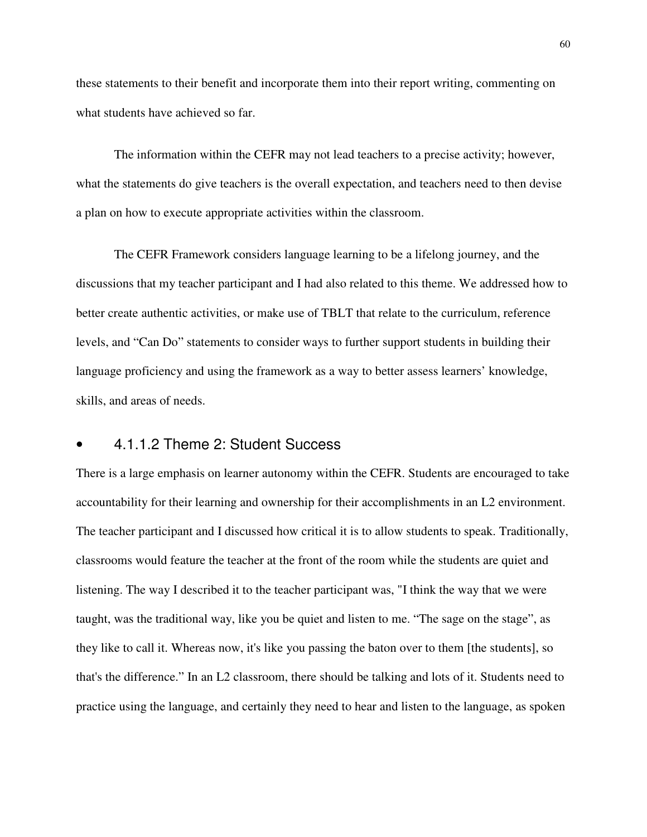these statements to their benefit and incorporate them into their report writing, commenting on what students have achieved so far.

The information within the CEFR may not lead teachers to a precise activity; however, what the statements do give teachers is the overall expectation, and teachers need to then devise a plan on how to execute appropriate activities within the classroom.

The CEFR Framework considers language learning to be a lifelong journey, and the discussions that my teacher participant and I had also related to this theme. We addressed how to better create authentic activities, or make use of TBLT that relate to the curriculum, reference levels, and "Can Do" statements to consider ways to further support students in building their language proficiency and using the framework as a way to better assess learners' knowledge, skills, and areas of needs.

#### • 4.1.1.2 Theme 2: Student Success

There is a large emphasis on learner autonomy within the CEFR. Students are encouraged to take accountability for their learning and ownership for their accomplishments in an L2 environment. The teacher participant and I discussed how critical it is to allow students to speak. Traditionally, classrooms would feature the teacher at the front of the room while the students are quiet and listening. The way I described it to the teacher participant was, "I think the way that we were taught, was the traditional way, like you be quiet and listen to me. "The sage on the stage", as they like to call it. Whereas now, it's like you passing the baton over to them [the students], so that's the difference." In an L2 classroom, there should be talking and lots of it. Students need to practice using the language, and certainly they need to hear and listen to the language, as spoken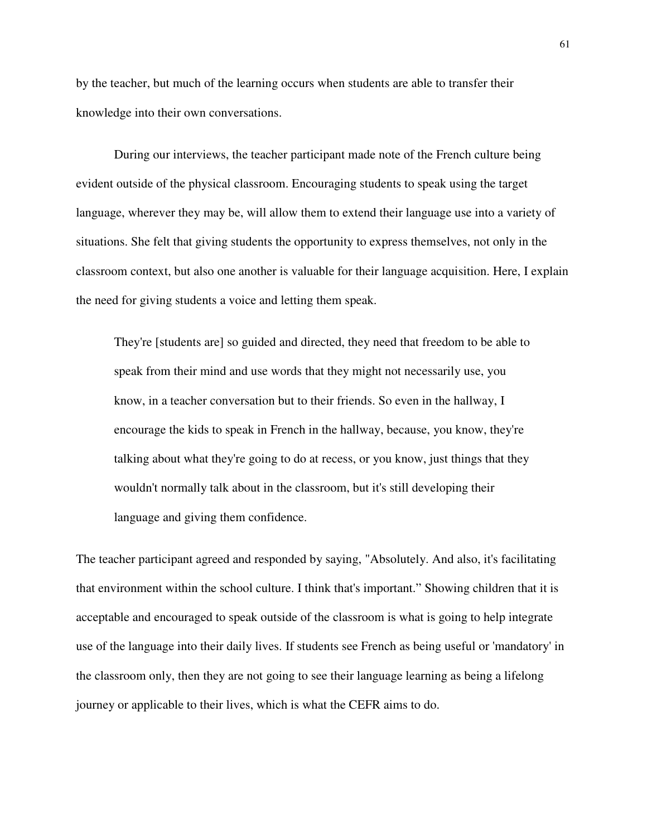by the teacher, but much of the learning occurs when students are able to transfer their knowledge into their own conversations.

During our interviews, the teacher participant made note of the French culture being evident outside of the physical classroom. Encouraging students to speak using the target language, wherever they may be, will allow them to extend their language use into a variety of situations. She felt that giving students the opportunity to express themselves, not only in the classroom context, but also one another is valuable for their language acquisition. Here, I explain the need for giving students a voice and letting them speak.

They're [students are] so guided and directed, they need that freedom to be able to speak from their mind and use words that they might not necessarily use, you know, in a teacher conversation but to their friends. So even in the hallway, I encourage the kids to speak in French in the hallway, because, you know, they're talking about what they're going to do at recess, or you know, just things that they wouldn't normally talk about in the classroom, but it's still developing their language and giving them confidence.

The teacher participant agreed and responded by saying, "Absolutely. And also, it's facilitating that environment within the school culture. I think that's important." Showing children that it is acceptable and encouraged to speak outside of the classroom is what is going to help integrate use of the language into their daily lives. If students see French as being useful or 'mandatory' in the classroom only, then they are not going to see their language learning as being a lifelong journey or applicable to their lives, which is what the CEFR aims to do.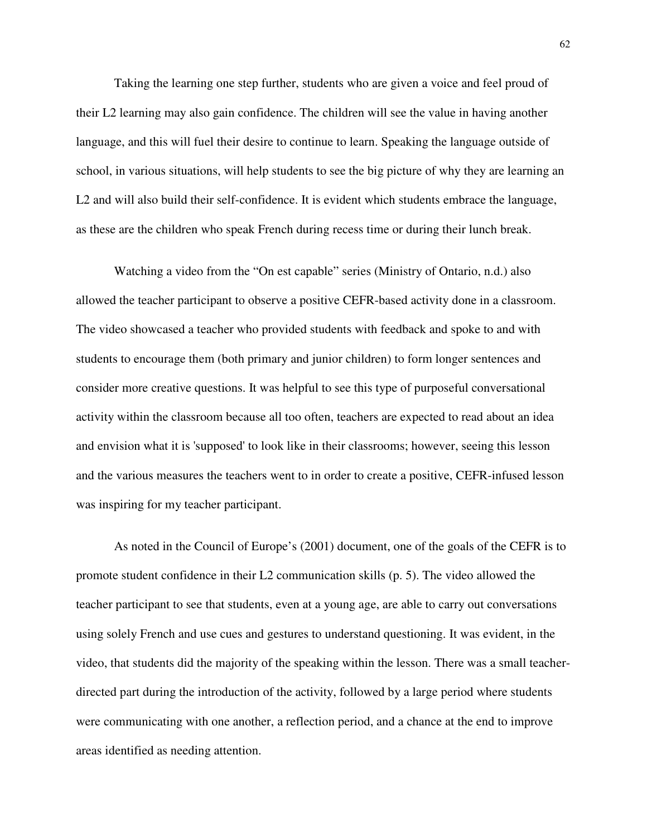Taking the learning one step further, students who are given a voice and feel proud of their L2 learning may also gain confidence. The children will see the value in having another language, and this will fuel their desire to continue to learn. Speaking the language outside of school, in various situations, will help students to see the big picture of why they are learning an L2 and will also build their self-confidence. It is evident which students embrace the language, as these are the children who speak French during recess time or during their lunch break.

Watching a video from the "On est capable" series (Ministry of Ontario, n.d.) also allowed the teacher participant to observe a positive CEFR-based activity done in a classroom. The video showcased a teacher who provided students with feedback and spoke to and with students to encourage them (both primary and junior children) to form longer sentences and consider more creative questions. It was helpful to see this type of purposeful conversational activity within the classroom because all too often, teachers are expected to read about an idea and envision what it is 'supposed' to look like in their classrooms; however, seeing this lesson and the various measures the teachers went to in order to create a positive, CEFR-infused lesson was inspiring for my teacher participant.

As noted in the Council of Europe's (2001) document, one of the goals of the CEFR is to promote student confidence in their L2 communication skills (p. 5). The video allowed the teacher participant to see that students, even at a young age, are able to carry out conversations using solely French and use cues and gestures to understand questioning. It was evident, in the video, that students did the majority of the speaking within the lesson. There was a small teacherdirected part during the introduction of the activity, followed by a large period where students were communicating with one another, a reflection period, and a chance at the end to improve areas identified as needing attention.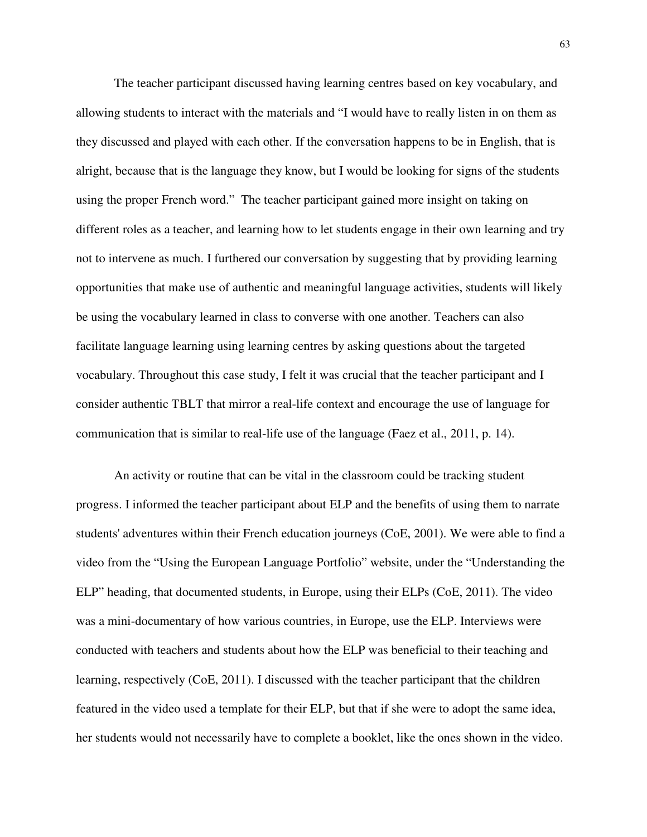The teacher participant discussed having learning centres based on key vocabulary, and allowing students to interact with the materials and "I would have to really listen in on them as they discussed and played with each other. If the conversation happens to be in English, that is alright, because that is the language they know, but I would be looking for signs of the students using the proper French word." The teacher participant gained more insight on taking on different roles as a teacher, and learning how to let students engage in their own learning and try not to intervene as much. I furthered our conversation by suggesting that by providing learning opportunities that make use of authentic and meaningful language activities, students will likely be using the vocabulary learned in class to converse with one another. Teachers can also facilitate language learning using learning centres by asking questions about the targeted vocabulary. Throughout this case study, I felt it was crucial that the teacher participant and I consider authentic TBLT that mirror a real-life context and encourage the use of language for communication that is similar to real-life use of the language (Faez et al., 2011, p. 14).

An activity or routine that can be vital in the classroom could be tracking student progress. I informed the teacher participant about ELP and the benefits of using them to narrate students' adventures within their French education journeys (CoE, 2001). We were able to find a video from the "Using the European Language Portfolio" website, under the "Understanding the ELP" heading, that documented students, in Europe, using their ELPs (CoE, 2011). The video was a mini-documentary of how various countries, in Europe, use the ELP. Interviews were conducted with teachers and students about how the ELP was beneficial to their teaching and learning, respectively (CoE, 2011). I discussed with the teacher participant that the children featured in the video used a template for their ELP, but that if she were to adopt the same idea, her students would not necessarily have to complete a booklet, like the ones shown in the video.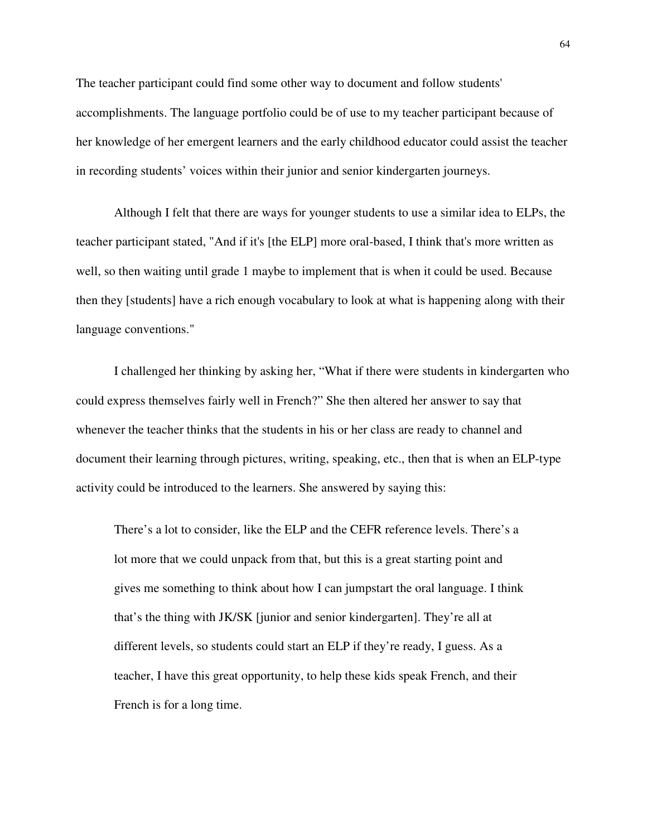The teacher participant could find some other way to document and follow students' accomplishments. The language portfolio could be of use to my teacher participant because of her knowledge of her emergent learners and the early childhood educator could assist the teacher in recording students' voices within their junior and senior kindergarten journeys.

Although I felt that there are ways for younger students to use a similar idea to ELPs, the teacher participant stated, "And if it's [the ELP] more oral-based, I think that's more written as well, so then waiting until grade 1 maybe to implement that is when it could be used. Because then they [students] have a rich enough vocabulary to look at what is happening along with their language conventions."

I challenged her thinking by asking her, "What if there were students in kindergarten who could express themselves fairly well in French?" She then altered her answer to say that whenever the teacher thinks that the students in his or her class are ready to channel and document their learning through pictures, writing, speaking, etc., then that is when an ELP-type activity could be introduced to the learners. She answered by saying this:

There's a lot to consider, like the ELP and the CEFR reference levels. There's a lot more that we could unpack from that, but this is a great starting point and gives me something to think about how I can jumpstart the oral language. I think that's the thing with JK/SK [junior and senior kindergarten]. They're all at different levels, so students could start an ELP if they're ready, I guess. As a teacher, I have this great opportunity, to help these kids speak French, and their French is for a long time.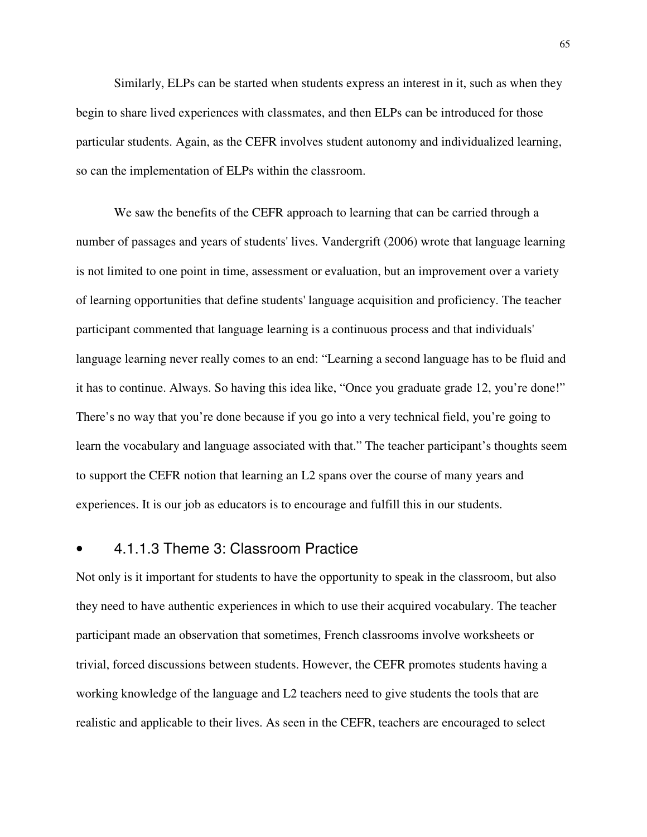Similarly, ELPs can be started when students express an interest in it, such as when they begin to share lived experiences with classmates, and then ELPs can be introduced for those particular students. Again, as the CEFR involves student autonomy and individualized learning, so can the implementation of ELPs within the classroom.

We saw the benefits of the CEFR approach to learning that can be carried through a number of passages and years of students' lives. Vandergrift (2006) wrote that language learning is not limited to one point in time, assessment or evaluation, but an improvement over a variety of learning opportunities that define students' language acquisition and proficiency. The teacher participant commented that language learning is a continuous process and that individuals' language learning never really comes to an end: "Learning a second language has to be fluid and it has to continue. Always. So having this idea like, "Once you graduate grade 12, you're done!" There's no way that you're done because if you go into a very technical field, you're going to learn the vocabulary and language associated with that." The teacher participant's thoughts seem to support the CEFR notion that learning an L2 spans over the course of many years and experiences. It is our job as educators is to encourage and fulfill this in our students.

#### • 4.1.1.3 Theme 3: Classroom Practice

Not only is it important for students to have the opportunity to speak in the classroom, but also they need to have authentic experiences in which to use their acquired vocabulary. The teacher participant made an observation that sometimes, French classrooms involve worksheets or trivial, forced discussions between students. However, the CEFR promotes students having a working knowledge of the language and L2 teachers need to give students the tools that are realistic and applicable to their lives. As seen in the CEFR, teachers are encouraged to select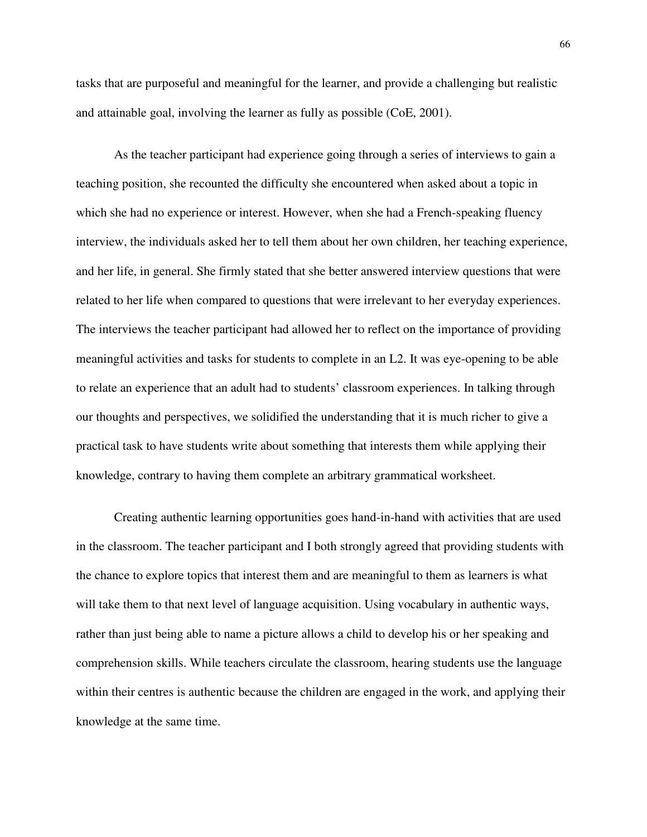tasks that are purposeful and meaningful for the learner, and provide a challenging but realistic and attainable goal, involving the learner as fully as possible (CoE, 2001).

As the teacher participant had experience going through a series of interviews to gain a teaching position, she recounted the difficulty she encountered when asked about a topic in which she had no experience or interest. However, when she had a French-speaking fluency interview, the individuals asked her to tell them about her own children, her teaching experience, and her life, in general. She firmly stated that she better answered interview questions that were related to her life when compared to questions that were irrelevant to her everyday experiences. The interviews the teacher participant had allowed her to reflect on the importance of providing meaningful activities and tasks for students to complete in an L2. It was eye-opening to be able to relate an experience that an adult had to students' classroom experiences. In talking through our thoughts and perspectives, we solidified the understanding that it is much richer to give a practical task to have students write about something that interests them while applying their knowledge, contrary to having them complete an arbitrary grammatical worksheet.

Creating authentic learning opportunities goes hand-in-hand with activities that are used in the classroom. The teacher participant and I both strongly agreed that providing students with the chance to explore topics that interest them and are meaningful to them as learners is what will take them to that next level of language acquisition. Using vocabulary in authentic ways, rather than just being able to name a picture allows a child to develop his or her speaking and comprehension skills. While teachers circulate the classroom, hearing students use the language within their centres is authentic because the children are engaged in the work, and applying their knowledge at the same time.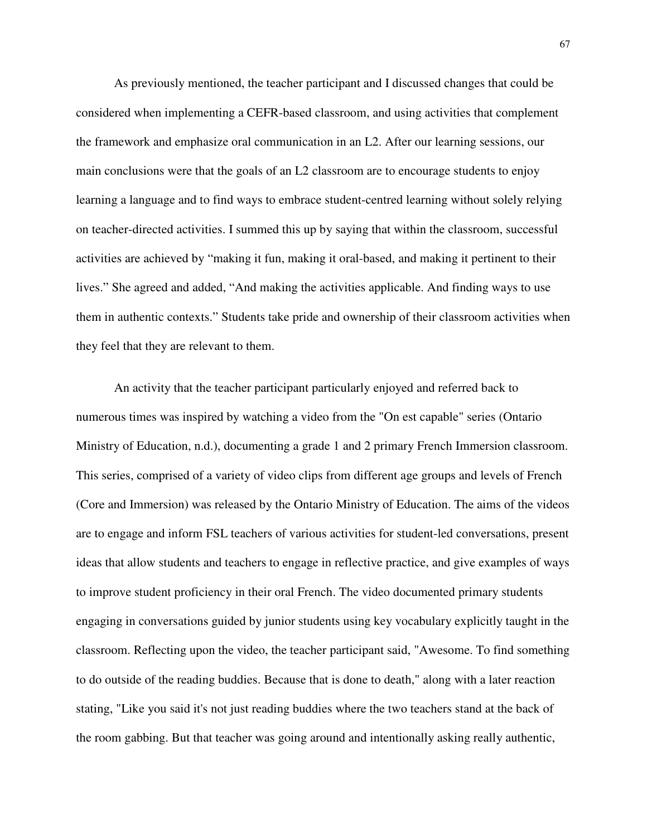As previously mentioned, the teacher participant and I discussed changes that could be considered when implementing a CEFR-based classroom, and using activities that complement the framework and emphasize oral communication in an L2. After our learning sessions, our main conclusions were that the goals of an L2 classroom are to encourage students to enjoy learning a language and to find ways to embrace student-centred learning without solely relying on teacher-directed activities. I summed this up by saying that within the classroom, successful activities are achieved by "making it fun, making it oral-based, and making it pertinent to their lives." She agreed and added, "And making the activities applicable. And finding ways to use them in authentic contexts." Students take pride and ownership of their classroom activities when they feel that they are relevant to them.

An activity that the teacher participant particularly enjoyed and referred back to numerous times was inspired by watching a video from the "On est capable" series (Ontario Ministry of Education, n.d.), documenting a grade 1 and 2 primary French Immersion classroom. This series, comprised of a variety of video clips from different age groups and levels of French (Core and Immersion) was released by the Ontario Ministry of Education. The aims of the videos are to engage and inform FSL teachers of various activities for student-led conversations, present ideas that allow students and teachers to engage in reflective practice, and give examples of ways to improve student proficiency in their oral French. The video documented primary students engaging in conversations guided by junior students using key vocabulary explicitly taught in the classroom. Reflecting upon the video, the teacher participant said, "Awesome. To find something to do outside of the reading buddies. Because that is done to death," along with a later reaction stating, "Like you said it's not just reading buddies where the two teachers stand at the back of the room gabbing. But that teacher was going around and intentionally asking really authentic,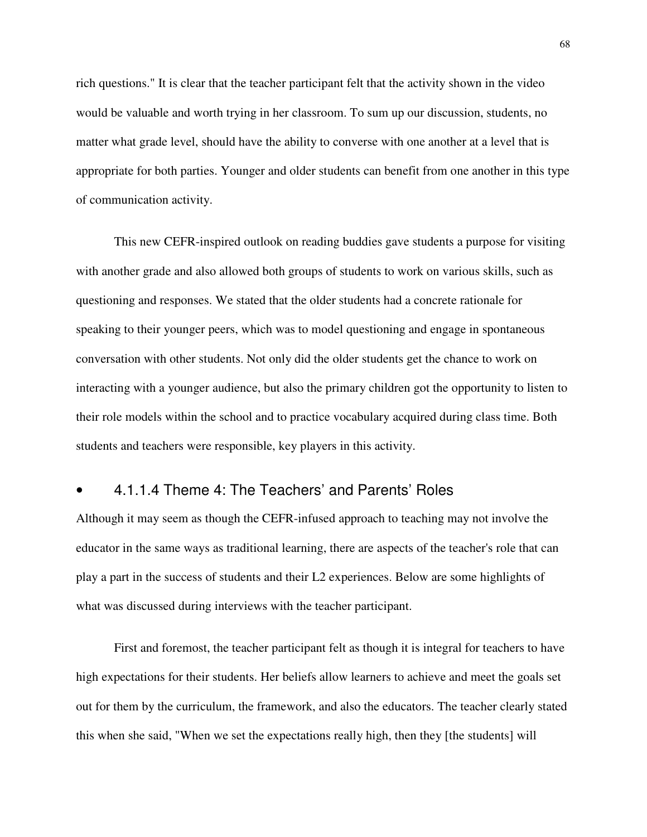rich questions." It is clear that the teacher participant felt that the activity shown in the video would be valuable and worth trying in her classroom. To sum up our discussion, students, no matter what grade level, should have the ability to converse with one another at a level that is appropriate for both parties. Younger and older students can benefit from one another in this type of communication activity.

This new CEFR-inspired outlook on reading buddies gave students a purpose for visiting with another grade and also allowed both groups of students to work on various skills, such as questioning and responses. We stated that the older students had a concrete rationale for speaking to their younger peers, which was to model questioning and engage in spontaneous conversation with other students. Not only did the older students get the chance to work on interacting with a younger audience, but also the primary children got the opportunity to listen to their role models within the school and to practice vocabulary acquired during class time. Both students and teachers were responsible, key players in this activity.

### • 4.1.1.4 Theme 4: The Teachers' and Parents' Roles

Although it may seem as though the CEFR-infused approach to teaching may not involve the educator in the same ways as traditional learning, there are aspects of the teacher's role that can play a part in the success of students and their L2 experiences. Below are some highlights of what was discussed during interviews with the teacher participant.

First and foremost, the teacher participant felt as though it is integral for teachers to have high expectations for their students. Her beliefs allow learners to achieve and meet the goals set out for them by the curriculum, the framework, and also the educators. The teacher clearly stated this when she said, "When we set the expectations really high, then they [the students] will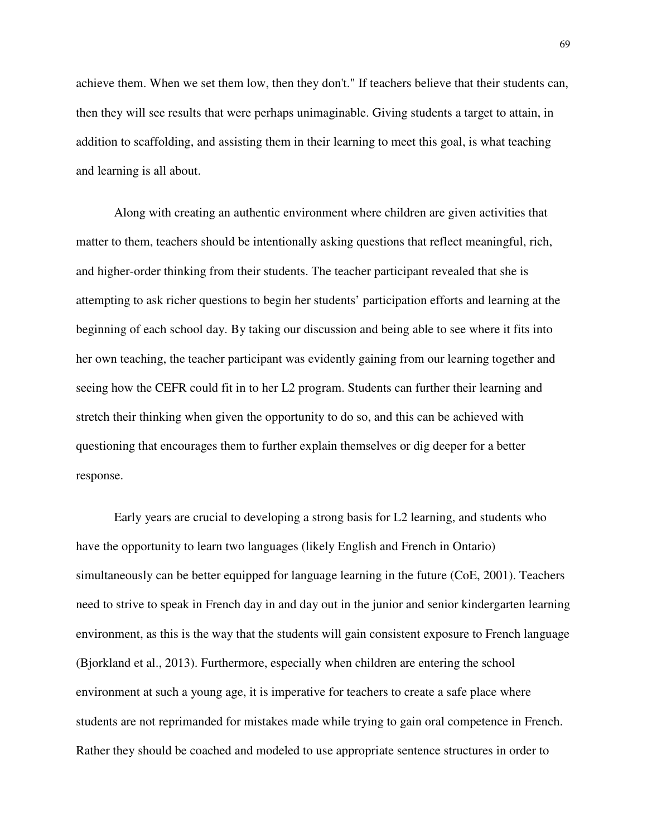achieve them. When we set them low, then they don't." If teachers believe that their students can, then they will see results that were perhaps unimaginable. Giving students a target to attain, in addition to scaffolding, and assisting them in their learning to meet this goal, is what teaching and learning is all about.

Along with creating an authentic environment where children are given activities that matter to them, teachers should be intentionally asking questions that reflect meaningful, rich, and higher-order thinking from their students. The teacher participant revealed that she is attempting to ask richer questions to begin her students' participation efforts and learning at the beginning of each school day. By taking our discussion and being able to see where it fits into her own teaching, the teacher participant was evidently gaining from our learning together and seeing how the CEFR could fit in to her L2 program. Students can further their learning and stretch their thinking when given the opportunity to do so, and this can be achieved with questioning that encourages them to further explain themselves or dig deeper for a better response.

Early years are crucial to developing a strong basis for L2 learning, and students who have the opportunity to learn two languages (likely English and French in Ontario) simultaneously can be better equipped for language learning in the future (CoE, 2001). Teachers need to strive to speak in French day in and day out in the junior and senior kindergarten learning environment, as this is the way that the students will gain consistent exposure to French language (Bjorkland et al., 2013). Furthermore, especially when children are entering the school environment at such a young age, it is imperative for teachers to create a safe place where students are not reprimanded for mistakes made while trying to gain oral competence in French. Rather they should be coached and modeled to use appropriate sentence structures in order to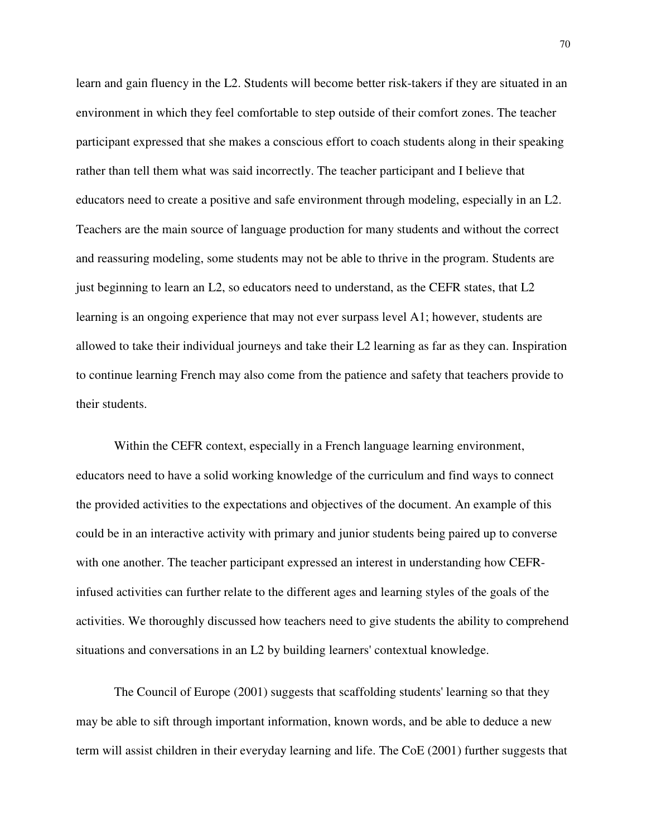learn and gain fluency in the L2. Students will become better risk-takers if they are situated in an environment in which they feel comfortable to step outside of their comfort zones. The teacher participant expressed that she makes a conscious effort to coach students along in their speaking rather than tell them what was said incorrectly. The teacher participant and I believe that educators need to create a positive and safe environment through modeling, especially in an L2. Teachers are the main source of language production for many students and without the correct and reassuring modeling, some students may not be able to thrive in the program. Students are just beginning to learn an L2, so educators need to understand, as the CEFR states, that L2 learning is an ongoing experience that may not ever surpass level A1; however, students are allowed to take their individual journeys and take their L2 learning as far as they can. Inspiration to continue learning French may also come from the patience and safety that teachers provide to their students.

Within the CEFR context, especially in a French language learning environment, educators need to have a solid working knowledge of the curriculum and find ways to connect the provided activities to the expectations and objectives of the document. An example of this could be in an interactive activity with primary and junior students being paired up to converse with one another. The teacher participant expressed an interest in understanding how CEFRinfused activities can further relate to the different ages and learning styles of the goals of the activities. We thoroughly discussed how teachers need to give students the ability to comprehend situations and conversations in an L2 by building learners' contextual knowledge.

The Council of Europe (2001) suggests that scaffolding students' learning so that they may be able to sift through important information, known words, and be able to deduce a new term will assist children in their everyday learning and life. The CoE (2001) further suggests that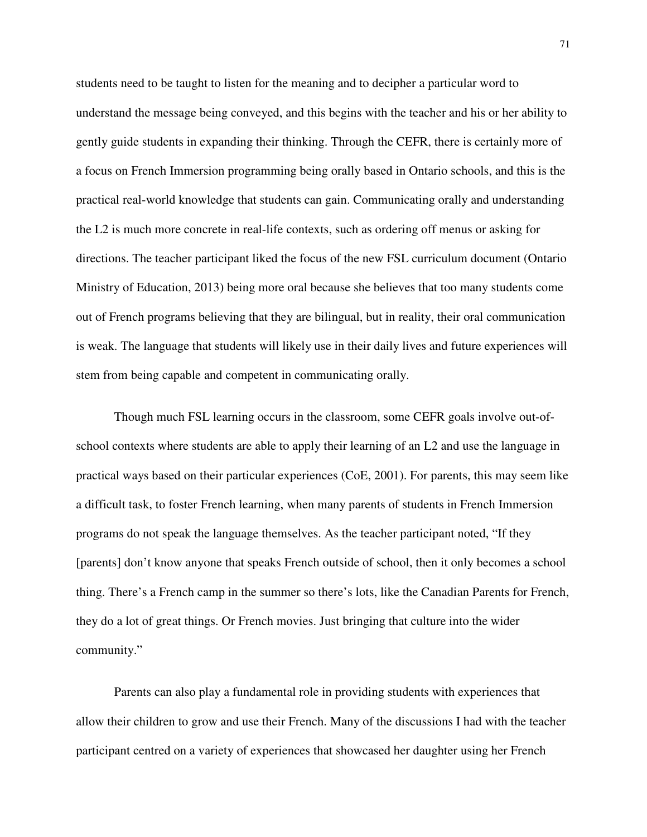students need to be taught to listen for the meaning and to decipher a particular word to understand the message being conveyed, and this begins with the teacher and his or her ability to gently guide students in expanding their thinking. Through the CEFR, there is certainly more of a focus on French Immersion programming being orally based in Ontario schools, and this is the practical real-world knowledge that students can gain. Communicating orally and understanding the L2 is much more concrete in real-life contexts, such as ordering off menus or asking for directions. The teacher participant liked the focus of the new FSL curriculum document (Ontario Ministry of Education, 2013) being more oral because she believes that too many students come out of French programs believing that they are bilingual, but in reality, their oral communication is weak. The language that students will likely use in their daily lives and future experiences will stem from being capable and competent in communicating orally.

Though much FSL learning occurs in the classroom, some CEFR goals involve out-ofschool contexts where students are able to apply their learning of an L2 and use the language in practical ways based on their particular experiences (CoE, 2001). For parents, this may seem like a difficult task, to foster French learning, when many parents of students in French Immersion programs do not speak the language themselves. As the teacher participant noted, "If they [parents] don't know anyone that speaks French outside of school, then it only becomes a school thing. There's a French camp in the summer so there's lots, like the Canadian Parents for French, they do a lot of great things. Or French movies. Just bringing that culture into the wider community."

Parents can also play a fundamental role in providing students with experiences that allow their children to grow and use their French. Many of the discussions I had with the teacher participant centred on a variety of experiences that showcased her daughter using her French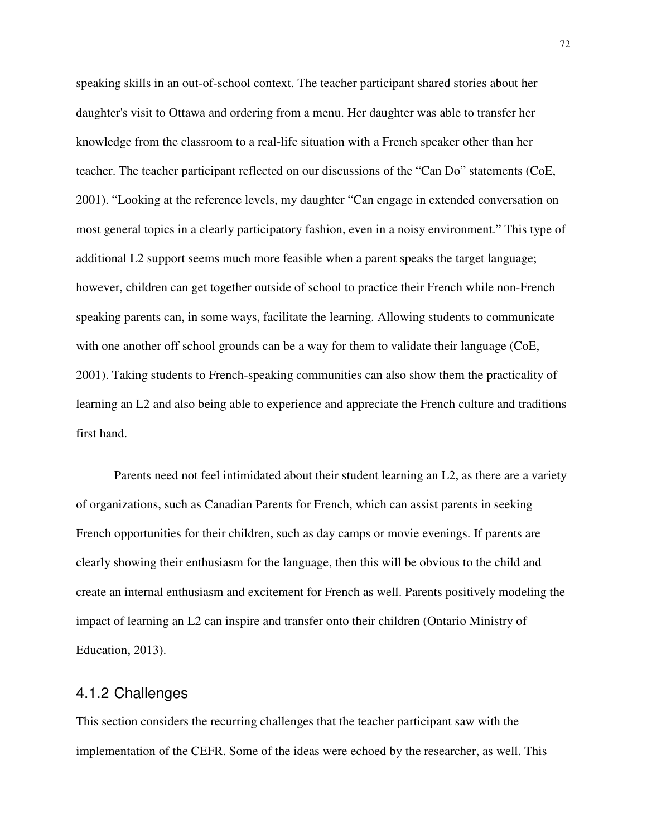speaking skills in an out-of-school context. The teacher participant shared stories about her daughter's visit to Ottawa and ordering from a menu. Her daughter was able to transfer her knowledge from the classroom to a real-life situation with a French speaker other than her teacher. The teacher participant reflected on our discussions of the "Can Do" statements (CoE, 2001). "Looking at the reference levels, my daughter "Can engage in extended conversation on most general topics in a clearly participatory fashion, even in a noisy environment." This type of additional L2 support seems much more feasible when a parent speaks the target language; however, children can get together outside of school to practice their French while non-French speaking parents can, in some ways, facilitate the learning. Allowing students to communicate with one another off school grounds can be a way for them to validate their language (CoE, 2001). Taking students to French-speaking communities can also show them the practicality of learning an L2 and also being able to experience and appreciate the French culture and traditions first hand.

Parents need not feel intimidated about their student learning an L2, as there are a variety of organizations, such as Canadian Parents for French, which can assist parents in seeking French opportunities for their children, such as day camps or movie evenings. If parents are clearly showing their enthusiasm for the language, then this will be obvious to the child and create an internal enthusiasm and excitement for French as well. Parents positively modeling the impact of learning an L2 can inspire and transfer onto their children (Ontario Ministry of Education, 2013).

#### 4.1.2 Challenges

This section considers the recurring challenges that the teacher participant saw with the implementation of the CEFR. Some of the ideas were echoed by the researcher, as well. This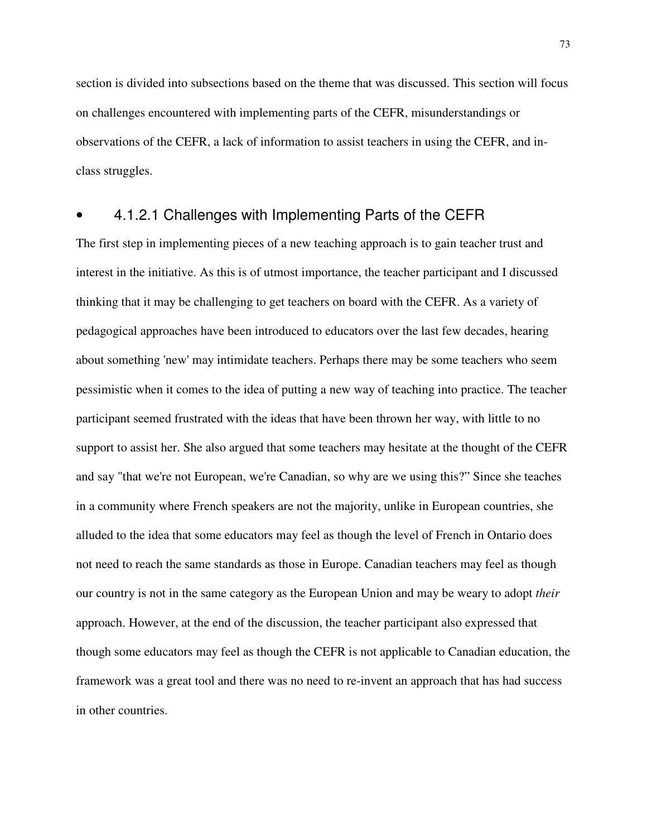section is divided into subsections based on the theme that was discussed. This section will focus on challenges encountered with implementing parts of the CEFR, misunderstandings or observations of the CEFR, a lack of information to assist teachers in using the CEFR, and inclass struggles.

## • 4.1.2.1 Challenges with Implementing Parts of the CEFR

The first step in implementing pieces of a new teaching approach is to gain teacher trust and interest in the initiative. As this is of utmost importance, the teacher participant and I discussed thinking that it may be challenging to get teachers on board with the CEFR. As a variety of pedagogical approaches have been introduced to educators over the last few decades, hearing about something 'new' may intimidate teachers. Perhaps there may be some teachers who seem pessimistic when it comes to the idea of putting a new way of teaching into practice. The teacher participant seemed frustrated with the ideas that have been thrown her way, with little to no support to assist her. She also argued that some teachers may hesitate at the thought of the CEFR and say "that we're not European, we're Canadian, so why are we using this?" Since she teaches in a community where French speakers are not the majority, unlike in European countries, she alluded to the idea that some educators may feel as though the level of French in Ontario does not need to reach the same standards as those in Europe. Canadian teachers may feel as though our country is not in the same category as the European Union and may be weary to adopt *their* approach. However, at the end of the discussion, the teacher participant also expressed that though some educators may feel as though the CEFR is not applicable to Canadian education, the framework was a great tool and there was no need to re-invent an approach that has had success in other countries.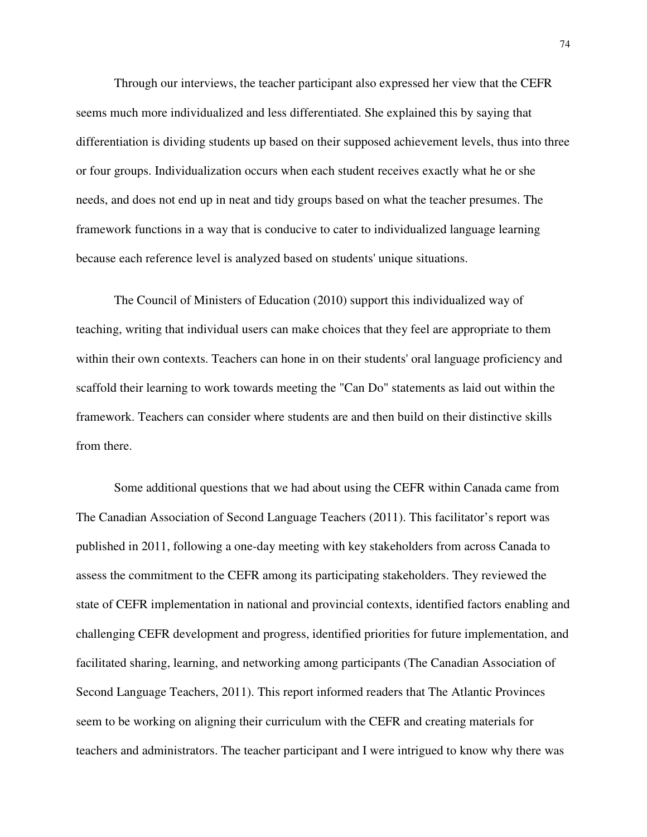Through our interviews, the teacher participant also expressed her view that the CEFR seems much more individualized and less differentiated. She explained this by saying that differentiation is dividing students up based on their supposed achievement levels, thus into three or four groups. Individualization occurs when each student receives exactly what he or she needs, and does not end up in neat and tidy groups based on what the teacher presumes. The framework functions in a way that is conducive to cater to individualized language learning because each reference level is analyzed based on students' unique situations.

The Council of Ministers of Education (2010) support this individualized way of teaching, writing that individual users can make choices that they feel are appropriate to them within their own contexts. Teachers can hone in on their students' oral language proficiency and scaffold their learning to work towards meeting the "Can Do" statements as laid out within the framework. Teachers can consider where students are and then build on their distinctive skills from there.

Some additional questions that we had about using the CEFR within Canada came from The Canadian Association of Second Language Teachers (2011). This facilitator's report was published in 2011, following a one-day meeting with key stakeholders from across Canada to assess the commitment to the CEFR among its participating stakeholders. They reviewed the state of CEFR implementation in national and provincial contexts, identified factors enabling and challenging CEFR development and progress, identified priorities for future implementation, and facilitated sharing, learning, and networking among participants (The Canadian Association of Second Language Teachers, 2011). This report informed readers that The Atlantic Provinces seem to be working on aligning their curriculum with the CEFR and creating materials for teachers and administrators. The teacher participant and I were intrigued to know why there was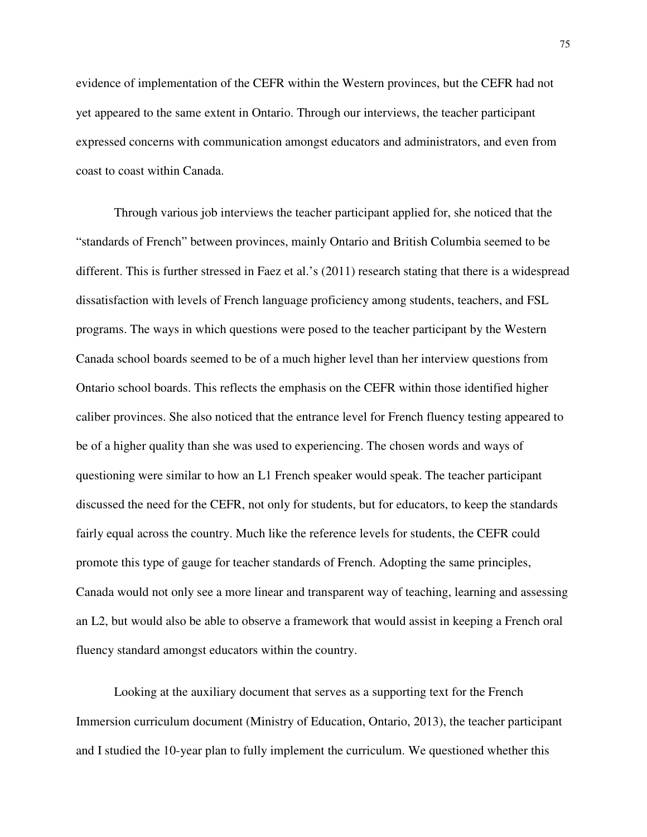evidence of implementation of the CEFR within the Western provinces, but the CEFR had not yet appeared to the same extent in Ontario. Through our interviews, the teacher participant expressed concerns with communication amongst educators and administrators, and even from coast to coast within Canada.

Through various job interviews the teacher participant applied for, she noticed that the "standards of French" between provinces, mainly Ontario and British Columbia seemed to be different. This is further stressed in Faez et al.'s (2011) research stating that there is a widespread dissatisfaction with levels of French language proficiency among students, teachers, and FSL programs. The ways in which questions were posed to the teacher participant by the Western Canada school boards seemed to be of a much higher level than her interview questions from Ontario school boards. This reflects the emphasis on the CEFR within those identified higher caliber provinces. She also noticed that the entrance level for French fluency testing appeared to be of a higher quality than she was used to experiencing. The chosen words and ways of questioning were similar to how an L1 French speaker would speak. The teacher participant discussed the need for the CEFR, not only for students, but for educators, to keep the standards fairly equal across the country. Much like the reference levels for students, the CEFR could promote this type of gauge for teacher standards of French. Adopting the same principles, Canada would not only see a more linear and transparent way of teaching, learning and assessing an L2, but would also be able to observe a framework that would assist in keeping a French oral fluency standard amongst educators within the country.

Looking at the auxiliary document that serves as a supporting text for the French Immersion curriculum document (Ministry of Education, Ontario, 2013), the teacher participant and I studied the 10-year plan to fully implement the curriculum. We questioned whether this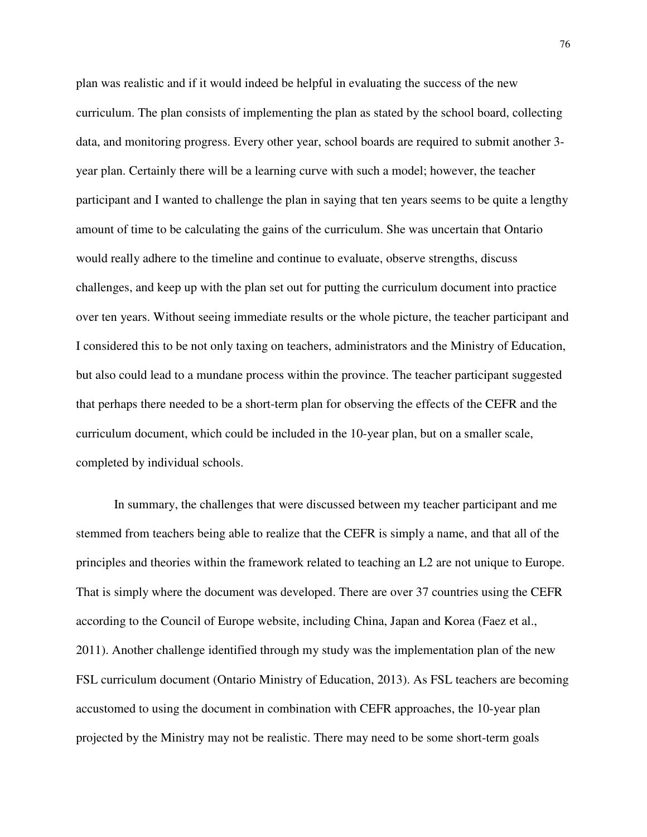plan was realistic and if it would indeed be helpful in evaluating the success of the new curriculum. The plan consists of implementing the plan as stated by the school board, collecting data, and monitoring progress. Every other year, school boards are required to submit another 3 year plan. Certainly there will be a learning curve with such a model; however, the teacher participant and I wanted to challenge the plan in saying that ten years seems to be quite a lengthy amount of time to be calculating the gains of the curriculum. She was uncertain that Ontario would really adhere to the timeline and continue to evaluate, observe strengths, discuss challenges, and keep up with the plan set out for putting the curriculum document into practice over ten years. Without seeing immediate results or the whole picture, the teacher participant and I considered this to be not only taxing on teachers, administrators and the Ministry of Education, but also could lead to a mundane process within the province. The teacher participant suggested that perhaps there needed to be a short-term plan for observing the effects of the CEFR and the curriculum document, which could be included in the 10-year plan, but on a smaller scale, completed by individual schools.

In summary, the challenges that were discussed between my teacher participant and me stemmed from teachers being able to realize that the CEFR is simply a name, and that all of the principles and theories within the framework related to teaching an L2 are not unique to Europe. That is simply where the document was developed. There are over 37 countries using the CEFR according to the Council of Europe website, including China, Japan and Korea (Faez et al., 2011). Another challenge identified through my study was the implementation plan of the new FSL curriculum document (Ontario Ministry of Education, 2013). As FSL teachers are becoming accustomed to using the document in combination with CEFR approaches, the 10-year plan projected by the Ministry may not be realistic. There may need to be some short-term goals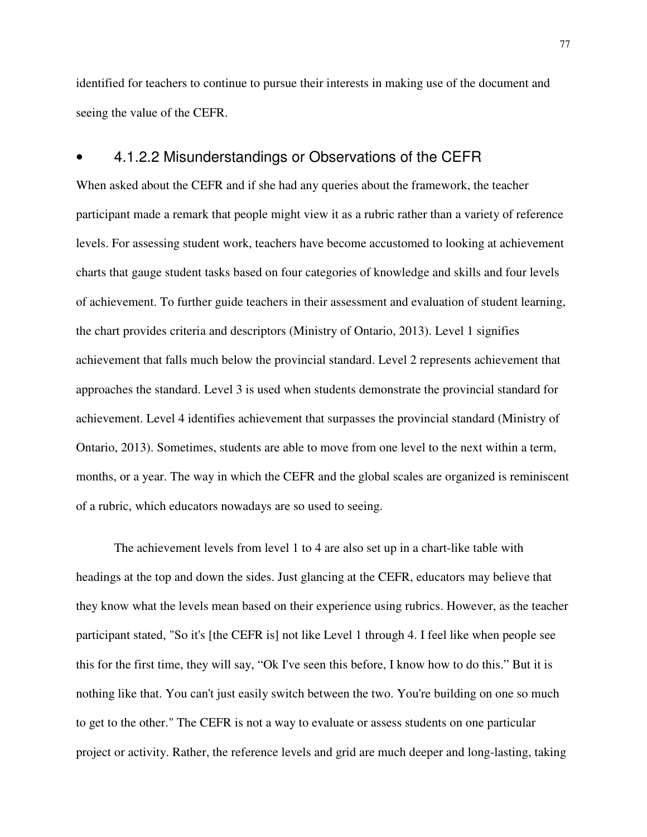identified for teachers to continue to pursue their interests in making use of the document and seeing the value of the CEFR.

### • 4.1.2.2 Misunderstandings or Observations of the CEFR

When asked about the CEFR and if she had any queries about the framework, the teacher participant made a remark that people might view it as a rubric rather than a variety of reference levels. For assessing student work, teachers have become accustomed to looking at achievement charts that gauge student tasks based on four categories of knowledge and skills and four levels of achievement. To further guide teachers in their assessment and evaluation of student learning, the chart provides criteria and descriptors (Ministry of Ontario, 2013). Level 1 signifies achievement that falls much below the provincial standard. Level 2 represents achievement that approaches the standard. Level 3 is used when students demonstrate the provincial standard for achievement. Level 4 identifies achievement that surpasses the provincial standard (Ministry of Ontario, 2013). Sometimes, students are able to move from one level to the next within a term, months, or a year. The way in which the CEFR and the global scales are organized is reminiscent of a rubric, which educators nowadays are so used to seeing.

The achievement levels from level 1 to 4 are also set up in a chart-like table with headings at the top and down the sides. Just glancing at the CEFR, educators may believe that they know what the levels mean based on their experience using rubrics. However, as the teacher participant stated, "So it's [the CEFR is] not like Level 1 through 4. I feel like when people see this for the first time, they will say, "Ok I've seen this before, I know how to do this." But it is nothing like that. You can't just easily switch between the two. You're building on one so much to get to the other." The CEFR is not a way to evaluate or assess students on one particular project or activity. Rather, the reference levels and grid are much deeper and long-lasting, taking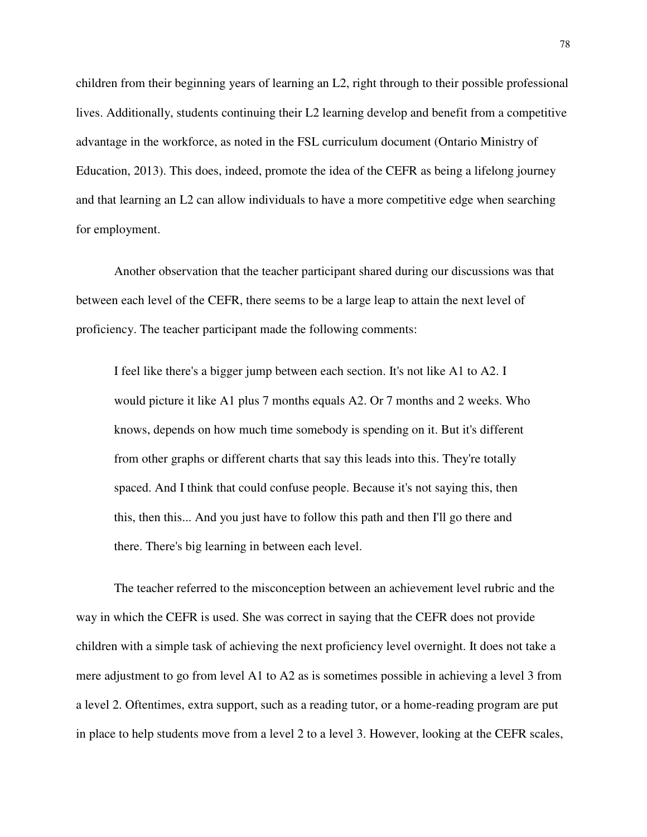children from their beginning years of learning an L2, right through to their possible professional lives. Additionally, students continuing their L2 learning develop and benefit from a competitive advantage in the workforce, as noted in the FSL curriculum document (Ontario Ministry of Education, 2013). This does, indeed, promote the idea of the CEFR as being a lifelong journey and that learning an L2 can allow individuals to have a more competitive edge when searching for employment.

Another observation that the teacher participant shared during our discussions was that between each level of the CEFR, there seems to be a large leap to attain the next level of proficiency. The teacher participant made the following comments:

I feel like there's a bigger jump between each section. It's not like A1 to A2. I would picture it like A1 plus 7 months equals A2. Or 7 months and 2 weeks. Who knows, depends on how much time somebody is spending on it. But it's different from other graphs or different charts that say this leads into this. They're totally spaced. And I think that could confuse people. Because it's not saying this, then this, then this... And you just have to follow this path and then I'll go there and there. There's big learning in between each level.

The teacher referred to the misconception between an achievement level rubric and the way in which the CEFR is used. She was correct in saying that the CEFR does not provide children with a simple task of achieving the next proficiency level overnight. It does not take a mere adjustment to go from level A1 to A2 as is sometimes possible in achieving a level 3 from a level 2. Oftentimes, extra support, such as a reading tutor, or a home-reading program are put in place to help students move from a level 2 to a level 3. However, looking at the CEFR scales,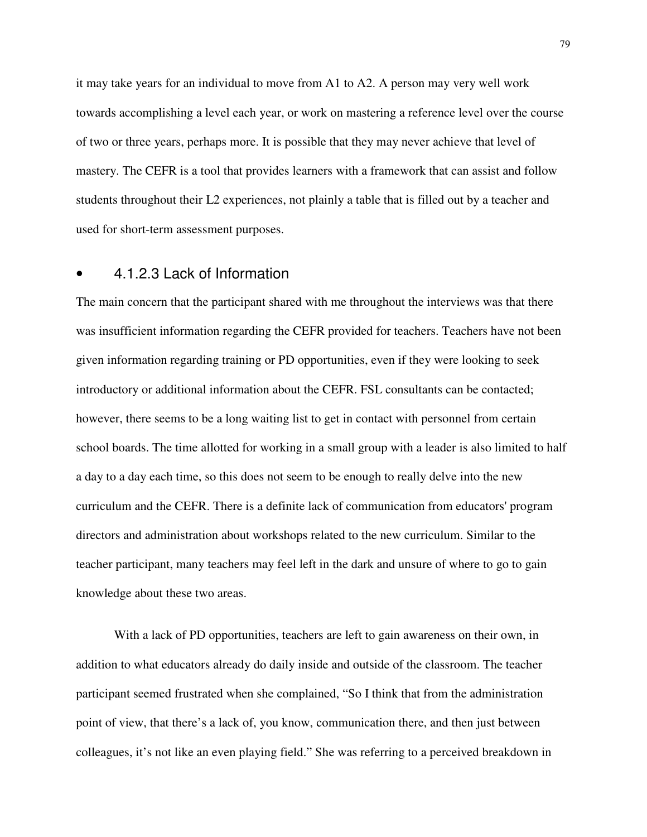it may take years for an individual to move from A1 to A2. A person may very well work towards accomplishing a level each year, or work on mastering a reference level over the course of two or three years, perhaps more. It is possible that they may never achieve that level of mastery. The CEFR is a tool that provides learners with a framework that can assist and follow students throughout their L2 experiences, not plainly a table that is filled out by a teacher and used for short-term assessment purposes.

#### • 4.1.2.3 Lack of Information

The main concern that the participant shared with me throughout the interviews was that there was insufficient information regarding the CEFR provided for teachers. Teachers have not been given information regarding training or PD opportunities, even if they were looking to seek introductory or additional information about the CEFR. FSL consultants can be contacted; however, there seems to be a long waiting list to get in contact with personnel from certain school boards. The time allotted for working in a small group with a leader is also limited to half a day to a day each time, so this does not seem to be enough to really delve into the new curriculum and the CEFR. There is a definite lack of communication from educators' program directors and administration about workshops related to the new curriculum. Similar to the teacher participant, many teachers may feel left in the dark and unsure of where to go to gain knowledge about these two areas.

With a lack of PD opportunities, teachers are left to gain awareness on their own, in addition to what educators already do daily inside and outside of the classroom. The teacher participant seemed frustrated when she complained, "So I think that from the administration point of view, that there's a lack of, you know, communication there, and then just between colleagues, it's not like an even playing field." She was referring to a perceived breakdown in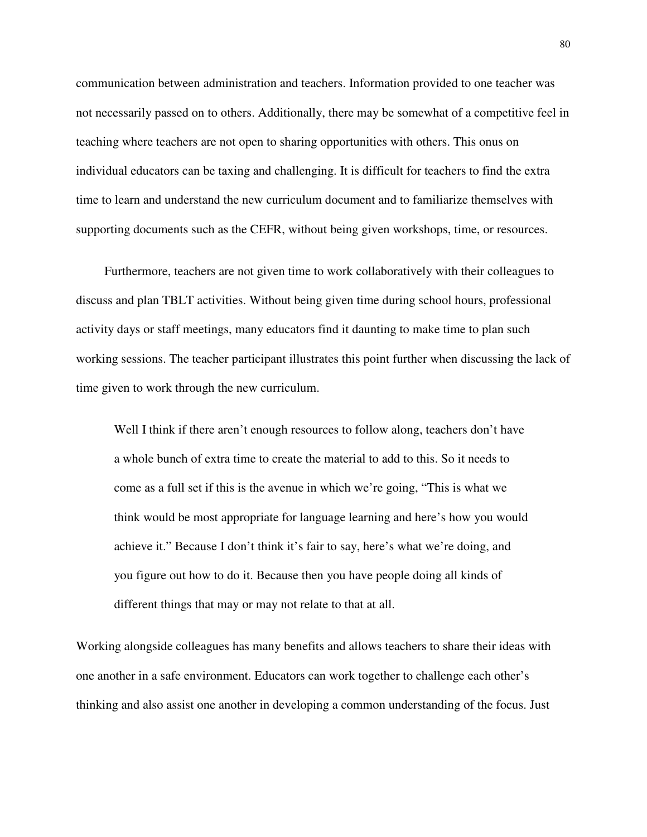communication between administration and teachers. Information provided to one teacher was not necessarily passed on to others. Additionally, there may be somewhat of a competitive feel in teaching where teachers are not open to sharing opportunities with others. This onus on individual educators can be taxing and challenging. It is difficult for teachers to find the extra time to learn and understand the new curriculum document and to familiarize themselves with supporting documents such as the CEFR, without being given workshops, time, or resources.

Furthermore, teachers are not given time to work collaboratively with their colleagues to discuss and plan TBLT activities. Without being given time during school hours, professional activity days or staff meetings, many educators find it daunting to make time to plan such working sessions. The teacher participant illustrates this point further when discussing the lack of time given to work through the new curriculum.

Well I think if there aren't enough resources to follow along, teachers don't have a whole bunch of extra time to create the material to add to this. So it needs to come as a full set if this is the avenue in which we're going, "This is what we think would be most appropriate for language learning and here's how you would achieve it." Because I don't think it's fair to say, here's what we're doing, and you figure out how to do it. Because then you have people doing all kinds of different things that may or may not relate to that at all.

Working alongside colleagues has many benefits and allows teachers to share their ideas with one another in a safe environment. Educators can work together to challenge each other's thinking and also assist one another in developing a common understanding of the focus. Just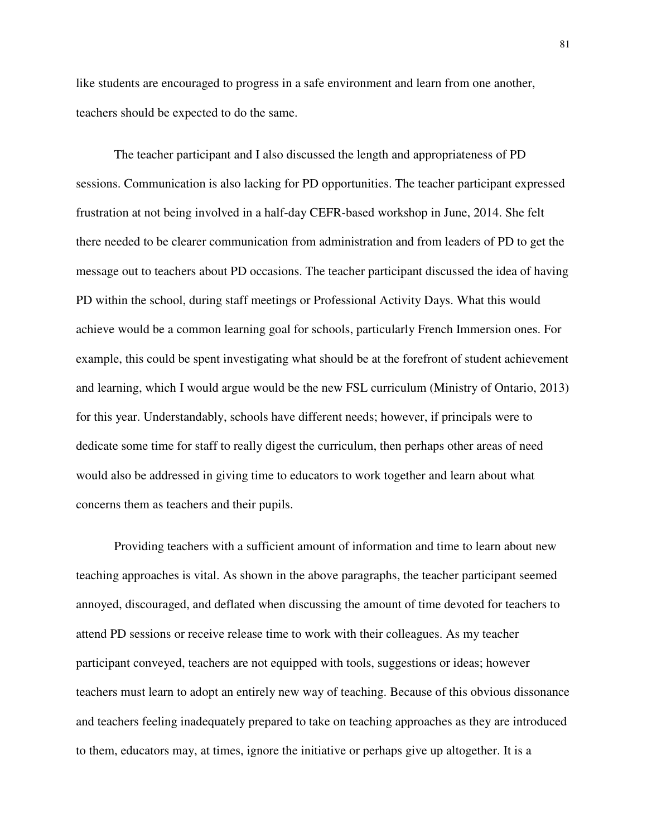like students are encouraged to progress in a safe environment and learn from one another, teachers should be expected to do the same.

The teacher participant and I also discussed the length and appropriateness of PD sessions. Communication is also lacking for PD opportunities. The teacher participant expressed frustration at not being involved in a half-day CEFR-based workshop in June, 2014. She felt there needed to be clearer communication from administration and from leaders of PD to get the message out to teachers about PD occasions. The teacher participant discussed the idea of having PD within the school, during staff meetings or Professional Activity Days. What this would achieve would be a common learning goal for schools, particularly French Immersion ones. For example, this could be spent investigating what should be at the forefront of student achievement and learning, which I would argue would be the new FSL curriculum (Ministry of Ontario, 2013) for this year. Understandably, schools have different needs; however, if principals were to dedicate some time for staff to really digest the curriculum, then perhaps other areas of need would also be addressed in giving time to educators to work together and learn about what concerns them as teachers and their pupils.

Providing teachers with a sufficient amount of information and time to learn about new teaching approaches is vital. As shown in the above paragraphs, the teacher participant seemed annoyed, discouraged, and deflated when discussing the amount of time devoted for teachers to attend PD sessions or receive release time to work with their colleagues. As my teacher participant conveyed, teachers are not equipped with tools, suggestions or ideas; however teachers must learn to adopt an entirely new way of teaching. Because of this obvious dissonance and teachers feeling inadequately prepared to take on teaching approaches as they are introduced to them, educators may, at times, ignore the initiative or perhaps give up altogether. It is a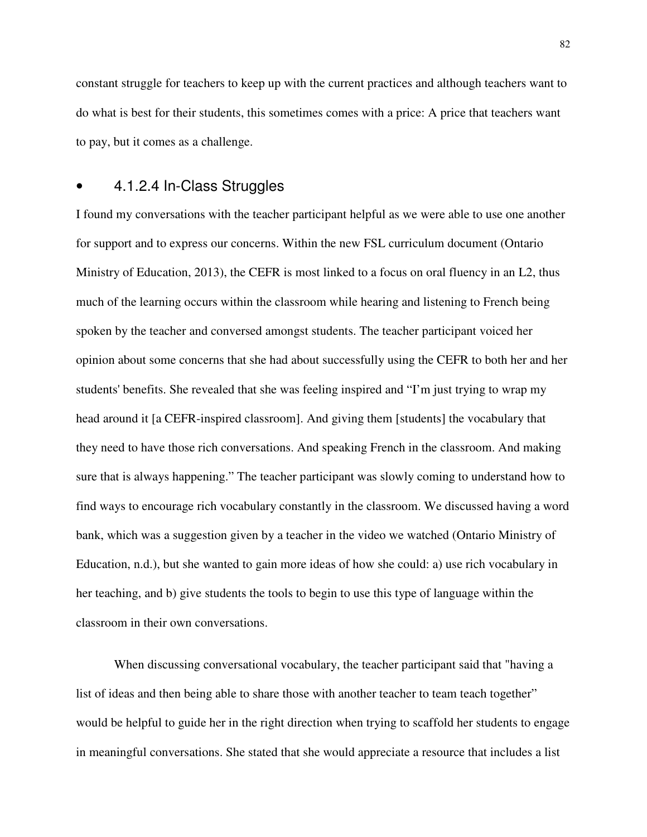constant struggle for teachers to keep up with the current practices and although teachers want to do what is best for their students, this sometimes comes with a price: A price that teachers want to pay, but it comes as a challenge.

#### • 4.1.2.4 In-Class Struggles

I found my conversations with the teacher participant helpful as we were able to use one another for support and to express our concerns. Within the new FSL curriculum document (Ontario Ministry of Education, 2013), the CEFR is most linked to a focus on oral fluency in an L2, thus much of the learning occurs within the classroom while hearing and listening to French being spoken by the teacher and conversed amongst students. The teacher participant voiced her opinion about some concerns that she had about successfully using the CEFR to both her and her students' benefits. She revealed that she was feeling inspired and "I'm just trying to wrap my head around it [a CEFR-inspired classroom]. And giving them [students] the vocabulary that they need to have those rich conversations. And speaking French in the classroom. And making sure that is always happening." The teacher participant was slowly coming to understand how to find ways to encourage rich vocabulary constantly in the classroom. We discussed having a word bank, which was a suggestion given by a teacher in the video we watched (Ontario Ministry of Education, n.d.), but she wanted to gain more ideas of how she could: a) use rich vocabulary in her teaching, and b) give students the tools to begin to use this type of language within the classroom in their own conversations.

When discussing conversational vocabulary, the teacher participant said that "having a list of ideas and then being able to share those with another teacher to team teach together" would be helpful to guide her in the right direction when trying to scaffold her students to engage in meaningful conversations. She stated that she would appreciate a resource that includes a list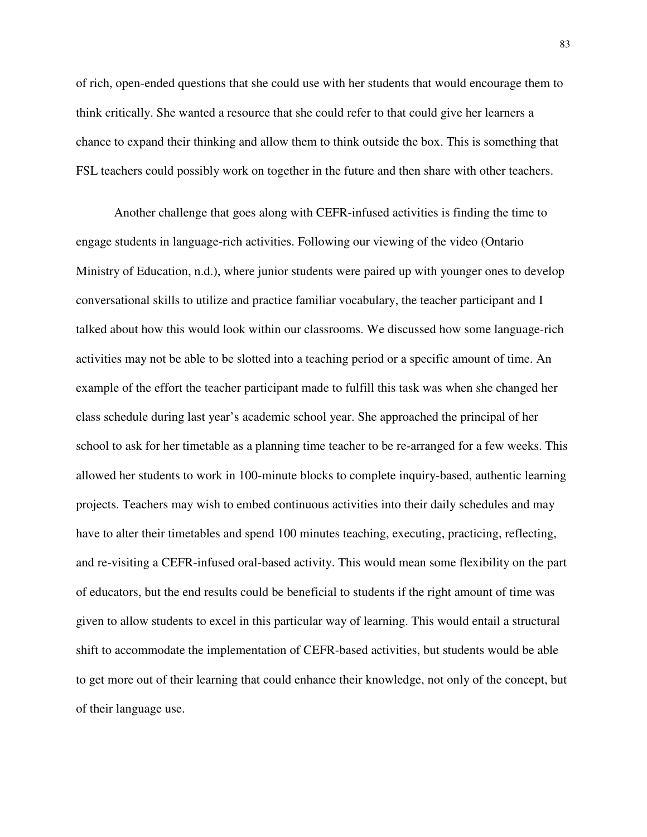of rich, open-ended questions that she could use with her students that would encourage them to think critically. She wanted a resource that she could refer to that could give her learners a chance to expand their thinking and allow them to think outside the box. This is something that FSL teachers could possibly work on together in the future and then share with other teachers.

Another challenge that goes along with CEFR-infused activities is finding the time to engage students in language-rich activities. Following our viewing of the video (Ontario Ministry of Education, n.d.), where junior students were paired up with younger ones to develop conversational skills to utilize and practice familiar vocabulary, the teacher participant and I talked about how this would look within our classrooms. We discussed how some language-rich activities may not be able to be slotted into a teaching period or a specific amount of time. An example of the effort the teacher participant made to fulfill this task was when she changed her class schedule during last year's academic school year. She approached the principal of her school to ask for her timetable as a planning time teacher to be re-arranged for a few weeks. This allowed her students to work in 100-minute blocks to complete inquiry-based, authentic learning projects. Teachers may wish to embed continuous activities into their daily schedules and may have to alter their timetables and spend 100 minutes teaching, executing, practicing, reflecting, and re-visiting a CEFR-infused oral-based activity. This would mean some flexibility on the part of educators, but the end results could be beneficial to students if the right amount of time was given to allow students to excel in this particular way of learning. This would entail a structural shift to accommodate the implementation of CEFR-based activities, but students would be able to get more out of their learning that could enhance their knowledge, not only of the concept, but of their language use.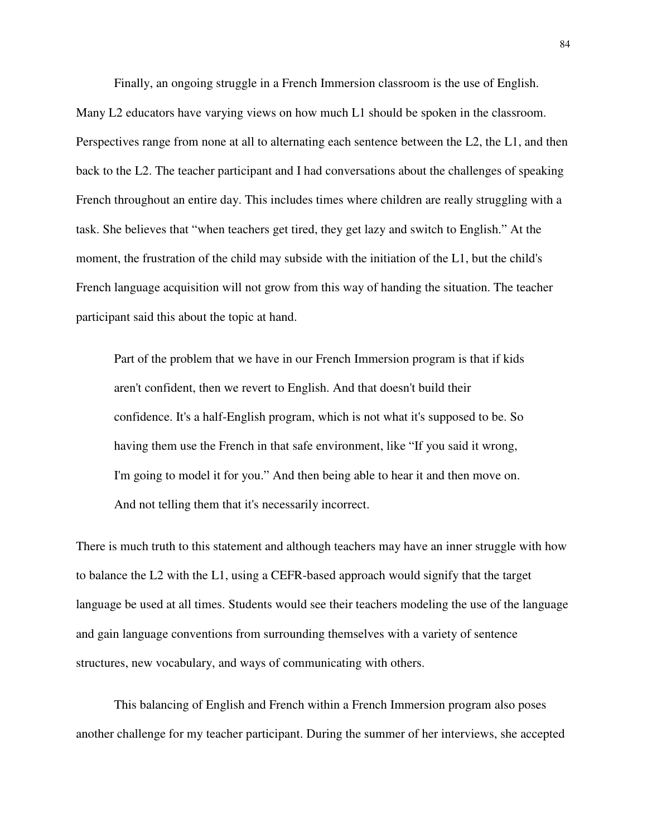Finally, an ongoing struggle in a French Immersion classroom is the use of English.

Many L2 educators have varying views on how much L1 should be spoken in the classroom. Perspectives range from none at all to alternating each sentence between the L2, the L1, and then back to the L2. The teacher participant and I had conversations about the challenges of speaking French throughout an entire day. This includes times where children are really struggling with a task. She believes that "when teachers get tired, they get lazy and switch to English." At the moment, the frustration of the child may subside with the initiation of the L1, but the child's French language acquisition will not grow from this way of handing the situation. The teacher participant said this about the topic at hand.

Part of the problem that we have in our French Immersion program is that if kids aren't confident, then we revert to English. And that doesn't build their confidence. It's a half-English program, which is not what it's supposed to be. So having them use the French in that safe environment, like "If you said it wrong, I'm going to model it for you." And then being able to hear it and then move on. And not telling them that it's necessarily incorrect.

There is much truth to this statement and although teachers may have an inner struggle with how to balance the L2 with the L1, using a CEFR-based approach would signify that the target language be used at all times. Students would see their teachers modeling the use of the language and gain language conventions from surrounding themselves with a variety of sentence structures, new vocabulary, and ways of communicating with others.

This balancing of English and French within a French Immersion program also poses another challenge for my teacher participant. During the summer of her interviews, she accepted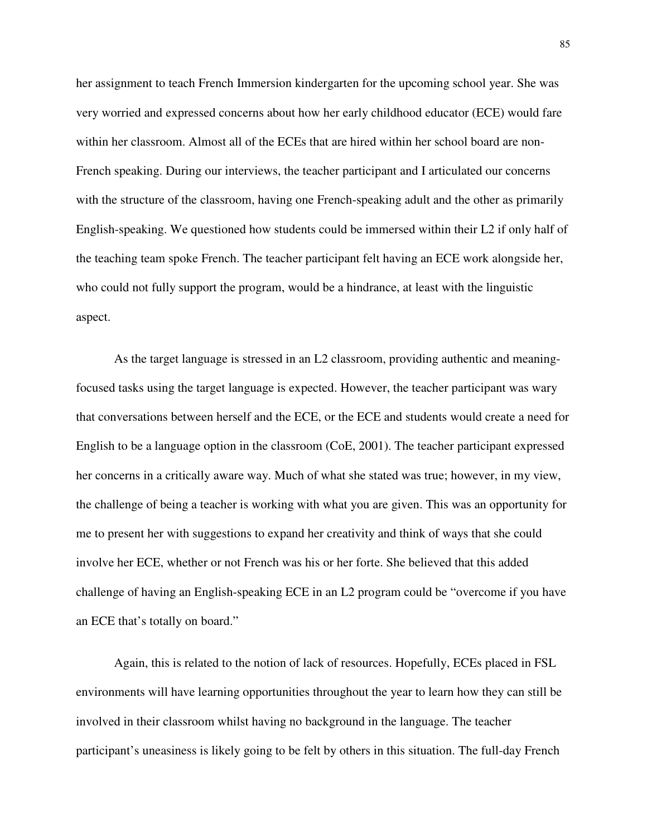her assignment to teach French Immersion kindergarten for the upcoming school year. She was very worried and expressed concerns about how her early childhood educator (ECE) would fare within her classroom. Almost all of the ECEs that are hired within her school board are non-French speaking. During our interviews, the teacher participant and I articulated our concerns with the structure of the classroom, having one French-speaking adult and the other as primarily English-speaking. We questioned how students could be immersed within their L2 if only half of the teaching team spoke French. The teacher participant felt having an ECE work alongside her, who could not fully support the program, would be a hindrance, at least with the linguistic aspect.

As the target language is stressed in an L2 classroom, providing authentic and meaningfocused tasks using the target language is expected. However, the teacher participant was wary that conversations between herself and the ECE, or the ECE and students would create a need for English to be a language option in the classroom (CoE, 2001). The teacher participant expressed her concerns in a critically aware way. Much of what she stated was true; however, in my view, the challenge of being a teacher is working with what you are given. This was an opportunity for me to present her with suggestions to expand her creativity and think of ways that she could involve her ECE, whether or not French was his or her forte. She believed that this added challenge of having an English-speaking ECE in an L2 program could be "overcome if you have an ECE that's totally on board."

Again, this is related to the notion of lack of resources. Hopefully, ECEs placed in FSL environments will have learning opportunities throughout the year to learn how they can still be involved in their classroom whilst having no background in the language. The teacher participant's uneasiness is likely going to be felt by others in this situation. The full-day French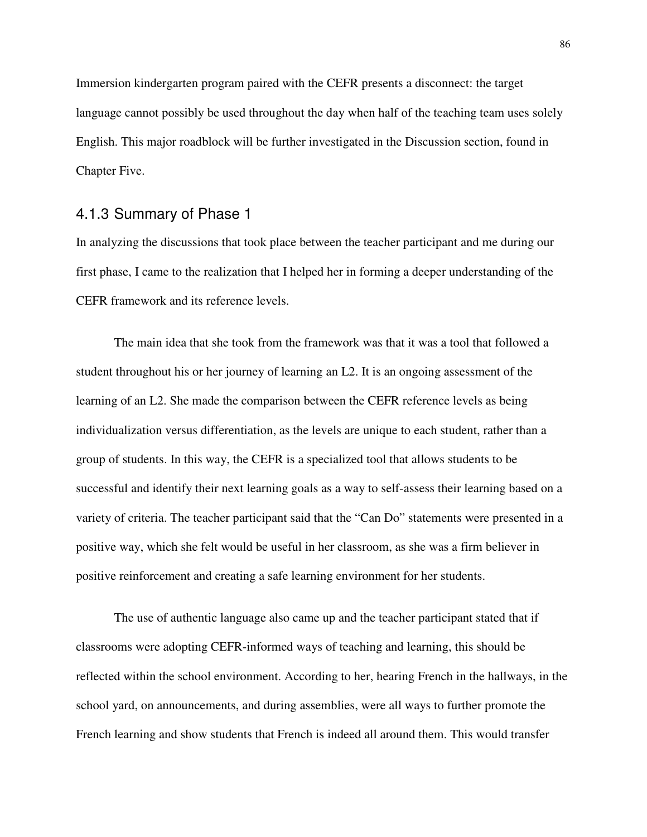Immersion kindergarten program paired with the CEFR presents a disconnect: the target language cannot possibly be used throughout the day when half of the teaching team uses solely English. This major roadblock will be further investigated in the Discussion section, found in Chapter Five.

#### 4.1.3 Summary of Phase 1

In analyzing the discussions that took place between the teacher participant and me during our first phase, I came to the realization that I helped her in forming a deeper understanding of the CEFR framework and its reference levels.

The main idea that she took from the framework was that it was a tool that followed a student throughout his or her journey of learning an L2. It is an ongoing assessment of the learning of an L2. She made the comparison between the CEFR reference levels as being individualization versus differentiation, as the levels are unique to each student, rather than a group of students. In this way, the CEFR is a specialized tool that allows students to be successful and identify their next learning goals as a way to self-assess their learning based on a variety of criteria. The teacher participant said that the "Can Do" statements were presented in a positive way, which she felt would be useful in her classroom, as she was a firm believer in positive reinforcement and creating a safe learning environment for her students.

The use of authentic language also came up and the teacher participant stated that if classrooms were adopting CEFR-informed ways of teaching and learning, this should be reflected within the school environment. According to her, hearing French in the hallways, in the school yard, on announcements, and during assemblies, were all ways to further promote the French learning and show students that French is indeed all around them. This would transfer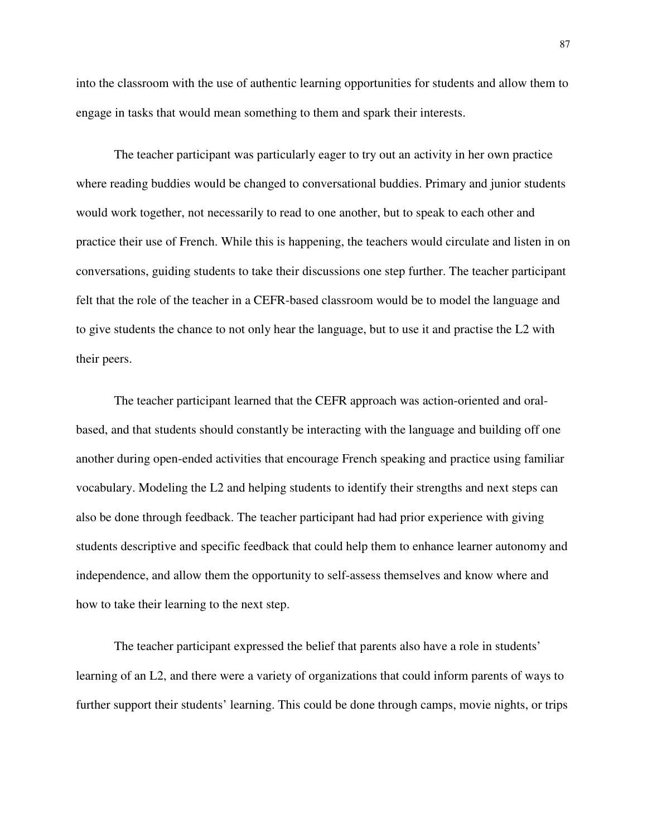into the classroom with the use of authentic learning opportunities for students and allow them to engage in tasks that would mean something to them and spark their interests.

The teacher participant was particularly eager to try out an activity in her own practice where reading buddies would be changed to conversational buddies. Primary and junior students would work together, not necessarily to read to one another, but to speak to each other and practice their use of French. While this is happening, the teachers would circulate and listen in on conversations, guiding students to take their discussions one step further. The teacher participant felt that the role of the teacher in a CEFR-based classroom would be to model the language and to give students the chance to not only hear the language, but to use it and practise the L2 with their peers.

The teacher participant learned that the CEFR approach was action-oriented and oralbased, and that students should constantly be interacting with the language and building off one another during open-ended activities that encourage French speaking and practice using familiar vocabulary. Modeling the L2 and helping students to identify their strengths and next steps can also be done through feedback. The teacher participant had had prior experience with giving students descriptive and specific feedback that could help them to enhance learner autonomy and independence, and allow them the opportunity to self-assess themselves and know where and how to take their learning to the next step.

The teacher participant expressed the belief that parents also have a role in students' learning of an L2, and there were a variety of organizations that could inform parents of ways to further support their students' learning. This could be done through camps, movie nights, or trips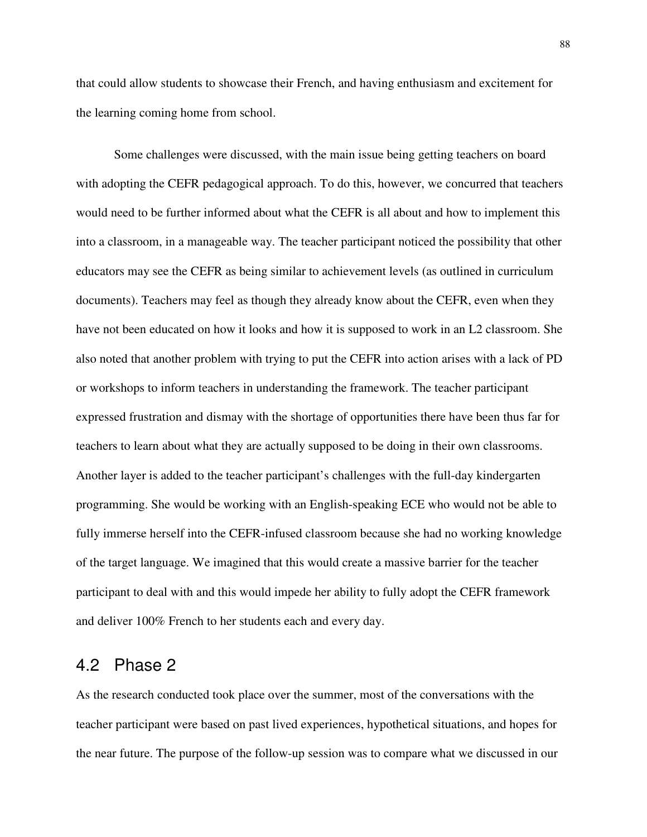that could allow students to showcase their French, and having enthusiasm and excitement for the learning coming home from school.

Some challenges were discussed, with the main issue being getting teachers on board with adopting the CEFR pedagogical approach. To do this, however, we concurred that teachers would need to be further informed about what the CEFR is all about and how to implement this into a classroom, in a manageable way. The teacher participant noticed the possibility that other educators may see the CEFR as being similar to achievement levels (as outlined in curriculum documents). Teachers may feel as though they already know about the CEFR, even when they have not been educated on how it looks and how it is supposed to work in an L2 classroom. She also noted that another problem with trying to put the CEFR into action arises with a lack of PD or workshops to inform teachers in understanding the framework. The teacher participant expressed frustration and dismay with the shortage of opportunities there have been thus far for teachers to learn about what they are actually supposed to be doing in their own classrooms. Another layer is added to the teacher participant's challenges with the full-day kindergarten programming. She would be working with an English-speaking ECE who would not be able to fully immerse herself into the CEFR-infused classroom because she had no working knowledge of the target language. We imagined that this would create a massive barrier for the teacher participant to deal with and this would impede her ability to fully adopt the CEFR framework and deliver 100% French to her students each and every day.

## 4.2 Phase 2

As the research conducted took place over the summer, most of the conversations with the teacher participant were based on past lived experiences, hypothetical situations, and hopes for the near future. The purpose of the follow-up session was to compare what we discussed in our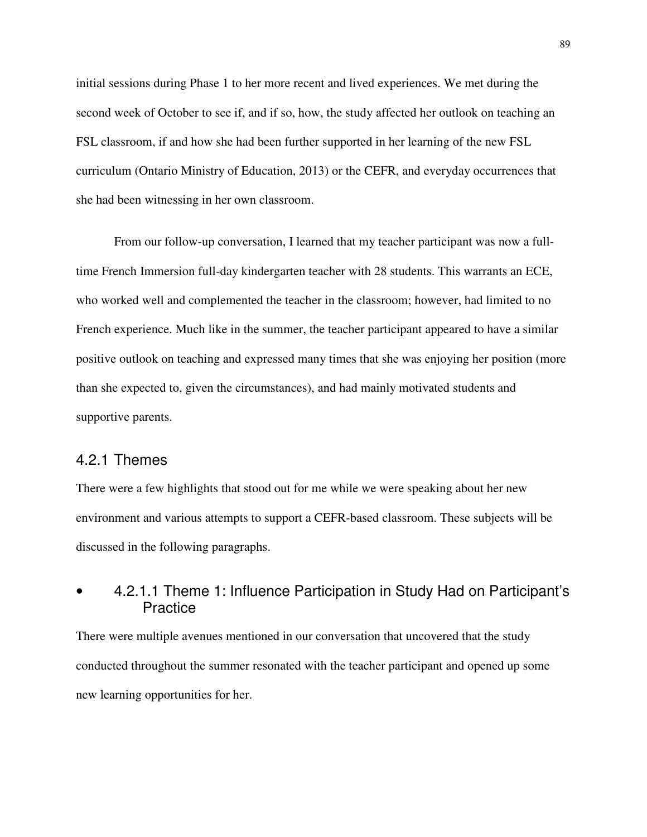initial sessions during Phase 1 to her more recent and lived experiences. We met during the second week of October to see if, and if so, how, the study affected her outlook on teaching an FSL classroom, if and how she had been further supported in her learning of the new FSL curriculum (Ontario Ministry of Education, 2013) or the CEFR, and everyday occurrences that she had been witnessing in her own classroom.

From our follow-up conversation, I learned that my teacher participant was now a fulltime French Immersion full-day kindergarten teacher with 28 students. This warrants an ECE, who worked well and complemented the teacher in the classroom; however, had limited to no French experience. Much like in the summer, the teacher participant appeared to have a similar positive outlook on teaching and expressed many times that she was enjoying her position (more than she expected to, given the circumstances), and had mainly motivated students and supportive parents.

#### 4.2.1 Themes

There were a few highlights that stood out for me while we were speaking about her new environment and various attempts to support a CEFR-based classroom. These subjects will be discussed in the following paragraphs.

# • 4.2.1.1 Theme 1: Influence Participation in Study Had on Participant's **Practice**

There were multiple avenues mentioned in our conversation that uncovered that the study conducted throughout the summer resonated with the teacher participant and opened up some new learning opportunities for her.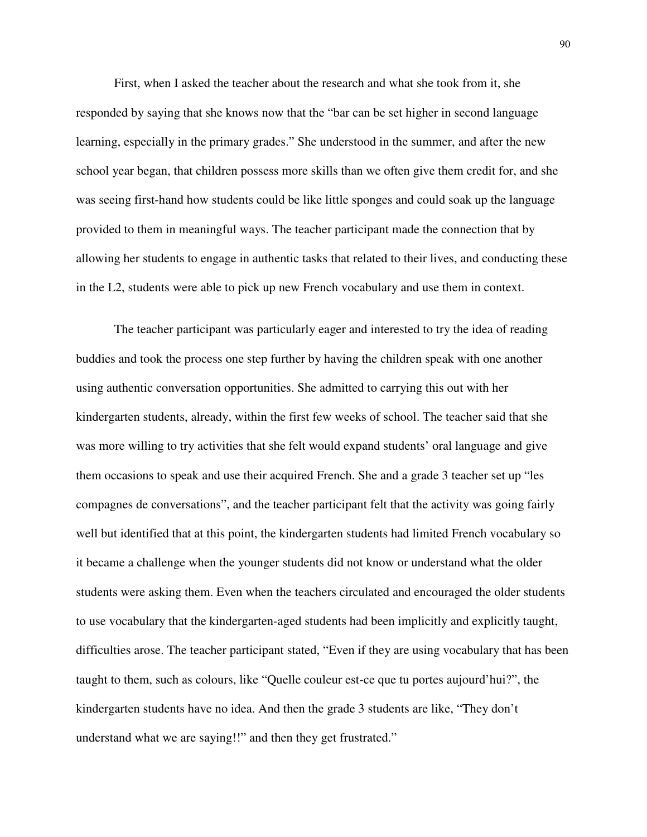First, when I asked the teacher about the research and what she took from it, she responded by saying that she knows now that the "bar can be set higher in second language learning, especially in the primary grades." She understood in the summer, and after the new school year began, that children possess more skills than we often give them credit for, and she was seeing first-hand how students could be like little sponges and could soak up the language provided to them in meaningful ways. The teacher participant made the connection that by allowing her students to engage in authentic tasks that related to their lives, and conducting these in the L2, students were able to pick up new French vocabulary and use them in context.

The teacher participant was particularly eager and interested to try the idea of reading buddies and took the process one step further by having the children speak with one another using authentic conversation opportunities. She admitted to carrying this out with her kindergarten students, already, within the first few weeks of school. The teacher said that she was more willing to try activities that she felt would expand students' oral language and give them occasions to speak and use their acquired French. She and a grade 3 teacher set up "les compagnes de conversations", and the teacher participant felt that the activity was going fairly well but identified that at this point, the kindergarten students had limited French vocabulary so it became a challenge when the younger students did not know or understand what the older students were asking them. Even when the teachers circulated and encouraged the older students to use vocabulary that the kindergarten-aged students had been implicitly and explicitly taught, difficulties arose. The teacher participant stated, "Even if they are using vocabulary that has been taught to them, such as colours, like "Quelle couleur est-ce que tu portes aujourd'hui?", the kindergarten students have no idea. And then the grade 3 students are like, "They don't understand what we are saying!!" and then they get frustrated."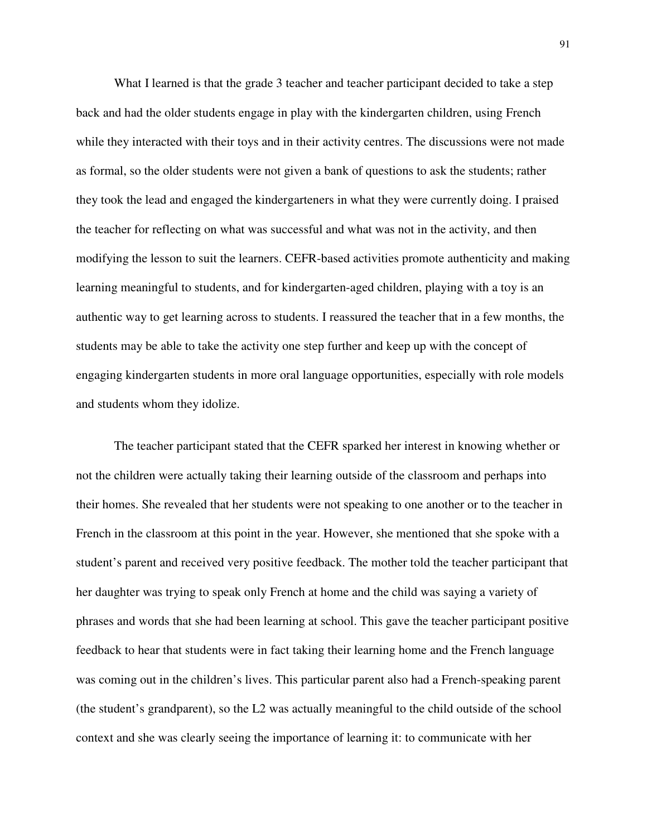What I learned is that the grade 3 teacher and teacher participant decided to take a step back and had the older students engage in play with the kindergarten children, using French while they interacted with their toys and in their activity centres. The discussions were not made as formal, so the older students were not given a bank of questions to ask the students; rather they took the lead and engaged the kindergarteners in what they were currently doing. I praised the teacher for reflecting on what was successful and what was not in the activity, and then modifying the lesson to suit the learners. CEFR-based activities promote authenticity and making learning meaningful to students, and for kindergarten-aged children, playing with a toy is an authentic way to get learning across to students. I reassured the teacher that in a few months, the students may be able to take the activity one step further and keep up with the concept of engaging kindergarten students in more oral language opportunities, especially with role models and students whom they idolize.

The teacher participant stated that the CEFR sparked her interest in knowing whether or not the children were actually taking their learning outside of the classroom and perhaps into their homes. She revealed that her students were not speaking to one another or to the teacher in French in the classroom at this point in the year. However, she mentioned that she spoke with a student's parent and received very positive feedback. The mother told the teacher participant that her daughter was trying to speak only French at home and the child was saying a variety of phrases and words that she had been learning at school. This gave the teacher participant positive feedback to hear that students were in fact taking their learning home and the French language was coming out in the children's lives. This particular parent also had a French-speaking parent (the student's grandparent), so the L2 was actually meaningful to the child outside of the school context and she was clearly seeing the importance of learning it: to communicate with her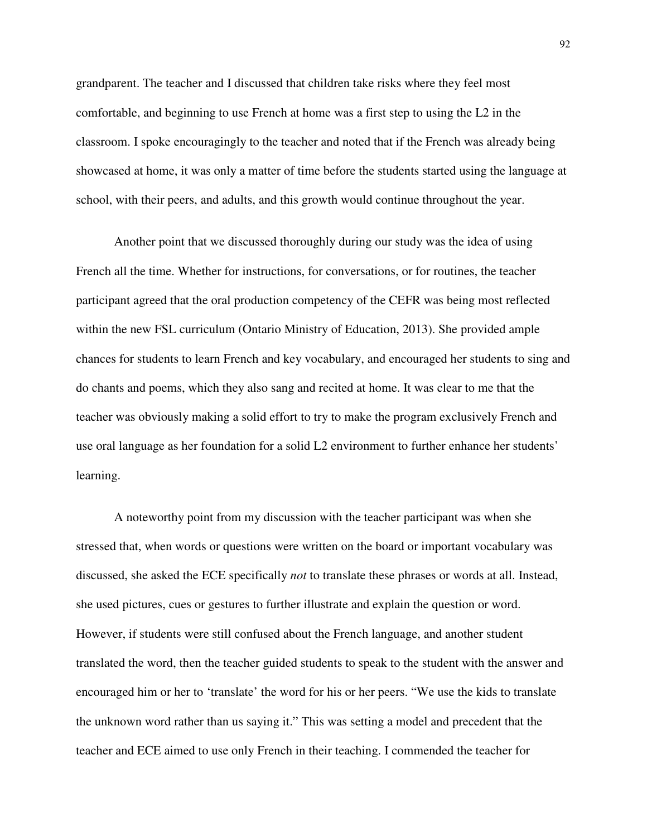grandparent. The teacher and I discussed that children take risks where they feel most comfortable, and beginning to use French at home was a first step to using the L2 in the classroom. I spoke encouragingly to the teacher and noted that if the French was already being showcased at home, it was only a matter of time before the students started using the language at school, with their peers, and adults, and this growth would continue throughout the year.

Another point that we discussed thoroughly during our study was the idea of using French all the time. Whether for instructions, for conversations, or for routines, the teacher participant agreed that the oral production competency of the CEFR was being most reflected within the new FSL curriculum (Ontario Ministry of Education, 2013). She provided ample chances for students to learn French and key vocabulary, and encouraged her students to sing and do chants and poems, which they also sang and recited at home. It was clear to me that the teacher was obviously making a solid effort to try to make the program exclusively French and use oral language as her foundation for a solid L2 environment to further enhance her students' learning.

A noteworthy point from my discussion with the teacher participant was when she stressed that, when words or questions were written on the board or important vocabulary was discussed, she asked the ECE specifically *not* to translate these phrases or words at all. Instead, she used pictures, cues or gestures to further illustrate and explain the question or word. However, if students were still confused about the French language, and another student translated the word, then the teacher guided students to speak to the student with the answer and encouraged him or her to 'translate' the word for his or her peers. "We use the kids to translate the unknown word rather than us saying it." This was setting a model and precedent that the teacher and ECE aimed to use only French in their teaching. I commended the teacher for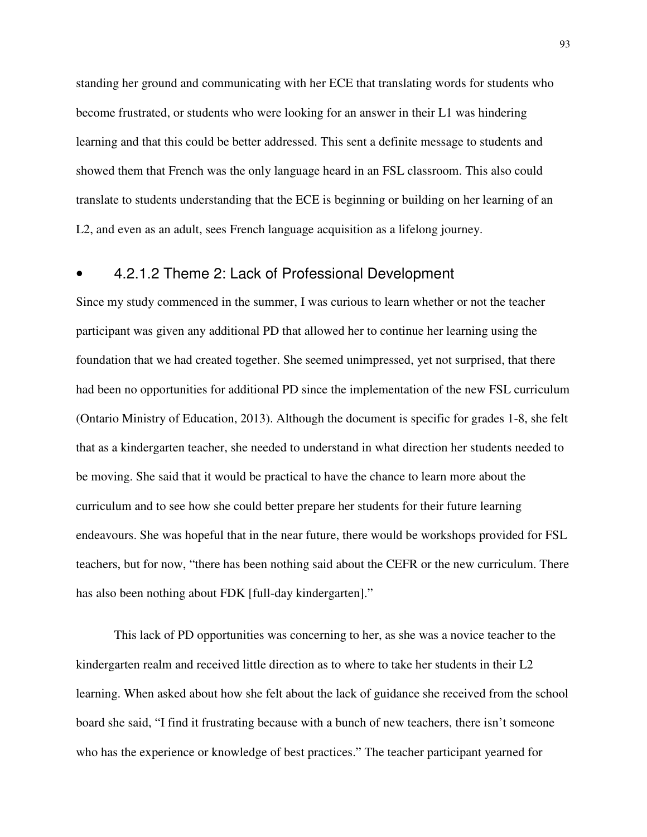standing her ground and communicating with her ECE that translating words for students who become frustrated, or students who were looking for an answer in their L1 was hindering learning and that this could be better addressed. This sent a definite message to students and showed them that French was the only language heard in an FSL classroom. This also could translate to students understanding that the ECE is beginning or building on her learning of an L2, and even as an adult, sees French language acquisition as a lifelong journey.

### • 4.2.1.2 Theme 2: Lack of Professional Development

Since my study commenced in the summer, I was curious to learn whether or not the teacher participant was given any additional PD that allowed her to continue her learning using the foundation that we had created together. She seemed unimpressed, yet not surprised, that there had been no opportunities for additional PD since the implementation of the new FSL curriculum (Ontario Ministry of Education, 2013). Although the document is specific for grades 1-8, she felt that as a kindergarten teacher, she needed to understand in what direction her students needed to be moving. She said that it would be practical to have the chance to learn more about the curriculum and to see how she could better prepare her students for their future learning endeavours. She was hopeful that in the near future, there would be workshops provided for FSL teachers, but for now, "there has been nothing said about the CEFR or the new curriculum. There has also been nothing about FDK [full-day kindergarten]."

This lack of PD opportunities was concerning to her, as she was a novice teacher to the kindergarten realm and received little direction as to where to take her students in their L2 learning. When asked about how she felt about the lack of guidance she received from the school board she said, "I find it frustrating because with a bunch of new teachers, there isn't someone who has the experience or knowledge of best practices." The teacher participant yearned for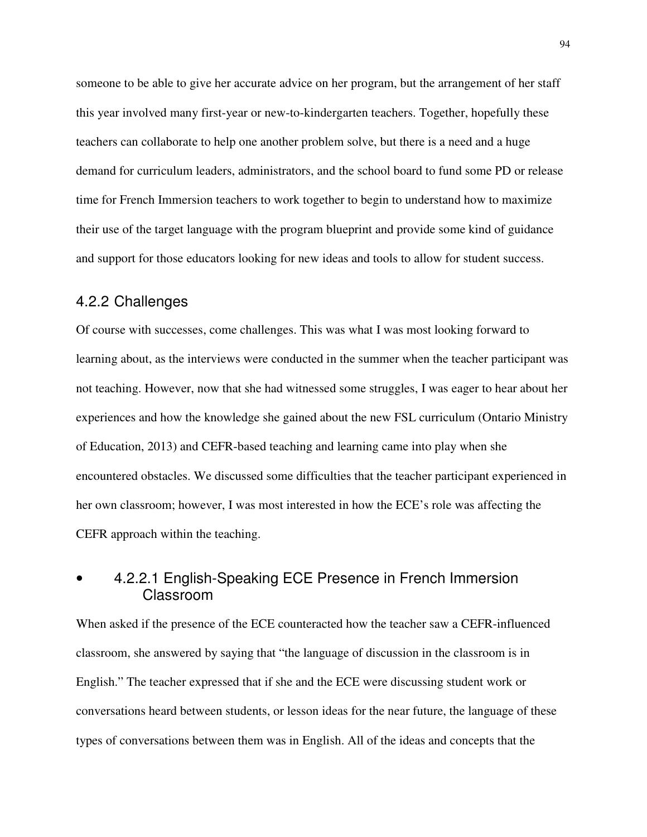someone to be able to give her accurate advice on her program, but the arrangement of her staff this year involved many first-year or new-to-kindergarten teachers. Together, hopefully these teachers can collaborate to help one another problem solve, but there is a need and a huge demand for curriculum leaders, administrators, and the school board to fund some PD or release time for French Immersion teachers to work together to begin to understand how to maximize their use of the target language with the program blueprint and provide some kind of guidance and support for those educators looking for new ideas and tools to allow for student success.

#### 4.2.2 Challenges

Of course with successes, come challenges. This was what I was most looking forward to learning about, as the interviews were conducted in the summer when the teacher participant was not teaching. However, now that she had witnessed some struggles, I was eager to hear about her experiences and how the knowledge she gained about the new FSL curriculum (Ontario Ministry of Education, 2013) and CEFR-based teaching and learning came into play when she encountered obstacles. We discussed some difficulties that the teacher participant experienced in her own classroom; however, I was most interested in how the ECE's role was affecting the CEFR approach within the teaching.

# • 4.2.2.1 English-Speaking ECE Presence in French Immersion Classroom

When asked if the presence of the ECE counteracted how the teacher saw a CEFR-influenced classroom, she answered by saying that "the language of discussion in the classroom is in English." The teacher expressed that if she and the ECE were discussing student work or conversations heard between students, or lesson ideas for the near future, the language of these types of conversations between them was in English. All of the ideas and concepts that the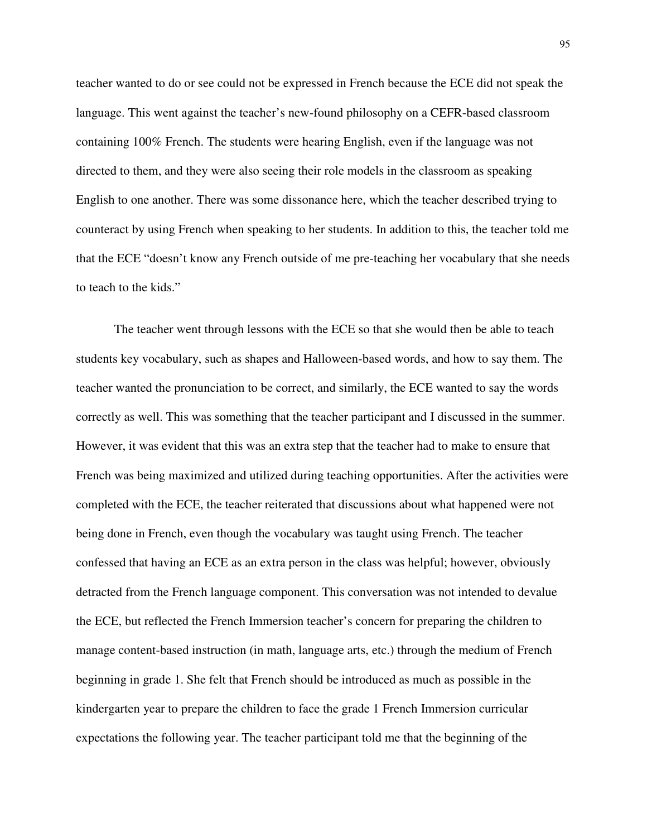teacher wanted to do or see could not be expressed in French because the ECE did not speak the language. This went against the teacher's new-found philosophy on a CEFR-based classroom containing 100% French. The students were hearing English, even if the language was not directed to them, and they were also seeing their role models in the classroom as speaking English to one another. There was some dissonance here, which the teacher described trying to counteract by using French when speaking to her students. In addition to this, the teacher told me that the ECE "doesn't know any French outside of me pre-teaching her vocabulary that she needs to teach to the kids."

The teacher went through lessons with the ECE so that she would then be able to teach students key vocabulary, such as shapes and Halloween-based words, and how to say them. The teacher wanted the pronunciation to be correct, and similarly, the ECE wanted to say the words correctly as well. This was something that the teacher participant and I discussed in the summer. However, it was evident that this was an extra step that the teacher had to make to ensure that French was being maximized and utilized during teaching opportunities. After the activities were completed with the ECE, the teacher reiterated that discussions about what happened were not being done in French, even though the vocabulary was taught using French. The teacher confessed that having an ECE as an extra person in the class was helpful; however, obviously detracted from the French language component. This conversation was not intended to devalue the ECE, but reflected the French Immersion teacher's concern for preparing the children to manage content-based instruction (in math, language arts, etc.) through the medium of French beginning in grade 1. She felt that French should be introduced as much as possible in the kindergarten year to prepare the children to face the grade 1 French Immersion curricular expectations the following year. The teacher participant told me that the beginning of the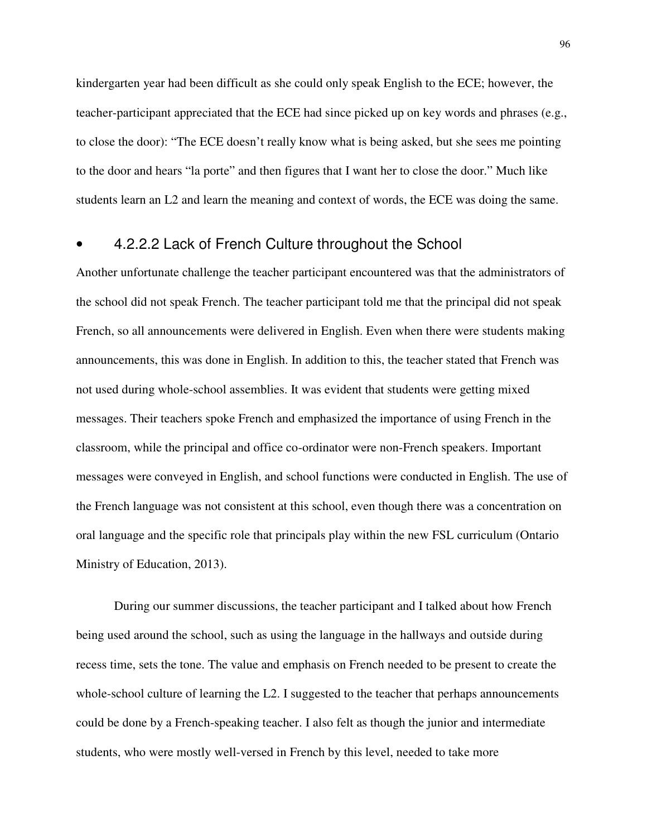kindergarten year had been difficult as she could only speak English to the ECE; however, the teacher-participant appreciated that the ECE had since picked up on key words and phrases (e.g., to close the door): "The ECE doesn't really know what is being asked, but she sees me pointing to the door and hears "la porte" and then figures that I want her to close the door." Much like students learn an L2 and learn the meaning and context of words, the ECE was doing the same.

### • 4.2.2.2 Lack of French Culture throughout the School

Another unfortunate challenge the teacher participant encountered was that the administrators of the school did not speak French. The teacher participant told me that the principal did not speak French, so all announcements were delivered in English. Even when there were students making announcements, this was done in English. In addition to this, the teacher stated that French was not used during whole-school assemblies. It was evident that students were getting mixed messages. Their teachers spoke French and emphasized the importance of using French in the classroom, while the principal and office co-ordinator were non-French speakers. Important messages were conveyed in English, and school functions were conducted in English. The use of the French language was not consistent at this school, even though there was a concentration on oral language and the specific role that principals play within the new FSL curriculum (Ontario Ministry of Education, 2013).

During our summer discussions, the teacher participant and I talked about how French being used around the school, such as using the language in the hallways and outside during recess time, sets the tone. The value and emphasis on French needed to be present to create the whole-school culture of learning the L2. I suggested to the teacher that perhaps announcements could be done by a French-speaking teacher. I also felt as though the junior and intermediate students, who were mostly well-versed in French by this level, needed to take more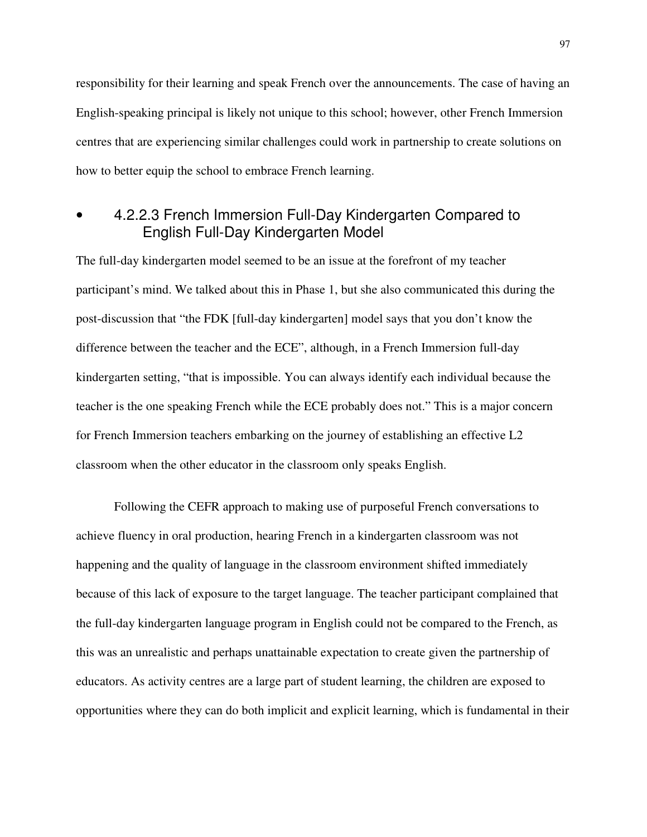responsibility for their learning and speak French over the announcements. The case of having an English-speaking principal is likely not unique to this school; however, other French Immersion centres that are experiencing similar challenges could work in partnership to create solutions on how to better equip the school to embrace French learning.

## • 4.2.2.3 French Immersion Full-Day Kindergarten Compared to English Full-Day Kindergarten Model

The full-day kindergarten model seemed to be an issue at the forefront of my teacher participant's mind. We talked about this in Phase 1, but she also communicated this during the post-discussion that "the FDK [full-day kindergarten] model says that you don't know the difference between the teacher and the ECE", although, in a French Immersion full-day kindergarten setting, "that is impossible. You can always identify each individual because the teacher is the one speaking French while the ECE probably does not." This is a major concern for French Immersion teachers embarking on the journey of establishing an effective L2 classroom when the other educator in the classroom only speaks English.

Following the CEFR approach to making use of purposeful French conversations to achieve fluency in oral production, hearing French in a kindergarten classroom was not happening and the quality of language in the classroom environment shifted immediately because of this lack of exposure to the target language. The teacher participant complained that the full-day kindergarten language program in English could not be compared to the French, as this was an unrealistic and perhaps unattainable expectation to create given the partnership of educators. As activity centres are a large part of student learning, the children are exposed to opportunities where they can do both implicit and explicit learning, which is fundamental in their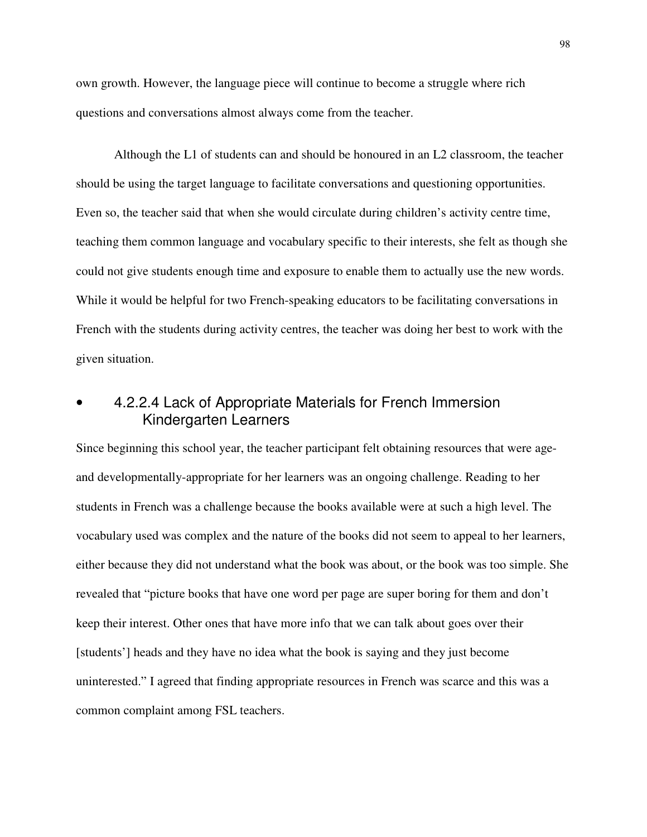own growth. However, the language piece will continue to become a struggle where rich questions and conversations almost always come from the teacher.

Although the L1 of students can and should be honoured in an L2 classroom, the teacher should be using the target language to facilitate conversations and questioning opportunities. Even so, the teacher said that when she would circulate during children's activity centre time, teaching them common language and vocabulary specific to their interests, she felt as though she could not give students enough time and exposure to enable them to actually use the new words. While it would be helpful for two French-speaking educators to be facilitating conversations in French with the students during activity centres, the teacher was doing her best to work with the given situation.

# • 4.2.2.4 Lack of Appropriate Materials for French Immersion Kindergarten Learners

Since beginning this school year, the teacher participant felt obtaining resources that were ageand developmentally-appropriate for her learners was an ongoing challenge. Reading to her students in French was a challenge because the books available were at such a high level. The vocabulary used was complex and the nature of the books did not seem to appeal to her learners, either because they did not understand what the book was about, or the book was too simple. She revealed that "picture books that have one word per page are super boring for them and don't keep their interest. Other ones that have more info that we can talk about goes over their [students'] heads and they have no idea what the book is saying and they just become uninterested." I agreed that finding appropriate resources in French was scarce and this was a common complaint among FSL teachers.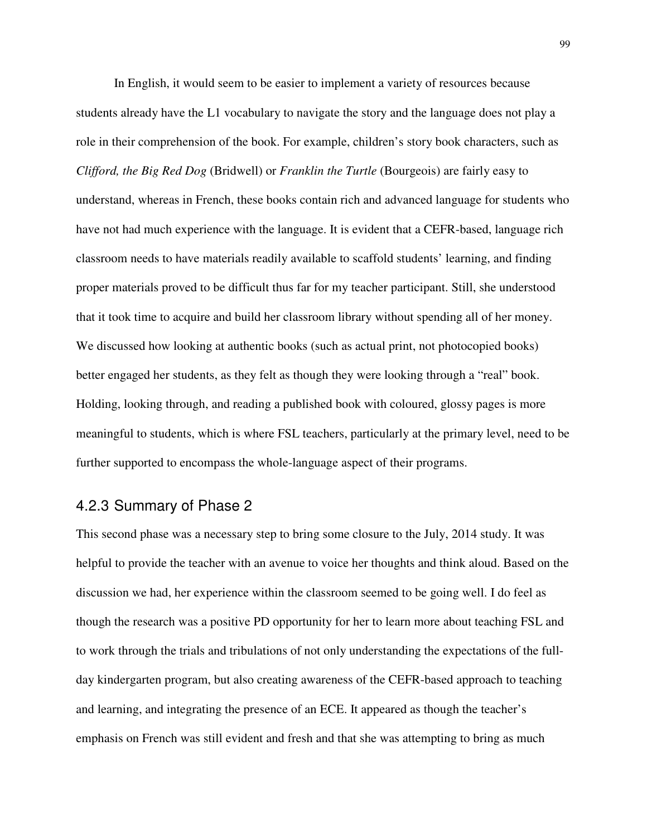In English, it would seem to be easier to implement a variety of resources because students already have the L1 vocabulary to navigate the story and the language does not play a role in their comprehension of the book. For example, children's story book characters, such as *Clifford, the Big Red Dog* (Bridwell) or *Franklin the Turtle* (Bourgeois) are fairly easy to understand, whereas in French, these books contain rich and advanced language for students who have not had much experience with the language. It is evident that a CEFR-based, language rich classroom needs to have materials readily available to scaffold students' learning, and finding proper materials proved to be difficult thus far for my teacher participant. Still, she understood that it took time to acquire and build her classroom library without spending all of her money. We discussed how looking at authentic books (such as actual print, not photocopied books) better engaged her students, as they felt as though they were looking through a "real" book. Holding, looking through, and reading a published book with coloured, glossy pages is more meaningful to students, which is where FSL teachers, particularly at the primary level, need to be further supported to encompass the whole-language aspect of their programs.

## 4.2.3 Summary of Phase 2

This second phase was a necessary step to bring some closure to the July, 2014 study. It was helpful to provide the teacher with an avenue to voice her thoughts and think aloud. Based on the discussion we had, her experience within the classroom seemed to be going well. I do feel as though the research was a positive PD opportunity for her to learn more about teaching FSL and to work through the trials and tribulations of not only understanding the expectations of the fullday kindergarten program, but also creating awareness of the CEFR-based approach to teaching and learning, and integrating the presence of an ECE. It appeared as though the teacher's emphasis on French was still evident and fresh and that she was attempting to bring as much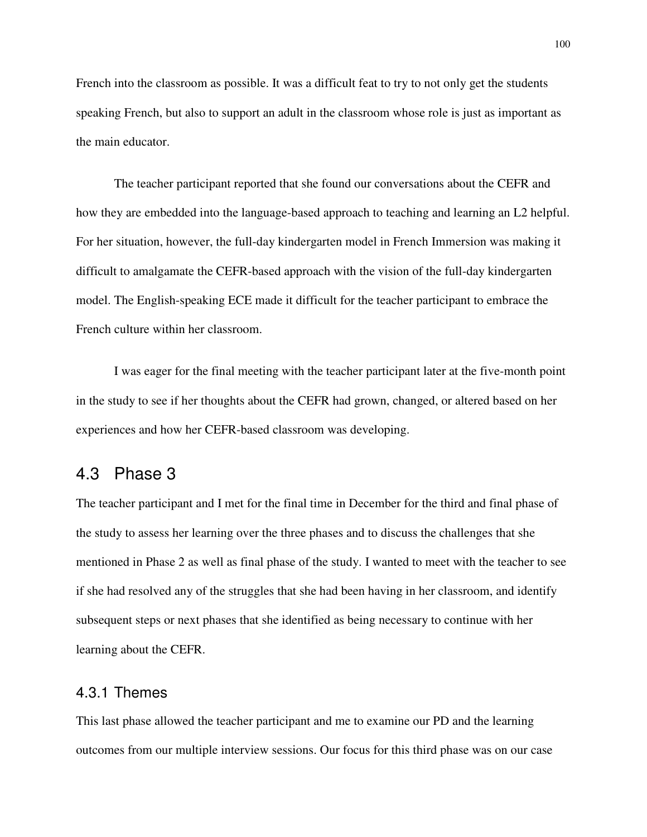French into the classroom as possible. It was a difficult feat to try to not only get the students speaking French, but also to support an adult in the classroom whose role is just as important as the main educator.

The teacher participant reported that she found our conversations about the CEFR and how they are embedded into the language-based approach to teaching and learning an L2 helpful. For her situation, however, the full-day kindergarten model in French Immersion was making it difficult to amalgamate the CEFR-based approach with the vision of the full-day kindergarten model. The English-speaking ECE made it difficult for the teacher participant to embrace the French culture within her classroom.

I was eager for the final meeting with the teacher participant later at the five-month point in the study to see if her thoughts about the CEFR had grown, changed, or altered based on her experiences and how her CEFR-based classroom was developing.

### 4.3 Phase 3

The teacher participant and I met for the final time in December for the third and final phase of the study to assess her learning over the three phases and to discuss the challenges that she mentioned in Phase 2 as well as final phase of the study. I wanted to meet with the teacher to see if she had resolved any of the struggles that she had been having in her classroom, and identify subsequent steps or next phases that she identified as being necessary to continue with her learning about the CEFR.

#### 4.3.1 Themes

This last phase allowed the teacher participant and me to examine our PD and the learning outcomes from our multiple interview sessions. Our focus for this third phase was on our case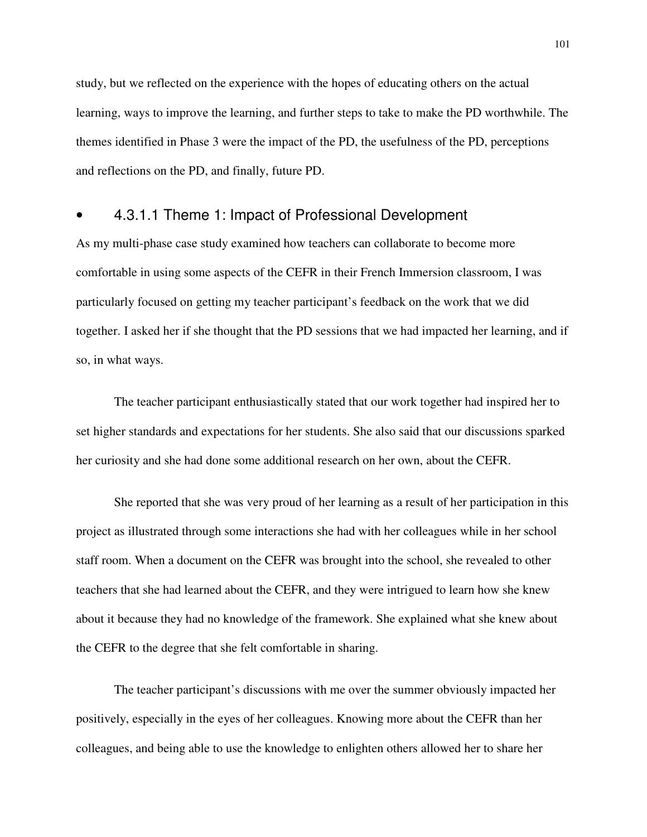study, but we reflected on the experience with the hopes of educating others on the actual learning, ways to improve the learning, and further steps to take to make the PD worthwhile. The themes identified in Phase 3 were the impact of the PD, the usefulness of the PD, perceptions and reflections on the PD, and finally, future PD.

### • 4.3.1.1 Theme 1: Impact of Professional Development

As my multi-phase case study examined how teachers can collaborate to become more comfortable in using some aspects of the CEFR in their French Immersion classroom, I was particularly focused on getting my teacher participant's feedback on the work that we did together. I asked her if she thought that the PD sessions that we had impacted her learning, and if so, in what ways.

The teacher participant enthusiastically stated that our work together had inspired her to set higher standards and expectations for her students. She also said that our discussions sparked her curiosity and she had done some additional research on her own, about the CEFR.

She reported that she was very proud of her learning as a result of her participation in this project as illustrated through some interactions she had with her colleagues while in her school staff room. When a document on the CEFR was brought into the school, she revealed to other teachers that she had learned about the CEFR, and they were intrigued to learn how she knew about it because they had no knowledge of the framework. She explained what she knew about the CEFR to the degree that she felt comfortable in sharing.

The teacher participant's discussions with me over the summer obviously impacted her positively, especially in the eyes of her colleagues. Knowing more about the CEFR than her colleagues, and being able to use the knowledge to enlighten others allowed her to share her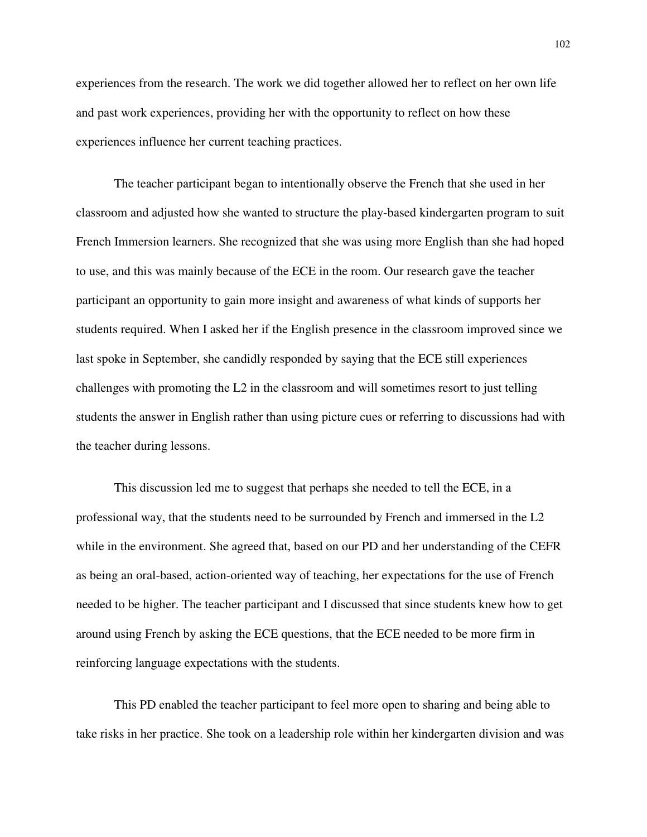experiences from the research. The work we did together allowed her to reflect on her own life and past work experiences, providing her with the opportunity to reflect on how these experiences influence her current teaching practices.

The teacher participant began to intentionally observe the French that she used in her classroom and adjusted how she wanted to structure the play-based kindergarten program to suit French Immersion learners. She recognized that she was using more English than she had hoped to use, and this was mainly because of the ECE in the room. Our research gave the teacher participant an opportunity to gain more insight and awareness of what kinds of supports her students required. When I asked her if the English presence in the classroom improved since we last spoke in September, she candidly responded by saying that the ECE still experiences challenges with promoting the L2 in the classroom and will sometimes resort to just telling students the answer in English rather than using picture cues or referring to discussions had with the teacher during lessons.

This discussion led me to suggest that perhaps she needed to tell the ECE, in a professional way, that the students need to be surrounded by French and immersed in the L2 while in the environment. She agreed that, based on our PD and her understanding of the CEFR as being an oral-based, action-oriented way of teaching, her expectations for the use of French needed to be higher. The teacher participant and I discussed that since students knew how to get around using French by asking the ECE questions, that the ECE needed to be more firm in reinforcing language expectations with the students.

This PD enabled the teacher participant to feel more open to sharing and being able to take risks in her practice. She took on a leadership role within her kindergarten division and was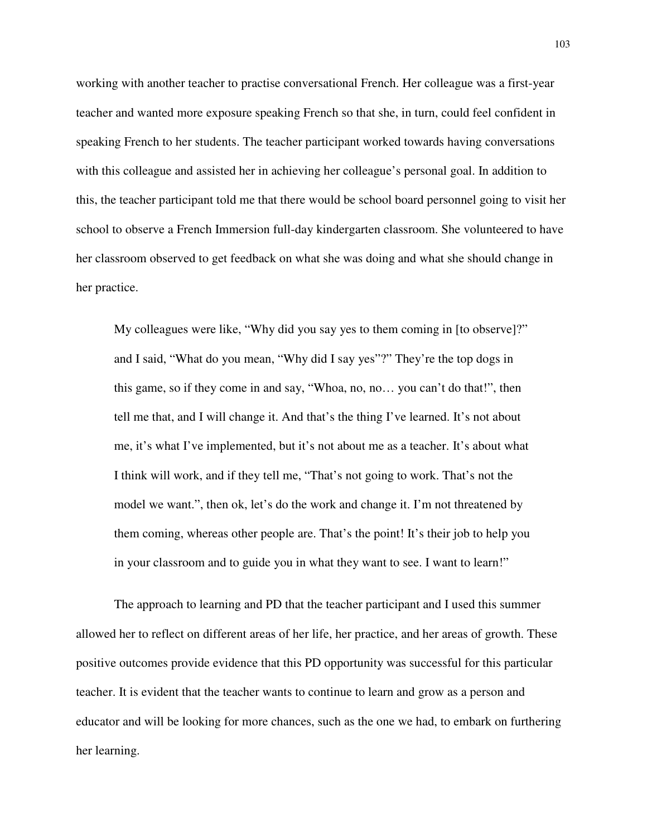working with another teacher to practise conversational French. Her colleague was a first-year teacher and wanted more exposure speaking French so that she, in turn, could feel confident in speaking French to her students. The teacher participant worked towards having conversations with this colleague and assisted her in achieving her colleague's personal goal. In addition to this, the teacher participant told me that there would be school board personnel going to visit her school to observe a French Immersion full-day kindergarten classroom. She volunteered to have her classroom observed to get feedback on what she was doing and what she should change in her practice.

My colleagues were like, "Why did you say yes to them coming in [to observe]?" and I said, "What do you mean, "Why did I say yes"?" They're the top dogs in this game, so if they come in and say, "Whoa, no, no… you can't do that!", then tell me that, and I will change it. And that's the thing I've learned. It's not about me, it's what I've implemented, but it's not about me as a teacher. It's about what I think will work, and if they tell me, "That's not going to work. That's not the model we want.", then ok, let's do the work and change it. I'm not threatened by them coming, whereas other people are. That's the point! It's their job to help you in your classroom and to guide you in what they want to see. I want to learn!"

The approach to learning and PD that the teacher participant and I used this summer allowed her to reflect on different areas of her life, her practice, and her areas of growth. These positive outcomes provide evidence that this PD opportunity was successful for this particular teacher. It is evident that the teacher wants to continue to learn and grow as a person and educator and will be looking for more chances, such as the one we had, to embark on furthering her learning.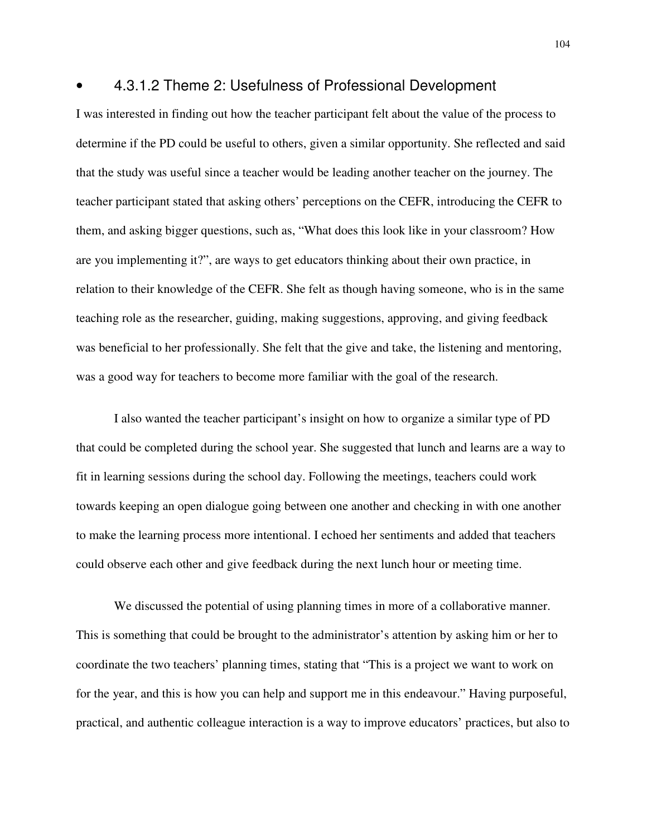#### • 4.3.1.2 Theme 2: Usefulness of Professional Development

I was interested in finding out how the teacher participant felt about the value of the process to determine if the PD could be useful to others, given a similar opportunity. She reflected and said that the study was useful since a teacher would be leading another teacher on the journey. The teacher participant stated that asking others' perceptions on the CEFR, introducing the CEFR to them, and asking bigger questions, such as, "What does this look like in your classroom? How are you implementing it?", are ways to get educators thinking about their own practice, in relation to their knowledge of the CEFR. She felt as though having someone, who is in the same teaching role as the researcher, guiding, making suggestions, approving, and giving feedback was beneficial to her professionally. She felt that the give and take, the listening and mentoring, was a good way for teachers to become more familiar with the goal of the research.

I also wanted the teacher participant's insight on how to organize a similar type of PD that could be completed during the school year. She suggested that lunch and learns are a way to fit in learning sessions during the school day. Following the meetings, teachers could work towards keeping an open dialogue going between one another and checking in with one another to make the learning process more intentional. I echoed her sentiments and added that teachers could observe each other and give feedback during the next lunch hour or meeting time.

We discussed the potential of using planning times in more of a collaborative manner. This is something that could be brought to the administrator's attention by asking him or her to coordinate the two teachers' planning times, stating that "This is a project we want to work on for the year, and this is how you can help and support me in this endeavour." Having purposeful, practical, and authentic colleague interaction is a way to improve educators' practices, but also to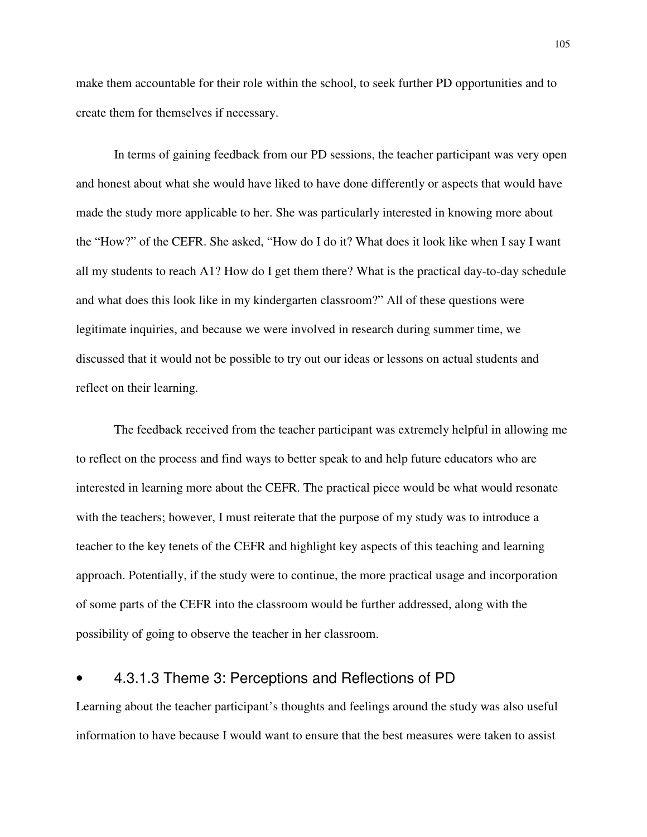make them accountable for their role within the school, to seek further PD opportunities and to create them for themselves if necessary.

In terms of gaining feedback from our PD sessions, the teacher participant was very open and honest about what she would have liked to have done differently or aspects that would have made the study more applicable to her. She was particularly interested in knowing more about the "How?" of the CEFR. She asked, "How do I do it? What does it look like when I say I want all my students to reach A1? How do I get them there? What is the practical day-to-day schedule and what does this look like in my kindergarten classroom?" All of these questions were legitimate inquiries, and because we were involved in research during summer time, we discussed that it would not be possible to try out our ideas or lessons on actual students and reflect on their learning.

The feedback received from the teacher participant was extremely helpful in allowing me to reflect on the process and find ways to better speak to and help future educators who are interested in learning more about the CEFR. The practical piece would be what would resonate with the teachers; however, I must reiterate that the purpose of my study was to introduce a teacher to the key tenets of the CEFR and highlight key aspects of this teaching and learning approach. Potentially, if the study were to continue, the more practical usage and incorporation of some parts of the CEFR into the classroom would be further addressed, along with the possibility of going to observe the teacher in her classroom.

### • 4.3.1.3 Theme 3: Perceptions and Reflections of PD

Learning about the teacher participant's thoughts and feelings around the study was also useful information to have because I would want to ensure that the best measures were taken to assist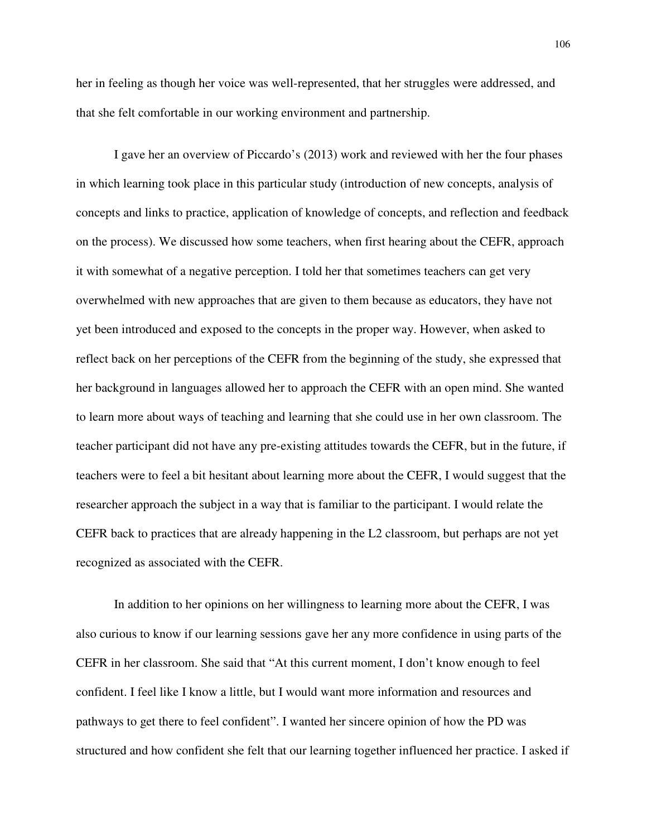her in feeling as though her voice was well-represented, that her struggles were addressed, and that she felt comfortable in our working environment and partnership.

I gave her an overview of Piccardo's (2013) work and reviewed with her the four phases in which learning took place in this particular study (introduction of new concepts, analysis of concepts and links to practice, application of knowledge of concepts, and reflection and feedback on the process). We discussed how some teachers, when first hearing about the CEFR, approach it with somewhat of a negative perception. I told her that sometimes teachers can get very overwhelmed with new approaches that are given to them because as educators, they have not yet been introduced and exposed to the concepts in the proper way. However, when asked to reflect back on her perceptions of the CEFR from the beginning of the study, she expressed that her background in languages allowed her to approach the CEFR with an open mind. She wanted to learn more about ways of teaching and learning that she could use in her own classroom. The teacher participant did not have any pre-existing attitudes towards the CEFR, but in the future, if teachers were to feel a bit hesitant about learning more about the CEFR, I would suggest that the researcher approach the subject in a way that is familiar to the participant. I would relate the CEFR back to practices that are already happening in the L2 classroom, but perhaps are not yet recognized as associated with the CEFR.

In addition to her opinions on her willingness to learning more about the CEFR, I was also curious to know if our learning sessions gave her any more confidence in using parts of the CEFR in her classroom. She said that "At this current moment, I don't know enough to feel confident. I feel like I know a little, but I would want more information and resources and pathways to get there to feel confident". I wanted her sincere opinion of how the PD was structured and how confident she felt that our learning together influenced her practice. I asked if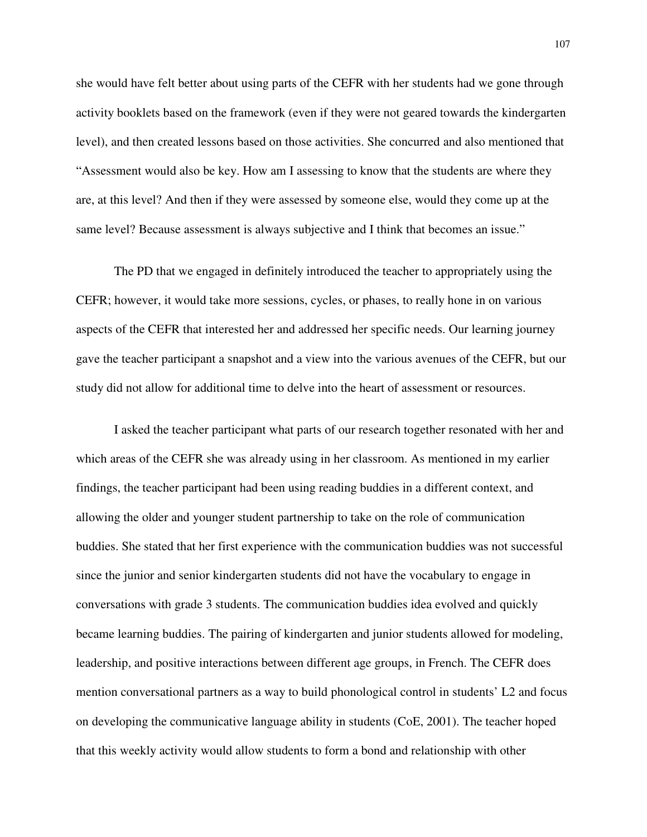she would have felt better about using parts of the CEFR with her students had we gone through activity booklets based on the framework (even if they were not geared towards the kindergarten level), and then created lessons based on those activities. She concurred and also mentioned that "Assessment would also be key. How am I assessing to know that the students are where they are, at this level? And then if they were assessed by someone else, would they come up at the same level? Because assessment is always subjective and I think that becomes an issue."

The PD that we engaged in definitely introduced the teacher to appropriately using the CEFR; however, it would take more sessions, cycles, or phases, to really hone in on various aspects of the CEFR that interested her and addressed her specific needs. Our learning journey gave the teacher participant a snapshot and a view into the various avenues of the CEFR, but our study did not allow for additional time to delve into the heart of assessment or resources.

I asked the teacher participant what parts of our research together resonated with her and which areas of the CEFR she was already using in her classroom. As mentioned in my earlier findings, the teacher participant had been using reading buddies in a different context, and allowing the older and younger student partnership to take on the role of communication buddies. She stated that her first experience with the communication buddies was not successful since the junior and senior kindergarten students did not have the vocabulary to engage in conversations with grade 3 students. The communication buddies idea evolved and quickly became learning buddies. The pairing of kindergarten and junior students allowed for modeling, leadership, and positive interactions between different age groups, in French. The CEFR does mention conversational partners as a way to build phonological control in students' L2 and focus on developing the communicative language ability in students (CoE, 2001). The teacher hoped that this weekly activity would allow students to form a bond and relationship with other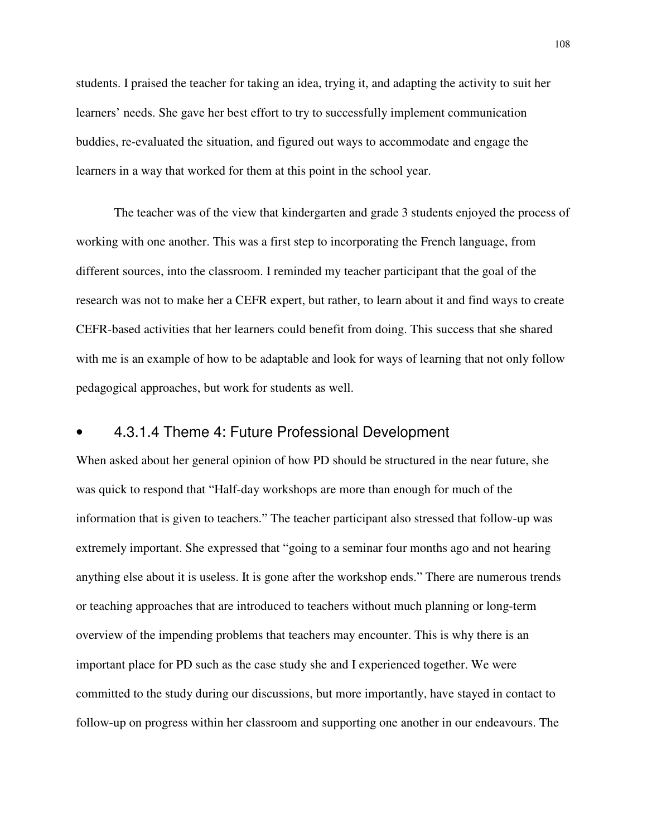students. I praised the teacher for taking an idea, trying it, and adapting the activity to suit her learners' needs. She gave her best effort to try to successfully implement communication buddies, re-evaluated the situation, and figured out ways to accommodate and engage the learners in a way that worked for them at this point in the school year.

The teacher was of the view that kindergarten and grade 3 students enjoyed the process of working with one another. This was a first step to incorporating the French language, from different sources, into the classroom. I reminded my teacher participant that the goal of the research was not to make her a CEFR expert, but rather, to learn about it and find ways to create CEFR-based activities that her learners could benefit from doing. This success that she shared with me is an example of how to be adaptable and look for ways of learning that not only follow pedagogical approaches, but work for students as well.

### • 4.3.1.4 Theme 4: Future Professional Development

When asked about her general opinion of how PD should be structured in the near future, she was quick to respond that "Half-day workshops are more than enough for much of the information that is given to teachers." The teacher participant also stressed that follow-up was extremely important. She expressed that "going to a seminar four months ago and not hearing anything else about it is useless. It is gone after the workshop ends." There are numerous trends or teaching approaches that are introduced to teachers without much planning or long-term overview of the impending problems that teachers may encounter. This is why there is an important place for PD such as the case study she and I experienced together. We were committed to the study during our discussions, but more importantly, have stayed in contact to follow-up on progress within her classroom and supporting one another in our endeavours. The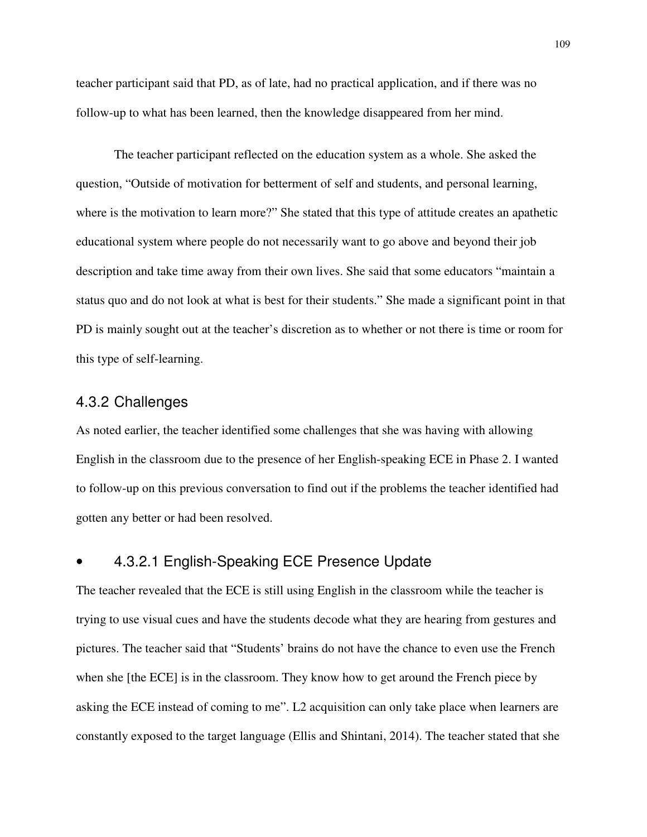teacher participant said that PD, as of late, had no practical application, and if there was no follow-up to what has been learned, then the knowledge disappeared from her mind.

The teacher participant reflected on the education system as a whole. She asked the question, "Outside of motivation for betterment of self and students, and personal learning, where is the motivation to learn more?" She stated that this type of attitude creates an apathetic educational system where people do not necessarily want to go above and beyond their job description and take time away from their own lives. She said that some educators "maintain a status quo and do not look at what is best for their students." She made a significant point in that PD is mainly sought out at the teacher's discretion as to whether or not there is time or room for this type of self-learning.

#### 4.3.2 Challenges

As noted earlier, the teacher identified some challenges that she was having with allowing English in the classroom due to the presence of her English-speaking ECE in Phase 2. I wanted to follow-up on this previous conversation to find out if the problems the teacher identified had gotten any better or had been resolved.

## • 4.3.2.1 English-Speaking ECE Presence Update

The teacher revealed that the ECE is still using English in the classroom while the teacher is trying to use visual cues and have the students decode what they are hearing from gestures and pictures. The teacher said that "Students' brains do not have the chance to even use the French when she [the ECE] is in the classroom. They know how to get around the French piece by asking the ECE instead of coming to me". L2 acquisition can only take place when learners are constantly exposed to the target language (Ellis and Shintani, 2014). The teacher stated that she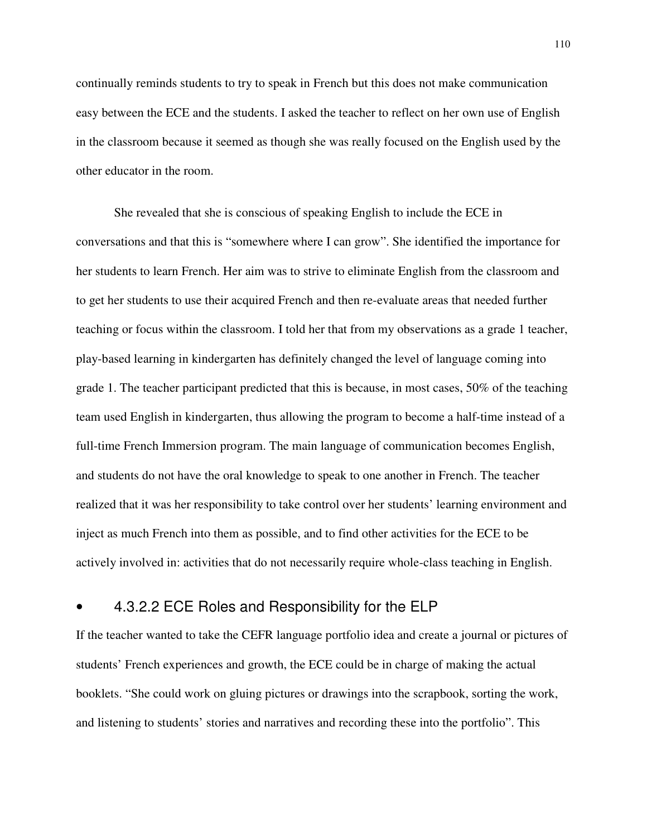continually reminds students to try to speak in French but this does not make communication easy between the ECE and the students. I asked the teacher to reflect on her own use of English in the classroom because it seemed as though she was really focused on the English used by the other educator in the room.

She revealed that she is conscious of speaking English to include the ECE in conversations and that this is "somewhere where I can grow". She identified the importance for her students to learn French. Her aim was to strive to eliminate English from the classroom and to get her students to use their acquired French and then re-evaluate areas that needed further teaching or focus within the classroom. I told her that from my observations as a grade 1 teacher, play-based learning in kindergarten has definitely changed the level of language coming into grade 1. The teacher participant predicted that this is because, in most cases, 50% of the teaching team used English in kindergarten, thus allowing the program to become a half-time instead of a full-time French Immersion program. The main language of communication becomes English, and students do not have the oral knowledge to speak to one another in French. The teacher realized that it was her responsibility to take control over her students' learning environment and inject as much French into them as possible, and to find other activities for the ECE to be actively involved in: activities that do not necessarily require whole-class teaching in English.

## • 4.3.2.2 ECE Roles and Responsibility for the ELP

If the teacher wanted to take the CEFR language portfolio idea and create a journal or pictures of students' French experiences and growth, the ECE could be in charge of making the actual booklets. "She could work on gluing pictures or drawings into the scrapbook, sorting the work, and listening to students' stories and narratives and recording these into the portfolio". This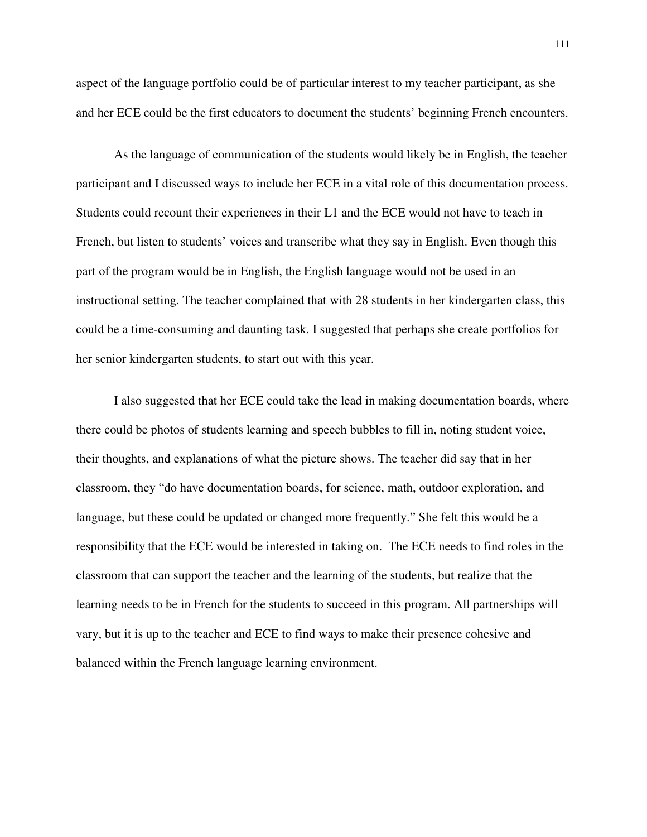aspect of the language portfolio could be of particular interest to my teacher participant, as she and her ECE could be the first educators to document the students' beginning French encounters.

As the language of communication of the students would likely be in English, the teacher participant and I discussed ways to include her ECE in a vital role of this documentation process. Students could recount their experiences in their L1 and the ECE would not have to teach in French, but listen to students' voices and transcribe what they say in English. Even though this part of the program would be in English, the English language would not be used in an instructional setting. The teacher complained that with 28 students in her kindergarten class, this could be a time-consuming and daunting task. I suggested that perhaps she create portfolios for her senior kindergarten students, to start out with this year.

I also suggested that her ECE could take the lead in making documentation boards, where there could be photos of students learning and speech bubbles to fill in, noting student voice, their thoughts, and explanations of what the picture shows. The teacher did say that in her classroom, they "do have documentation boards, for science, math, outdoor exploration, and language, but these could be updated or changed more frequently." She felt this would be a responsibility that the ECE would be interested in taking on. The ECE needs to find roles in the classroom that can support the teacher and the learning of the students, but realize that the learning needs to be in French for the students to succeed in this program. All partnerships will vary, but it is up to the teacher and ECE to find ways to make their presence cohesive and balanced within the French language learning environment.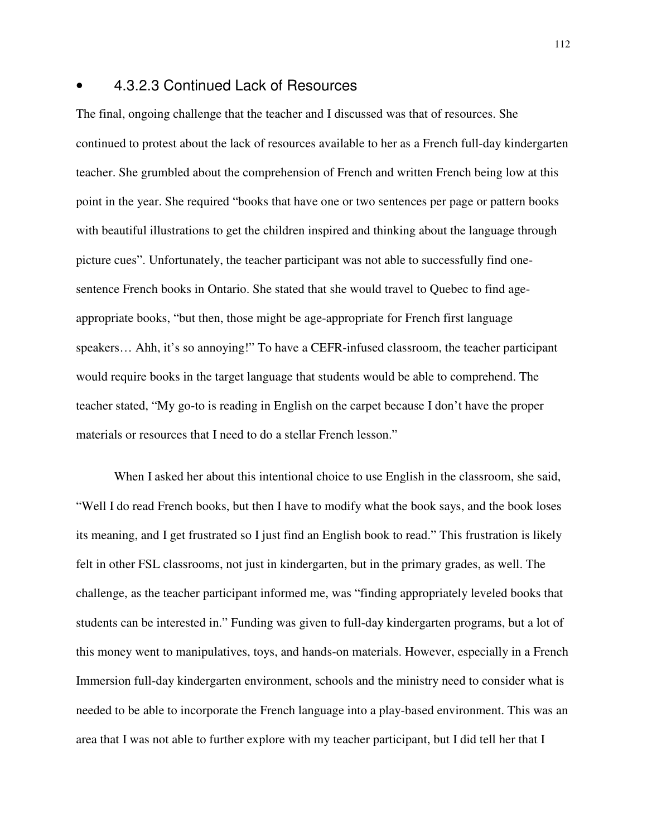#### • 4.3.2.3 Continued Lack of Resources

The final, ongoing challenge that the teacher and I discussed was that of resources. She continued to protest about the lack of resources available to her as a French full-day kindergarten teacher. She grumbled about the comprehension of French and written French being low at this point in the year. She required "books that have one or two sentences per page or pattern books with beautiful illustrations to get the children inspired and thinking about the language through picture cues". Unfortunately, the teacher participant was not able to successfully find onesentence French books in Ontario. She stated that she would travel to Quebec to find ageappropriate books, "but then, those might be age-appropriate for French first language speakers... Ahh, it's so annoying!" To have a CEFR-infused classroom, the teacher participant would require books in the target language that students would be able to comprehend. The teacher stated, "My go-to is reading in English on the carpet because I don't have the proper materials or resources that I need to do a stellar French lesson."

When I asked her about this intentional choice to use English in the classroom, she said, "Well I do read French books, but then I have to modify what the book says, and the book loses its meaning, and I get frustrated so I just find an English book to read." This frustration is likely felt in other FSL classrooms, not just in kindergarten, but in the primary grades, as well. The challenge, as the teacher participant informed me, was "finding appropriately leveled books that students can be interested in." Funding was given to full-day kindergarten programs, but a lot of this money went to manipulatives, toys, and hands-on materials. However, especially in a French Immersion full-day kindergarten environment, schools and the ministry need to consider what is needed to be able to incorporate the French language into a play-based environment. This was an area that I was not able to further explore with my teacher participant, but I did tell her that I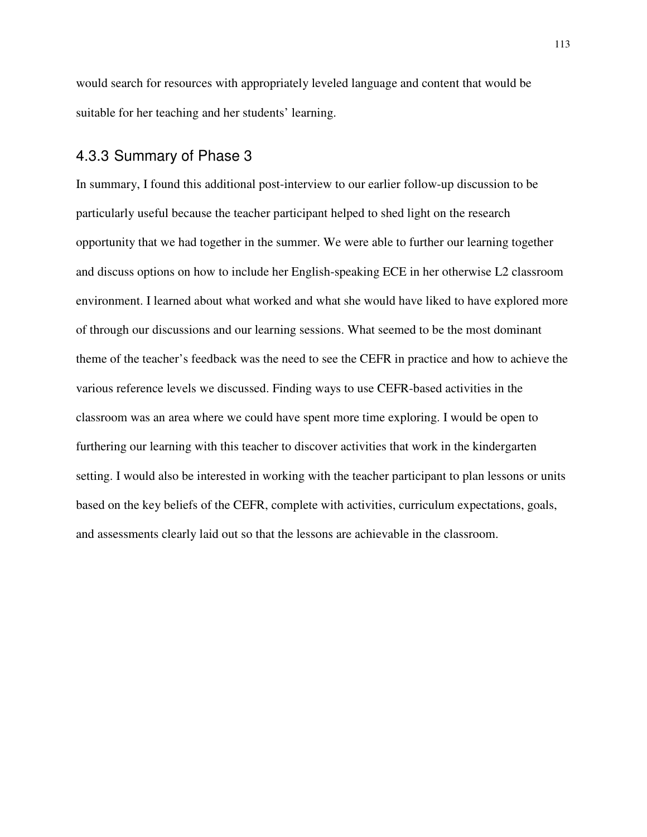would search for resources with appropriately leveled language and content that would be suitable for her teaching and her students' learning.

#### 4.3.3 Summary of Phase 3

In summary, I found this additional post-interview to our earlier follow-up discussion to be particularly useful because the teacher participant helped to shed light on the research opportunity that we had together in the summer. We were able to further our learning together and discuss options on how to include her English-speaking ECE in her otherwise L2 classroom environment. I learned about what worked and what she would have liked to have explored more of through our discussions and our learning sessions. What seemed to be the most dominant theme of the teacher's feedback was the need to see the CEFR in practice and how to achieve the various reference levels we discussed. Finding ways to use CEFR-based activities in the classroom was an area where we could have spent more time exploring. I would be open to furthering our learning with this teacher to discover activities that work in the kindergarten setting. I would also be interested in working with the teacher participant to plan lessons or units based on the key beliefs of the CEFR, complete with activities, curriculum expectations, goals, and assessments clearly laid out so that the lessons are achievable in the classroom.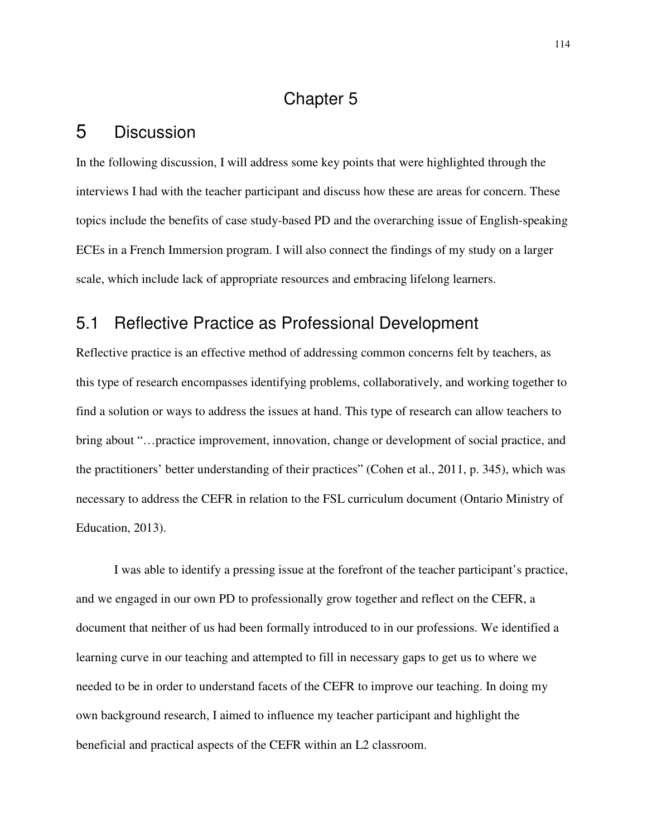# Chapter 5

# 5 Discussion

In the following discussion, I will address some key points that were highlighted through the interviews I had with the teacher participant and discuss how these are areas for concern. These topics include the benefits of case study-based PD and the overarching issue of English-speaking ECEs in a French Immersion program. I will also connect the findings of my study on a larger scale, which include lack of appropriate resources and embracing lifelong learners.

## 5.1 Reflective Practice as Professional Development

Reflective practice is an effective method of addressing common concerns felt by teachers, as this type of research encompasses identifying problems, collaboratively, and working together to find a solution or ways to address the issues at hand. This type of research can allow teachers to bring about "…practice improvement, innovation, change or development of social practice, and the practitioners' better understanding of their practices" (Cohen et al., 2011, p. 345), which was necessary to address the CEFR in relation to the FSL curriculum document (Ontario Ministry of Education, 2013).

I was able to identify a pressing issue at the forefront of the teacher participant's practice, and we engaged in our own PD to professionally grow together and reflect on the CEFR, a document that neither of us had been formally introduced to in our professions. We identified a learning curve in our teaching and attempted to fill in necessary gaps to get us to where we needed to be in order to understand facets of the CEFR to improve our teaching. In doing my own background research, I aimed to influence my teacher participant and highlight the beneficial and practical aspects of the CEFR within an L2 classroom.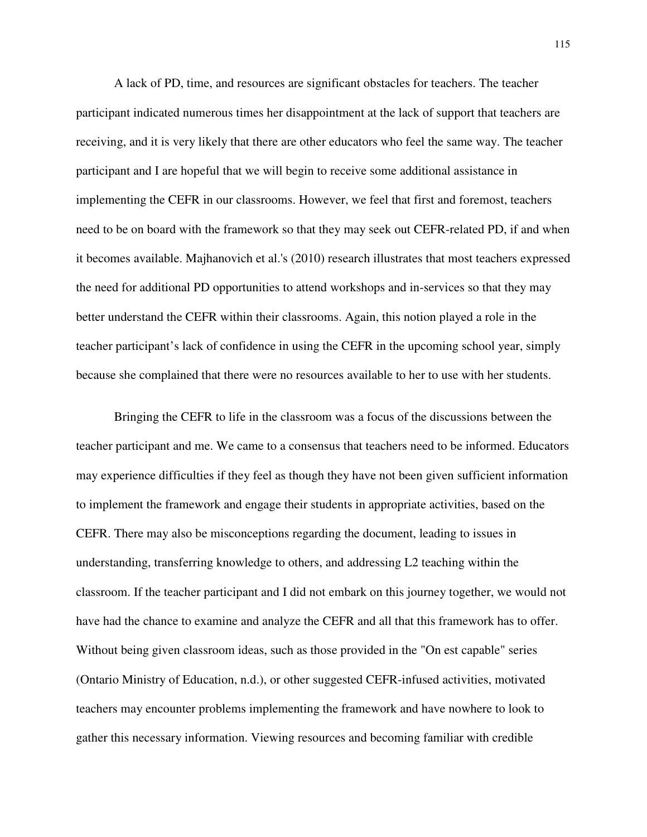A lack of PD, time, and resources are significant obstacles for teachers. The teacher participant indicated numerous times her disappointment at the lack of support that teachers are receiving, and it is very likely that there are other educators who feel the same way. The teacher participant and I are hopeful that we will begin to receive some additional assistance in implementing the CEFR in our classrooms. However, we feel that first and foremost, teachers need to be on board with the framework so that they may seek out CEFR-related PD, if and when it becomes available. Majhanovich et al.'s (2010) research illustrates that most teachers expressed the need for additional PD opportunities to attend workshops and in-services so that they may better understand the CEFR within their classrooms. Again, this notion played a role in the teacher participant's lack of confidence in using the CEFR in the upcoming school year, simply because she complained that there were no resources available to her to use with her students.

Bringing the CEFR to life in the classroom was a focus of the discussions between the teacher participant and me. We came to a consensus that teachers need to be informed. Educators may experience difficulties if they feel as though they have not been given sufficient information to implement the framework and engage their students in appropriate activities, based on the CEFR. There may also be misconceptions regarding the document, leading to issues in understanding, transferring knowledge to others, and addressing L2 teaching within the classroom. If the teacher participant and I did not embark on this journey together, we would not have had the chance to examine and analyze the CEFR and all that this framework has to offer. Without being given classroom ideas, such as those provided in the "On est capable" series (Ontario Ministry of Education, n.d.), or other suggested CEFR-infused activities, motivated teachers may encounter problems implementing the framework and have nowhere to look to gather this necessary information. Viewing resources and becoming familiar with credible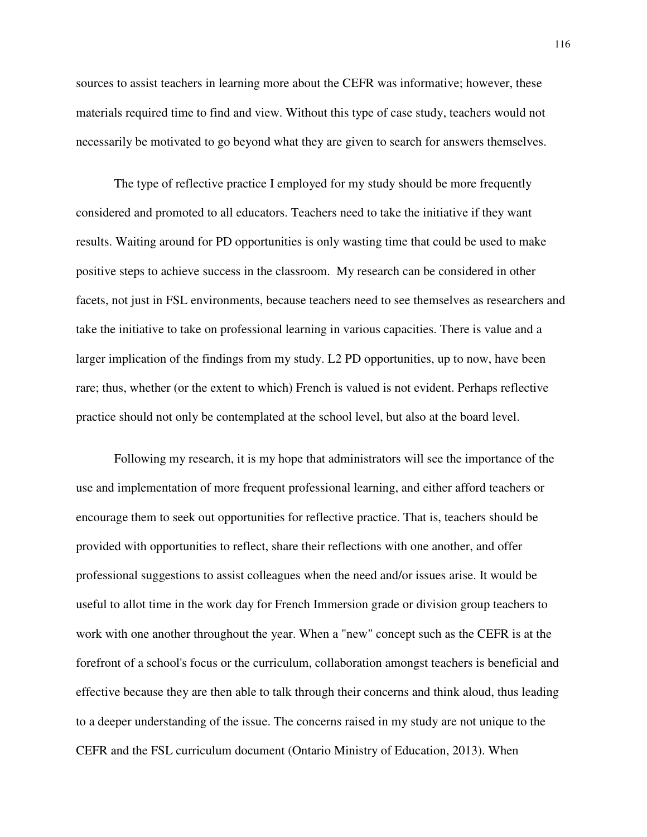sources to assist teachers in learning more about the CEFR was informative; however, these materials required time to find and view. Without this type of case study, teachers would not necessarily be motivated to go beyond what they are given to search for answers themselves.

The type of reflective practice I employed for my study should be more frequently considered and promoted to all educators. Teachers need to take the initiative if they want results. Waiting around for PD opportunities is only wasting time that could be used to make positive steps to achieve success in the classroom. My research can be considered in other facets, not just in FSL environments, because teachers need to see themselves as researchers and take the initiative to take on professional learning in various capacities. There is value and a larger implication of the findings from my study. L2 PD opportunities, up to now, have been rare; thus, whether (or the extent to which) French is valued is not evident. Perhaps reflective practice should not only be contemplated at the school level, but also at the board level.

Following my research, it is my hope that administrators will see the importance of the use and implementation of more frequent professional learning, and either afford teachers or encourage them to seek out opportunities for reflective practice. That is, teachers should be provided with opportunities to reflect, share their reflections with one another, and offer professional suggestions to assist colleagues when the need and/or issues arise. It would be useful to allot time in the work day for French Immersion grade or division group teachers to work with one another throughout the year. When a "new" concept such as the CEFR is at the forefront of a school's focus or the curriculum, collaboration amongst teachers is beneficial and effective because they are then able to talk through their concerns and think aloud, thus leading to a deeper understanding of the issue. The concerns raised in my study are not unique to the CEFR and the FSL curriculum document (Ontario Ministry of Education, 2013). When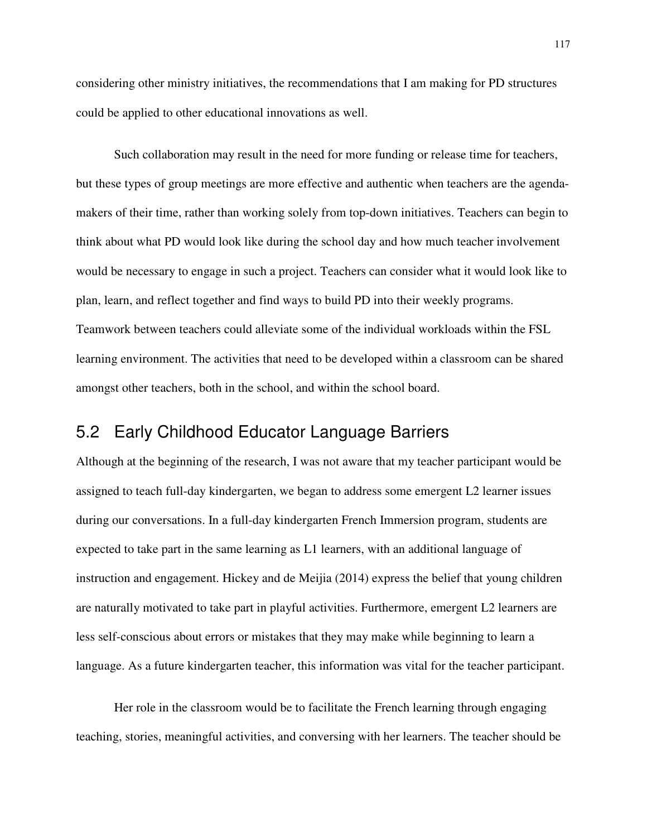considering other ministry initiatives, the recommendations that I am making for PD structures could be applied to other educational innovations as well.

Such collaboration may result in the need for more funding or release time for teachers, but these types of group meetings are more effective and authentic when teachers are the agendamakers of their time, rather than working solely from top-down initiatives. Teachers can begin to think about what PD would look like during the school day and how much teacher involvement would be necessary to engage in such a project. Teachers can consider what it would look like to plan, learn, and reflect together and find ways to build PD into their weekly programs. Teamwork between teachers could alleviate some of the individual workloads within the FSL learning environment. The activities that need to be developed within a classroom can be shared amongst other teachers, both in the school, and within the school board.

# 5.2 Early Childhood Educator Language Barriers

Although at the beginning of the research, I was not aware that my teacher participant would be assigned to teach full-day kindergarten, we began to address some emergent L2 learner issues during our conversations. In a full-day kindergarten French Immersion program, students are expected to take part in the same learning as L1 learners, with an additional language of instruction and engagement. Hickey and de Meijia (2014) express the belief that young children are naturally motivated to take part in playful activities. Furthermore, emergent L2 learners are less self-conscious about errors or mistakes that they may make while beginning to learn a language. As a future kindergarten teacher, this information was vital for the teacher participant.

Her role in the classroom would be to facilitate the French learning through engaging teaching, stories, meaningful activities, and conversing with her learners. The teacher should be

117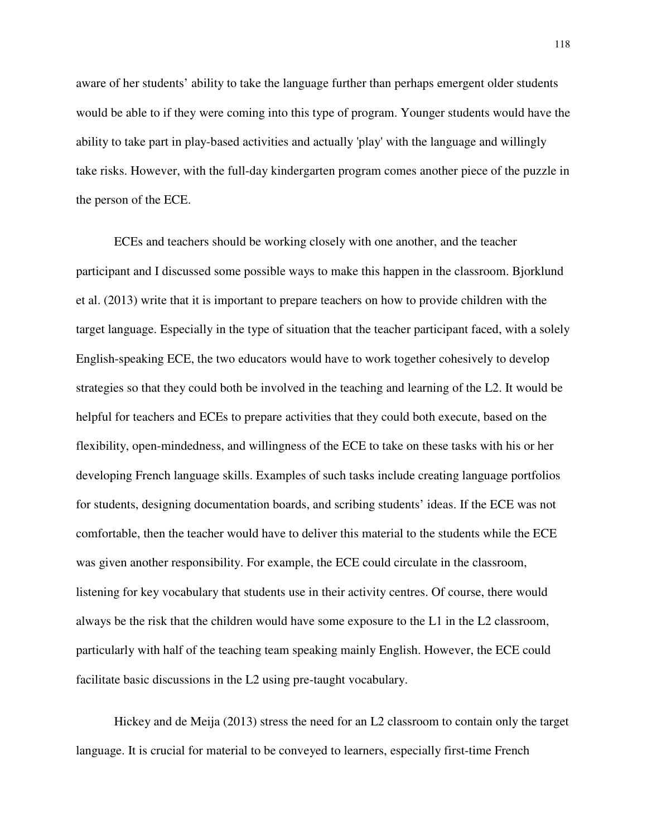aware of her students' ability to take the language further than perhaps emergent older students would be able to if they were coming into this type of program. Younger students would have the ability to take part in play-based activities and actually 'play' with the language and willingly take risks. However, with the full-day kindergarten program comes another piece of the puzzle in the person of the ECE.

ECEs and teachers should be working closely with one another, and the teacher participant and I discussed some possible ways to make this happen in the classroom. Bjorklund et al. (2013) write that it is important to prepare teachers on how to provide children with the target language. Especially in the type of situation that the teacher participant faced, with a solely English-speaking ECE, the two educators would have to work together cohesively to develop strategies so that they could both be involved in the teaching and learning of the L2. It would be helpful for teachers and ECEs to prepare activities that they could both execute, based on the flexibility, open-mindedness, and willingness of the ECE to take on these tasks with his or her developing French language skills. Examples of such tasks include creating language portfolios for students, designing documentation boards, and scribing students' ideas. If the ECE was not comfortable, then the teacher would have to deliver this material to the students while the ECE was given another responsibility. For example, the ECE could circulate in the classroom, listening for key vocabulary that students use in their activity centres. Of course, there would always be the risk that the children would have some exposure to the L1 in the L2 classroom, particularly with half of the teaching team speaking mainly English. However, the ECE could facilitate basic discussions in the L2 using pre-taught vocabulary.

Hickey and de Meija (2013) stress the need for an L2 classroom to contain only the target language. It is crucial for material to be conveyed to learners, especially first-time French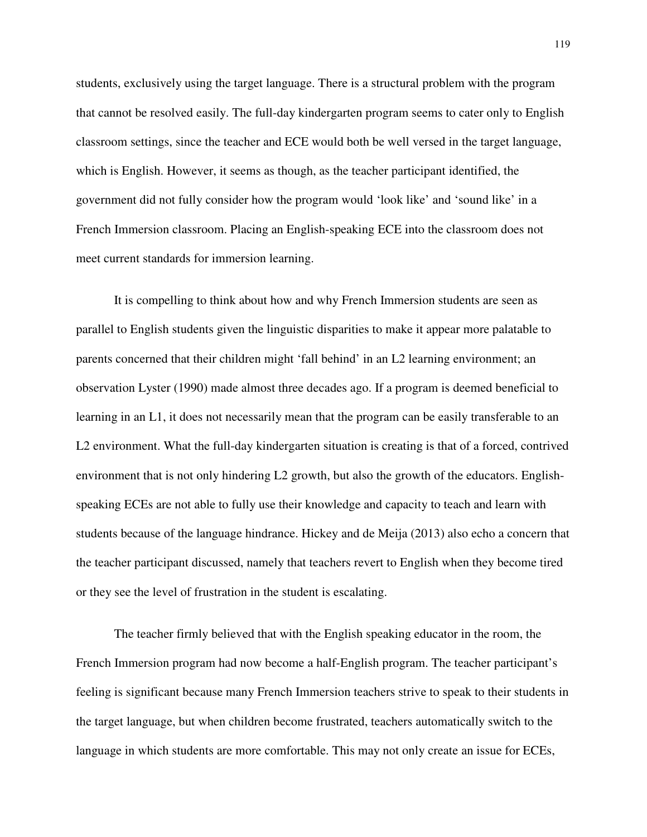students, exclusively using the target language. There is a structural problem with the program that cannot be resolved easily. The full-day kindergarten program seems to cater only to English classroom settings, since the teacher and ECE would both be well versed in the target language, which is English. However, it seems as though, as the teacher participant identified, the government did not fully consider how the program would 'look like' and 'sound like' in a French Immersion classroom. Placing an English-speaking ECE into the classroom does not meet current standards for immersion learning.

It is compelling to think about how and why French Immersion students are seen as parallel to English students given the linguistic disparities to make it appear more palatable to parents concerned that their children might 'fall behind' in an L2 learning environment; an observation Lyster (1990) made almost three decades ago. If a program is deemed beneficial to learning in an L1, it does not necessarily mean that the program can be easily transferable to an L2 environment. What the full-day kindergarten situation is creating is that of a forced, contrived environment that is not only hindering L2 growth, but also the growth of the educators. Englishspeaking ECEs are not able to fully use their knowledge and capacity to teach and learn with students because of the language hindrance. Hickey and de Meija (2013) also echo a concern that the teacher participant discussed, namely that teachers revert to English when they become tired or they see the level of frustration in the student is escalating.

The teacher firmly believed that with the English speaking educator in the room, the French Immersion program had now become a half-English program. The teacher participant's feeling is significant because many French Immersion teachers strive to speak to their students in the target language, but when children become frustrated, teachers automatically switch to the language in which students are more comfortable. This may not only create an issue for ECEs,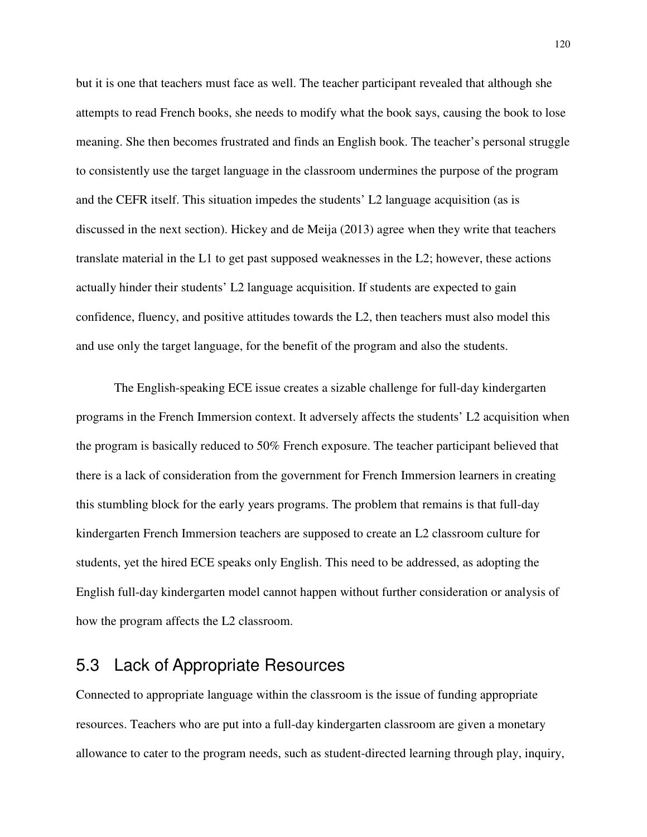but it is one that teachers must face as well. The teacher participant revealed that although she attempts to read French books, she needs to modify what the book says, causing the book to lose meaning. She then becomes frustrated and finds an English book. The teacher's personal struggle to consistently use the target language in the classroom undermines the purpose of the program and the CEFR itself. This situation impedes the students' L2 language acquisition (as is discussed in the next section). Hickey and de Meija (2013) agree when they write that teachers translate material in the L1 to get past supposed weaknesses in the L2; however, these actions actually hinder their students' L2 language acquisition. If students are expected to gain confidence, fluency, and positive attitudes towards the L2, then teachers must also model this and use only the target language, for the benefit of the program and also the students.

The English-speaking ECE issue creates a sizable challenge for full-day kindergarten programs in the French Immersion context. It adversely affects the students' L2 acquisition when the program is basically reduced to 50% French exposure. The teacher participant believed that there is a lack of consideration from the government for French Immersion learners in creating this stumbling block for the early years programs. The problem that remains is that full-day kindergarten French Immersion teachers are supposed to create an L2 classroom culture for students, yet the hired ECE speaks only English. This need to be addressed, as adopting the English full-day kindergarten model cannot happen without further consideration or analysis of how the program affects the L2 classroom.

## 5.3 Lack of Appropriate Resources

Connected to appropriate language within the classroom is the issue of funding appropriate resources. Teachers who are put into a full-day kindergarten classroom are given a monetary allowance to cater to the program needs, such as student-directed learning through play, inquiry,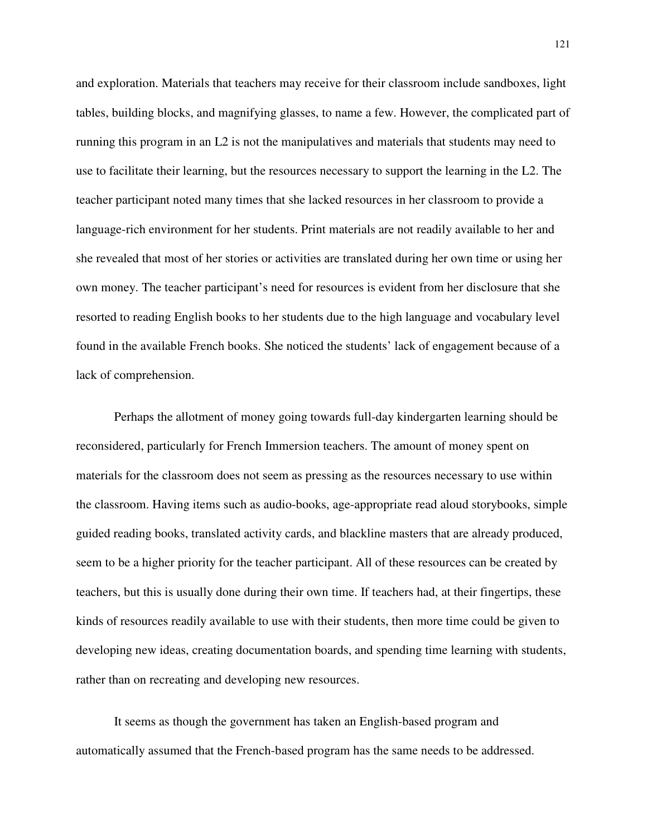and exploration. Materials that teachers may receive for their classroom include sandboxes, light tables, building blocks, and magnifying glasses, to name a few. However, the complicated part of running this program in an L2 is not the manipulatives and materials that students may need to use to facilitate their learning, but the resources necessary to support the learning in the L2. The teacher participant noted many times that she lacked resources in her classroom to provide a language-rich environment for her students. Print materials are not readily available to her and she revealed that most of her stories or activities are translated during her own time or using her own money. The teacher participant's need for resources is evident from her disclosure that she resorted to reading English books to her students due to the high language and vocabulary level found in the available French books. She noticed the students' lack of engagement because of a lack of comprehension.

Perhaps the allotment of money going towards full-day kindergarten learning should be reconsidered, particularly for French Immersion teachers. The amount of money spent on materials for the classroom does not seem as pressing as the resources necessary to use within the classroom. Having items such as audio-books, age-appropriate read aloud storybooks, simple guided reading books, translated activity cards, and blackline masters that are already produced, seem to be a higher priority for the teacher participant. All of these resources can be created by teachers, but this is usually done during their own time. If teachers had, at their fingertips, these kinds of resources readily available to use with their students, then more time could be given to developing new ideas, creating documentation boards, and spending time learning with students, rather than on recreating and developing new resources.

It seems as though the government has taken an English-based program and automatically assumed that the French-based program has the same needs to be addressed.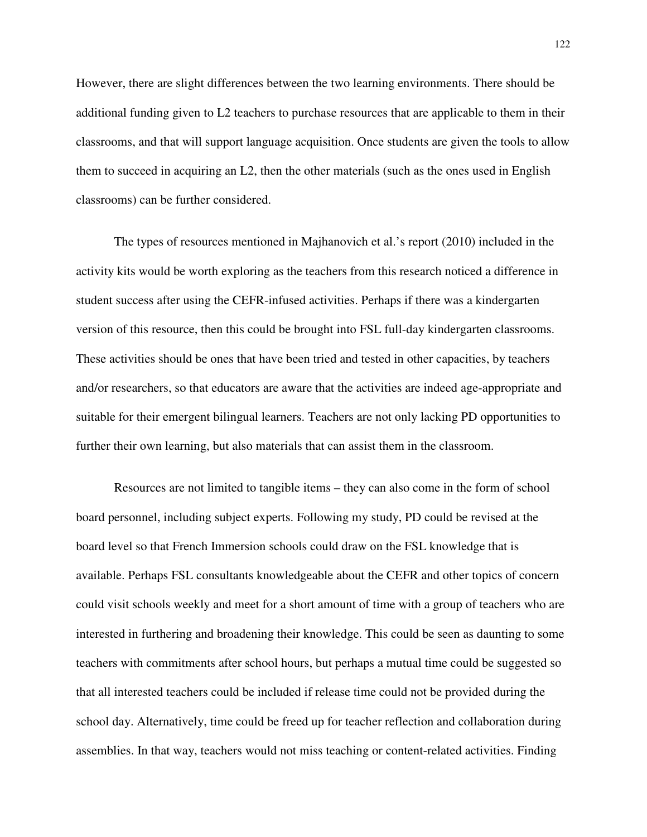However, there are slight differences between the two learning environments. There should be additional funding given to L2 teachers to purchase resources that are applicable to them in their classrooms, and that will support language acquisition. Once students are given the tools to allow them to succeed in acquiring an L2, then the other materials (such as the ones used in English classrooms) can be further considered.

The types of resources mentioned in Majhanovich et al.'s report (2010) included in the activity kits would be worth exploring as the teachers from this research noticed a difference in student success after using the CEFR-infused activities. Perhaps if there was a kindergarten version of this resource, then this could be brought into FSL full-day kindergarten classrooms. These activities should be ones that have been tried and tested in other capacities, by teachers and/or researchers, so that educators are aware that the activities are indeed age-appropriate and suitable for their emergent bilingual learners. Teachers are not only lacking PD opportunities to further their own learning, but also materials that can assist them in the classroom.

Resources are not limited to tangible items – they can also come in the form of school board personnel, including subject experts. Following my study, PD could be revised at the board level so that French Immersion schools could draw on the FSL knowledge that is available. Perhaps FSL consultants knowledgeable about the CEFR and other topics of concern could visit schools weekly and meet for a short amount of time with a group of teachers who are interested in furthering and broadening their knowledge. This could be seen as daunting to some teachers with commitments after school hours, but perhaps a mutual time could be suggested so that all interested teachers could be included if release time could not be provided during the school day. Alternatively, time could be freed up for teacher reflection and collaboration during assemblies. In that way, teachers would not miss teaching or content-related activities. Finding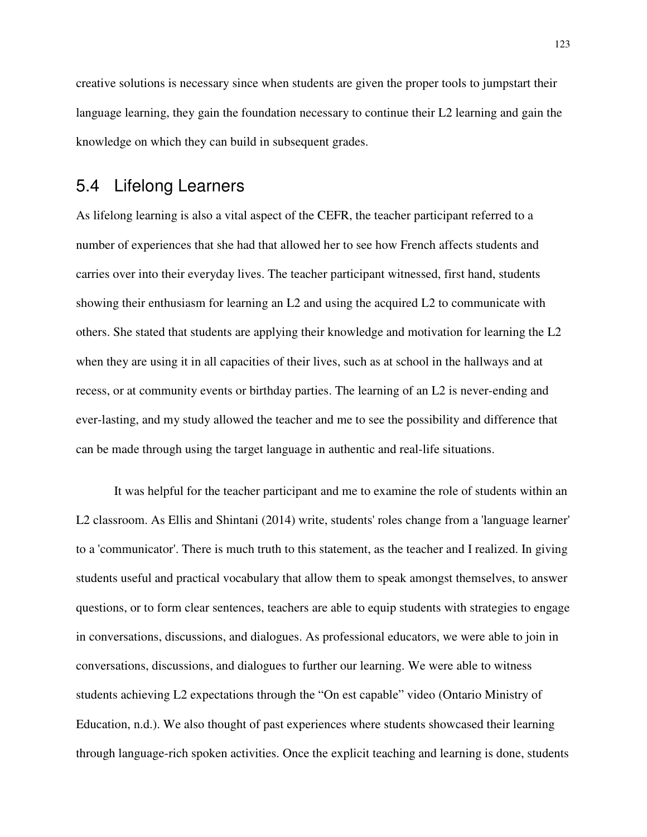creative solutions is necessary since when students are given the proper tools to jumpstart their language learning, they gain the foundation necessary to continue their L2 learning and gain the knowledge on which they can build in subsequent grades.

### 5.4 Lifelong Learners

As lifelong learning is also a vital aspect of the CEFR, the teacher participant referred to a number of experiences that she had that allowed her to see how French affects students and carries over into their everyday lives. The teacher participant witnessed, first hand, students showing their enthusiasm for learning an L2 and using the acquired L2 to communicate with others. She stated that students are applying their knowledge and motivation for learning the L2 when they are using it in all capacities of their lives, such as at school in the hallways and at recess, or at community events or birthday parties. The learning of an L2 is never-ending and ever-lasting, and my study allowed the teacher and me to see the possibility and difference that can be made through using the target language in authentic and real-life situations.

It was helpful for the teacher participant and me to examine the role of students within an L2 classroom. As Ellis and Shintani (2014) write, students' roles change from a 'language learner' to a 'communicator'. There is much truth to this statement, as the teacher and I realized. In giving students useful and practical vocabulary that allow them to speak amongst themselves, to answer questions, or to form clear sentences, teachers are able to equip students with strategies to engage in conversations, discussions, and dialogues. As professional educators, we were able to join in conversations, discussions, and dialogues to further our learning. We were able to witness students achieving L2 expectations through the "On est capable" video (Ontario Ministry of Education, n.d.). We also thought of past experiences where students showcased their learning through language-rich spoken activities. Once the explicit teaching and learning is done, students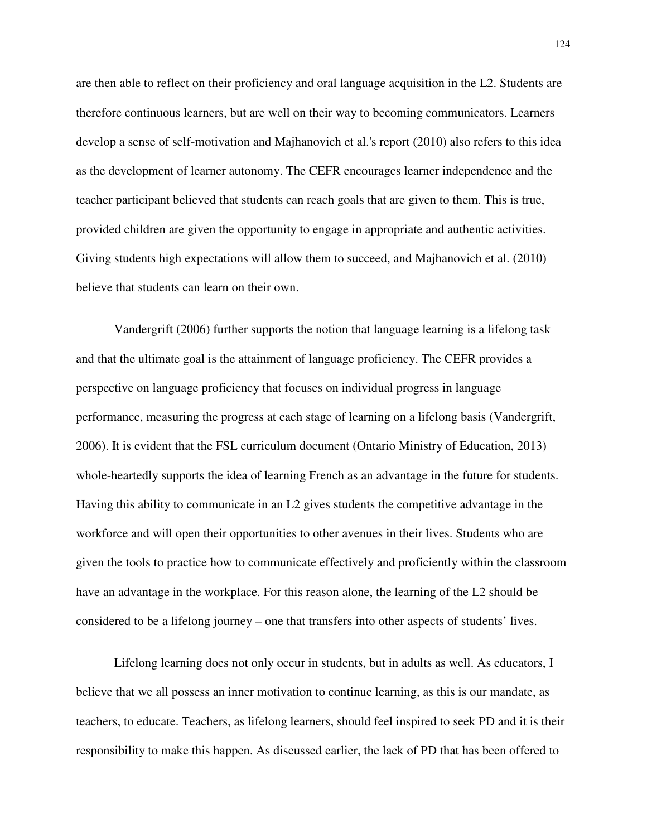are then able to reflect on their proficiency and oral language acquisition in the L2. Students are therefore continuous learners, but are well on their way to becoming communicators. Learners develop a sense of self-motivation and Majhanovich et al.'s report (2010) also refers to this idea as the development of learner autonomy. The CEFR encourages learner independence and the teacher participant believed that students can reach goals that are given to them. This is true, provided children are given the opportunity to engage in appropriate and authentic activities. Giving students high expectations will allow them to succeed, and Majhanovich et al. (2010) believe that students can learn on their own.

Vandergrift (2006) further supports the notion that language learning is a lifelong task and that the ultimate goal is the attainment of language proficiency. The CEFR provides a perspective on language proficiency that focuses on individual progress in language performance, measuring the progress at each stage of learning on a lifelong basis (Vandergrift, 2006). It is evident that the FSL curriculum document (Ontario Ministry of Education, 2013) whole-heartedly supports the idea of learning French as an advantage in the future for students. Having this ability to communicate in an L2 gives students the competitive advantage in the workforce and will open their opportunities to other avenues in their lives. Students who are given the tools to practice how to communicate effectively and proficiently within the classroom have an advantage in the workplace. For this reason alone, the learning of the L2 should be considered to be a lifelong journey – one that transfers into other aspects of students' lives.

Lifelong learning does not only occur in students, but in adults as well. As educators, I believe that we all possess an inner motivation to continue learning, as this is our mandate, as teachers, to educate. Teachers, as lifelong learners, should feel inspired to seek PD and it is their responsibility to make this happen. As discussed earlier, the lack of PD that has been offered to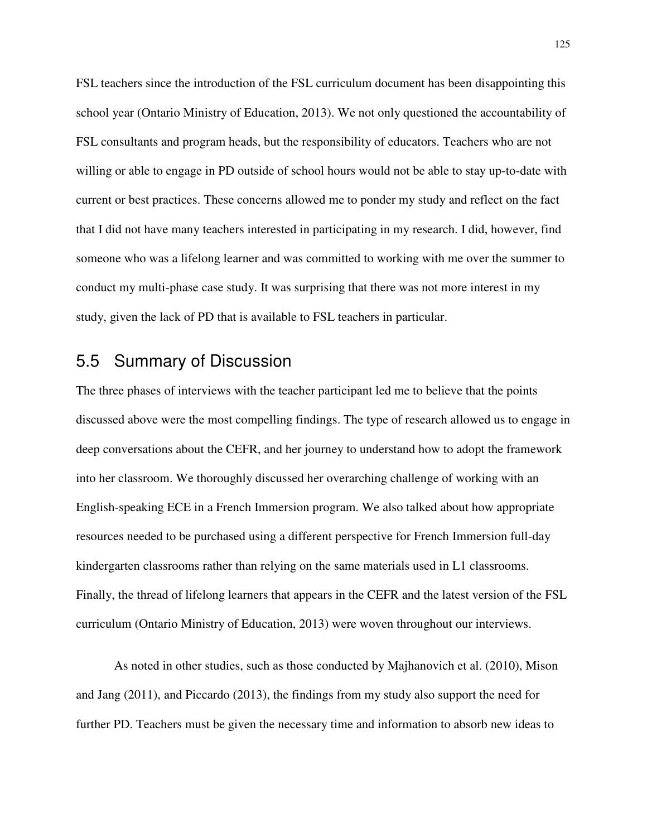FSL teachers since the introduction of the FSL curriculum document has been disappointing this school year (Ontario Ministry of Education, 2013). We not only questioned the accountability of FSL consultants and program heads, but the responsibility of educators. Teachers who are not willing or able to engage in PD outside of school hours would not be able to stay up-to-date with current or best practices. These concerns allowed me to ponder my study and reflect on the fact that I did not have many teachers interested in participating in my research. I did, however, find someone who was a lifelong learner and was committed to working with me over the summer to conduct my multi-phase case study. It was surprising that there was not more interest in my study, given the lack of PD that is available to FSL teachers in particular.

## 5.5 Summary of Discussion

The three phases of interviews with the teacher participant led me to believe that the points discussed above were the most compelling findings. The type of research allowed us to engage in deep conversations about the CEFR, and her journey to understand how to adopt the framework into her classroom. We thoroughly discussed her overarching challenge of working with an English-speaking ECE in a French Immersion program. We also talked about how appropriate resources needed to be purchased using a different perspective for French Immersion full-day kindergarten classrooms rather than relying on the same materials used in L1 classrooms. Finally, the thread of lifelong learners that appears in the CEFR and the latest version of the FSL curriculum (Ontario Ministry of Education, 2013) were woven throughout our interviews.

As noted in other studies, such as those conducted by Majhanovich et al. (2010), Mison and Jang (2011), and Piccardo (2013), the findings from my study also support the need for further PD. Teachers must be given the necessary time and information to absorb new ideas to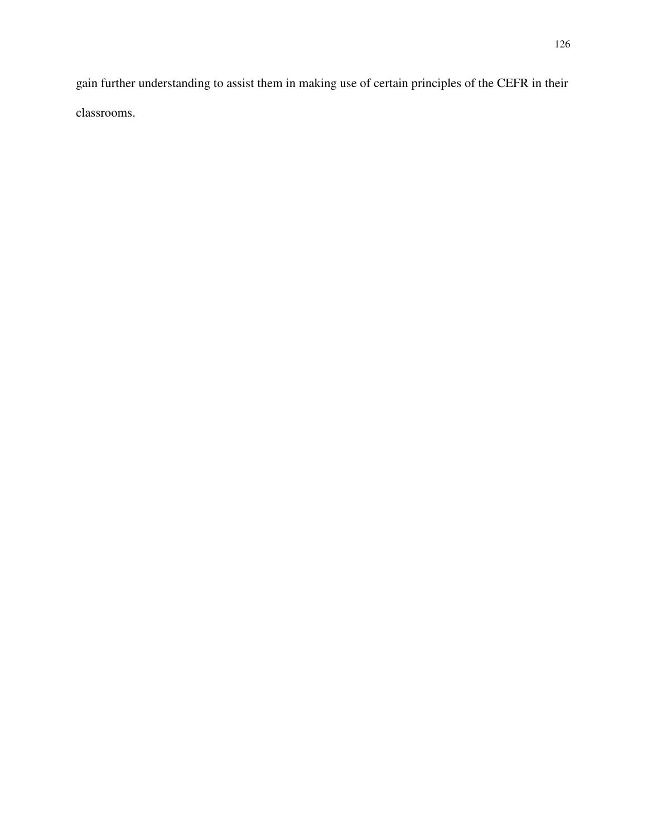gain further understanding to assist them in making use of certain principles of the CEFR in their classrooms.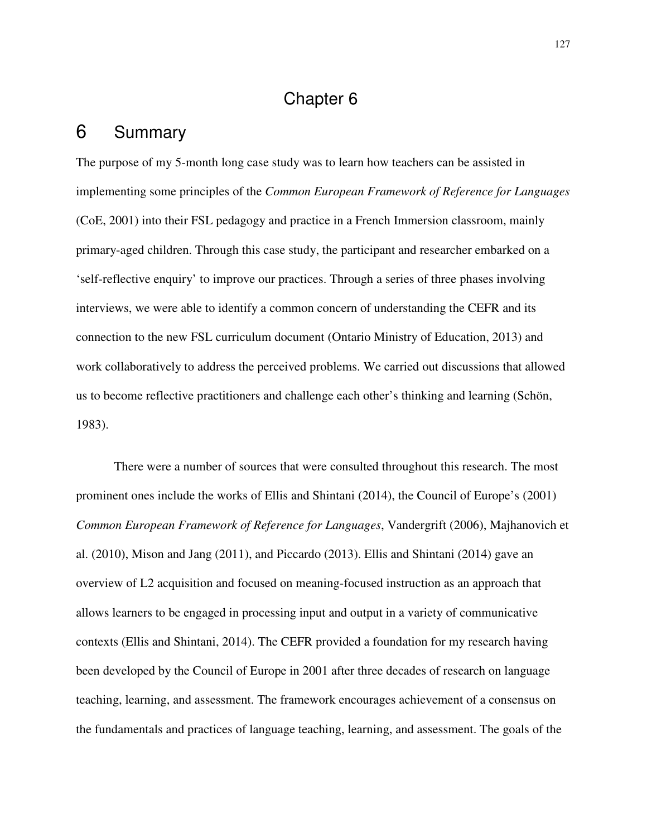# Chapter 6

## 6 Summary

The purpose of my 5-month long case study was to learn how teachers can be assisted in implementing some principles of the *Common European Framework of Reference for Languages* (CoE, 2001) into their FSL pedagogy and practice in a French Immersion classroom, mainly primary-aged children. Through this case study, the participant and researcher embarked on a 'self-reflective enquiry' to improve our practices. Through a series of three phases involving interviews, we were able to identify a common concern of understanding the CEFR and its connection to the new FSL curriculum document (Ontario Ministry of Education, 2013) and work collaboratively to address the perceived problems. We carried out discussions that allowed us to become reflective practitioners and challenge each other's thinking and learning (Schön, 1983).

There were a number of sources that were consulted throughout this research. The most prominent ones include the works of Ellis and Shintani (2014), the Council of Europe's (2001) *Common European Framework of Reference for Languages*, Vandergrift (2006), Majhanovich et al. (2010), Mison and Jang (2011), and Piccardo (2013). Ellis and Shintani (2014) gave an overview of L2 acquisition and focused on meaning-focused instruction as an approach that allows learners to be engaged in processing input and output in a variety of communicative contexts (Ellis and Shintani, 2014). The CEFR provided a foundation for my research having been developed by the Council of Europe in 2001 after three decades of research on language teaching, learning, and assessment. The framework encourages achievement of a consensus on the fundamentals and practices of language teaching, learning, and assessment. The goals of the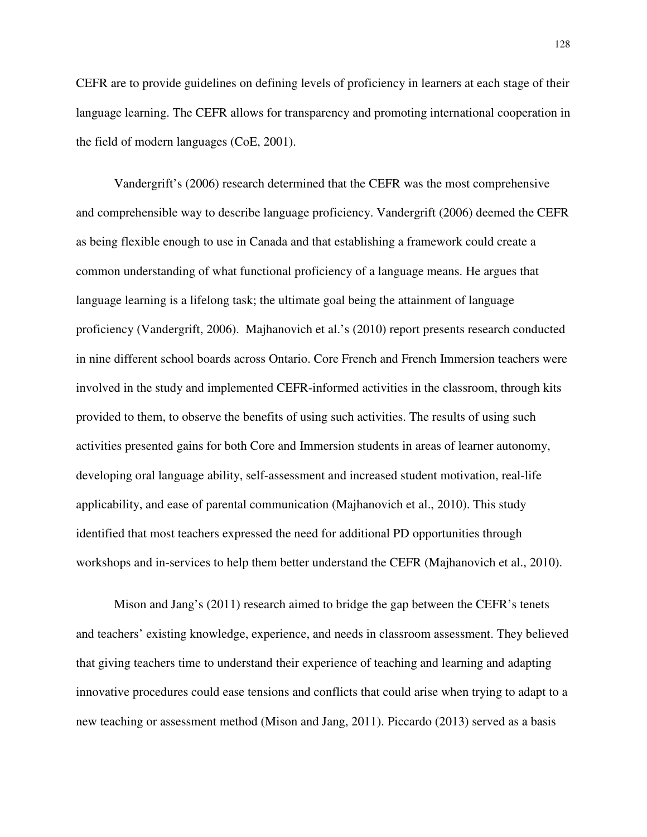CEFR are to provide guidelines on defining levels of proficiency in learners at each stage of their language learning. The CEFR allows for transparency and promoting international cooperation in the field of modern languages (CoE, 2001).

Vandergrift's (2006) research determined that the CEFR was the most comprehensive and comprehensible way to describe language proficiency. Vandergrift (2006) deemed the CEFR as being flexible enough to use in Canada and that establishing a framework could create a common understanding of what functional proficiency of a language means. He argues that language learning is a lifelong task; the ultimate goal being the attainment of language proficiency (Vandergrift, 2006). Majhanovich et al.'s (2010) report presents research conducted in nine different school boards across Ontario. Core French and French Immersion teachers were involved in the study and implemented CEFR-informed activities in the classroom, through kits provided to them, to observe the benefits of using such activities. The results of using such activities presented gains for both Core and Immersion students in areas of learner autonomy, developing oral language ability, self-assessment and increased student motivation, real-life applicability, and ease of parental communication (Majhanovich et al., 2010). This study identified that most teachers expressed the need for additional PD opportunities through workshops and in-services to help them better understand the CEFR (Majhanovich et al., 2010).

Mison and Jang's (2011) research aimed to bridge the gap between the CEFR's tenets and teachers' existing knowledge, experience, and needs in classroom assessment. They believed that giving teachers time to understand their experience of teaching and learning and adapting innovative procedures could ease tensions and conflicts that could arise when trying to adapt to a new teaching or assessment method (Mison and Jang, 2011). Piccardo (2013) served as a basis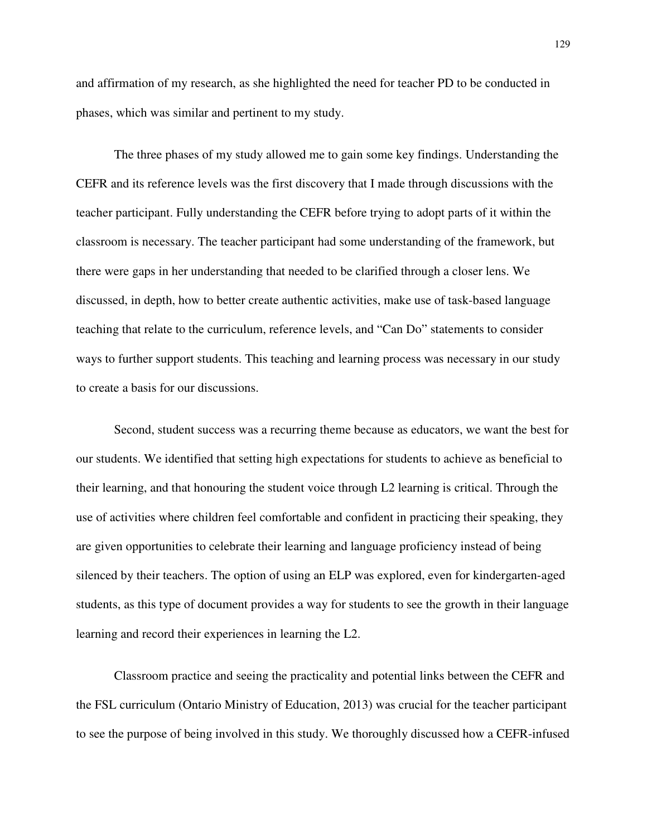and affirmation of my research, as she highlighted the need for teacher PD to be conducted in phases, which was similar and pertinent to my study.

The three phases of my study allowed me to gain some key findings. Understanding the CEFR and its reference levels was the first discovery that I made through discussions with the teacher participant. Fully understanding the CEFR before trying to adopt parts of it within the classroom is necessary. The teacher participant had some understanding of the framework, but there were gaps in her understanding that needed to be clarified through a closer lens. We discussed, in depth, how to better create authentic activities, make use of task-based language teaching that relate to the curriculum, reference levels, and "Can Do" statements to consider ways to further support students. This teaching and learning process was necessary in our study to create a basis for our discussions.

Second, student success was a recurring theme because as educators, we want the best for our students. We identified that setting high expectations for students to achieve as beneficial to their learning, and that honouring the student voice through L2 learning is critical. Through the use of activities where children feel comfortable and confident in practicing their speaking, they are given opportunities to celebrate their learning and language proficiency instead of being silenced by their teachers. The option of using an ELP was explored, even for kindergarten-aged students, as this type of document provides a way for students to see the growth in their language learning and record their experiences in learning the L2.

Classroom practice and seeing the practicality and potential links between the CEFR and the FSL curriculum (Ontario Ministry of Education, 2013) was crucial for the teacher participant to see the purpose of being involved in this study. We thoroughly discussed how a CEFR-infused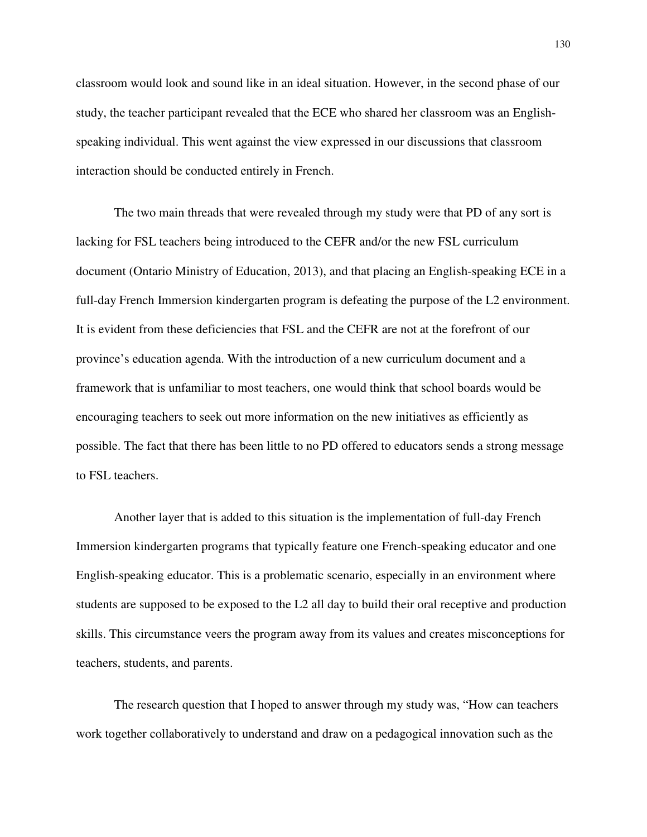classroom would look and sound like in an ideal situation. However, in the second phase of our study, the teacher participant revealed that the ECE who shared her classroom was an Englishspeaking individual. This went against the view expressed in our discussions that classroom interaction should be conducted entirely in French.

The two main threads that were revealed through my study were that PD of any sort is lacking for FSL teachers being introduced to the CEFR and/or the new FSL curriculum document (Ontario Ministry of Education, 2013), and that placing an English-speaking ECE in a full-day French Immersion kindergarten program is defeating the purpose of the L2 environment. It is evident from these deficiencies that FSL and the CEFR are not at the forefront of our province's education agenda. With the introduction of a new curriculum document and a framework that is unfamiliar to most teachers, one would think that school boards would be encouraging teachers to seek out more information on the new initiatives as efficiently as possible. The fact that there has been little to no PD offered to educators sends a strong message to FSL teachers.

Another layer that is added to this situation is the implementation of full-day French Immersion kindergarten programs that typically feature one French-speaking educator and one English-speaking educator. This is a problematic scenario, especially in an environment where students are supposed to be exposed to the L2 all day to build their oral receptive and production skills. This circumstance veers the program away from its values and creates misconceptions for teachers, students, and parents.

The research question that I hoped to answer through my study was, "How can teachers work together collaboratively to understand and draw on a pedagogical innovation such as the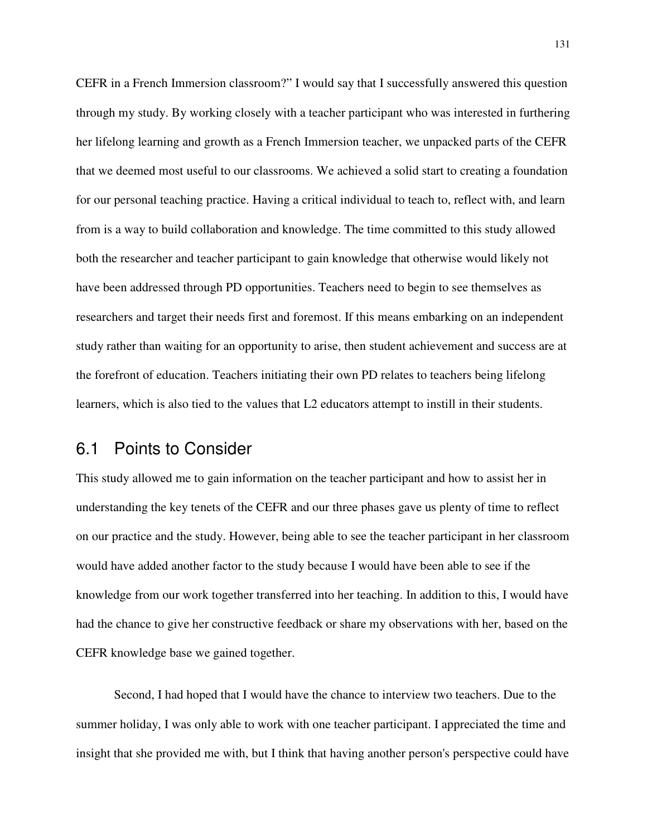CEFR in a French Immersion classroom?" I would say that I successfully answered this question through my study. By working closely with a teacher participant who was interested in furthering her lifelong learning and growth as a French Immersion teacher, we unpacked parts of the CEFR that we deemed most useful to our classrooms. We achieved a solid start to creating a foundation for our personal teaching practice. Having a critical individual to teach to, reflect with, and learn from is a way to build collaboration and knowledge. The time committed to this study allowed both the researcher and teacher participant to gain knowledge that otherwise would likely not have been addressed through PD opportunities. Teachers need to begin to see themselves as researchers and target their needs first and foremost. If this means embarking on an independent study rather than waiting for an opportunity to arise, then student achievement and success are at the forefront of education. Teachers initiating their own PD relates to teachers being lifelong learners, which is also tied to the values that L2 educators attempt to instill in their students.

### 6.1 Points to Consider

This study allowed me to gain information on the teacher participant and how to assist her in understanding the key tenets of the CEFR and our three phases gave us plenty of time to reflect on our practice and the study. However, being able to see the teacher participant in her classroom would have added another factor to the study because I would have been able to see if the knowledge from our work together transferred into her teaching. In addition to this, I would have had the chance to give her constructive feedback or share my observations with her, based on the CEFR knowledge base we gained together.

Second, I had hoped that I would have the chance to interview two teachers. Due to the summer holiday, I was only able to work with one teacher participant. I appreciated the time and insight that she provided me with, but I think that having another person's perspective could have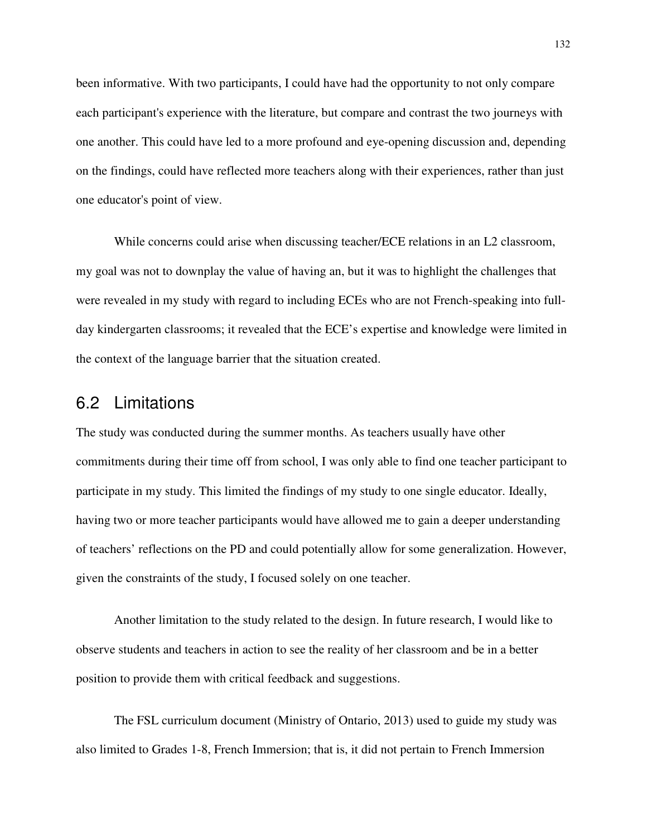been informative. With two participants, I could have had the opportunity to not only compare each participant's experience with the literature, but compare and contrast the two journeys with one another. This could have led to a more profound and eye-opening discussion and, depending on the findings, could have reflected more teachers along with their experiences, rather than just one educator's point of view.

While concerns could arise when discussing teacher/ECE relations in an L2 classroom, my goal was not to downplay the value of having an, but it was to highlight the challenges that were revealed in my study with regard to including ECEs who are not French-speaking into fullday kindergarten classrooms; it revealed that the ECE's expertise and knowledge were limited in the context of the language barrier that the situation created.

## 6.2 Limitations

The study was conducted during the summer months. As teachers usually have other commitments during their time off from school, I was only able to find one teacher participant to participate in my study. This limited the findings of my study to one single educator. Ideally, having two or more teacher participants would have allowed me to gain a deeper understanding of teachers' reflections on the PD and could potentially allow for some generalization. However, given the constraints of the study, I focused solely on one teacher.

 Another limitation to the study related to the design. In future research, I would like to observe students and teachers in action to see the reality of her classroom and be in a better position to provide them with critical feedback and suggestions.

 The FSL curriculum document (Ministry of Ontario, 2013) used to guide my study was also limited to Grades 1-8, French Immersion; that is, it did not pertain to French Immersion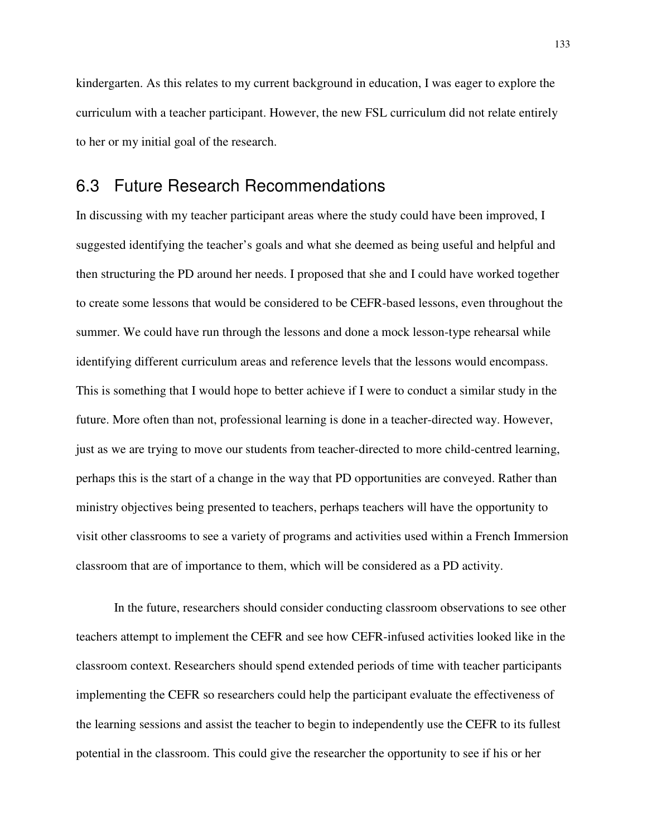kindergarten. As this relates to my current background in education, I was eager to explore the curriculum with a teacher participant. However, the new FSL curriculum did not relate entirely to her or my initial goal of the research.

### 6.3 Future Research Recommendations

In discussing with my teacher participant areas where the study could have been improved, I suggested identifying the teacher's goals and what she deemed as being useful and helpful and then structuring the PD around her needs. I proposed that she and I could have worked together to create some lessons that would be considered to be CEFR-based lessons, even throughout the summer. We could have run through the lessons and done a mock lesson-type rehearsal while identifying different curriculum areas and reference levels that the lessons would encompass. This is something that I would hope to better achieve if I were to conduct a similar study in the future. More often than not, professional learning is done in a teacher-directed way. However, just as we are trying to move our students from teacher-directed to more child-centred learning, perhaps this is the start of a change in the way that PD opportunities are conveyed. Rather than ministry objectives being presented to teachers, perhaps teachers will have the opportunity to visit other classrooms to see a variety of programs and activities used within a French Immersion classroom that are of importance to them, which will be considered as a PD activity.

In the future, researchers should consider conducting classroom observations to see other teachers attempt to implement the CEFR and see how CEFR-infused activities looked like in the classroom context. Researchers should spend extended periods of time with teacher participants implementing the CEFR so researchers could help the participant evaluate the effectiveness of the learning sessions and assist the teacher to begin to independently use the CEFR to its fullest potential in the classroom. This could give the researcher the opportunity to see if his or her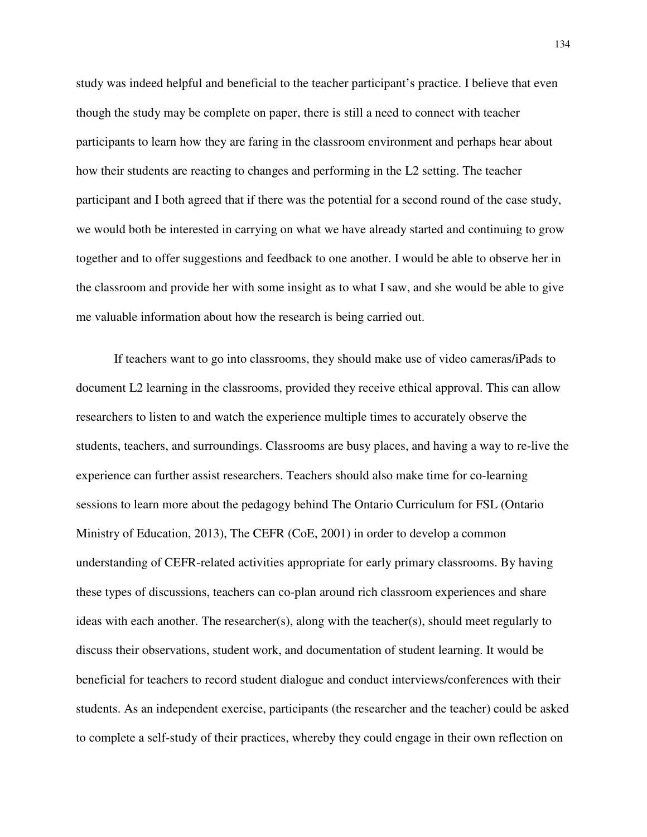study was indeed helpful and beneficial to the teacher participant's practice. I believe that even though the study may be complete on paper, there is still a need to connect with teacher participants to learn how they are faring in the classroom environment and perhaps hear about how their students are reacting to changes and performing in the L2 setting. The teacher participant and I both agreed that if there was the potential for a second round of the case study, we would both be interested in carrying on what we have already started and continuing to grow together and to offer suggestions and feedback to one another. I would be able to observe her in the classroom and provide her with some insight as to what I saw, and she would be able to give me valuable information about how the research is being carried out.

If teachers want to go into classrooms, they should make use of video cameras/iPads to document L2 learning in the classrooms, provided they receive ethical approval. This can allow researchers to listen to and watch the experience multiple times to accurately observe the students, teachers, and surroundings. Classrooms are busy places, and having a way to re-live the experience can further assist researchers. Teachers should also make time for co-learning sessions to learn more about the pedagogy behind The Ontario Curriculum for FSL (Ontario Ministry of Education, 2013), The CEFR (CoE, 2001) in order to develop a common understanding of CEFR-related activities appropriate for early primary classrooms. By having these types of discussions, teachers can co-plan around rich classroom experiences and share ideas with each another. The researcher(s), along with the teacher(s), should meet regularly to discuss their observations, student work, and documentation of student learning. It would be beneficial for teachers to record student dialogue and conduct interviews/conferences with their students. As an independent exercise, participants (the researcher and the teacher) could be asked to complete a self-study of their practices, whereby they could engage in their own reflection on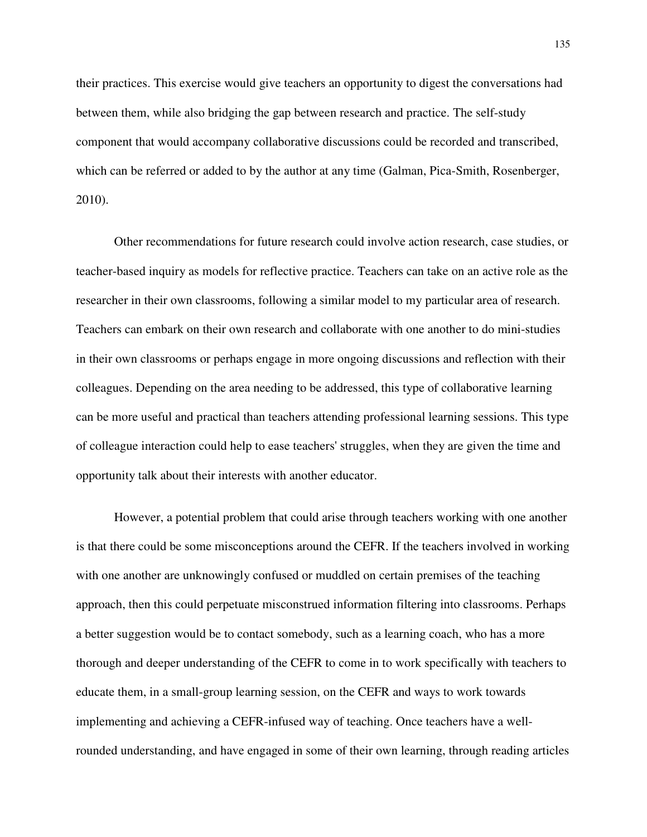their practices. This exercise would give teachers an opportunity to digest the conversations had between them, while also bridging the gap between research and practice. The self-study component that would accompany collaborative discussions could be recorded and transcribed, which can be referred or added to by the author at any time (Galman, Pica-Smith, Rosenberger, 2010).

Other recommendations for future research could involve action research, case studies, or teacher-based inquiry as models for reflective practice. Teachers can take on an active role as the researcher in their own classrooms, following a similar model to my particular area of research. Teachers can embark on their own research and collaborate with one another to do mini-studies in their own classrooms or perhaps engage in more ongoing discussions and reflection with their colleagues. Depending on the area needing to be addressed, this type of collaborative learning can be more useful and practical than teachers attending professional learning sessions. This type of colleague interaction could help to ease teachers' struggles, when they are given the time and opportunity talk about their interests with another educator.

However, a potential problem that could arise through teachers working with one another is that there could be some misconceptions around the CEFR. If the teachers involved in working with one another are unknowingly confused or muddled on certain premises of the teaching approach, then this could perpetuate misconstrued information filtering into classrooms. Perhaps a better suggestion would be to contact somebody, such as a learning coach, who has a more thorough and deeper understanding of the CEFR to come in to work specifically with teachers to educate them, in a small-group learning session, on the CEFR and ways to work towards implementing and achieving a CEFR-infused way of teaching. Once teachers have a wellrounded understanding, and have engaged in some of their own learning, through reading articles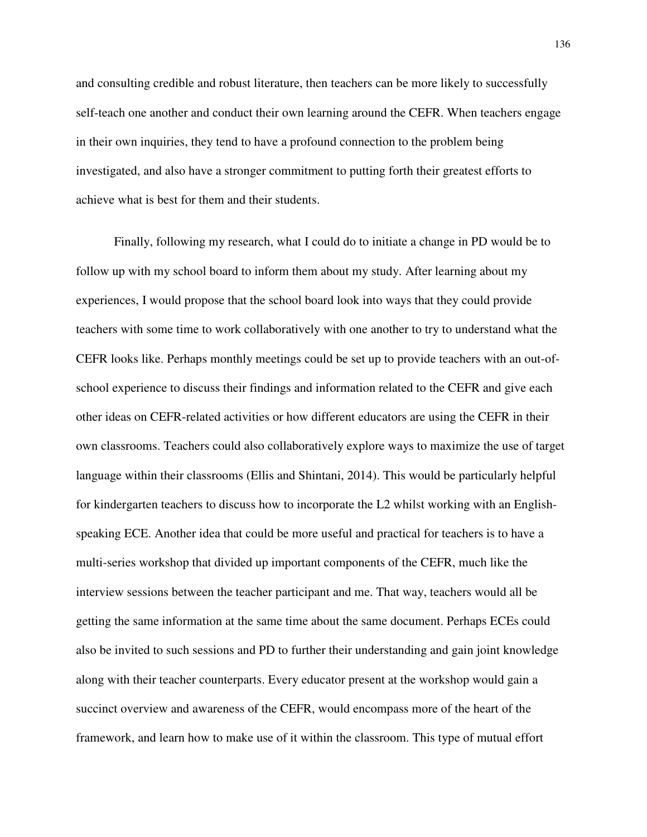and consulting credible and robust literature, then teachers can be more likely to successfully self-teach one another and conduct their own learning around the CEFR. When teachers engage in their own inquiries, they tend to have a profound connection to the problem being investigated, and also have a stronger commitment to putting forth their greatest efforts to achieve what is best for them and their students.

Finally, following my research, what I could do to initiate a change in PD would be to follow up with my school board to inform them about my study. After learning about my experiences, I would propose that the school board look into ways that they could provide teachers with some time to work collaboratively with one another to try to understand what the CEFR looks like. Perhaps monthly meetings could be set up to provide teachers with an out-ofschool experience to discuss their findings and information related to the CEFR and give each other ideas on CEFR-related activities or how different educators are using the CEFR in their own classrooms. Teachers could also collaboratively explore ways to maximize the use of target language within their classrooms (Ellis and Shintani, 2014). This would be particularly helpful for kindergarten teachers to discuss how to incorporate the L2 whilst working with an Englishspeaking ECE. Another idea that could be more useful and practical for teachers is to have a multi-series workshop that divided up important components of the CEFR, much like the interview sessions between the teacher participant and me. That way, teachers would all be getting the same information at the same time about the same document. Perhaps ECEs could also be invited to such sessions and PD to further their understanding and gain joint knowledge along with their teacher counterparts. Every educator present at the workshop would gain a succinct overview and awareness of the CEFR, would encompass more of the heart of the framework, and learn how to make use of it within the classroom. This type of mutual effort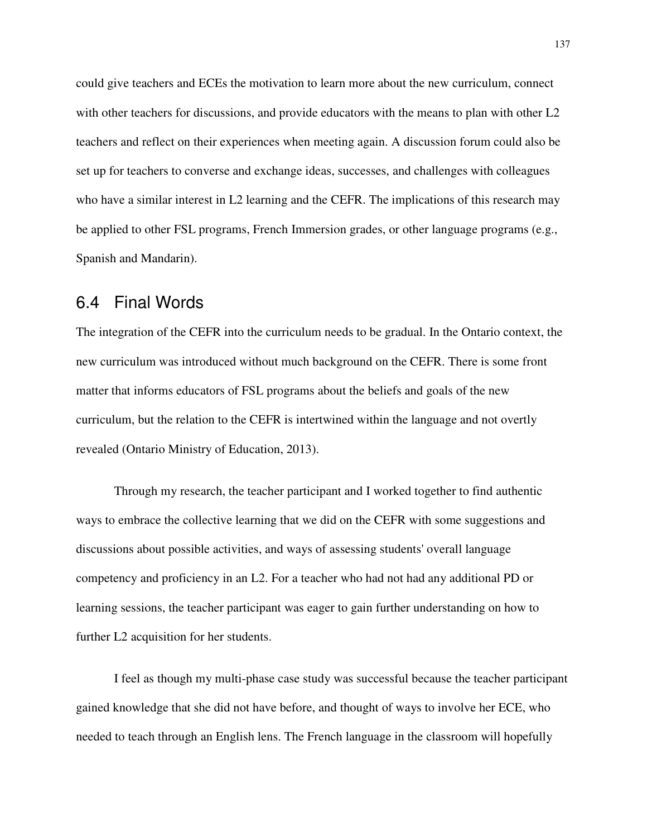could give teachers and ECEs the motivation to learn more about the new curriculum, connect with other teachers for discussions, and provide educators with the means to plan with other L2 teachers and reflect on their experiences when meeting again. A discussion forum could also be set up for teachers to converse and exchange ideas, successes, and challenges with colleagues who have a similar interest in L2 learning and the CEFR. The implications of this research may be applied to other FSL programs, French Immersion grades, or other language programs (e.g., Spanish and Mandarin).

### 6.4 Final Words

The integration of the CEFR into the curriculum needs to be gradual. In the Ontario context, the new curriculum was introduced without much background on the CEFR. There is some front matter that informs educators of FSL programs about the beliefs and goals of the new curriculum, but the relation to the CEFR is intertwined within the language and not overtly revealed (Ontario Ministry of Education, 2013).

Through my research, the teacher participant and I worked together to find authentic ways to embrace the collective learning that we did on the CEFR with some suggestions and discussions about possible activities, and ways of assessing students' overall language competency and proficiency in an L2. For a teacher who had not had any additional PD or learning sessions, the teacher participant was eager to gain further understanding on how to further L2 acquisition for her students.

I feel as though my multi-phase case study was successful because the teacher participant gained knowledge that she did not have before, and thought of ways to involve her ECE, who needed to teach through an English lens. The French language in the classroom will hopefully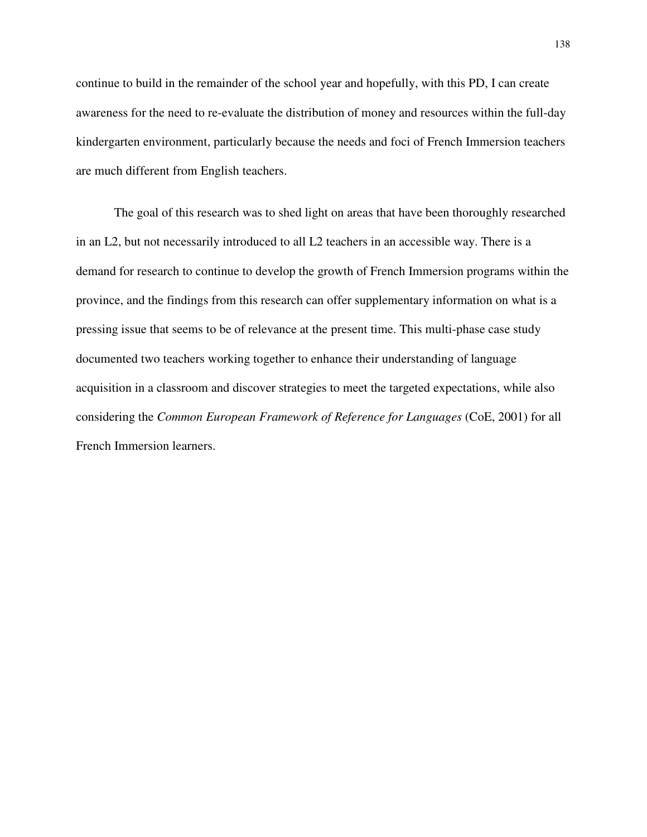continue to build in the remainder of the school year and hopefully, with this PD, I can create awareness for the need to re-evaluate the distribution of money and resources within the full-day kindergarten environment, particularly because the needs and foci of French Immersion teachers are much different from English teachers.

The goal of this research was to shed light on areas that have been thoroughly researched in an L2, but not necessarily introduced to all L2 teachers in an accessible way. There is a demand for research to continue to develop the growth of French Immersion programs within the province, and the findings from this research can offer supplementary information on what is a pressing issue that seems to be of relevance at the present time. This multi-phase case study documented two teachers working together to enhance their understanding of language acquisition in a classroom and discover strategies to meet the targeted expectations, while also considering the *Common European Framework of Reference for Languages* (CoE, 2001) for all French Immersion learners.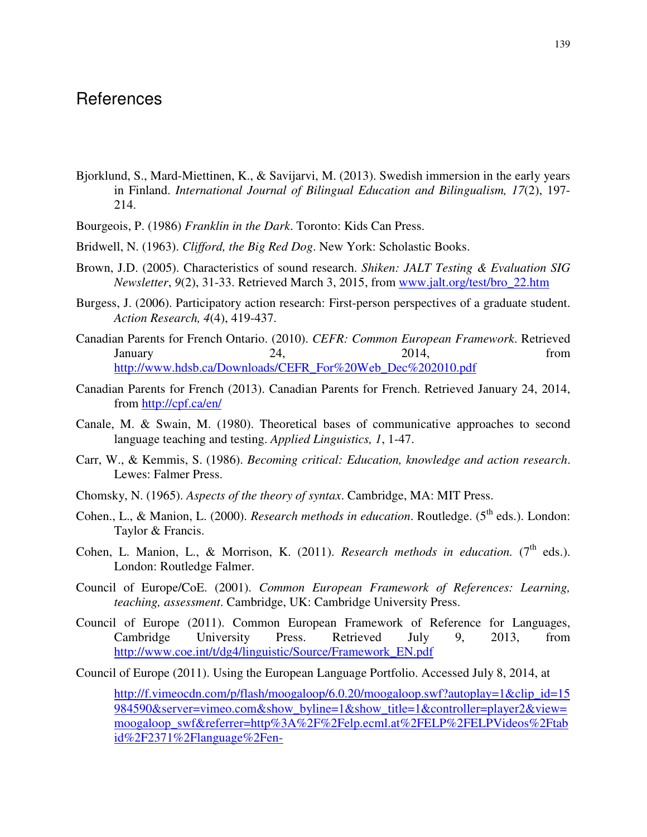#### References

- Bjorklund, S., Mard-Miettinen, K., & Savijarvi, M. (2013). Swedish immersion in the early years in Finland. *International Journal of Bilingual Education and Bilingualism, 17*(2), 197- 214.
- Bourgeois, P. (1986) *Franklin in the Dark*. Toronto: Kids Can Press.
- Bridwell, N. (1963). *Clifford, the Big Red Dog*. New York: Scholastic Books.
- Brown, J.D. (2005). Characteristics of sound research. *Shiken: JALT Testing & Evaluation SIG Newsletter*, *9*(2), 31-33. Retrieved March 3, 2015, from www.jalt.org/test/bro\_22.htm
- Burgess, J. (2006). Participatory action research: First-person perspectives of a graduate student. *Action Research, 4*(4), 419-437.
- Canadian Parents for French Ontario. (2010). *CEFR: Common European Framework*. Retrieved January 24, 2014, from http://www.hdsb.ca/Downloads/CEFR\_For%20Web\_Dec%202010.pdf
- Canadian Parents for French (2013). Canadian Parents for French. Retrieved January 24, 2014, from http://cpf.ca/en/
- Canale, M. & Swain, M. (1980). Theoretical bases of communicative approaches to second language teaching and testing. *Applied Linguistics, 1*, 1-47.
- Carr, W., & Kemmis, S. (1986). *Becoming critical: Education, knowledge and action research*. Lewes: Falmer Press.
- Chomsky, N. (1965). *Aspects of the theory of syntax*. Cambridge, MA: MIT Press.
- Cohen., L., & Manion, L. (2000). *Research methods in education*. Routledge. (5<sup>th</sup> eds.). London: Taylor & Francis.
- Cohen, L. Manion, L., & Morrison, K. (2011). *Research methods in education.* (7<sup>th</sup> eds.). London: Routledge Falmer.
- Council of Europe/CoE. (2001). *Common European Framework of References: Learning, teaching, assessment*. Cambridge, UK: Cambridge University Press.
- Council of Europe (2011). Common European Framework of Reference for Languages, Cambridge University Press. Retrieved July 9, 2013, from http://www.coe.int/t/dg4/linguistic/Source/Framework\_EN.pdf

Council of Europe (2011). Using the European Language Portfolio. Accessed July 8, 2014, at

http://f.vimeocdn.com/p/flash/moogaloop/6.0.20/moogaloop.swf?autoplay=1&clip\_id=15 984590&server=vimeo.com&show\_byline=1&show\_title=1&controller=player2&view= moogaloop\_swf&referrer=http%3A%2F%2Felp.ecml.at%2FELP%2FELPVideos%2Ftab id%2F2371%2Flanguage%2Fen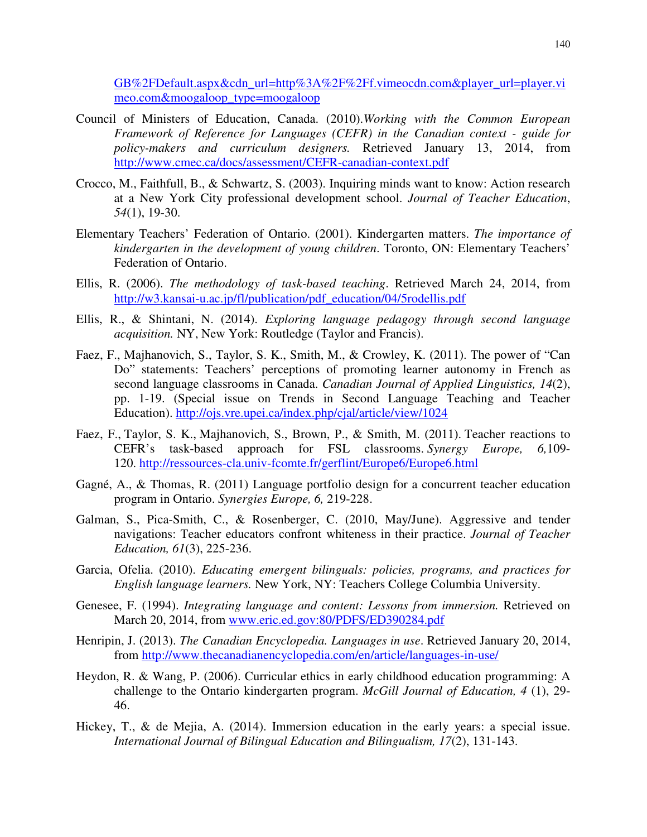GB%2FDefault.aspx&cdn\_url=http%3A%2F%2Ff.vimeocdn.com&player\_url=player.vi meo.com&moogaloop\_type=moogaloop

- Council of Ministers of Education, Canada. (2010).*Working with the Common European Framework of Reference for Languages (CEFR) in the Canadian context - guide for policy-makers and curriculum designers.* Retrieved January 13, 2014, from http://www.cmec.ca/docs/assessment/CEFR-canadian-context.pdf
- Crocco, M., Faithfull, B., & Schwartz, S. (2003). Inquiring minds want to know: Action research at a New York City professional development school. *Journal of Teacher Education*, *54*(1), 19-30.
- Elementary Teachers' Federation of Ontario. (2001). Kindergarten matters. *The importance of kindergarten in the development of young children*. Toronto, ON: Elementary Teachers' Federation of Ontario.
- Ellis, R. (2006). *The methodology of task-based teaching*. Retrieved March 24, 2014, from http://w3.kansai-u.ac.jp/fl/publication/pdf\_education/04/5rodellis.pdf
- Ellis, R., & Shintani, N. (2014). *Exploring language pedagogy through second language acquisition.* NY, New York: Routledge (Taylor and Francis).
- Faez, F., Majhanovich, S., Taylor, S. K., Smith, M., & Crowley, K. (2011). The power of "Can Do" statements: Teachers' perceptions of promoting learner autonomy in French as second language classrooms in Canada. *Canadian Journal of Applied Linguistics, 14*(2), pp. 1-19. (Special issue on Trends in Second Language Teaching and Teacher Education). http://ojs.vre.upei.ca/index.php/cjal/article/view/1024
- Faez, F., Taylor, S. K., Majhanovich, S., Brown, P., & Smith, M. (2011). Teacher reactions to CEFR's task-based approach for FSL classrooms. *Synergy Europe, 6,*109- 120. http://ressources-cla.univ-fcomte.fr/gerflint/Europe6/Europe6.html
- Gagné, A., & Thomas, R. (2011) Language portfolio design for a concurrent teacher education program in Ontario. *Synergies Europe, 6,* 219-228.
- Galman, S., Pica-Smith, C., & Rosenberger, C. (2010, May/June). Aggressive and tender navigations: Teacher educators confront whiteness in their practice. *Journal of Teacher Education, 61*(3), 225-236.
- Garcia, Ofelia. (2010). *Educating emergent bilinguals: policies, programs, and practices for English language learners.* New York, NY: Teachers College Columbia University.
- Genesee, F. (1994). *Integrating language and content: Lessons from immersion.* Retrieved on March 20, 2014, from www.eric.ed.gov:80/PDFS/ED390284.pdf
- Henripin, J. (2013). *The Canadian Encyclopedia. Languages in use*. Retrieved January 20, 2014, from http://www.thecanadianencyclopedia.com/en/article/languages-in-use/
- Heydon, R. & Wang, P. (2006). Curricular ethics in early childhood education programming: A challenge to the Ontario kindergarten program. *McGill Journal of Education, 4* (1), 29- 46.
- Hickey, T., & de Mejia, A. (2014). Immersion education in the early years: a special issue. *International Journal of Bilingual Education and Bilingualism, 17*(2), 131-143.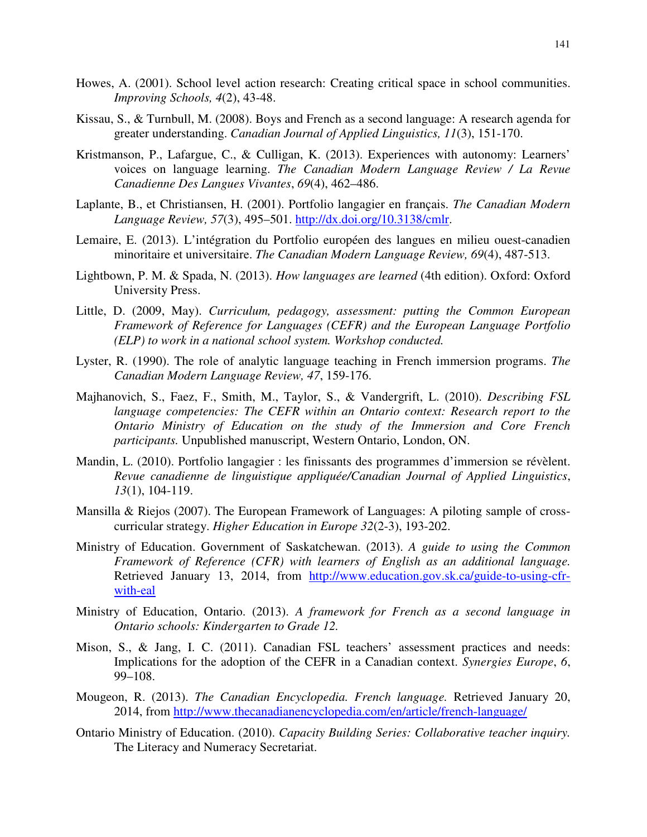- Howes, A. (2001). School level action research: Creating critical space in school communities. *Improving Schools, 4*(2), 43-48.
- Kissau, S., & Turnbull, M. (2008). Boys and French as a second language: A research agenda for greater understanding. *Canadian Journal of Applied Linguistics, 11*(3), 151-170.
- Kristmanson, P., Lafargue, C., & Culligan, K. (2013). Experiences with autonomy: Learners' voices on language learning. *The Canadian Modern Language Review / La Revue Canadienne Des Langues Vivantes*, *69*(4), 462–486.
- Laplante, B., et Christiansen, H. (2001). Portfolio langagier en français. *The Canadian Modern Language Review, 57*(3), 495–501. http://dx.doi.org/10.3138/cmlr.
- Lemaire, E. (2013). L'intégration du Portfolio européen des langues en milieu ouest-canadien minoritaire et universitaire. *The Canadian Modern Language Review, 69*(4), 487-513.
- Lightbown, P. M. & Spada, N. (2013). *How languages are learned* (4th edition). Oxford: Oxford University Press.
- Little, D. (2009, May). *Curriculum, pedagogy, assessment: putting the Common European Framework of Reference for Languages (CEFR) and the European Language Portfolio (ELP) to work in a national school system. Workshop conducted.*
- Lyster, R. (1990). The role of analytic language teaching in French immersion programs. *The Canadian Modern Language Review, 47*, 159-176.
- Majhanovich, S., Faez, F., Smith, M., Taylor, S., & Vandergrift, L. (2010). *Describing FSL language competencies: The CEFR within an Ontario context: Research report to the Ontario Ministry of Education on the study of the Immersion and Core French participants.* Unpublished manuscript, Western Ontario, London, ON.
- Mandin, L. (2010). Portfolio langagier : les finissants des programmes d'immersion se révèlent. *Revue canadienne de linguistique appliquée/Canadian Journal of Applied Linguistics*, *13*(1), 104-119.
- Mansilla & Riejos (2007). The European Framework of Languages: A piloting sample of crosscurricular strategy. *Higher Education in Europe 32*(2-3), 193-202.
- Ministry of Education. Government of Saskatchewan. (2013). *A guide to using the Common Framework of Reference (CFR) with learners of English as an additional language.*  Retrieved January 13, 2014, from http://www.education.gov.sk.ca/guide-to-using-cfrwith-eal
- Ministry of Education, Ontario. (2013). *A framework for French as a second language in Ontario schools: Kindergarten to Grade 12.*
- Mison, S., & Jang, I. C. (2011). Canadian FSL teachers' assessment practices and needs: Implications for the adoption of the CEFR in a Canadian context. *Synergies Europe*, *6*, 99–108.
- Mougeon, R. (2013). *The Canadian Encyclopedia. French language.* Retrieved January 20, 2014, from http://www.thecanadianencyclopedia.com/en/article/french-language/
- Ontario Ministry of Education. (2010). *Capacity Building Series: Collaborative teacher inquiry.*  The Literacy and Numeracy Secretariat.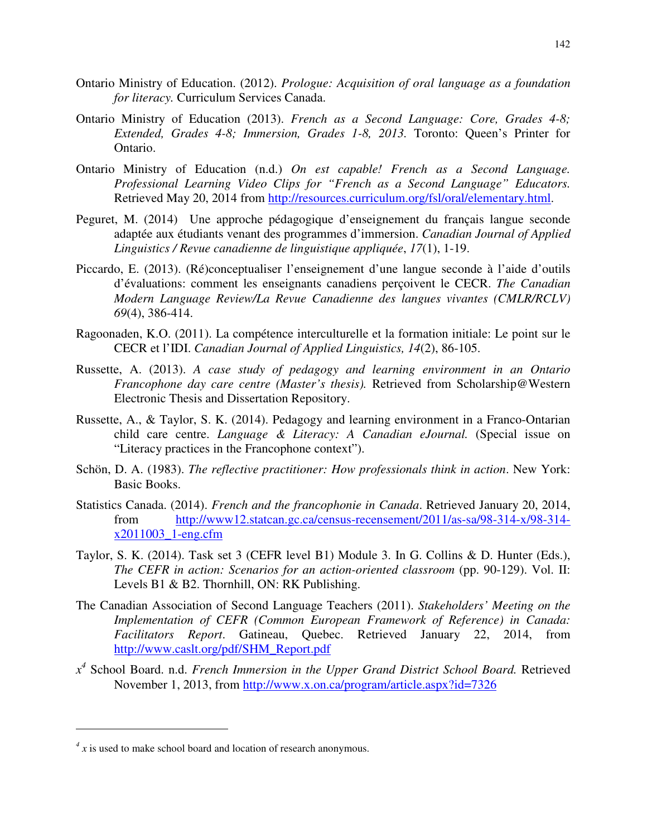- Ontario Ministry of Education. (2012). *Prologue: Acquisition of oral language as a foundation for literacy.* Curriculum Services Canada.
- Ontario Ministry of Education (2013). *French as a Second Language: Core, Grades 4-8; Extended, Grades 4-8; Immersion, Grades 1-8, 2013.* Toronto: Queen's Printer for Ontario.
- Ontario Ministry of Education (n.d.) *On est capable! French as a Second Language. Professional Learning Video Clips for "French as a Second Language" Educators.* Retrieved May 20, 2014 from http://resources.curriculum.org/fsl/oral/elementary.html.
- Peguret, M. (2014) Une approche pédagogique d'enseignement du français langue seconde adaptée aux étudiants venant des programmes d'immersion. *Canadian Journal of Applied Linguistics / Revue canadienne de linguistique appliquée*, *17*(1), 1-19.
- Piccardo, E. (2013). (Ré)conceptualiser l'enseignement d'une langue seconde à l'aide d'outils d'évaluations: comment les enseignants canadiens perçoivent le CECR. *The Canadian Modern Language Review/La Revue Canadienne des langues vivantes (CMLR/RCLV) 69*(4), 386-414.
- Ragoonaden, K.O. (2011). La compétence interculturelle et la formation initiale: Le point sur le CECR et l'IDI. *Canadian Journal of Applied Linguistics, 14*(2), 86-105.
- Russette, A. (2013). *A case study of pedagogy and learning environment in an Ontario Francophone day care centre (Master's thesis).* Retrieved from Scholarship@Western Electronic Thesis and Dissertation Repository.
- Russette, A., & Taylor, S. K. (2014). Pedagogy and learning environment in a Franco-Ontarian child care centre. *Language & Literacy: A Canadian eJournal.* (Special issue on "Literacy practices in the Francophone context").
- Schön, D. A. (1983). *The reflective practitioner: How professionals think in action*. New York: Basic Books.
- Statistics Canada. (2014). *French and the francophonie in Canada*. Retrieved January 20, 2014, from http://www12.statcan.gc.ca/census-recensement/2011/as-sa/98-314-x/98-314 x2011003\_1-eng.cfm
- Taylor, S. K. (2014). Task set 3 (CEFR level B1) Module 3. In G. Collins & D. Hunter (Eds.), *The CEFR in action: Scenarios for an action-oriented classroom (pp. 90-129). Vol. II:* Levels B1 & B2. Thornhill, ON: RK Publishing.
- The Canadian Association of Second Language Teachers (2011). *Stakeholders' Meeting on the Implementation of CEFR (Common European Framework of Reference) in Canada: Facilitators Report*. Gatineau, Quebec. Retrieved January 22, 2014, from http://www.caslt.org/pdf/SHM\_Report.pdf
- *x 4* School Board. n.d. *French Immersion in the Upper Grand District School Board.* Retrieved November 1, 2013, from http://www.x.on.ca/program/article.aspx?id=7326

 $\overline{a}$ 

 $4 \times 4$  *x* is used to make school board and location of research anonymous.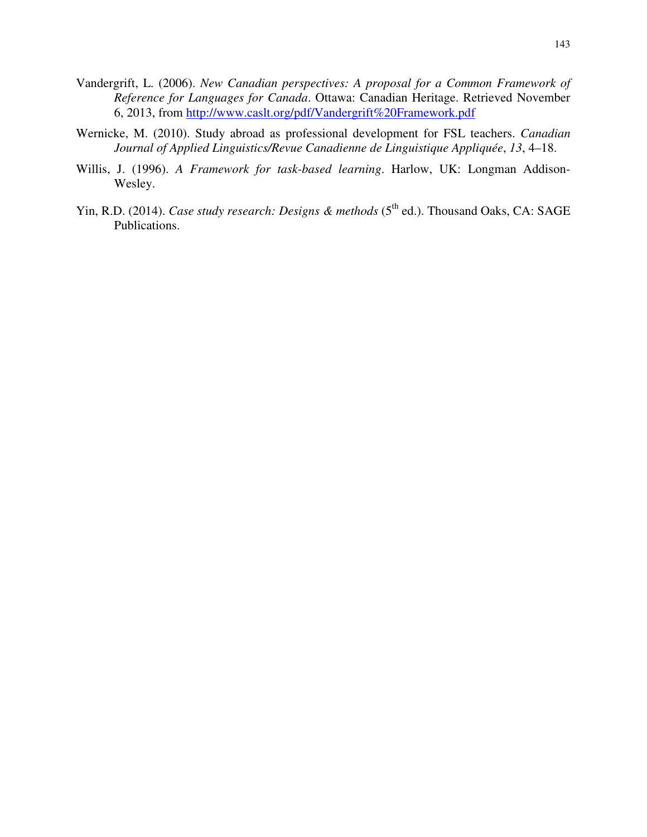- Vandergrift, L. (2006). *New Canadian perspectives: A proposal for a Common Framework of Reference for Languages for Canada*. Ottawa: Canadian Heritage. Retrieved November 6, 2013, from http://www.caslt.org/pdf/Vandergrift%20Framework.pdf
- Wernicke, M. (2010). Study abroad as professional development for FSL teachers. *Canadian Journal of Applied Linguistics/Revue Canadienne de Linguistique Appliquée*, *13*, 4–18.
- Willis, J. (1996). *A Framework for task-based learning*. Harlow, UK: Longman Addison-Wesley.
- Yin, R.D. (2014). *Case study research: Designs & methods* (5<sup>th</sup> ed.). Thousand Oaks, CA: SAGE Publications.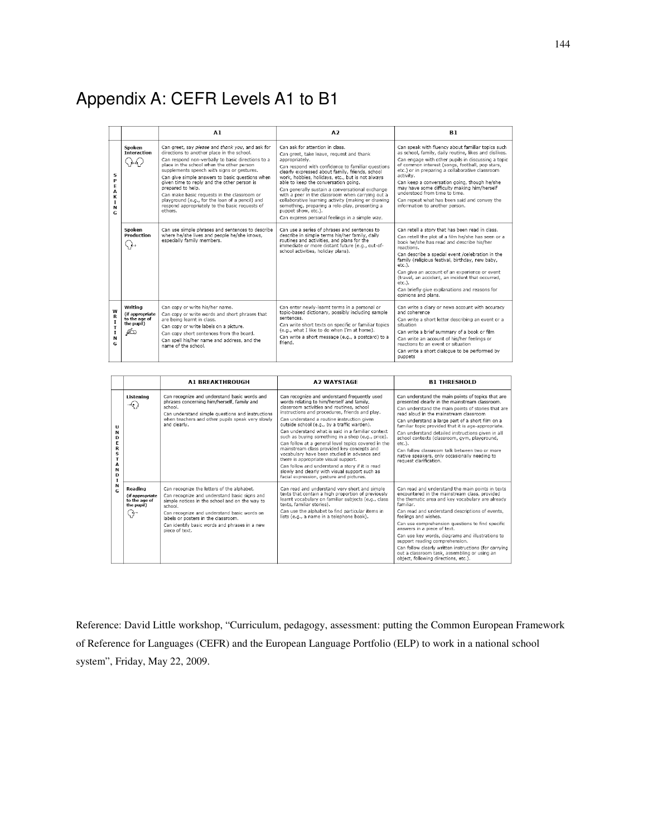# Appendix A: CEFR Levels A1 to B1

|                                                     |                                                                 | A1                                                                                                                                                                                                                                                                                                                                                                                                                                                                                                                                   | A2                                                                                                                                                                                                                                                                                                                                                                                                                                                                                                                                                                                        | B1                                                                                                                                                                                                                                                                                                                                                                                                                                                                                                    |
|-----------------------------------------------------|-----------------------------------------------------------------|--------------------------------------------------------------------------------------------------------------------------------------------------------------------------------------------------------------------------------------------------------------------------------------------------------------------------------------------------------------------------------------------------------------------------------------------------------------------------------------------------------------------------------------|-------------------------------------------------------------------------------------------------------------------------------------------------------------------------------------------------------------------------------------------------------------------------------------------------------------------------------------------------------------------------------------------------------------------------------------------------------------------------------------------------------------------------------------------------------------------------------------------|-------------------------------------------------------------------------------------------------------------------------------------------------------------------------------------------------------------------------------------------------------------------------------------------------------------------------------------------------------------------------------------------------------------------------------------------------------------------------------------------------------|
| s<br>P<br>E<br>A<br>К<br>T.<br>N<br>G               | Spoken<br><b>Interaction</b>                                    | Can greet, say please and thank you, and ask for<br>directions to another place in the school.<br>Can respond non-verbally to basic directions to a<br>place in the school when the other person<br>supplements speech with signs or gestures.<br>Can give simple answers to basic questions when<br>given time to reply and the other person is<br>prepared to help.<br>Can make basic requests in the classroom or<br>playground (e.g., for the loan of a pencil) and<br>respond appropriately to the basic requests of<br>others. | Can ask for attention in class.<br>Can greet, take leave, request and thank<br>appropriately.<br>Can respond with confidence to familiar questions<br>clearly expressed about family, friends, school<br>work, hobbies, holidays, etc., but is not always<br>able to keep the conversation going.<br>Can generally sustain a conversational exchange<br>with a peer in the classroom when carrying out a<br>collaborative learning activity (making or drawing<br>something, preparing a role-play, presenting a<br>puppet show, etc.).<br>Can express personal feelings in a simple way. | Can speak with fluency about familiar topics such<br>as school, family, daily routine, likes and dislikes.<br>Can engage with other pupils in discussing a topic<br>of common interest (songs, football, pop stars,<br>etc.) or in preparing a collaborative classroom<br>activity.<br>Can keep a conversation going, though he/she<br>may have some difficulty making him/herself<br>understood from time to time.<br>Can repeat what has been said and convey the<br>information to another person. |
|                                                     | Spoken<br>Production<br>∖ }⊣                                    | Can use simple phrases and sentences to describe<br>where he/she lives and people he/she knows,<br>especially family members.                                                                                                                                                                                                                                                                                                                                                                                                        | Can use a series of phrases and sentences to<br>describe in simple terms his/her family, daily<br>routines and activities, and plans for the<br>immediate or more distant future (e.g., out-of-<br>school activities, holiday plans).                                                                                                                                                                                                                                                                                                                                                     | Can retell a story that has been read in class.<br>Can retell the plot of a film he/she has seen or a<br>book he/she has read and describe his/her<br>reactions.<br>Can describe a special event /celebration in the<br>family (religious festival, birthday, new baby,<br>etc.).<br>Can give an account of an experience or event<br>(travel, an accident, an incident that occurred,<br>$etc.$ ).<br>Can briefly give explanations and reasons for<br>opinions and plans.                           |
| W<br>$\mathbf R$<br>$\mathbf I$<br>T<br>1<br>N<br>G | Writing<br>(if appropriate<br>to the age of<br>the pupil)<br>Æt | Can copy or write his/her name.<br>Can copy or write words and short phrases that<br>are being learnt in class.<br>Can copy or write labels on a picture.<br>Can copy short sentences from the board.<br>Can spell his/her name and address, and the<br>name of the school.                                                                                                                                                                                                                                                          | Can enter newly-learnt terms in a personal or<br>topic-based dictionary, possibly including sample<br>sentences<br>Can write short texts on specific or familiar topics<br>(e.g., what I like to do when I'm at home).<br>Can write a short message (e.g., a postcard) to a<br>friend.                                                                                                                                                                                                                                                                                                    | Can write a diary or news account with accuracy<br>and coherence<br>Can write a short letter describing an event or a<br>situation<br>Can write a brief summary of a book or film<br>Can write an account of his/her feelings or<br>reactions to an event or situation<br>Can write a short dialogue to be performed by<br>puppets                                                                                                                                                                    |

|                                                                        |                                                                | <b>A1 BREAKTHROUGH</b>                                                                                                                                                                                                                                                                                           | <b>A2 WAYSTAGE</b>                                                                                                                                                                                                                                                                                                                                                                                                                                                                                                                                                                                                                                                                                                                           | <b>B1 THRESHOLD</b>                                                                                                                                                                                                                                                                                                                                                                                                                                                                                                                                                     |
|------------------------------------------------------------------------|----------------------------------------------------------------|------------------------------------------------------------------------------------------------------------------------------------------------------------------------------------------------------------------------------------------------------------------------------------------------------------------|----------------------------------------------------------------------------------------------------------------------------------------------------------------------------------------------------------------------------------------------------------------------------------------------------------------------------------------------------------------------------------------------------------------------------------------------------------------------------------------------------------------------------------------------------------------------------------------------------------------------------------------------------------------------------------------------------------------------------------------------|-------------------------------------------------------------------------------------------------------------------------------------------------------------------------------------------------------------------------------------------------------------------------------------------------------------------------------------------------------------------------------------------------------------------------------------------------------------------------------------------------------------------------------------------------------------------------|
| U<br>N<br>D<br>E<br>R<br>s<br>т<br>А<br>N<br>D<br>I<br>N<br>$\epsilon$ | Listening<br>-0                                                | Can recognize and understand basic words and<br>phrases concerning him/herself, family and<br>school.<br>Can understand simple questions and instructions<br>when teachers and other pupils speak very slowly<br>and clearly.                                                                                    | Can recognize and understand frequently used<br>words relating to him/herself and family.<br>classroom activities and routines, school<br>instructions and procedures, friends and play.<br>Can understand a routine instruction given<br>outside school (e.g., by a traffic warden).<br>Can understand what is said in a familiar context<br>such as buving something in a shop (e.g., price).<br>Can follow at a general level topics covered in the<br>mainstream class provided key concepts and<br>vocabulary have been studied in advance and<br>there is appropriate visual support.<br>Can follow and understand a story if it is read<br>slowly and clearly with visual support such as<br>facial expression, gesture and pictures. | Can understand the main points of topics that are<br>presented clearly in the mainstream classroom.<br>Can understand the main points of stories that are<br>read aloud in the mainstream classroom<br>Can understand a large part of a short film on a<br>familiar topic provided that it is age-appropriate.<br>Can understand detailed instructions given in all<br>school contexts (classroom, gym, playground,<br>etc.).<br>Can follow classroom talk between two or more<br>native speakers, only occasionally needing to<br>request clarification.               |
|                                                                        | Reading<br>(if appropriate<br>to the age of<br>the pupil)<br>↔ | Can recognize the letters of the alphabet.<br>Can recognize and understand basic signs and<br>simple notices in the school and on the way to<br>school.<br>Can recognize and understand basic words on<br>labels or posters in the classroom.<br>Can identify basic words and phrases in a new<br>piece of text. | Can read and understand very short and simple<br>texts that contain a high proportion of previously<br>learnt vocabulary on familiar subjects (e.g., class<br>texts, familiar stories).<br>Can use the alphabet to find particular items in<br>lists (e.g., a name in a telephone book).                                                                                                                                                                                                                                                                                                                                                                                                                                                     | Can read and understand the main points in texts<br>encountered in the mainstream class, provided<br>the thematic area and key vocabulary are already<br>familiar.<br>Can read and understand descriptions of events,<br>feelings and wishes.<br>Can use comprehension questions to find specific<br>answers in a piece of text.<br>Can use key words, diagrams and illustrations to<br>support reading comprehension.<br>Can follow clearly written instructions (for carrying<br>out a classroom task, assembling or using an<br>object, following directions, etc.). |

Reference: David Little workshop, "Curriculum, pedagogy, assessment: putting the Common European Framework of Reference for Languages (CEFR) and the European Language Portfolio (ELP) to work in a national school system", Friday, May 22, 2009.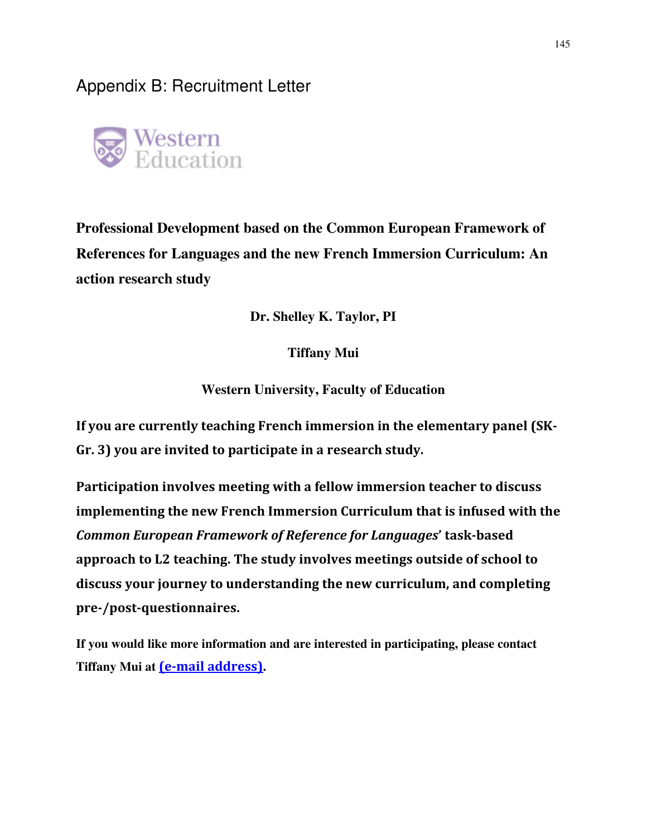Appendix B: Recruitment Letter



**Professional Development based on the Common European Framework of References for Languages and the new French Immersion Curriculum: An action research study** 

**Dr. Shelley K. Taylor, PI** 

**Tiffany Mui** 

**Western University, Faculty of Education** 

If you are currently teaching French immersion in the elementary panel (SK-Gr. 3) you are invited to participate in a research study.

Participation involves meeting with a fellow immersion teacher to discuss implementing the new French Immersion Curriculum that is infused with the Common European Framework of Reference for Languages' task-based approach to L2 teaching. The study involves meetings outside of school to discuss your journey to understanding the new curriculum, and completing pre-/post-questionnaires.

**If you would like more information and are interested in participating, please contact Tiffany Mui at** (e-mail address)**.**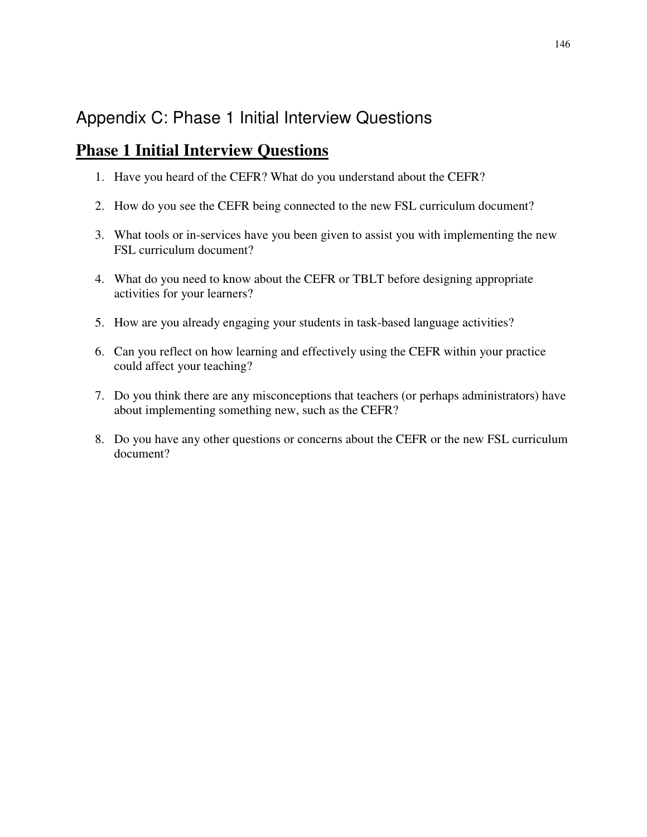# Appendix C: Phase 1 Initial Interview Questions

### **Phase 1 Initial Interview Questions**

- 1. Have you heard of the CEFR? What do you understand about the CEFR?
- 2. How do you see the CEFR being connected to the new FSL curriculum document?
- 3. What tools or in-services have you been given to assist you with implementing the new FSL curriculum document?
- 4. What do you need to know about the CEFR or TBLT before designing appropriate activities for your learners?
- 5. How are you already engaging your students in task-based language activities?
- 6. Can you reflect on how learning and effectively using the CEFR within your practice could affect your teaching?
- 7. Do you think there are any misconceptions that teachers (or perhaps administrators) have about implementing something new, such as the CEFR?
- 8. Do you have any other questions or concerns about the CEFR or the new FSL curriculum document?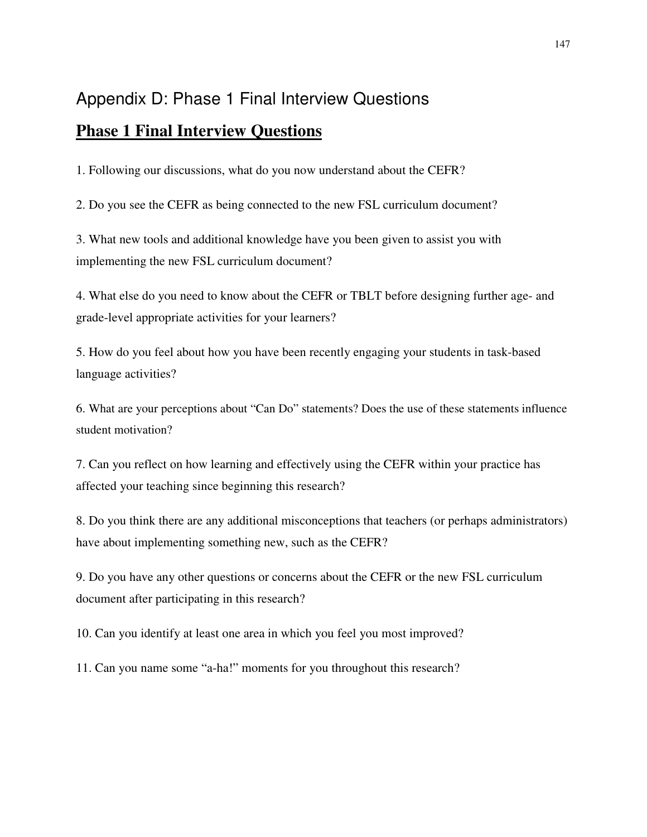# Appendix D: Phase 1 Final Interview Questions

### **Phase 1 Final Interview Questions**

1. Following our discussions, what do you now understand about the CEFR?

2. Do you see the CEFR as being connected to the new FSL curriculum document?

3. What new tools and additional knowledge have you been given to assist you with implementing the new FSL curriculum document?

4. What else do you need to know about the CEFR or TBLT before designing further age- and grade-level appropriate activities for your learners?

5. How do you feel about how you have been recently engaging your students in task-based language activities?

6. What are your perceptions about "Can Do" statements? Does the use of these statements influence student motivation?

7. Can you reflect on how learning and effectively using the CEFR within your practice has affected your teaching since beginning this research?

8. Do you think there are any additional misconceptions that teachers (or perhaps administrators) have about implementing something new, such as the CEFR?

9. Do you have any other questions or concerns about the CEFR or the new FSL curriculum document after participating in this research?

10. Can you identify at least one area in which you feel you most improved?

11. Can you name some "a-ha!" moments for you throughout this research?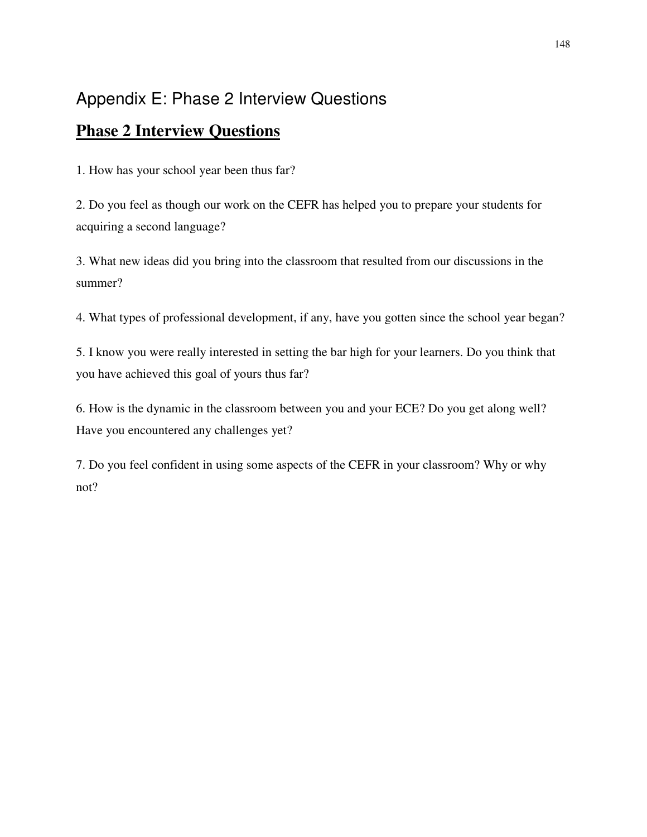# Appendix E: Phase 2 Interview Questions

## **Phase 2 Interview Questions**

1. How has your school year been thus far?

2. Do you feel as though our work on the CEFR has helped you to prepare your students for acquiring a second language?

3. What new ideas did you bring into the classroom that resulted from our discussions in the summer?

4. What types of professional development, if any, have you gotten since the school year began?

5. I know you were really interested in setting the bar high for your learners. Do you think that you have achieved this goal of yours thus far?

6. How is the dynamic in the classroom between you and your ECE? Do you get along well? Have you encountered any challenges yet?

7. Do you feel confident in using some aspects of the CEFR in your classroom? Why or why not?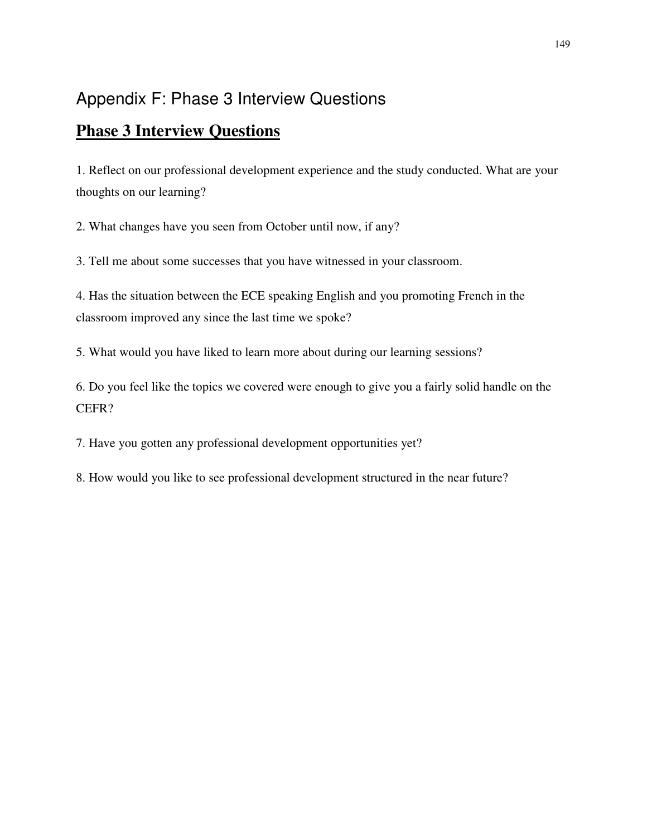# Appendix F: Phase 3 Interview Questions

## **Phase 3 Interview Questions**

1. Reflect on our professional development experience and the study conducted. What are your thoughts on our learning?

2. What changes have you seen from October until now, if any?

3. Tell me about some successes that you have witnessed in your classroom.

4. Has the situation between the ECE speaking English and you promoting French in the classroom improved any since the last time we spoke?

5. What would you have liked to learn more about during our learning sessions?

6. Do you feel like the topics we covered were enough to give you a fairly solid handle on the CEFR?

7. Have you gotten any professional development opportunities yet?

8. How would you like to see professional development structured in the near future?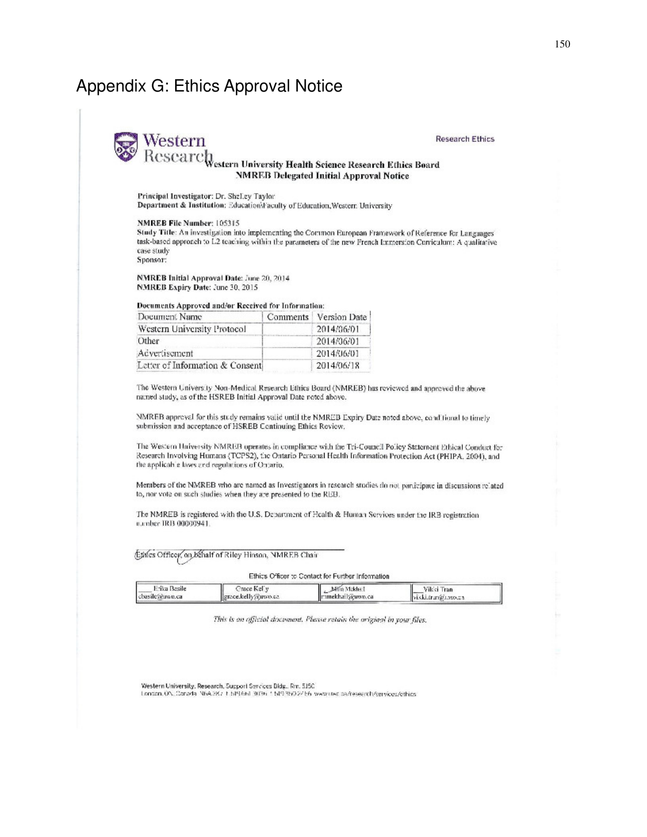## Appendix G: Ethics Approval Notice

#### **Research Ethics**

#### estern University Health Science Research Ethics Board **NMREB** Delegated Initial Approval Notice

Principal Investigator: Dr. Shelley Taylor Department & Institution: Education\Faculty of Education, Western University

#### NMREB File Number: 105315

Western Research

Study Title: An investigation into implementing the Common European Framework of Reference for Languages' task-based approach to L2 teaching within the parameters of the new French Immersion Curriculum: A qualitative case study Sponsor:

NMREB Initial Approval Date: June 20, 2014 NMREB Expiry Date: June 30, 2015

Documents Approved and/or Received for Information:

| Document Name                   | Comments   Version Date |
|---------------------------------|-------------------------|
| Western University Protocol     | 2014/06/01              |
| Other                           | 2014/06/01              |
| Advertisement                   | 2014/06/01              |
| Letter of Information & Consent | 2014/06/18              |

The Western University Non-Medical Research Ethics Board (NMREB) has reviewed and approved the above named study, as of the HSREB Initial Approval Date noted above.

NMREB approval for this study remains valid until the NMREB Expiry Date noted above, conditional to timely submission and acceptance of HSREB Centinuing Ethics Review,

The Western University NMREB operates in compliance with the Tri-Council Policy Statement Ethical Conduct for Research Involving Humans (TCPS2), the Ontario Personal Health Information Protection Act (PHIPA, 2004), and the applicable laws and regulations of Ontario.

Members of the NMREB who are named as Investigators in research studies do not participate in discussions related to, nor vote on such studies when they are presented to the REB.

The NMREB is registered with the U.S. Department of Health & Human Services under the IRB registration n.mber IRB 00000941

Ethics Officer, on behalf of Riley Hinson, NMREB Chair

Ethics Officer to Contact for Further Information

| Erika Basile   | Prace Kelly         | Millio Mokha    | Vikki Tran        |  |
|----------------|---------------------|-----------------|-------------------|--|
| cbasile@nwo.ca | grace.kelly@uwo.ca. | mmekhail@uwo.ca | viski.tran@cwo.ca |  |

This is an afficial document. Please retain the original in your files.

Western University, Research, Support Services Bldg., Rm. 5150

London, ON, Canada, N6A, 3K7, 1, 519, 661-3036, 1, 519-860-27 56, www.ciwc.ca/research/services/cthids